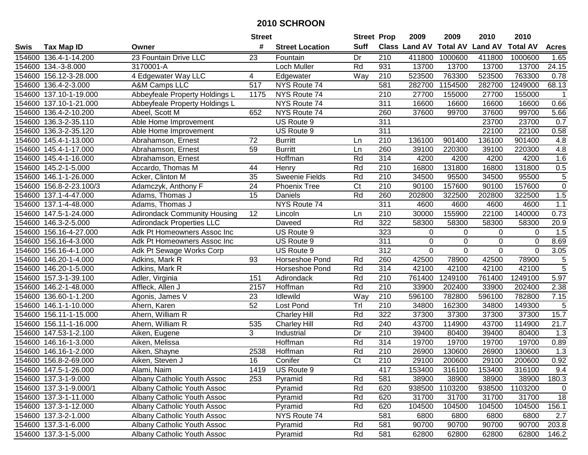|        |                        |                                     | <b>Street</b>   |                        | <b>Street Prop</b>     |                  | 2009                 | 2009            | 2010           | 2010            |                   |
|--------|------------------------|-------------------------------------|-----------------|------------------------|------------------------|------------------|----------------------|-----------------|----------------|-----------------|-------------------|
| Swis   | <b>Tax Map ID</b>      | Owner                               | #               | <b>Street Location</b> | <b>Suff</b>            |                  | <b>Class Land AV</b> | <b>Total AV</b> | <b>Land AV</b> | <b>Total AV</b> | <b>Acres</b>      |
|        | 154600 136.4-1-14.200  | 23 Fountain Drive LLC               | 23              | Fountain               | Dr                     | 210              | 411800               | 1000600         | 411800         | 1000600         | 1.65              |
|        | 154600 134.-3-8.000    | 3170001-A                           |                 | Loch Muller            | Rd                     | 931              | 13700                | 13700           | 13700          | 13700           | 24.15             |
| 154600 | 156.12-3-28.000        | 4 Edgewater Way LLC                 | 4               | Edgewater              | Way                    | 210              | 523500               | 763300          | 523500         | 763300          | 0.78              |
|        | 154600 136.4-2-3.000   | A&M Camps LLC                       | 517             | NYS Route 74           |                        | 581              | 282700               | 1154500         | 282700         | 1249000         | 68.13             |
|        | 154600 137.10-1-19.000 | Abbeyfeale Property Holdings L      | 1175            | NYS Route 74           |                        | 210              | 27700                | 155000          | 27700          | 155000          | $\overline{1}$    |
| 154600 | 137.10-1-21.000        | Abbeyfeale Property Holdings L      |                 | NYS Route 74           |                        | 311              | 16600                | 16600           | 16600          | 16600           | 0.66              |
| 154600 | 136.4-2-10.200         | Abeel, Scott M                      | 652             | NYS Route 74           |                        | 260              | 37600                | 99700           | 37600          | 99700           | 5.66              |
| 154600 | 136.3-2-35.110         | Able Home Improvement               |                 | US Route 9             |                        | 311              |                      |                 | 23700          | 23700           | 0.7               |
| 154600 | 136.3-2-35.120         | Able Home Improvement               |                 | US Route 9             |                        | 311              |                      |                 | 22100          | 22100           | 0.58              |
|        | 154600 145.4-1-13.000  | Abrahamson, Ernest                  | 72              | <b>Burritt</b>         | Ln                     | 210              | 136100               | 901400          | 136100         | 901400          | 4.8               |
|        | 154600 145.4-1-17.000  | Abrahamson, Ernest                  | 59              | <b>Burritt</b>         | Ln                     | 260              | 39100                | 220300          | 39100          | 220300          | 4.8               |
|        | 154600 145.4-1-16.000  | Abrahamson, Ernest                  |                 | Hoffman                | Rd                     | 314              | 4200                 | 4200            | 4200           | 4200            | 1.6               |
|        | 154600 145.2-1-5.000   | Accardo, Thomas M                   | 44              | Henry                  | Rd                     | $\overline{210}$ | 16800                | 131800          | 16800          | 131800          | 0.5               |
|        | 154600 146.1-1-26.000  | Acker, Clinton M                    | 35              | <b>Sweenie Fields</b>  | Rd                     | $\overline{210}$ | 34500                | 95500           | 34500          | 95500           | $\sqrt{5}$        |
| 154600 | 156.8-2-23.100/3       | Adamczyk, Anthony F                 | $\overline{24}$ | <b>Phoenix Tree</b>    | $\overline{\text{C}t}$ | $\overline{210}$ | 90100                | 157600          | 90100          | 157600          | $\overline{0}$    |
|        | 154600 137.1-4-47.000  | Adams, Thomas J                     | $\overline{15}$ | Daniels                | Rd                     | 260              | 202800               | 322500          | 202800         | 322500          | 1.5               |
|        | 154600 137.1-4-48.000  | Adams, Thomas J                     |                 | NYS Route 74           |                        | 311              | 4600                 | 4600            | 4600           | 4600            | 1.1               |
|        | 154600 147.5-1-24.000  | <b>Adirondack Community Housing</b> | 12              | Lincoln                | Ln                     | $\overline{210}$ | 30000                | 155900          | 22100          | 140000          | 0.73              |
| 154600 | 146.3-2-5.000          | <b>Adirondack Properties LLC</b>    |                 | Daveed                 | Rd                     | 322              | 58300                | 58300           | 58300          | 58300           | 20.9              |
| 154600 | 156.16-4-27.000        | Adk Pt Homeowners Assoc Inc         |                 | US Route 9             |                        | 323              | 0                    | $\mathbf 0$     | 0              | 0               | 1.5               |
|        | 154600 156.16-4-3.000  | Adk Pt Homeowners Assoc Inc         |                 | US Route 9             |                        | 311              | 0                    | 0               | $\Omega$       | $\mathbf 0$     | 8.69              |
| 154600 | 156.16-4-1.000         | Adk Pt Sewage Works Corp            |                 | US Route 9             |                        | 312              | $\mathbf 0$          | $\Omega$        | $\mathbf 0$    | $\mathbf 0$     | 3.05              |
| 154600 | 146.20-1-4.000         | Adkins, Mark R                      | 93              | Horseshoe Pond         | Rd                     | 260              | 42500                | 78900           | 42500          | 78900           | 5                 |
| 154600 | 146.20-1-5.000         | Adkins, Mark R                      |                 | Horseshoe Pond         | Rd                     | 314              | 42100                | 42100           | 42100          | 42100           | $\overline{5}$    |
| 154600 | 157.3-1-39.100         | Adler, Virginia                     | 151             | Adirondack             | Rd                     | 210              | 761400               | 1249100         | 761400         | 1249100         | 5.97              |
| 154600 | 146.2-1-48.000         | Affleck, Allen J                    | 2157            | Hoffman                | Rd                     | $\overline{210}$ | 33900                | 202400          | 33900          | 202400          | 2.38              |
| 154600 | 136.60-1-1.200         | Agonis, James V                     | 23              | Idlewild               | Way                    | 210              | 596100               | 782800          | 596100         | 782800          | 7.15              |
|        | 154600 146.1-1-10.000  | Ahern, Karen                        | 52              | Lost Pond              | Tr                     | 210              | 34800                | 162300          | 34800          | 149300          | 5                 |
|        | 154600 156.11-1-15.000 | Ahern, William R                    |                 | <b>Charley Hill</b>    | Rd                     | 322              | 37300                | 37300           | 37300          | 37300           | 15.7              |
|        | 154600 156.11-1-16.000 | Ahern, William R                    | 535             | <b>Charley Hill</b>    | Rd                     | 240              | 43700                | 114900          | 43700          | 114900          | $\overline{21.7}$ |
| 154600 | 147.53-1-2.100         | Aiken, Eugene                       | 3               | Industrial             | Dr                     | 210              | 39400                | 80400           | 39400          | 80400           | 1.3               |
| 154600 | 146.16-1-3.000         | Aiken, Melissa                      |                 | Hoffman                | Rd                     | 314              | 19700                | 19700           | 19700          | 19700           | 0.89              |
| 154600 | 146.16-1-2.000         | Aiken, Shayne                       | 2538            | Hoffman                | Rd                     | 210              | 26900                | 130600          | 26900          | 130600          | 1.3               |
|        | 154600 156.8-2-69.000  | Aiken, Steven J                     | 16              | Conifer                | $\overline{\text{C}t}$ | 210              | 29100                | 200600          | 29100          | 200600          | 0.92              |
|        | 154600 147.5-1-26.000  | Alami, Naim                         | 1419            | US Route 9             |                        | 417              | 153400               | 316100          | 153400         | 316100          | 9.4               |
|        | 154600 137.3-1-9.000   | Albany Catholic Youth Assoc         | 253             | Pyramid                | Rd                     | 581              | 38900                | 38900           | 38900          | 38900           | 180.3             |
|        | 154600 137.3-1-9.000/1 | Albany Catholic Youth Assoc         |                 | Pyramid                | Rd                     | 620              | 938500               | 1103200         | 938500         | 1103200         | $\mathbf 0$       |
|        | 154600 137.3-1-11.000  | Albany Catholic Youth Assoc         |                 | Pyramid                | Rd                     | 620              | 31700                | 31700           | 31700          | 31700           | 18                |
|        | 154600 137.3-1-12.000  | Albany Catholic Youth Assoc         |                 | Pyramid                | Rd                     | 620              | 104500               | 104500          | 104500         | 104500          | 156.1             |
|        | 154600 137.3-2-1.000   | Albany Catholic Youth Assoc         |                 | NYS Route 74           |                        | 581              | 6800                 | 6800            | 6800           | 6800            | 2.7               |
|        | 154600 137.3-1-6.000   | Albany Catholic Youth Assoc         |                 | Pyramid                | Rd                     | 581              | 90700                | 90700           | 90700          | 90700           | 203.8             |
|        | 154600 137.3-1-5.000   | Albany Catholic Youth Assoc         |                 | Pyramid                | Rd                     | 581              | 62800                | 62800           | 62800          | 62800           | 146.2             |
|        |                        |                                     |                 |                        |                        |                  |                      |                 |                |                 |                   |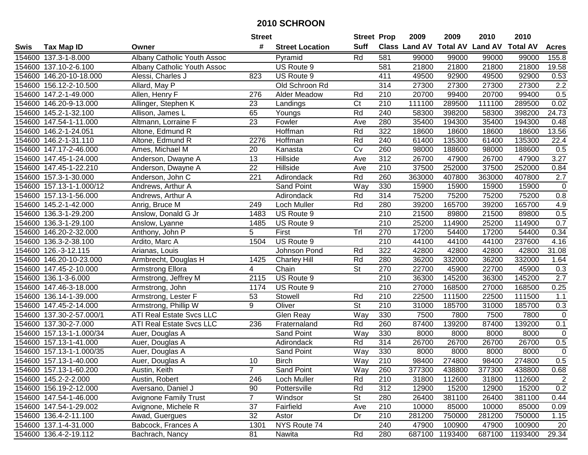|        |                          |                              | <b>Street</b>   |                        | <b>Street Prop</b>       |                  | 2009   | 2009           | 2010                                    | 2010    |                  |
|--------|--------------------------|------------------------------|-----------------|------------------------|--------------------------|------------------|--------|----------------|-----------------------------------------|---------|------------------|
| Swis   | <b>Tax Map ID</b>        | Owner                        | #               | <b>Street Location</b> | <b>Suff</b>              |                  |        |                | Class Land AV Total AV Land AV Total AV |         | <b>Acres</b>     |
|        | 154600 137.3-1-8.000     | Albany Catholic Youth Assoc  |                 | Pyramid                | Rd                       | 581              | 99000  | 99000          | 99000                                   | 99000   | 155.8            |
|        | 154600 137.10-2-6.100    | Albany Catholic Youth Assoc  |                 | US Route 9             |                          | 581              | 21800  | 21800          | 21800                                   | 21800   | 19.58            |
|        | 154600 146.20-10-18.000  | Alessi, Charles J            | 823             | US Route 9             |                          | 411              | 49500  | 92900          | 49500                                   | 92900   | 0.53             |
|        | 154600 156.12-2-10.500   | Allard, May P                |                 | Old Schroon Rd         |                          | 314              | 27300  | 27300          | 27300                                   | 27300   | 2.2              |
|        | 154600 147.2-1-49.000    | Allen, Henry F               | 276             | Alder Meadow           | Rd                       | $\overline{210}$ | 20700  | 99400          | 20700                                   | 99400   | 0.5              |
|        | 154600 146.20-9-13.000   | Allinger, Stephen K          | 23              | Landings               | C <sub>t</sub>           | 210              | 111100 | 289500         | 111100                                  | 289500  | 0.02             |
|        | 154600 145.2-1-32.100    | Allison, James L             | 65              | Youngs                 | Rd                       | 240              | 58300  | 398200         | 58300                                   | 398200  | 24.73            |
|        | 154600 147.54-1-11.000   | Altmann, Lorraine F          | $\overline{23}$ | Fowler                 | Ave                      | 280              | 35400  | 194300         | 35400                                   | 194300  | 0.48             |
|        | 154600 146.2-1-24.051    | Altone, Edmund R             |                 | Hoffman                | Rd                       | 322              | 18600  | 18600          | 18600                                   | 18600   | 13.56            |
|        | 154600 146.2-1-31.110    | Altone, Edmund R             | 2276            | Hoffman                | Rd                       | 240              | 61400  | 135300         | 61400                                   | 135300  | 22.4             |
|        | 154600 147.17-2-46.000   | Ames, Michael M              | 20              | Kanasta                | Cv                       | 260              | 98000  | 188600         | 98000                                   | 188600  | 0.5              |
|        | 154600 147.45-1-24.000   | Anderson, Dwayne A           | 13              | Hillside               | Ave                      | 312              | 26700  | 47900          | 26700                                   | 47900   | 3.27             |
|        | 154600 147.45-1-22.210   | Anderson, Dwayne A           | 22              | Hillside               | Ave                      | 210              | 37500  | 252000         | 37500                                   | 252000  | 0.84             |
|        | 154600 157.3-1-30.000    | Anderson, John C             | 221             | Adirondack             | Rd                       | 260              | 363000 | 407800         | 363000                                  | 407800  | 2.7              |
| 154600 | 157.13-1-1.000/12        | Andrews, Arthur A            |                 | Sand Point             | Way                      | 330              | 15900  | 15900          | 15900                                   | 15900   | $\mathbf 0$      |
|        | 154600 157.13-1-56.000   | Andrews, Arthur A            |                 | Adirondack             | Rd                       | 314              | 75200  | 75200          | 75200                                   | 75200   | 0.8              |
|        | 154600 145.2-1-42.000    | Anrig, Bruce M               | 249             | Loch Muller            | Rd                       | 280              | 39200  | 165700         | 39200                                   | 165700  | 4.9              |
|        | 154600 136.3-1-29.200    | Anslow, Donald G Jr          | 1483            | US Route 9             |                          | 210              | 21500  | 89800          | 21500                                   | 89800   | 0.5              |
|        | 154600 136.3-1-29.100    | Anslow, Lyanne               | 1485            | US Route 9             |                          | 210              | 25200  | 114900         | 25200                                   | 114900  | 0.7              |
|        | 154600 146.20-2-32.000   | Anthony, John P              | 5               | First                  | Trl                      | 270              | 17200  | 54400          | 17200                                   | 54400   | 0.34             |
| 154600 | 136.3-2-38.100           | Ardito, Marc A               | 1504            | US Route 9             |                          | 210              | 44100  | 44100          | 44100                                   | 237600  | 4.16             |
|        | 154600 126.-3-12.115     | Arianas, Louis               |                 | Johnson Pond           | Rd                       | 322              | 42800  | 42800          | 42800                                   | 42800   | 31.08            |
|        | 154600 146.20-10-23.000  | Armbrecht, Douglas H         | 1425            | <b>Charley Hill</b>    | Rd                       | 280              | 36200  | 332000         | 36200                                   | 332000  | 1.64             |
|        | 154600 147.45-2-10.000   | <b>Armstrong Ellora</b>      | 4               | Chain                  | $\overline{\mathsf{St}}$ | 270              | 22700  | 45900          | 22700                                   | 45900   | 0.3              |
| 154600 | 136.1-3-6.000            | Armstrong, Jeffrey M         | 2115            | US Route 9             |                          | 210              | 36300  | 145200         | 36300                                   | 145200  | $\overline{2.7}$ |
|        | 154600 147.46-3-18.000   | Armstrong, John              | 1174            | US Route 9             |                          | 210              | 27000  | 168500         | 27000                                   | 168500  | 0.25             |
|        | 154600 136.14-1-39.000   | Armstrong, Lester F          | 53              | Stowell                | Rd                       | 210              | 22500  | 111500         | 22500                                   | 111500  | 1.1              |
|        | 154600 147.45-2-14.000   | Armstrong, Phillip W         | 9               | Oliver                 | <b>St</b>                | 210              | 31000  | 185700         | 31000                                   | 185700  | 0.3              |
|        | 154600 137.30-2-57.000/1 | ATI Real Estate Svcs LLC     |                 | Glen Reay              | Way                      | 330              | 7500   | 7800           | 7500                                    | 7800    | $\mathbf 0$      |
|        | 154600 137.30-2-7.000    | ATI Real Estate Svcs LLC     | 236             | Fraternaland           | Rd                       | 260              | 87400  | 139200         | 87400                                   | 139200  | 0.1              |
|        | 154600 157.13-1-1.000/34 | Auer, Douglas A              |                 | Sand Point             | Way                      | 330              | 8000   | 8000           | 8000                                    | 8000    | $\mathbf 0$      |
|        | 154600 157.13-1-41.000   | Auer, Douglas A              |                 | Adirondack             | Rd                       | 314              | 26700  | 26700          | 26700                                   | 26700   | 0.5              |
|        | 154600 157.13-1-1.000/35 | Auer, Douglas A              |                 | Sand Point             | Way                      | 330              | 8000   | 8000           | 8000                                    | 8000    | $\mathbf 0$      |
|        | 154600 157.13-1-40.000   | Auer, Douglas A              | 10              | <b>Birch</b>           | Way                      | $\overline{210}$ | 98400  | 274800         | 98400                                   | 274800  | 0.5              |
|        | 154600 157.13-1-60.200   | Austin, Keith                | $\overline{7}$  | <b>Sand Point</b>      | Way                      | 260              | 377300 | 438800         | 377300                                  | 438800  | 0.68             |
|        | 154600 145.2-2-2.000     | Austin, Robert               | 246             | Loch Muller            | Rd                       | 210              | 31800  | 112600         | 31800                                   | 112600  | $\overline{2}$   |
|        | 154600 156.19-2-12.000   | Aversano, Daniel J           | 90              | Pottersville           | Rd                       | 312              | 12900  | 15200          | 12900                                   | 15200   | 0.2              |
|        | 154600 147.54-1-46.000   | <b>Avignone Family Trust</b> | $\overline{7}$  | Windsor                | <b>St</b>                | 280              | 26400  | 381100         | 26400                                   | 381100  | 0.44             |
|        | 154600 147.54-1-29.002   | Avignone, Michele R          | 37              | Fairfield              | Ave                      | 210              | 10000  | 85000          | 10000                                   | 85000   | 0.09             |
|        | 154600 136.4-2-11.100    | Awad, Guergues               | 32              | Astor                  | Dr                       | 210              | 281200 | 750000         | 281200                                  | 750000  | 1.15             |
|        | 154600 137.1-4-31.000    | Babcock, Frances A           | 1301            | NYS Route 74           |                          | 240              | 47900  | 100900         | 47900                                   | 100900  | 20               |
|        | 154600 136.4-2-19.112    | Bachrach, Nancy              | 81              | Nawita                 | Rd                       | 280              |        | 687100 1193400 | 687100                                  | 1193400 | 29.34            |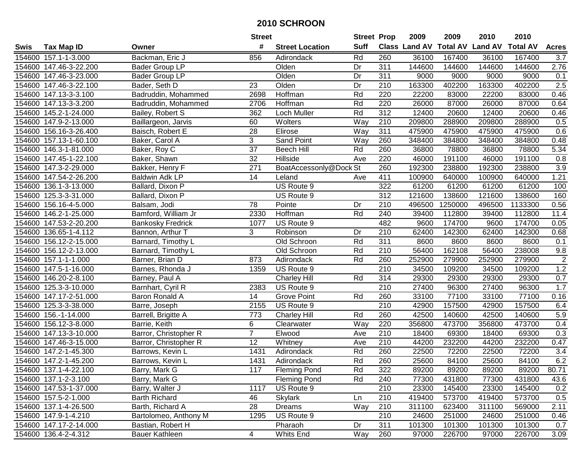|        |                        |                          | <b>Street</b>   |                        |                  | <b>Street Prop</b> | 2009   | 2009    | 2010                                    | 2010    |                |
|--------|------------------------|--------------------------|-----------------|------------------------|------------------|--------------------|--------|---------|-----------------------------------------|---------|----------------|
| Swis   | <b>Tax Map ID</b>      | Owner                    | #               | <b>Street Location</b> | <b>Suff</b>      |                    |        |         | Class Land AV Total AV Land AV Total AV |         | <b>Acres</b>   |
|        | 154600 157.1-1-3.000   | Backman, Eric J          | 856             | Adirondack             | Rd               | 260                | 36100  | 167400  | 36100                                   | 167400  | 3.7            |
|        | 154600 147.46-3-22.200 | <b>Bader Group LP</b>    |                 | Olden                  | Dr               | 311                | 144600 | 144600  | 144600                                  | 144600  | 2.76           |
|        | 154600 147.46-3-23.000 | Bader Group LP           |                 | Olden                  | Dr               | 311                | 9000   | 9000    | 9000                                    | 9000    | 0.1            |
|        | 154600 147.46-3-22.100 | Bader, Seth D            | 23              | Olden                  | Dr               | 210                | 163300 | 402200  | 163300                                  | 402200  | 2.5            |
|        | 154600 147.13-3-3.100  | Badruddin, Mohammed      | 2698            | Hoffman                | Rd               | 220                | 22200  | 83000   | 22200                                   | 83000   | 0.46           |
|        | 154600 147.13-3-3.200  | Badruddin, Mohammed      | 2706            | Hoffman                | Rd               | 220                | 26000  | 87000   | 26000                                   | 87000   | 0.64           |
|        | 154600 145.2-1-24.000  | Bailey, Robert S         | 362             | Loch Muller            | Rd               | 312                | 12400  | 20600   | 12400                                   | 20600   | 0.46           |
|        | 154600 147.9-2-13.000  | Baillargeon, Jarvis      | 60              | Wolters                | $\overline{Way}$ | $\overline{210}$   | 209800 | 288900  | 209800                                  | 288900  | 0.5            |
|        | 154600 156.16-3-26.400 | Baisch, Robert E         | $\overline{28}$ | Elirose                | Way              | 311                | 475900 | 475900  | 475900                                  | 475900  | 0.6            |
|        | 154600 157.13-1-60.100 | Baker, Carol A           | 3               | Sand Point             | Way              | 260                | 348400 | 384800  | 348400                                  | 384800  | 0.48           |
|        | 154600 146.3-1-81.000  | Baker, Roy C             | 37              | <b>Beech Hill</b>      | Rd               | 260                | 36800  | 78800   | 36800                                   | 78800   | 5.34           |
|        | 154600 147.45-1-22.100 | Baker, Shawn             | 32              | Hillside               | Ave              | 220                | 46000  | 191100  | 46000                                   | 191100  | 0.8            |
|        | 154600 147.3-2-29.000  | Bakker, Henry F          | 271             | BoatAccessonly@Dock St |                  | 260                | 192300 | 238800  | 192300                                  | 238800  | 3.9            |
|        | 154600 147.54-2-26.200 | <b>Baldwin Adk LP</b>    | 14              | Leland                 | Ave              | 411                | 100900 | 640000  | 100900                                  | 640000  | 1.21           |
| 154600 | 136.1-3-13.000         | Ballard, Dixon P         |                 | US Route 9             |                  | 322                | 61200  | 61200   | 61200                                   | 61200   | 100            |
| 154600 | 125.3-3-31.000         | Ballard, Dixon P         |                 | US Route 9             |                  | 312                | 121600 | 138600  | 121600                                  | 138600  | 160            |
|        | 154600 156.16-4-5.000  | Balsam, Jodi             | 78              | Pointe                 | Dr               | 210                | 496500 | 1250000 | 496500                                  | 1133300 | 0.56           |
|        | 154600 146.2-1-25.000  | Bamford, William Jr      | 2330            | Hoffman                | Rd               | 240                | 39400  | 112800  | 39400                                   | 112800  | 11.4           |
|        | 154600 147.53-2-20.200 | <b>Bankosky Fredrick</b> | 1077            | US Route 9             |                  | 482                | 9600   | 174700  | 9600                                    | 174700  | 0.05           |
|        | 154600 136.65-1-4.112  | Bannon, Arthur T         | 3               | Robinson               | Dr               | 210                | 62400  | 142300  | 62400                                   | 142300  | 0.68           |
|        | 154600 156.12-2-15.000 | Barnard, Timothy L       |                 | Old Schroon            | Rd               | 311                | 8600   | 8600    | 8600                                    | 8600    | 0.1            |
|        | 154600 156.12-2-13.000 | Barnard, Timothy L       |                 | Old Schroon            | Rd               | 210                | 56400  | 162108  | 56400                                   | 238008  | 9.8            |
|        | 154600 157.1-1-1.000   | Barner, Brian D          | 873             | Adirondack             | Rd               | 260                | 252900 | 279900  | 252900                                  | 279900  | $\overline{c}$ |
|        | 154600 147.5-1-16.000  | Barnes, Rhonda J         | 1359            | US Route 9             |                  | $\overline{210}$   | 34500  | 109200  | 34500                                   | 109200  | 1.2            |
|        | 154600 146.20-2-8.100  | Barney, Paul A           |                 | <b>Charley Hill</b>    | Rd               | 314                | 29300  | 29300   | 29300                                   | 29300   | 0.7            |
|        | 154600 125.3-3-10.000  | Barnhart, Cyril R        | 2383            | US Route 9             |                  | 210                | 27400  | 96300   | 27400                                   | 96300   | 1.7            |
|        | 154600 147.17-2-51.000 | Baron Ronald A           | 14              | <b>Grove Point</b>     | Rd               | 260                | 33100  | 77100   | 33100                                   | 77100   | 0.16           |
|        | 154600 125.3-3-38.000  | Barre, Joseph            | 2155            | US Route 9             |                  | 210                | 42900  | 157500  | 42900                                   | 157500  | 6.4            |
|        | 154600 156.-1-14.000   | Barrell, Brigitte A      | 773             | <b>Charley Hill</b>    | Rd               | 260                | 42500  | 140600  | 42500                                   | 140600  | 5.9            |
|        | 154600 156.12-3-8.000  | Barrie, Keith            | 6               | Clearwater             | Way              | 220                | 356800 | 473700  | 356800                                  | 473700  | 0.4            |
|        | 154600 147.13-3-10.000 | Barror, Christopher R    | $\overline{7}$  | Elwood                 | Ave              | 210                | 18400  | 69300   | 18400                                   | 69300   | 0.3            |
|        | 154600 147.46-3-15.000 | Barror, Christopher R    | $\overline{12}$ | Whitney                | Ave              | $\overline{210}$   | 44200  | 232200  | 44200                                   | 232200  | 0.47           |
|        | 154600 147.2-1-45.300  | Barrows, Kevin L         | 1431            | Adirondack             | Rd               | 260                | 22500  | 72200   | 22500                                   | 72200   | 3.4            |
|        | 154600 147.2-1-45.200  | Barrows, Kevin L         | 1431            | Adirondack             | Rd               | 260                | 25600  | 84100   | 25600                                   | 84100   | 6.2            |
|        | 154600 137.1-4-22.100  | Barry, Mark G            | 117             | <b>Fleming Pond</b>    | Rd               | 322                | 89200  | 89200   | 89200                                   | 89200   | 80.71          |
|        | 154600 137.1-2-3.100   | Barry, Mark G            |                 | <b>Fleming Pond</b>    | Rd               | 240                | 77300  | 431800  | 77300                                   | 431800  | 43.6           |
|        | 154600 147.53-1-37.000 | Barry, Walter J          | 1117            | US Route 9             |                  | 210                | 23300  | 145400  | 23300                                   | 145400  | 0.2            |
|        | 154600 157.5-2-1.000   | <b>Barth Richard</b>     | 46              | <b>Skylark</b>         | Ln               | 210                | 419400 | 573700  | 419400                                  | 573700  | 0.5            |
|        | 154600 137.1-4-26.500  | Barth, Richard A         | 28              | Dreams                 | Way              | 210                | 311100 | 623400  | 311100                                  | 569000  | 2.11           |
|        | 154600 147.9-1-4.210   | Bartolomeo, Anthony M    | 1295            | US Route 9             |                  | 210                | 24600  | 251000  | 24600                                   | 251000  | 0.46           |
|        | 154600 147.17-2-14.000 | Bastian, Robert H        |                 | Pharaoh                | Dr               | 311                | 101300 | 101300  | 101300                                  | 101300  | 0.7            |
|        | 154600 136.4-2-4.312   | <b>Bauer Kathleen</b>    | 4               | Whits End              | Way              | 260                | 97000  | 226700  | 97000                                   | 226700  | 3.09           |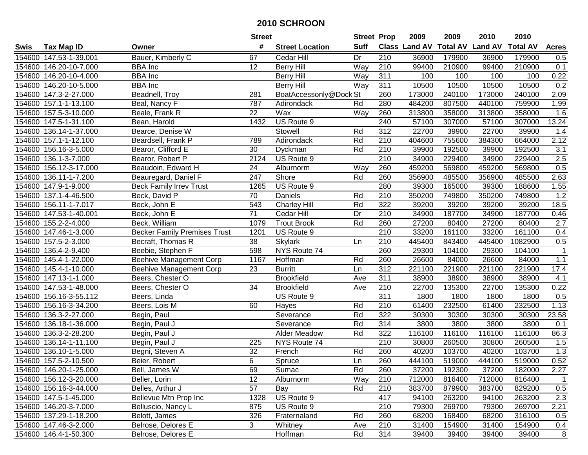|        |                        |                                     | <b>Street</b>   |                        | <b>Street Prop</b> |                  | 2009                          | 2009   | 2010           | 2010            |              |
|--------|------------------------|-------------------------------------|-----------------|------------------------|--------------------|------------------|-------------------------------|--------|----------------|-----------------|--------------|
| Swis   | <b>Tax Map ID</b>      | Owner                               | #               | <b>Street Location</b> | <b>Suff</b>        |                  | <b>Class Land AV Total AV</b> |        | <b>Land AV</b> | <b>Total AV</b> | <b>Acres</b> |
|        | 154600 147.53-1-39.001 | Bauer, Kimberly C                   | 67              | Cedar Hill             | Dr                 | 210              | 36900                         | 179900 | 36900          | 179900          | 0.5          |
|        | 154600 146.20-10-7.000 | <b>BBA</b> Inc                      | 12              | <b>Berry Hill</b>      | Way                | 210              | 99400                         | 210900 | 99400          | 210900          | 0.1          |
|        | 154600 146.20-10-4.000 | <b>BBA</b> Inc                      |                 | <b>Berry Hill</b>      | Way                | 311              | 100                           | 100    | 100            | 100             | 0.22         |
|        | 154600 146.20-10-5.000 | <b>BBA</b> Inc                      |                 | <b>Berry Hill</b>      | Way                | 311              | 10500                         | 10500  | 10500          | 10500           | 0.2          |
|        | 154600 147.3-2-27.000  | Beadnell, Troy                      | 281             | BoatAccessonly@Dock St |                    | 260              | 173000                        | 240100 | 173000         | 240100          | 2.09         |
|        | 154600 157.1-1-13.100  | Beal, Nancy F                       | 787             | Adirondack             | Rd                 | 280              | 484200                        | 807500 | 440100         | 759900          | 1.99         |
|        | 154600 157.5-3-10.000  | Beale, Frank R                      | 22              | Wax                    | Way                | 260              | 313800                        | 358000 | 313800         | 358000          | 1.6          |
|        | 154600 147.5-1-31.100  | Bean, Harold                        | 1432            | US Route 9             |                    | 240              | 57100                         | 307000 | 57100          | 307000          | 13.24        |
|        | 154600 136.14-1-37.000 | Bearce, Denise W                    |                 | Stowell                | Rd                 | $\overline{312}$ | 22700                         | 39900  | 22700          | 39900           | 1.4          |
|        | 154600 157.1-1-12.100  | Beardsell, Frank P                  | 789             | Adirondack             | Rd                 | 210              | 404600                        | 755600 | 384300         | 664000          | 2.12         |
|        | 154600 156.16-3-5.000  | Bearor, Clifford E                  | 30              | Dyckman                | Rd                 | 210              | 39900                         | 192500 | 39900          | 192500          | 3.1          |
|        | 154600 136.1-3-7.000   | Bearor, Robert P                    | 2124            | US Route 9             |                    | 210              | 34900                         | 229400 | 34900          | 229400          | 2.5          |
|        | 154600 156.12-3-17.000 | Beaudoin, Edward H                  | 24              | Alburnorm              | Way                | 260              | 459200                        | 569800 | 459200         | 569800          | 0.5          |
| 154600 | 136.11-1-7.200         | Beauregard, Daniel F                | 247             | Shore                  | Rd                 | 260              | 356900                        | 485500 | 356900         | 485500          | 2.63         |
|        | 154600 147.9-1-9.000   | <b>Beck Family Irrev Trust</b>      | 1265            | US Route 9             |                    | 280              | 39300                         | 165000 | 39300          | 188600          | 1.55         |
|        | 154600 137.1-4-46.500  | Beck, David P                       | 70              | Daniels                | Rd                 | 210              | 350200                        | 749800 | 350200         | 749800          | 1.2          |
|        | 154600 156.11-1-7.017  | Beck, John E                        | 543             | <b>Charley Hill</b>    | Rd                 | 322              | 39200                         | 39200  | 39200          | 39200           | 18.5         |
|        | 154600 147.53-1-40.001 | Beck, John E                        | 71              | <b>Cedar Hill</b>      | Dr                 | 210              | 34900                         | 187700 | 34900          | 187700          | 0.46         |
|        | 154600 155.2-2-4.000   | Beck, William                       | 1079            | <b>Trout Brook</b>     | Rd                 | 260              | 27200                         | 80400  | 27200          | 80400           | 2.7          |
|        | 154600 147.46-1-3.000  | <b>Becker Family Premises Trust</b> | 1201            | US Route 9             |                    | 210              | 33200                         | 161100 | 33200          | 161100          | 0.4          |
|        | 154600 157.5-2-3.000   | Becraft, Thomas R                   | 38              | <b>Skylark</b>         | Ln                 | 210              | 445400                        | 843400 | 445400         | 1082900         | 0.5          |
| 154600 | 136.4-2-9.400          | Beebie, Stephen F                   | 598             | NYS Route 74           |                    | 260              | 29300                         | 104100 | 29300          | 104100          | $\mathbf 1$  |
| 154600 | 145.4-1-22.000         | Beehive Management Corp             | 1167            | Hoffman                | Rd                 | 260              | 26600                         | 84000  | 26600          | 84000           | $1.1$        |
| 154600 | 145.4-1-10.000         | <b>Beehive Management Corp</b>      | 23              | <b>Burritt</b>         | Ln                 | 312              | 221100                        | 221900 | 221100         | 221900          | 17.4         |
|        | 154600 147.13-1-1.000  | Beers, Chester O                    |                 | <b>Brookfield</b>      | Ave                | 311              | 38900                         | 38900  | 38900          | 38900           | 4.1          |
|        | 154600 147.53-1-48.000 | Beers, Chester O                    | 34              | <b>Brookfield</b>      | Ave                | 210              | 22700                         | 135300 | 22700          | 135300          | 0.22         |
|        | 154600 156.16-3-55.112 | Beers, Linda                        |                 | US Route 9             |                    | $\overline{311}$ | 1800                          | 1800   | 1800           | 1800            | 0.5          |
|        | 154600 156.16-3-34.200 | Beers, Lois M                       | 60              | Hayes                  | Rd                 | 210              | 61400                         | 232500 | 61400          | 232500          | 1.13         |
|        | 154600 136.3-2-27.000  | Begin, Paul                         |                 | Severance              | Rd                 | $\overline{322}$ | 30300                         | 30300  | 30300          | 30300           | 23.58        |
|        | 154600 136.18-1-36.000 | Begin, Paul J                       |                 | Severance              | Rd                 | 314              | 3800                          | 3800   | 3800           | 3800            | 0.1          |
| 154600 | 136.3-2-28.200         | Begin, Paul J                       |                 | <b>Alder Meadow</b>    | Rd                 | 322              | 116100                        | 116100 | 116100         | 116100          | 86.3         |
|        | 154600 136.14-1-11.100 | Begin, Paul J                       | 225             | NYS Route 74           |                    | $\overline{210}$ | 30800                         | 260500 | 30800          | 260500          | 1.5          |
|        | 154600 136.10-1-5.000  | Begni, Steven A                     | $\overline{32}$ | French                 | Rd                 | 260              | 40200                         | 103700 | 40200          | 103700          | 1.3          |
|        | 154600 157.5-2-10.500  | Beier, Robert                       | 6               | Spruce                 | Ln                 | 260              | 444100                        | 519000 | 444100         | 519000          | 0.52         |
|        | 154600 146.20-1-25.000 | Bell, James W                       | 69              | Sumac                  | Rd                 | 260              | 37200                         | 192300 | 37200          | 182000          | 2.27         |
|        | 154600 156.12-3-20.000 | Beller, Lorin                       | 12              | Alburnorm              | Way                | 210              | 712000                        | 816400 | 712000         | 816400          | 1            |
|        | 154600 156.16-3-44.000 | Belles, Arthur J                    | 57              | Bay                    | Rd                 | 210              | 383700                        | 879900 | 383700         | 829200          | 0.5          |
|        | 154600 147.5-1-45.000  | Bellevue Mtn Prop Inc               | 1328            | US Route 9             |                    | 417              | 94100                         | 263200 | 94100          | 263200          | 2.3          |
|        | 154600 146.20-3-7.000  | Belluscio, Nancy L                  | 875             | US Route 9             |                    | 210              | 79300                         | 269700 | 79300          | 269700          | 2.21         |
|        | 154600 137.29-1-18.200 | Belott, James                       | 326             | Fraternaland           | Rd                 | 260              | 68200                         | 168400 | 68200          | 316100          | 0.5          |
|        | 154600 147.46-3-2.000  | Belrose, Delores E                  | 3               | Whitney                | Ave                | 210              | 31400                         | 154900 | 31400          | 154900          | 0.4          |
|        | 154600 146.4-1-50.300  | Belrose, Delores E                  |                 | Hoffman                | Rd                 | 314              | 39400                         | 39400  | 39400          | 39400           | 8            |
|        |                        |                                     |                 |                        |                    |                  |                               |        |                |                 |              |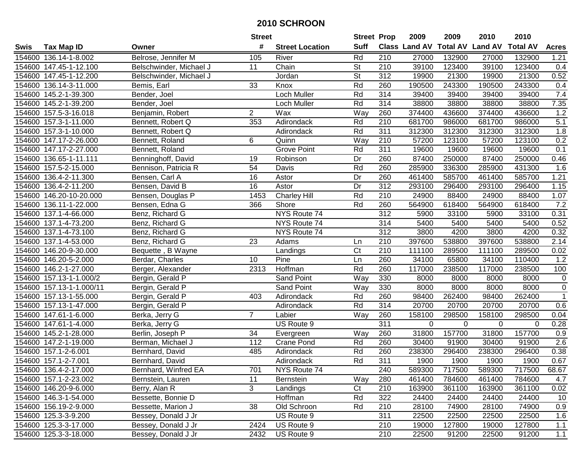|        |                          |                         | <b>Street</b>   |                        | <b>Street Prop</b> |     | 2009                 | 2009            | 2010           | 2010            |                  |
|--------|--------------------------|-------------------------|-----------------|------------------------|--------------------|-----|----------------------|-----------------|----------------|-----------------|------------------|
| Swis   | <b>Tax Map ID</b>        | Owner                   | #               | <b>Street Location</b> | <b>Suff</b>        |     | <b>Class Land AV</b> | <b>Total AV</b> | <b>Land AV</b> | <b>Total AV</b> | <b>Acres</b>     |
|        | 154600 136.14-1-8.002    | Belrose, Jennifer M     | 105             | River                  | Rd                 | 210 | 27000                | 132900          | 27000          | 132900          | 1.21             |
|        | 154600 147.45-1-12.100   | Belschwinder, Michael J | 11              | Chain                  | <b>St</b>          | 210 | 39100                | 123400          | 39100          | 123400          | 0.4              |
|        | 154600 147.45-1-12.200   | Belschwinder, Michael J |                 | Jordan                 | <b>St</b>          | 312 | 19900                | 21300           | 19900          | 21300           | 0.52             |
|        | 154600 136.14-3-11.000   | Bemis, Earl             | 33              | Knox                   | Rd                 | 260 | 190500               | 243300          | 190500         | 243300          | 0.4              |
|        | 154600 145.2-1-39.300    | Bender, Joel            |                 | Loch Muller            | Rd                 | 314 | 39400                | 39400           | 39400          | 39400           | 7.4              |
|        | 154600 145.2-1-39.200    | Bender, Joel            |                 | Loch Muller            | Rd                 | 314 | 38800                | 38800           | 38800          | 38800           | 7.35             |
|        | 154600 157.5-3-16.018    | Benjamin, Robert        | $\overline{2}$  | Wax                    | Way                | 260 | 374400               | 436600          | 374400         | 436600          | 1.2              |
|        | 154600 157.3-1-11.000    | Bennett, Robert Q       | 353             | Adirondack             | Rd                 | 210 | 681700               | 986000          | 681700         | 986000          | 5.1              |
|        | 154600 157.3-1-10.000    | Bennett, Robert Q       |                 | Adirondack             | Rd                 | 311 | 312300               | 312300          | 312300         | 312300          | 1.8              |
|        | 154600 147.17-2-26.000   | Bennett, Roland         | 6               | Quinn                  | Way                | 210 | 57200                | 123100          | 57200          | 123100          | 0.2              |
|        | 154600 147.17-2-27.000   | Bennett, Roland         |                 | <b>Grove Point</b>     | Rd                 | 311 | 19600                | 19600           | 19600          | 19600           | 0.1              |
|        | 154600 136.65-1-11.111   | Benninghoff, David      | 19              | Robinson               | Dr                 | 260 | 87400                | 250000          | 87400          | 250000          | 0.46             |
|        | 154600 157.5-2-15.000    | Bennison, Patricia R    | 54              | Davis                  | Rd                 | 260 | 285900               | 336300          | 285900         | 431300          | 1.6              |
|        | 154600 136.4-2-11.300    | Bensen, Carl A          | 16              | Astor                  | Dr                 | 260 | 461400               | 585700          | 461400         | 585700          | 1.21             |
|        | 154600 136.4-2-11.200    | Bensen, David B         | 16              | Astor                  | Dr                 | 312 | 293100               | 296400          | 293100         | 296400          | 1.15             |
|        | 154600 146.20-10-20.000  | Bensen, Douglas P       | 1453            | <b>Charley Hill</b>    | Rd                 | 210 | 24900                | 88400           | 24900          | 88400           | 1.07             |
|        | 154600 136.11-1-22.000   | Bensen, Edna G          | 366             | Shore                  | Rd                 | 260 | 564900               | 618400          | 564900         | 618400          | 7.2              |
|        | 154600 137.1-4-66.000    | Benz, Richard G         |                 | NYS Route 74           |                    | 312 | 5900                 | 33100           | 5900           | 33100           | 0.31             |
|        | 154600 137.1-4-73.200    | Benz, Richard G         |                 | NYS Route 74           |                    | 314 | 5400                 | 5400            | 5400           | 5400            | 0.52             |
|        | 154600 137.1-4-73.100    | Benz, Richard G         |                 | NYS Route 74           |                    | 312 | 3800                 | 4200            | 3800           | 4200            | 0.32             |
|        | 154600 137.1-4-53.000    | Benz, Richard G         | 23              | Adams                  | Ln                 | 210 | 397600               | 538800          | 397600         | 538800          | 2.14             |
|        | 154600 146.20-9-30.000   | Bequette, B Wayne       |                 | Landings               | Ct                 | 210 | 111100               | 289500          | 111100         | 289500          | 0.02             |
| 154600 | 146.20-5-2.000           | Berdar, Charles         | 10              | Pine                   | Ln                 | 260 | 34100                | 65800           | 34100          | 110400          | 1.2              |
| 154600 | 146.2-1-27.000           | Berger, Alexander       | 2313            | Hoffman                | Rd                 | 260 | 117000               | 238500          | 117000         | 238500          | 100              |
|        | 154600 157.13-1-1.000/2  | Bergin, Gerald P        |                 | Sand Point             | Way                | 330 | 8000                 | 8000            | 8000           | 8000            | $\mathbf 0$      |
|        | 154600 157.13-1-1.000/11 | Bergin, Gerald P        |                 | <b>Sand Point</b>      | Way                | 330 | 8000                 | 8000            | 8000           | 8000            | $\boldsymbol{0}$ |
|        | 154600 157.13-1-55.000   | Bergin, Gerald P        | 403             | Adirondack             | Rd                 | 260 | 98400                | 262400          | 98400          | 262400          | $\overline{1}$   |
|        | 154600 157.13-1-47.000   | Bergin, Gerald P        |                 | Adirondack             | Rd                 | 314 | 20700                | 20700           | 20700          | 20700           | 0.6              |
|        | 154600 147.61-1-6.000    | Berka, Jerry G          | $\overline{7}$  | Labier                 | Way                | 260 | 158100               | 298500          | 158100         | 298500          | 0.04             |
|        | 154600 147.61-1-4.000    | Berka, Jerry G          |                 | US Route 9             |                    | 311 | $\Omega$             | 0               | 0              | $\Omega$        | 0.28             |
|        | 154600 145.2-1-28.000    | Berlin, Joseph P        | $\overline{34}$ | Evergreen              | Way                | 260 | 31800                | 157700          | 31800          | 157700          | 0.9              |
|        | 154600 147.2-1-19.000    | Berman, Michael J       | 112             | Crane Pond             | Rd                 | 260 | 30400                | 91900           | 30400          | 91900           | $\overline{2.6}$ |
|        | 154600 157.1-2-6.001     | Bernhard, David         | 485             | Adirondack             | Rd                 | 260 | 238300               | 296400          | 238300         | 296400          | 0.38             |
|        | 154600 157.1-2-7.001     | Bernhard, David         |                 | Adirondack             | Rd                 | 311 | 1900                 | 1900            | 1900           | 1900            | 0.67             |
|        | 154600 136.4-2-17.000    | Bernhard, Winfred EA    | 701             | NYS Route 74           |                    | 240 | 589300               | 717500          | 589300         | 717500          | 68.67            |
|        | 154600 157.1-2-23.002    | Bernstein, Lauren       | 11              | Bernstein              | Way                | 280 | 461400               | 784600          | 461400         | 784600          | 4.7              |
|        | 154600 146.20-9-6.000    | Berry, Alan R           | 3               | Landings               | Ct                 | 210 | 163900               | 361100          | 163900         | 361100          | 0.02             |
|        | 154600 146.3-1-54.000    | Bessette, Bonnie D      |                 | Hoffman                | Rd                 | 322 | 24400                | 24400           | 24400          | 24400           | 10               |
|        | 154600 156.19-2-9.000    | Bessette, Marion J      | 38              | Old Schroon            | Rd                 | 210 | 28100                | 74900           | 28100          | 74900           | 0.9              |
|        | 154600 125.3-3-9.200     | Bessey, Donald J Jr     |                 | US Route 9             |                    | 311 | 22500                | 22500           | 22500          | 22500           | 1.6              |
|        | 154600 125.3-3-17.000    | Bessey, Donald J Jr     | 2424            | US Route 9             |                    | 210 | 19000                | 127800          | 19000          | 127800          | 1.1              |
|        | 154600 125.3-3-18.000    | Bessey, Donald J Jr     | 2432            | US Route 9             |                    | 210 | 22500                | 91200           | 22500          | 91200           | 1.1              |
|        |                          |                         |                 |                        |                    |     |                      |                 |                |                 |                  |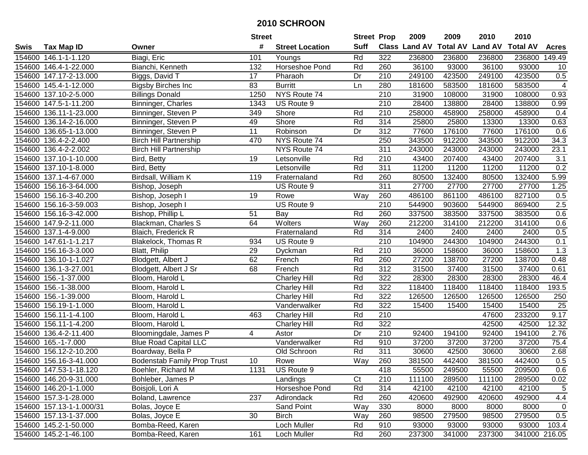|        |                          |                                    | <b>Street</b>   |                        | <b>Street Prop</b> |                  | 2009   | 2009   | 2010                                    | 2010          |                 |
|--------|--------------------------|------------------------------------|-----------------|------------------------|--------------------|------------------|--------|--------|-----------------------------------------|---------------|-----------------|
| Swis   | <b>Tax Map ID</b>        | Owner                              | #               | <b>Street Location</b> | <b>Suff</b>        |                  |        |        | Class Land AV Total AV Land AV Total AV |               | <b>Acres</b>    |
|        | 154600 146.1-1-1.120     | Biagi, Eric                        | 101             | Youngs                 | Rd                 | 322              | 236800 | 236800 | 236800                                  | 236800        | 149.49          |
|        | 154600 146.4-1-22.000    | Bianchi, Kenneth                   | 132             | Horseshoe Pond         | Rd                 | 260              | 36100  | 93000  | 36100                                   | 93000         | 10              |
|        | 154600 147.17-2-13.000   | Biggs, David T                     | 17              | Pharaoh                | Dr                 | 210              | 249100 | 423500 | 249100                                  | 423500        | 0.5             |
|        | 154600 145.4-1-12.000    | <b>Bigsby Birches Inc</b>          | 83              | <b>Burritt</b>         | Ln                 | 280              | 181600 | 583500 | 181600                                  | 583500        | 4               |
|        | 154600 137.10-2-5.000    | <b>Billings Donald</b>             | 1250            | NYS Route 74           |                    | $\overline{210}$ | 31900  | 108000 | 31900                                   | 108000        | 0.93            |
|        | 154600 147.5-1-11.200    | Binninger, Charles                 | 1343            | US Route 9             |                    | 210              | 28400  | 138800 | 28400                                   | 138800        | 0.99            |
|        | 154600 136.11-1-23.000   | Binninger, Steven P                | 349             | Shore                  | Rd                 | $\overline{210}$ | 258000 | 458900 | 258000                                  | 458900        | 0.4             |
|        | 154600 136.14-2-16.000   | Binninger, Steven P                | 49              | Shore                  | Rd                 | 314              | 25800  | 25800  | 13300                                   | 13300         | 0.63            |
|        | 154600 136.65-1-13.000   | Binninger, Steven P                | $\overline{11}$ | Robinson               | Dr                 | $\overline{312}$ | 77600  | 176100 | 77600                                   | 176100        | 0.6             |
|        | 154600 136.4-2-2.400     | <b>Birch Hill Partnership</b>      | 470             | NYS Route 74           |                    | 250              | 343500 | 912200 | 343500                                  | 912200        | 34.3            |
| 154600 | 136.4-2-2.002            | <b>Birch Hill Partnership</b>      |                 | NYS Route 74           |                    | 311              | 243000 | 243000 | 243000                                  | 243000        | 23.1            |
|        | 154600 137.10-1-10.000   | Bird, Betty                        | 19              | Letsonville            | Rd                 | 210              | 43400  | 207400 | 43400                                   | 207400        | 3.1             |
| 154600 | 137.10-1-8.000           | Bird, Betty                        |                 | Letsonville            | Rd                 | 311              | 11200  | 11200  | 11200                                   | 11200         | 0.2             |
| 154600 | 137.1-4-67.000           | Birdsall, William K                | 119             | Fraternaland           | Rd                 | 260              | 80500  | 132400 | 80500                                   | 132400        | 5.99            |
| 154600 | 156.16-3-64.000          | Bishop, Joseph                     |                 | US Route 9             |                    | 311              | 27700  | 27700  | 27700                                   | 27700         | 1.25            |
| 154600 | 156.16-3-40.200          | Bishop, Joseph I                   | 19              | Rowe                   | Way                | 260              | 486100 | 861100 | 486100                                  | 827100        | 0.5             |
|        | 154600 156.16-3-59.003   | Bishop, Joseph I                   |                 | US Route 9             |                    | 210              | 544900 | 903600 | 544900                                  | 869400        | 2.5             |
|        | 154600 156.16-3-42.000   | Bishop, Phillip L                  | 51              | Bay                    | Rd                 | 260              | 337500 | 383500 | 337500                                  | 383500        | 0.6             |
|        | 154600 147.9-2-11.000    | Blackman, Charles S                | 64              | Wolters                | Way                | 260              | 212200 | 314100 | 212200                                  | 314100        | 0.6             |
|        | 154600 137.1-4-9.000     | Blaich, Frederick R                |                 | Fraternaland           | Rd                 | $\overline{314}$ | 2400   | 2400   | 2400                                    | 2400          | 0.5             |
|        | 154600 147.61-1-1.217    | <b>Blakelock, Thomas R</b>         | 934             | US Route 9             |                    | 210              | 104900 | 244300 | 104900                                  | 244300        | 0.1             |
|        | 154600 156.16-3-3.000    | Blatt, Philip                      | 29              | Dyckman                | Rd                 | 210              | 36000  | 158600 | 36000                                   | 158600        | 1.3             |
|        | 154600 136.10-1-1.027    | Blodgett, Albert J                 | 62              | French                 | Rd                 | 260              | 27200  | 138700 | 27200                                   | 138700        | 0.48            |
| 154600 | 136.1-3-27.001           | Blodgett, Albert J Sr              | 68              | French                 | Rd                 | 312              | 31500  | 37400  | 31500                                   | 37400         | 0.61            |
| 154600 | 156.-1-37.000            | Bloom, Harold L                    |                 | <b>Charley Hill</b>    | Rd                 | 322              | 28300  | 28300  | 28300                                   | 28300         | 46.4            |
|        | 154600 156.-1-38.000     | Bloom, Harold L                    |                 | Charley Hill           | Rd                 | 322              | 118400 | 118400 | 118400                                  | 118400        | 193.5           |
|        | 154600 156.-1-39.000     | Bloom, Harold L                    |                 | <b>Charley Hill</b>    | Rd                 | 322              | 126500 | 126500 | 126500                                  | 126500        | 250             |
|        | 154600 156.19-1-1.000    | Bloom, Harold L                    |                 | Vanderwalker           | Rd                 | 322              | 15400  | 15400  | 15400                                   | 15400         | $\overline{25}$ |
|        | 154600 156.11-1-4.100    | Bloom, Harold L                    | 463             | <b>Charley Hill</b>    | Rd                 | 210              |        |        | 47600                                   | 233200        | 9.17            |
|        | 154600 156.11-1-4.200    | Bloom, Harold L                    |                 | <b>Charley Hill</b>    | Rd                 | 322              |        |        | 42500                                   | 42500         | 12.32           |
| 154600 | 136.4-2-11.400           | Bloomingdale, James P              | 4               | Astor                  | Dr                 | 210              | 92400  | 194100 | 92400                                   | 194100        | 2.76            |
|        | 154600 165.-1-7.000      | <b>Blue Road Capital LLC</b>       |                 | Vanderwalker           | Rd                 | 910              | 37200  | 37200  | 37200                                   | 37200         | 75.4            |
|        | 154600 156.12-2-10.200   | Boardway, Bella P                  |                 | Old Schroon            | Rd                 | 311              | 30600  | 42500  | 30600                                   | 30600         | 2.68            |
|        | 154600 156.16-3-41.000   | <b>Bodenstab Family Prop Trust</b> | 10              | Rowe                   | Way                | 260              | 381500 | 442400 | 381500                                  | 442400        | 0.5             |
|        | 154600 147.53-1-18.120   | Boehler, Richard M                 | 1131            | US Route 9             |                    | 418              | 55500  | 249500 | 55500                                   | 209500        | 0.6             |
|        | 154600 146.20-9-31.000   | Bohleber, James P                  |                 | Landings               | Ct                 | 210              | 111100 | 289500 | 111100                                  | 289500        | 0.02            |
|        | 154600 146.20-1-1.000    | Boisjoli, Lori A                   |                 | Horseshoe Pond         | Rd                 | 314              | 42100  | 42100  | 42100                                   | 42100         | 5               |
|        | 154600 157.3-1-28.000    | Boland, Lawrence                   | 237             | Adirondack             | Rd                 | 260              | 420600 | 492900 | 420600                                  | 492900        | 4.4             |
|        | 154600 157.13-1-1.000/31 | Bolas, Joyce E                     |                 | Sand Point             | Way                | 330              | 8000   | 8000   | 8000                                    | 8000          | $\mathbf 0$     |
|        | 154600 157.13-1-37.000   | Bolas, Joyce E                     | 30              | Birch                  | Way                | 260              | 98500  | 279500 | 98500                                   | 279500        | 0.5             |
|        | 154600 145.2-1-50.000    | Bomba-Reed, Karen                  |                 | Loch Muller            | Rd                 | 910              | 93000  | 93000  | 93000                                   | 93000         | 103.4           |
|        | 154600 145.2-1-46.100    | Bomba-Reed, Karen                  | 161             | Loch Muller            | Rd                 | 260              | 237300 | 341000 | 237300                                  | 341000 216.05 |                 |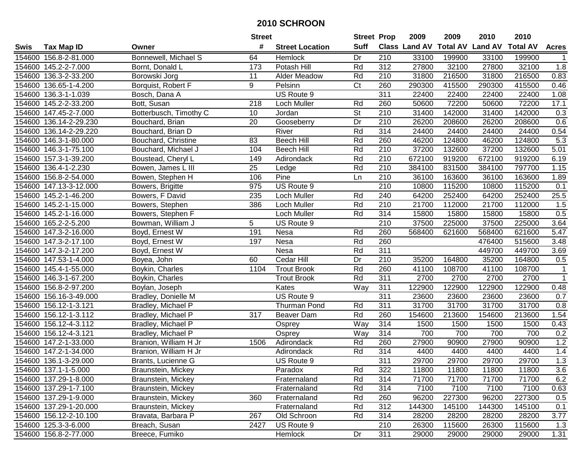|        |                        |                        | <b>Street</b>   |                        | <b>Street Prop</b>       |                  | 2009   | 2009   | 2010                                    | 2010   |              |
|--------|------------------------|------------------------|-----------------|------------------------|--------------------------|------------------|--------|--------|-----------------------------------------|--------|--------------|
| Swis   | <b>Tax Map ID</b>      | Owner                  | #               | <b>Street Location</b> | <b>Suff</b>              |                  |        |        | Class Land AV Total AV Land AV Total AV |        | <b>Acres</b> |
|        | 154600 156.8-2-81.000  | Bonnewell, Michael S   | 64              | Hemlock                | Dr                       | 210              | 33100  | 199900 | 33100                                   | 199900 |              |
|        | 154600 145.2-2-7.000   | Bornt, Donald L        | 173             | Potash Hill            | Rd                       | 312              | 27800  | 32100  | 27800                                   | 32100  | 1.8          |
|        | 154600 136.3-2-33.200  | Borowski Jorg          | 11              | <b>Alder Meadow</b>    | Rd                       | 210              | 31800  | 216500 | 31800                                   | 216500 | 0.83         |
|        | 154600 136.65-1-4.200  | Borquist, Robert F     | 9               | Pelsinn                | C <sub>t</sub>           | 260              | 290300 | 415500 | 290300                                  | 415500 | 0.46         |
|        | 154600 136.3-1-1.039   | Bosch, Dana A          |                 | US Route 9             |                          | 311              | 22400  | 22400  | 22400                                   | 22400  | 1.08         |
|        | 154600 145.2-2-33.200  | Bott, Susan            | 218             | Loch Muller            | Rd                       | 260              | 50600  | 72200  | 50600                                   | 72200  | 17.1         |
|        | 154600 147.45-2-7.000  | Botterbusch, Timothy C | 10              | Jordan                 | $\overline{\mathsf{St}}$ | 210              | 31400  | 142000 | 31400                                   | 142000 | 0.3          |
|        | 154600 136.14-2-29.230 | Bouchard, Brian        | $\overline{20}$ | Gooseberry             | Dr                       | $\overline{210}$ | 26200  | 208600 | 26200                                   | 208600 | 0.6          |
|        | 154600 136.14-2-29.220 | Bouchard, Brian D      |                 | River                  | Rd                       | 314              | 24400  | 24400  | 24400                                   | 24400  | 0.54         |
|        | 154600 146.3-1-80.000  | Bouchard, Christine    | 83              | <b>Beech Hill</b>      | Rd                       | 260              | 46200  | 124800 | 46200                                   | 124800 | 5.3          |
|        | 154600 146.3-1-75.100  | Bouchard, Michael J    | 104             | <b>Beech Hill</b>      | Rd                       | 210              | 37200  | 132600 | 37200                                   | 132600 | 5.01         |
|        | 154600 157.3-1-39.200  | Boustead, Cheryl L     | 149             | Adirondack             | Rd                       | 210              | 672100 | 919200 | 672100                                  | 919200 | 6.19         |
|        | 154600 136.4-1-2.230   | Bowen, James L III     | 25              | Ledge                  | Rd                       | 210              | 384100 | 831500 | 384100                                  | 797700 | 1.15         |
| 154600 | 156.8-2-54.000         | Bowen, Stephen H       | 106             | Pine                   | Ln                       | 210              | 36100  | 163600 | 36100                                   | 163600 | 1.89         |
| 154600 | 147.13-3-12.000        | Bowers, Brigitte       | 975             | US Route 9             |                          | 210              | 10800  | 115200 | 10800                                   | 115200 | 0.1          |
|        | 154600 145.2-1-46.200  | Bowers, F David        | 235             | Loch Muller            | Rd                       | 240              | 64200  | 252400 | 64200                                   | 252400 | 25.5         |
|        | 154600 145.2-1-15.000  | Bowers, Stephen        | 386             | Loch Muller            | Rd                       | 210              | 21700  | 112000 | 21700                                   | 112000 | 1.5          |
|        | 154600 145.2-1-16.000  | Bowers, Stephen F      |                 | Loch Muller            | Rd                       | 314              | 15800  | 15800  | 15800                                   | 15800  | 0.5          |
|        | 154600 165.2-2-5.200   | Bowman, William J      | 5               | US Route 9             |                          | 210              | 37500  | 225000 | 37500                                   | 225000 | 3.64         |
|        | 154600 147.3-2-16.000  | Boyd, Ernest W         | 191             | Nesa                   | Rd                       | 260              | 568400 | 621600 | 568400                                  | 621600 | 5.47         |
|        | 154600 147.3-2-17.100  | Boyd, Ernest W         | 197             | Nesa                   | Rd                       | 260              |        |        | 476400                                  | 515600 | 3.48         |
|        | 154600 147.3-2-17.200  | Boyd, Ernest W         |                 | Nesa                   | Rd                       | 311              |        |        | 449700                                  | 449700 | 3.69         |
|        | 154600 147.53-1-4.000  | Boyea, John            | 60              | Cedar Hill             | Dr                       | 210              | 35200  | 164800 | 35200                                   | 164800 | 0.5          |
|        | 154600 145.4-1-55.000  | Boykin, Charles        | 1104            | <b>Trout Brook</b>     | Rd                       | 260              | 41100  | 108700 | 41100                                   | 108700 | $\mathbf 1$  |
| 154600 | 146.3-1-67.200         | Boykin, Charles        |                 | <b>Trout Brook</b>     | Rd                       | 311              | 2700   | 2700   | 2700                                    | 2700   | $\mathbf 1$  |
|        | 154600 156.8-2-97.200  | Boylan, Joseph         |                 | Kates                  | Way                      | 311              | 122900 | 122900 | 122900                                  | 122900 | 0.48         |
|        | 154600 156.16-3-49.000 | Bradley, Donielle M    |                 | US Route 9             |                          | 311              | 23600  | 23600  | 23600                                   | 23600  | 0.7          |
|        | 154600 156.12-1-3.121  | Bradley, Michael P     |                 | <b>Thurman Pond</b>    | Rd                       | 311              | 31700  | 31700  | 31700                                   | 31700  | 0.8          |
|        | 154600 156.12-1-3.112  | Bradley, Michael P     | 317             | Beaver Dam             | Rd                       | 260              | 154600 | 213600 | 154600                                  | 213600 | 1.54         |
|        | 154600 156.12-4-3.112  | Bradley, Michael P     |                 | Osprey                 | Way                      | 314              | 1500   | 1500   | 1500                                    | 1500   | 0.43         |
|        | 154600 156.12-4-3.121  | Bradley, Michael P     |                 | Osprey                 | Way                      | 314              | 700    | 700    | 700                                     | 700    | 0.2          |
|        | 154600 147.2-1-33.000  | Branion, William H Jr  | 1506            | Adirondack             | Rd                       | 260              | 27900  | 90900  | 27900                                   | 90900  | 1.2          |
|        | 154600 147.2-1-34.000  | Branion, William H Jr  |                 | Adirondack             | Rd                       | 314              | 4400   | 4400   | 4400                                    | 4400   | 1.4          |
|        | 154600 136.1-3-29.000  | Brants, Lucienne G     |                 | US Route 9             |                          | 311              | 29700  | 29700  | 29700                                   | 29700  | 1.3          |
|        | 154600 137.1-1-5.000   | Braunstein, Mickey     |                 | Paradox                | Rd                       | 322              | 11800  | 11800  | 11800                                   | 11800  | 3.6          |
|        | 154600 137.29-1-8.000  | Braunstein, Mickey     |                 | Fraternaland           | Rd                       | 314              | 71700  | 71700  | 71700                                   | 71700  | 6.2          |
|        | 154600 137.29-1-7.100  | Braunstein, Mickey     |                 | Fraternaland           | Rd                       | 314              | 7100   | 7100   | 7100                                    | 7100   | 0.63         |
|        | 154600 137.29-1-9.000  | Braunstein, Mickey     | 360             | Fraternaland           | Rd                       | 260              | 96200  | 227300 | 96200                                   | 227300 | 0.5          |
|        | 154600 137.29-1-20.000 | Braunstein, Mickey     |                 | Fraternaland           | Rd                       | 312              | 144300 | 145100 | 144300                                  | 145100 | 0.1          |
|        | 154600 156.12-2-10.100 | Bravata, Barbara P     | 267             | Old Schroon            | Rd                       | 314              | 28200  | 28200  | 28200                                   | 28200  | 3.77         |
|        | 154600 125.3-3-6.000   | Breach, Susan          | 2427            | US Route 9             |                          | 210              | 26300  | 115600 | 26300                                   | 115600 | 1.3          |
|        | 154600 156.8-2-77.000  | Breece, Fumiko         |                 | Hemlock                | Dr                       | 311              | 29000  | 29000  | 29000                                   | 29000  | 1.31         |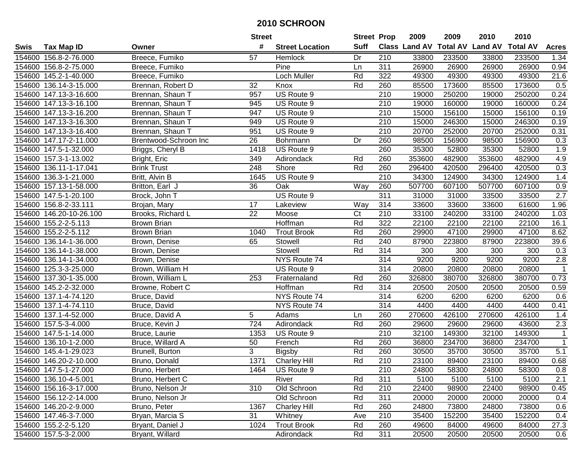|        |                         |                       | <b>Street</b>    |                        | <b>Street Prop</b> |                  | 2009          | 2009   | 2010                    | 2010            |                  |
|--------|-------------------------|-----------------------|------------------|------------------------|--------------------|------------------|---------------|--------|-------------------------|-----------------|------------------|
| Swis   | <b>Tax Map ID</b>       | Owner                 | #                | <b>Street Location</b> | <b>Suff</b>        |                  | Class Land AV |        | <b>Total AV Land AV</b> | <b>Total AV</b> | <b>Acres</b>     |
|        | 154600 156.8-2-76.000   | Breece, Fumiko        | 57               | Hemlock                | Dr                 | 210              | 33800         | 233500 | 33800                   | 233500          | 1.34             |
|        | 154600 156.8-2-75.000   | Breece, Fumiko        |                  | Pine                   | Ln                 | 311              | 26900         | 26900  | 26900                   | 26900           | 0.94             |
|        | 154600 145.2-1-40.000   | Breece, Fumiko        |                  | Loch Muller            | Rd                 | 322              | 49300         | 49300  | 49300                   | 49300           | 21.6             |
|        | 154600 136.14-3-15.000  | Brennan, Robert D     | 32               | Knox                   | Rd                 | 260              | 85500         | 173600 | 85500                   | 173600          | 0.5              |
|        | 154600 147.13-3-16.600  | Brennan, Shaun T      | 957              | US Route 9             |                    | 210              | 19000         | 250200 | 19000                   | 250200          | 0.24             |
|        | 154600 147.13-3-16.100  | Brennan, Shaun T      | 945              | US Route 9             |                    | 210              | 19000         | 160000 | 19000                   | 160000          | 0.24             |
|        | 154600 147.13-3-16.200  | Brennan, Shaun T      | 947              | US Route 9             |                    | 210              | 15000         | 156100 | 15000                   | 156100          | 0.19             |
|        | 154600 147.13-3-16.300  | Brennan, Shaun T      | 949              | US Route 9             |                    | $\overline{210}$ | 15000         | 246300 | 15000                   | 246300          | 0.19             |
|        | 154600 147.13-3-16.400  | Brennan, Shaun T      | 951              | US Route 9             |                    | $\overline{210}$ | 20700         | 252000 | 20700                   | 252000          | 0.31             |
|        | 154600 147.17-2-11.000  | Brentwood-Schroon Inc | 26               | Bohrmann               | Dr                 | 260              | 98500         | 156900 | 98500                   | 156900          | 0.3              |
|        | 154600 147.5-1-32.000   | Briggs, Cheryl B      | 1418             | US Route 9             |                    | 260              | 35300         | 52800  | 35300                   | 52800           | 1.9              |
|        | 154600 157.3-1-13.002   | Bright, Eric          | 349              | Adirondack             | Rd                 | 260              | 353600        | 482900 | 353600                  | 482900          | 4.9              |
|        | 154600 136.11-1-17.041  | <b>Brink Trust</b>    | 248              | Shore                  | Rd                 | 260              | 296400        | 420500 | 296400                  | 420500          | 0.3              |
|        | 154600 136.3-1-21.000   | Britt, Alvin B        | 1645             | US Route 9             |                    | 210              | 34300         | 124900 | 34300                   | 124900          | 1.4              |
|        | 154600 157.13-1-58.000  | Britton, Earl J       | 36               | Oak                    | Way                | 260              | 507700        | 607100 | 507700                  | 607100          | 0.9              |
|        | 154600 147.5-1-20.100   | Brock, John T         |                  | US Route 9             |                    | 311              | 31000         | 31000  | 33500                   | 33500           | 2.7              |
|        | 154600 156.8-2-33.111   | Brojan, Mary          | 17               | Lakeview               | Way                | 314              | 33600         | 33600  | 33600                   | 61600           | 1.96             |
|        | 154600 146.20-10-26.100 | Brooks, Richard L     | 22               | Moose                  | C <sub>t</sub>     | 210              | 33100         | 240200 | 33100                   | 240200          | 1.03             |
|        | 154600 155.2-2-5.113    | <b>Brown Brian</b>    |                  | Hoffman                | Rd                 | 322              | 22100         | 22100  | 22100                   | 22100           | 16.1             |
|        | 154600 155.2-2-5.112    | <b>Brown Brian</b>    | 1040             | <b>Trout Brook</b>     | Rd                 | 260              | 29900         | 47100  | 29900                   | 47100           | 8.62             |
|        | 154600 136.14-1-36.000  | Brown, Denise         | 65               | Stowell                | Rd                 | 240              | 87900         | 223800 | 87900                   | 223800          | 39.6             |
| 154600 | 136.14-1-38.000         | Brown, Denise         |                  | Stowell                | Rd                 | 314              | 300           | 300    | 300                     | 300             | 0.3              |
| 154600 | 136.14-1-34.000         | Brown, Denise         |                  | NYS Route 74           |                    | 314              | 9200          | 9200   | 9200                    | 9200            | 2.8              |
| 154600 | 125.3-3-25.000          | Brown, William H      |                  | US Route 9             |                    | 314              | 20800         | 20800  | 20800                   | 20800           | $\mathbf{1}$     |
|        | 154600 137.30-1-35.000  | Brown, William L      | 253              | Fraternaland           | Rd                 | 260              | 326800        | 380700 | 326800                  | 380700          | 0.73             |
|        | 154600 145.2-2-32.000   | Browne, Robert C      |                  | Hoffman                | Rd                 | 314              | 20500         | 20500  | 20500                   | 20500           | 0.59             |
|        | 154600 137.1-4-74.120   | Bruce, David          |                  | NYS Route 74           |                    | 314              | 6200          | 6200   | 6200                    | 6200            | 0.6              |
|        | 154600 137.1-4-74.110   | Bruce, David          |                  | NYS Route 74           |                    | 314              | 4400          | 4400   | 4400                    | 4400            | 0.41             |
|        | 154600 137.1-4-52.000   | Bruce, David A        | 5                | Adams                  | Ln                 | 260              | 270600        | 426100 | 270600                  | 426100          | 1.4              |
|        | 154600 157.5-3-4.000    | Bruce, Kevin J        | $\overline{724}$ | Adirondack             | Rd                 | 260              | 29600         | 29600  | 29600                   | 43600           | 2.3              |
|        | 154600 147.5-1-14.000   | Bruce, Laurie         | 1353             | US Route 9             |                    | $\overline{210}$ | 32100         | 149300 | 32100                   | 149300          | $\mathbf{1}$     |
|        | 154600 136.10-1-2.000   | Bruce, Willard A      | 50               | French                 | Rd                 | 260              | 36800         | 234700 | 36800                   | 234700          | $\mathbf{1}$     |
|        | 154600 145.4-1-29.023   | Brunell, Burton       | 3                | <b>Bigsby</b>          | Rd                 | 260              | 30500         | 35700  | 30500                   | 35700           | $\overline{5.1}$ |
|        | 154600 146.20-2-10.000  | Bruno, Donald         | 1371             | Charley Hill           | Rd                 | 210              | 23100         | 89400  | 23100                   | 89400           | 0.68             |
|        | 154600 147.5-1-27.000   | Bruno, Herbert        | 1464             | US Route 9             |                    | 210              | 24800         | 58300  | 24800                   | 58300           | 0.8              |
|        | 154600 136.10-4-5.001   | Bruno, Herbert C      |                  | River                  | Rd                 | 311              | 5100          | 5100   | 5100                    | 5100            | 2.1              |
|        | 154600 156.16-3-17.000  | Bruno, Nelson Jr      | 310              | Old Schroon            | Rd                 | 210              | 22400         | 98900  | 22400                   | 98900           | 0.45             |
|        | 154600 156.12-2-14.000  | Bruno, Nelson Jr      |                  | Old Schroon            | Rd                 | 311              | 20000         | 20000  | 20000                   | 20000           | 0.4              |
|        | 154600 146.20-2-9.000   | Bruno, Peter          | 1367             | <b>Charley Hill</b>    | Rd                 | 260              | 24800         | 73800  | 24800                   | 73800           | 0.6              |
|        | 154600 147.46-3-7.000   | Bryan, Marcia S       | 31               | Whitney                | Ave                | 210              | 35400         | 152200 | 35400                   | 152200          | 0.4              |
|        | 154600 155.2-2-5.120    | Bryant, Daniel J      | 1024             | <b>Trout Brook</b>     | Rd                 | 260              | 49600         | 84000  | 49600                   | 84000           | 27.3             |
|        | 154600 157.5-3-2.000    | Bryant, Willard       |                  | Adirondack             | Rd                 | 311              | 20500         | 20500  | 20500                   | 20500           | 0.6              |
|        |                         |                       |                  |                        |                    |                  |               |        |                         |                 |                  |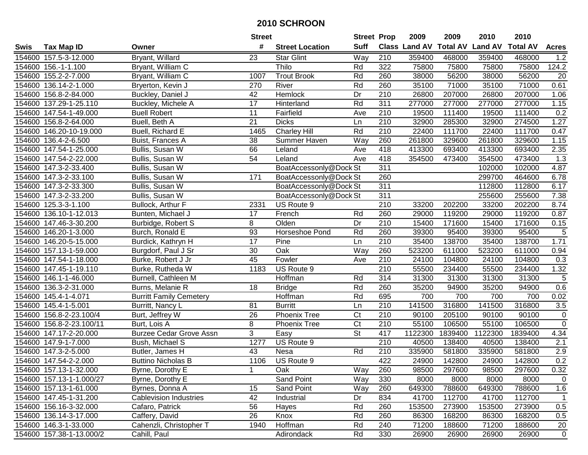|      |                          |                                | <b>Street</b>   |                        | <b>Street Prop</b>       |                  | 2009    | 2009    | 2010                                    | 2010    |                |
|------|--------------------------|--------------------------------|-----------------|------------------------|--------------------------|------------------|---------|---------|-----------------------------------------|---------|----------------|
| Swis | <b>Tax Map ID</b>        | Owner                          | #               | <b>Street Location</b> | <b>Suff</b>              |                  |         |         | Class Land AV Total AV Land AV Total AV |         | <b>Acres</b>   |
|      | 154600 157.5-3-12.000    | <b>Bryant, Willard</b>         | 23              | <b>Star Glint</b>      | Way                      | 210              | 359400  | 468000  | 359400                                  | 468000  | 1.2            |
|      | 154600 156.-1-1.100      | Bryant, William C              |                 | Thilo                  | Rd                       | 322              | 75800   | 75800   | 75800                                   | 75800   | 124.2          |
|      | 154600 155.2-2-7.000     | Bryant, William C              | 1007            | <b>Trout Brook</b>     | Rd                       | 260              | 38000   | 56200   | 38000                                   | 56200   | 20             |
|      | 154600 136.14-2-1.000    | Bryerton, Kevin J              | 270             | River                  | Rd                       | 260              | 35100   | 71000   | 35100                                   | 71000   | 0.61           |
|      | 154600 156.8-2-84.000    | Buckley, Daniel J              | 42              | Hemlock                | $\overline{Dr}$          | $\overline{210}$ | 26800   | 207000  | 26800                                   | 207000  | 1.06           |
|      | 154600 137.29-1-25.110   | Buckley, Michele A             | 17              | Hinterland             | Rd                       | 311              | 277000  | 277000  | 277000                                  | 277000  | 1.15           |
|      | 154600 147.54-1-49.000   | <b>Buell Robert</b>            | $\overline{11}$ | Fairfield              | Ave                      | 210              | 19500   | 111400  | 19500                                   | 111400  | 0.2            |
|      | 154600 156.8-2-64.000    | Buell, Beth A                  | $\overline{21}$ | <b>Dicks</b>           | Ln                       | 210              | 32900   | 285300  | 32900                                   | 274500  | 1.27           |
|      | 154600 146.20-10-19.000  | Buell, Richard E               | 1465            | <b>Charley Hill</b>    | Rd                       | $\overline{210}$ | 22400   | 111700  | 22400                                   | 111700  | 0.47           |
|      | 154600 136.4-2-6.500     | Buist, Frances A               | 38              | Summer Haven           | Way                      | 260              | 261800  | 329600  | 261800                                  | 329600  | 1.15           |
|      | 154600 147.54-1-25.000   | Bullis, Susan W                | 66              | Leland                 | Ave                      | 418              | 413300  | 693400  | 413300                                  | 693400  | 2.35           |
|      | 154600 147.54-2-22.000   | Bullis, Susan W                | 54              | Leland                 | Ave                      | 418              | 354500  | 473400  | 354500                                  | 473400  | 1.3            |
|      | 154600 147.3-2-33.400    | Bullis, Susan W                |                 | BoatAccessonly@Dock St |                          | 311              |         |         | 102000                                  | 102000  | 4.87           |
|      | 154600 147.3-2-33.100    | Bullis, Susan W                | 171             | BoatAccessonly@Dock St |                          | 260              |         |         | 299700                                  | 464600  | 6.78           |
|      | 154600 147.3-2-33.300    | Bullis, Susan W                |                 | BoatAccessonly@Dock St |                          | 311              |         |         | 112800                                  | 112800  | 6.17           |
|      | 154600 147.3-2-33.200    | Bullis, Susan W                |                 | BoatAccessonly@Dock St |                          | $\overline{311}$ |         |         | 255600                                  | 255600  | 7.38           |
|      | 154600 125.3-3-1.100     | Bullock, Arthur F              | 2331            | US Route 9             |                          | 210              | 33200   | 202200  | 33200                                   | 202200  | 8.74           |
|      | 154600 136.10-1-12.013   | Bunten, Michael J              | 17              | French                 | Rd                       | 260              | 29000   | 119200  | 29000                                   | 119200  | 0.87           |
|      | 154600 147.46-3-30.200   | Burbidge, Robert S             | 8               | Olden                  | Dr                       | 210              | 15400   | 171600  | 15400                                   | 171600  | 0.15           |
|      | 154600 146.20-1-3.000    | Burch, Ronald E                | 93              | Horseshoe Pond         | Rd                       | 260              | 39300   | 95400   | 39300                                   | 95400   | $\sqrt{5}$     |
|      | 154600 146.20-5-15.000   | Burdick, Kathryn H             | 17              | Pine                   | Ln                       | 210              | 35400   | 138700  | 35400                                   | 138700  | 1.71           |
|      | 154600 157.13-1-59.000   | Burgdorf, Paul J Sr            | 30              | Oak                    | Way                      | 260              | 523200  | 611000  | 523200                                  | 611000  | 0.94           |
|      | 154600 147.54-1-18.000   | Burke, Robert J Jr             | 45              | Fowler                 | Ave                      | 210              | 24100   | 104800  | 24100                                   | 104800  | 0.3            |
|      | 154600 147.45-1-19.110   | Burke, Rutheda W               | 1183            | US Route 9             |                          | 210              | 55500   | 234400  | 55500                                   | 234400  | 1.32           |
|      | 154600 146.1-1-46.000    | Burnell, Cathleen M            |                 | Hoffman                | Rd                       | 314              | 31300   | 31300   | 31300                                   | 31300   | $\sqrt{5}$     |
|      | 154600 136.3-2-31.000    | Burns, Melanie R               | 18              | <b>Bridge</b>          | Rd                       | 260              | 35200   | 94900   | 35200                                   | 94900   | 0.6            |
|      | 154600 145.4-1-4.071     | <b>Burritt Family Cemetery</b> |                 | Hoffman                | Rd                       | 695              | 700     | 700     | 700                                     | 700     | 0.02           |
|      | 154600 145.4-1-5.001     | Burritt, Nancy L               | 81              | <b>Burritt</b>         | Ln                       | $\overline{210}$ | 141500  | 316800  | 141500                                  | 316800  | 3.5            |
|      | 154600 156.8-2-23.100/4  | Burt, Jeffrey W                | 26              | <b>Phoenix Tree</b>    | Ct                       | 210              | 90100   | 205100  | 90100                                   | 90100   | $\mathbf 0$    |
|      | 154600 156.8-2-23.100/11 | Burt, Lois A                   | 8               | Phoenix Tree           | Ct                       | 210              | 55100   | 106500  | 55100                                   | 106500  | $\overline{0}$ |
|      | 154600 147.17-2-20.000   | <b>Burzee Cedar Grove Assn</b> | 3               | Easy                   | $\overline{\mathsf{St}}$ | 417              | 1122300 | 1839400 | 1122300                                 | 1839400 | 4.34           |
|      | 154600 147.9-1-7.000     | Bush, Michael S                | 1277            | US Route 9             |                          | 210              | 40500   | 138400  | 40500                                   | 138400  | 2.1            |
|      | 154600 147.3-2-5.000     | Butler, James H                | 43              | Nesa                   | Rd                       | 210              | 335900  | 581800  | 335900                                  | 581800  | 2.9            |
|      | 154600 147.54-2-2.000    | <b>Buttino Nicholas B</b>      | 1106            | US Route 9             |                          | 422              | 24900   | 142800  | 24900                                   | 142800  | 0.2            |
|      | 154600 157.13-1-32.000   | Byrne, Dorothy E               | 1               | Oak                    | Way                      | 260              | 98500   | 297600  | 98500                                   | 297600  | 0.32           |
|      | 154600 157.13-1-1.000/27 | Byrne, Dorothy E               |                 | Sand Point             | Way                      | 330              | 8000    | 8000    | 8000                                    | 8000    | $\overline{0}$ |
|      | 154600 157.13-1-61.000   | Byrnes, Donna A                | 15              | Sand Point             | Way                      | 260              | 649300  | 788600  | 649300                                  | 788600  | 1.6            |
|      | 154600 147.45-1-31.200   | <b>Cablevision Industries</b>  | 42              | Industrial             | Dr                       | 834              | 41700   | 112700  | 41700                                   | 112700  | $\mathbf 1$    |
|      | 154600 156.16-3-32.000   | Cafaro, Patrick                | 56              | Hayes                  | Rd                       | 260              | 153500  | 273900  | 153500                                  | 273900  | 0.5            |
|      | 154600 136.14-3-17.000   | Caffery, David                 | 26              | Knox                   | Rd                       | 260              | 86300   | 168200  | 86300                                   | 168200  | 0.5            |
|      | 154600 146.3-1-33.000    | Cahenzli, Christopher T        | 1940            | Hoffman                | Rd                       | 240              | 71200   | 188600  | 71200                                   | 188600  | 20             |
|      | 154600 157.38-1-13.000/2 | Cahill, Paul                   |                 | Adirondack             | Rd                       | 330              | 26900   | 26900   | 26900                                   | 26900   | $\mathbf 0$    |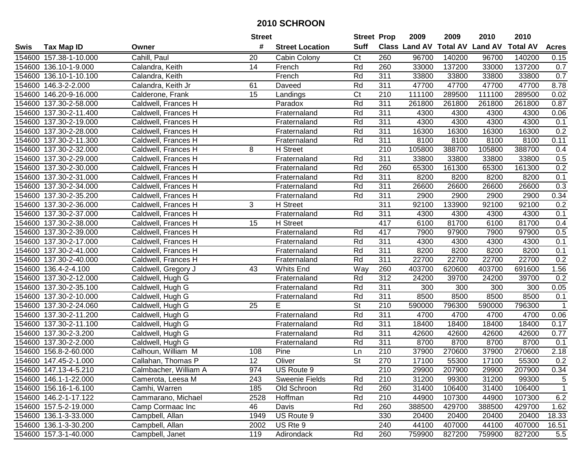|        |                        |                       | <b>Street</b>   |                        | <b>Street Prop</b>       |                  | 2009                 | 2009            | 2010           | 2010            |              |
|--------|------------------------|-----------------------|-----------------|------------------------|--------------------------|------------------|----------------------|-----------------|----------------|-----------------|--------------|
| Swis   | <b>Tax Map ID</b>      | Owner                 | #               | <b>Street Location</b> | <b>Suff</b>              |                  | <b>Class Land AV</b> | <b>Total AV</b> | <b>Land AV</b> | <b>Total AV</b> | <b>Acres</b> |
|        | 154600 157.38-1-10.000 | Cahill, Paul          | 20              | Cabin Colony           | C <sub>t</sub>           | 260              | 96700                | 140200          | 96700          | 140200          | 0.15         |
|        | 154600 136.10-1-9.000  | Calandra, Keith       | 14              | French                 | Rd                       | 260              | 33000                | 137200          | 33000          | 137200          | 0.7          |
|        | 154600 136.10-1-10.100 | Calandra, Keith       |                 | French                 | Rd                       | 311              | 33800                | 33800           | 33800          | 33800           | 0.7          |
|        | 154600 146.3-2-2.000   | Calandra, Keith Jr    | 61              | Daveed                 | Rd                       | 311              | 47700                | 47700           | 47700          | 47700           | 8.78         |
|        | 154600 146.20-9-16.000 | Calderone, Frank      | 15              | Landings               | Ct                       | 210              | 111100               | 289500          | 111100         | 289500          | 0.02         |
| 154600 | 137.30-2-58.000        | Caldwell, Frances H   |                 | Paradox                | Rd                       | 311              | 261800               | 261800          | 261800         | 261800          | 0.87         |
| 154600 | 137.30-2-11.400        | Caldwell, Frances H   |                 | Fraternaland           | Rd                       | 311              | 4300                 | 4300            | 4300           | 4300            | 0.06         |
| 154600 | 137.30-2-19.000        | Caldwell, Frances H   |                 | Fraternaland           | Rd                       | 311              | 4300                 | 4300            | 4300           | 4300            | 0.1          |
|        | 154600 137.30-2-28.000 | Caldwell, Frances H   |                 | Fraternaland           | Rd                       | 311              | 16300                | 16300           | 16300          | 16300           | 0.2          |
|        | 154600 137.30-2-11.300 | Caldwell, Frances H   |                 | Fraternaland           | Rd                       | 311              | 8100                 | 8100            | 8100           | 8100            | 0.11         |
|        | 154600 137.30-2-32.000 | Caldwell, Frances H   | 8               | <b>H</b> Street        |                          | 210              | 105800               | 388700          | 105800         | 388700          | 0.4          |
|        | 154600 137.30-2-29.000 | Caldwell, Frances H   |                 | Fraternaland           | Rd                       | 311              | 33800                | 33800           | 33800          | 33800           | 0.5          |
|        | 154600 137.30-2-30.000 | Caldwell, Frances H   |                 | Fraternaland           | Rd                       | 260              | 65300                | 161300          | 65300          | 161300          | 0.2          |
| 154600 | 137.30-2-31.000        | Caldwell, Frances H   |                 | Fraternaland           | Rd                       | 311              | 8200                 | 8200            | 8200           | 8200            | 0.1          |
| 154600 | 137.30-2-34.000        | Caldwell, Frances H   |                 | Fraternaland           | Rd                       | 311              | 26600                | 26600           | 26600          | 26600           | 0.3          |
|        | 154600 137.30-2-35.200 | Caldwell, Frances H   |                 | Fraternaland           | Rd                       | 311              | 2900                 | 2900            | 2900           | 2900            | 0.34         |
|        | 154600 137.30-2-36.000 | Caldwell, Frances H   | 3               | H Street               |                          | 311              | 92100                | 133900          | 92100          | 92100           | 0.2          |
| 154600 | 137.30-2-37.000        | Caldwell, Frances H   |                 | Fraternaland           | Rd                       | 311              | 4300                 | 4300            | 4300           | 4300            | 0.1          |
|        | 154600 137.30-2-38.000 | Caldwell, Frances H   | 15              | <b>H</b> Street        |                          | 417              | 6100                 | 81700           | 6100           | 81700           | 0.4          |
|        | 154600 137.30-2-39.000 | Caldwell, Frances H   |                 | Fraternaland           | Rd                       | 417              | 7900                 | 97900           | 7900           | 97900           | 0.5          |
|        | 154600 137.30-2-17.000 | Caldwell, Frances H   |                 | Fraternaland           | Rd                       | 311              | 4300                 | 4300            | 4300           | 4300            | 0.1          |
| 154600 | 137.30-2-41.000        | Caldwell, Frances H   |                 | Fraternaland           | Rd                       | 311              | 8200                 | 8200            | 8200           | 8200            | 0.1          |
| 154600 | 137.30-2-40.000        | Caldwell, Frances H   |                 | Fraternaland           | Rd                       | 311              | 22700                | 22700           | 22700          | 22700           | 0.2          |
| 154600 | 136.4-2-4.100          | Caldwell, Gregory J   | 43              | <b>Whits End</b>       | Way                      | 260              | 403700               | 620600          | 403700         | 691600          | 1.56         |
| 154600 | 137.30-2-12.000        | Caldwell, Hugh G      |                 | Fraternaland           | Rd                       | 312              | 24200                | 39700           | 24200          | 39700           | 0.2          |
| 154600 | 137.30-2-35.100        | Caldwell, Hugh G      |                 | Fraternaland           | Rd                       | 311              | 300                  | 300             | 300            | 300             | 0.05         |
|        | 154600 137.30-2-10.000 | Caldwell, Hugh G      |                 | Fraternaland           | Rd                       | 311              | 8500                 | 8500            | 8500           | 8500            | 0.1          |
|        | 154600 137.30-2-24.060 | Caldwell, Hugh G      | 25              | E                      | St                       | 210              | 590000               | 796300          | 590000         | 796300          |              |
|        | 154600 137.30-2-11.200 | Caldwell, Hugh G      |                 | Fraternaland           | Rd                       | 311              | 4700                 | 4700            | 4700           | 4700            | 0.06         |
|        | 154600 137.30-2-11.100 | Caldwell, Hugh G      |                 | Fraternaland           | Rd                       | 311              | 18400                | 18400           | 18400          | 18400           | 0.17         |
|        | 154600 137.30-2-3.200  | Caldwell, Hugh G      |                 | Fraternaland           | Rd                       | 311              | 42600                | 42600           | 42600          | 42600           | 0.77         |
|        | 154600 137.30-2-2.000  | Caldwell, Hugh G      |                 | Fraternaland           | Rd                       | 311              | 8700                 | 8700            | 8700           | 8700            | 0.1          |
|        | 154600 156.8-2-60.000  | Calhoun, William M    | 108             | Pine                   | Ln                       | $\overline{210}$ | 37900                | 270600          | 37900          | 270600          | 2.18         |
|        | 154600 147.45-2-1.000  | Callahan, Thomas P    | $\overline{12}$ | Oliver                 | $\overline{\mathsf{St}}$ | 270              | 17100                | 55300           | 17100          | 55300           | 0.2          |
|        | 154600 147.13-4-5.210  | Calmbacher, William A | 974             | US Route 9             |                          | 210              | 29900                | 207900          | 29900          | 207900          | 0.34         |
|        | 154600 146.1-1-22.000  | Camerota, Leesa M     | 243             | Sweenie Fields         | Rd                       | 210              | 31200                | 99300           | 31200          | 99300           | 5            |
|        | 154600 156.16-1-6.100  | Camhi, Warren         | 185             | Old Schroon            | Rd                       | 260              | 31400                | 106400          | 31400          | 106400          | $\mathbf{1}$ |
|        | 154600 146.2-1-17.122  | Cammarano, Michael    | 2528            | Hoffman                | Rd                       | 210              | 44900                | 107300          | 44900          | 107300          | 6.2          |
|        | 154600 157.5-2-19.000  | Camp Cormaac Inc      | 46              | Davis                  | Rd                       | 260              | 388500               | 429700          | 388500         | 429700          | 1.62         |
|        | 154600 136.1-3-33.000  | Campbell, Allan       | 1949            | US Route 9             |                          | 330              | 20400                | 20400           | 20400          | 20400           | 18.33        |
|        | 154600 136.1-3-30.200  | Campbell, Allan       | 2002            | US Rte 9               |                          | 240              | 44100                | 407000          | 44100          | 407000          | 16.51        |
|        | 154600 157.3-1-40.000  | Campbell, Janet       | 119             | Adirondack             | Rd                       | 260              | 759900               | 827200          | 759900         | 827200          | 5.5          |
|        |                        |                       |                 |                        |                          |                  |                      |                 |                |                 |              |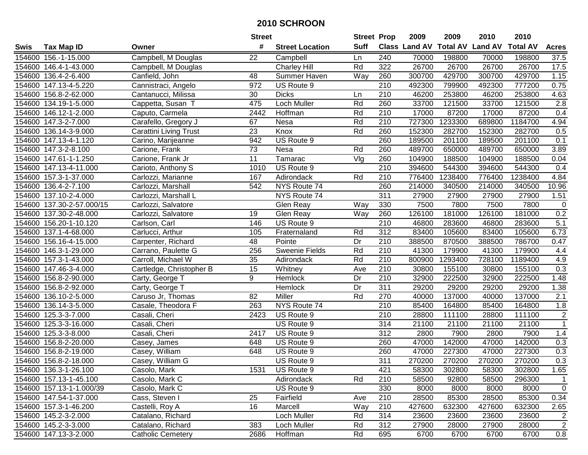|      |                           |                               | <b>Street</b>   |                        | <b>Street Prop</b> |                  | 2009                 | 2009            | 2010           | 2010            |                  |
|------|---------------------------|-------------------------------|-----------------|------------------------|--------------------|------------------|----------------------|-----------------|----------------|-----------------|------------------|
| Swis | <b>Tax Map ID</b>         | Owner                         | #               | <b>Street Location</b> | <b>Suff</b>        |                  | <b>Class Land AV</b> | <b>Total AV</b> | <b>Land AV</b> | <b>Total AV</b> | <b>Acres</b>     |
|      | 154600 156.-1-15.000      | Campbell, M Douglas           | 22              | Campbell               | Ln                 | 240              | 70000                | 198800          | 70000          | 198800          | 37.5             |
|      | 154600 146.4-1-43.000     | Campbell, M Douglas           |                 | <b>Charley Hill</b>    | Rd                 | 322              | 26700                | 26700           | 26700          | 26700           | 17.5             |
|      | 154600 136.4-2-6.400      | Canfield, John                | 48              | Summer Haven           | Way                | 260              | 300700               | 429700          | 300700         | 429700          | 1.15             |
|      | 154600 147.13-4-5.220     | Cannistraci, Angelo           | 972             | US Route 9             |                    | 210              | 492300               | 799900          | 492300         | 777200          | 0.75             |
|      | 154600 156.8-2-62.000     | Cantanucci, Milissa           | 30              | <b>Dicks</b>           | Ln                 | 210              | 46200                | 253800          | 46200          | 253800          | 4.63             |
|      | 154600 134.19-1-5.000     | Cappetta, Susan T             | 475             | <b>Loch Muller</b>     | Rd                 | 260              | 33700                | 121500          | 33700          | 121500          | $\overline{2.8}$ |
|      | 154600 146.12-1-2.000     | Caputo, Carmela               | 2442            | Hoffman                | Rd                 | 210              | 17000                | 87200           | 17000          | 87200           | 0.4              |
|      | 154600 147.3-2-7.000      | Carafello, Gregory J          | 67              | <b>Nesa</b>            | Rd                 | $\overline{210}$ | 727300               | 1233300         | 689800         | 1184700         | 4.94             |
|      | 154600 136.14-3-9.000     | <b>Carattini Living Trust</b> | $\overline{23}$ | Knox                   | Rd                 | 260              | 152300               | 282700          | 152300         | 282700          | 0.5              |
|      | 154600 147.13-4-1.120     | Carino, Marijeanne            | 942             | US Route 9             |                    | 260              | 189500               | 201100          | 189500         | 201100          | 0.1              |
|      | 154600 147.3-2-8.100      | Carione, Frank                | 73              | Nesa                   | Rd                 | 260              | 489700               | 650000          | 489700         | 650000          | 3.89             |
|      | 154600 147.61-1-1.250     | Carione, Frank Jr             | 11              | Tamarac                | Vlg                | 260              | 104900               | 188500          | 104900         | 188500          | 0.04             |
|      | 154600 147.13-4-11.000    | Carioto, Anthony S            | 1010            | US Route 9             |                    | $\overline{210}$ | 394600               | 544300          | 394600         | 544300          | 0.4              |
|      | 154600 157.3-1-37.000     | Carlozzi, Marianne            | 167             | Adirondack             | Rd                 | 210              | 776400               | 1238400         | 776400         | 1238400         | 4.84             |
|      | 154600 136.4-2-7.100      | Carlozzi, Marshall            | 542             | NYS Route 74           |                    | 260              | 214000               | 340500          | 214000         | 340500          | 10.96            |
|      | 154600 137.10-2-4.000     | Carlozzi, Marshall L          |                 | NYS Route 74           |                    | 311              | 27900                | 27900           | 27900          | 27900           | 1.51             |
|      | 154600 137.30-2-57.000/15 | Carlozzi, Salvatore           |                 | Glen Reay              | Way                | 330              | 7500                 | 7800            | 7500           | 7800            | $\mathbf 0$      |
|      | 154600 137.30-2-48.000    | Carlozzi, Salvatore           | 19              | Glen Reay              | Way                | 260              | 126100               | 181000          | 126100         | 181000          | 0.2              |
|      | 154600 156.20-1-10.120    | Carlson, Carl                 | 146             | US Route 9             |                    | 210              | 46800                | 283600          | 46800          | 283600          | $\overline{5.1}$ |
|      | 154600 137.1-4-68.000     | Carlucci, Arthur              | 105             | Fraternaland           | Rd                 | 312              | 83400                | 105600          | 83400          | 105600          | 6.73             |
|      | 154600 156.16-4-15.000    | Carpenter, Richard            | 48              | Pointe                 | Dr                 | 210              | 388500               | 870500          | 388500         | 786700          | 0.47             |
|      | 154600 146.3-1-29.000     | Carrano, Paulette G           | 256             | <b>Sweenie Fields</b>  | Rd                 | 210              | 41300                | 179900          | 41300          | 179900          | 4.4              |
|      | 154600 157.3-1-43.000     | Carroll, Michael W            | 35              | Adirondack             | Rd                 | 210              | 800900               | 1293400         | 728100         | 1189400         | 4.9              |
|      | 154600 147.46-3-4.000     | Cartledge, Christopher B      | 15              | Whitney                | Ave                | 210              | 30800                | 155100          | 30800          | 155100          | 0.3              |
|      | 154600 156.8-2-90.000     | Carty, George T               | 9               | Hemlock                | Dr                 | 210              | 32900                | 222500          | 32900          | 222500          | 1.48             |
|      | 154600 156.8-2-92.000     | Carty, George T               |                 | Hemlock                | Dr                 | 311              | 29200                | 29200           | 29200          | 29200           | 1.38             |
|      | 154600 136.10-2-5.000     | Caruso Jr, Thomas             | 82              | Miller                 | Rd                 | 270              | 40000                | 137000          | 40000          | 137000          | 2.1              |
|      | 154600 136.14-3-5.000     | Casale, Theodora F            | 263             | NYS Route 74           |                    | 210              | 85400                | 164800          | 85400          | 164800          | 1.8              |
|      | 154600 125.3-3-7.000      | Casali, Cheri                 | 2423            | US Route 9             |                    | 210              | 28800                | 111100          | 28800          | 111100          | $\overline{2}$   |
|      | 154600 125.3-3-16.000     | Casali, Cheri                 |                 | US Route 9             |                    | $\overline{314}$ | 21100                | 21100           | 21100          | 21100           | $\overline{1}$   |
|      | 154600 125.3-3-8.000      | Casali, Cheri                 | 2417            | US Route 9             |                    | $\overline{312}$ | 2800                 | 7900            | 2800           | 7900            | 1.4              |
|      | 154600 156.8-2-20.000     | Casey, James                  | 648             | US Route 9             |                    | 260              | 47000                | 142000          | 47000          | 142000          | 0.3              |
|      | 154600 156.8-2-19.000     | Casey, William                | 648             | US Route 9             |                    | 260              | 47000                | 227300          | 47000          | 227300          | 0.3              |
|      | 154600 156.8-2-18.000     | Casey, William G              |                 | US Route 9             |                    | 311              | 270200               | 270200          | 270200         | 270200          | 0.3              |
|      | 154600 136.3-1-26.100     | Casolo, Mark                  | 1531            | US Route 9             |                    | 421              | 58300                | 302800          | 58300          | 302800          | 1.65             |
|      | 154600 157.13-1-45.100    | Casolo, Mark C                |                 | Adirondack             | Rd                 | 210              | 58500                | 92800           | 58500          | 296300          | 1                |
|      | 154600 157.13-1-1.000/39  | Casolo, Mark C                |                 | US Route 9             |                    | 330              | 8000                 | 8000            | 8000           | 8000            | $\mathbf 0$      |
|      | 154600 147.54-1-37.000    | Cass, Steven I                | 25              | Fairfield              | Ave                | 210              | 28500                | 85300           | 28500          | 85300           | 0.34             |
|      | 154600 157.3-1-46.200     | Castelli, Roy A               | 16              | Marcell                | Way                | 210              | 427600               | 632300          | 427600         | 632300          | 2.65             |
|      | 154600 145.2-3-2.000      | Catalano, Richard             |                 | Loch Muller            | Rd                 | 314              | 23600                | 23600           | 23600          | 23600           | $\overline{2}$   |
|      | 154600 145.2-3-3.000      | Catalano, Richard             | 383             | Loch Muller            | Rd                 | 312              | 27900                | 28000           | 27900          | 28000           | $\overline{2}$   |
|      | 154600 147.13-3-2.000     | <b>Catholic Cemetery</b>      | 2686            | Hoffman                | Rd                 | 695              | 6700                 | 6700            | 6700           | 6700            | 0.8              |
|      |                           |                               |                 |                        |                    |                  |                      |                 |                |                 |                  |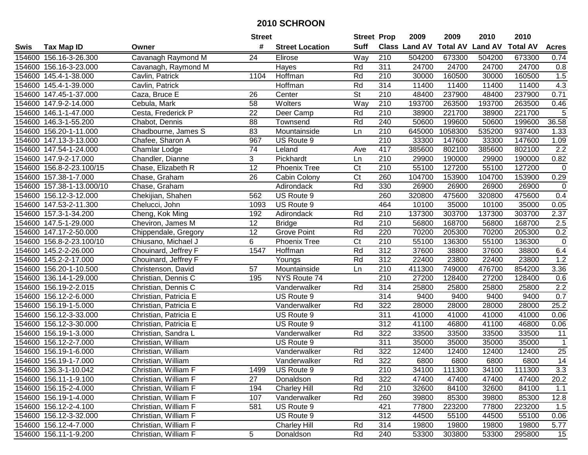|        |                           |                       | <b>Street</b>   |                        | <b>Street Prop</b> |                  | 2009          | 2009            | 2010           | 2010            |                 |
|--------|---------------------------|-----------------------|-----------------|------------------------|--------------------|------------------|---------------|-----------------|----------------|-----------------|-----------------|
| Swis   | <b>Tax Map ID</b>         | Owner                 | #               | <b>Street Location</b> | <b>Suff</b>        |                  | Class Land AV | <b>Total AV</b> | <b>Land AV</b> | <b>Total AV</b> | <b>Acres</b>    |
|        | 154600 156.16-3-26.300    | Cavanagh Raymond M    | 24              | Elirose                | Way                | 210              | 504200        | 673300          | 504200         | 673300          | 0.74            |
|        | 154600 156.16-3-23.000    | Cavanagh, Raymond M   |                 | Hayes                  | Rd                 | 311              | 24700         | 24700           | 24700          | 24700           | 0.8             |
|        | 154600 145.4-1-38.000     | Cavlin, Patrick       | 1104            | Hoffman                | Rd                 | 210              | 30000         | 160500          | 30000          | 160500          | 1.5             |
|        | 154600 145.4-1-39.000     | Cavlin, Patrick       |                 | Hoffman                | Rd                 | 314              | 11400         | 11400           | 11400          | 11400           | 4.3             |
|        | 154600 147.45-1-37.000    | Caza, Bruce E         | 26              | Center                 | <b>St</b>          | 210              | 48400         | 237900          | 48400          | 237900          | 0.71            |
|        | 154600 147.9-2-14.000     | Cebula, Mark          | 58              | Wolters                | Way                | $\overline{210}$ | 193700        | 263500          | 193700         | 263500          | 0.46            |
| 154600 | 146.1-1-47.000            | Cesta, Frederick P    | 22              | Deer Camp              | Rd                 | 210              | 38900         | 221700          | 38900          | 221700          | 5               |
| 154600 | 146.3-1-55.200            | Chabot, Dennis        | $\overline{88}$ | Townsend               | Rd                 | 240              | 50600         | 199600          | 50600          | 199600          | 36.58           |
|        | 154600 156.20-1-11.000    | Chadbourne, James S   | 83              | Mountainside           | Ln                 | $\overline{210}$ | 645000        | 1058300         | 535200         | 937400          | 1.33            |
|        | 154600 147.13-3-13.000    | Chafee, Sharon A      | 967             | US Route 9             |                    | 210              | 33300         | 147600          | 33300          | 147600          | 1.09            |
|        | 154600 147.54-1-24.000    | Chamlar Lodge         | 74              | Leland                 | Ave                | 417              | 385600        | 802100          | 385600         | 802100          | 2.2             |
|        | 154600 147.9-2-17.000     | Chandler, Dianne      | 3               | Pickhardt              | Ln                 | 210              | 29900         | 190000          | 29900          | 190000          | 0.82            |
|        | 154600 156.8-2-23.100/15  | Chase, Elizabeth R    | $\overline{12}$ | <b>Phoenix Tree</b>    | Ct                 | 210              | 55100         | 127200          | 55100          | 127200          | $\mathbf 0$     |
|        | 154600 157.38-1-7.000     | Chase, Graham         | 26              | Cabin Colony           | C <sub>t</sub>     | 260              | 104700        | 153900          | 104700         | 153900          | 0.29            |
|        | 154600 157.38-1-13.000/10 | Chase, Graham         |                 | Adirondack             | Rd                 | 330              | 26900         | 26900           | 26900          | 26900           | 0               |
|        | 154600 156.12-3-12.000    | Chekijian, Shahen     | 562             | US Route 9             |                    | 260              | 320800        | 475600          | 320800         | 475600          | 0.4             |
|        | 154600 147.53-2-11.300    | Chelucci, John        | 1093            | US Route 9             |                    | 464              | 10100         | 35000           | 10100          | 35000           | 0.05            |
|        | 154600 157.3-1-34.200     | Cheng, Kok Ming       | 192             | Adirondack             | Rd                 | 210              | 137300        | 303700          | 137300         | 303700          | 2.37            |
|        | 154600 147.5-1-29.000     | Cheviron, James M     | 12              | <b>Bridge</b>          | Rd                 | 210              | 56800         | 168700          | 56800          | 168700          | 2.5             |
|        | 154600 147.17-2-50.000    | Chippendale, Gregory  | 12              | <b>Grove Point</b>     | Rd                 | 220              | 70200         | 205300          | 70200          | 205300          | 0.2             |
|        | 154600 156.8-2-23.100/10  | Chiusano, Michael J   | 6               | <b>Phoenix Tree</b>    | C <sub>t</sub>     | 210              | 55100         | 136300          | 55100          | 136300          | $\pmb{0}$       |
| 154600 | 145.2-2-26.000            | Chouinard, Jeffrey F  | 1547            | Hoffman                | Rd                 | 312              | 37600         | 38800           | 37600          | 38800           | 6.4             |
| 154600 | 145.2-2-17.000            | Chouinard, Jeffrey F  |                 | Youngs                 | Rd                 | 312              | 22400         | 23800           | 22400          | 23800           | 1.2             |
| 154600 | 156.20-1-10.500           | Christenson, David    | 57              | Mountainside           | Ln                 | 210              | 411300        | 749000          | 476700         | 854200          | 3.36            |
| 154600 | 136.14-1-29.000           | Christian, Dennis C   | 195             | NYS Route 74           |                    | $\overline{210}$ | 27200         | 128400          | 27200          | 128400          | 0.6             |
| 154600 | 156.19-2-2.015            | Christian, Dennis C   |                 | Vanderwalker           | Rd                 | 314              | 25800         | 25800           | 25800          | 25800           | 2.2             |
|        | 154600 156.12-2-6.000     | Christian, Patricia E |                 | US Route 9             |                    | 314              | 9400          | 9400            | 9400           | 9400            | 0.7             |
|        | 154600 156.19-1-5.000     | Christian, Patricia E |                 | Vanderwalker           | Rd                 | 322              | 28000         | 28000           | 28000          | 28000           | 25.2            |
|        | 154600 156.12-3-33.000    | Christian, Patricia E |                 | US Route 9             |                    | 311              | 41000         | 41000           | 41000          | 41000           | 0.06            |
|        | 154600 156.12-3-30.000    | Christian, Patricia E |                 | US Route 9             |                    | 312              | 41100         | 46800           | 41100          | 46800           | 0.06            |
|        | 154600 156.19-1-3.000     | Christian, Sandra L   |                 | Vanderwalker           | Rd                 | 322              | 33500         | 33500           | 33500          | 33500           | $\overline{11}$ |
|        | 154600 156.12-2-7.000     | Christian, William    |                 | US Route 9             |                    | 311              | 35000         | 35000           | 35000          | 35000           | $\overline{1}$  |
|        | 154600 156.19-1-6.000     | Christian, William    |                 | Vanderwalker           | Rd                 | 322              | 12400         | 12400           | 12400          | 12400           | $\overline{25}$ |
|        | 154600 156.19-1-7.000     | Christian, William    |                 | Vanderwalker           | Rd                 | 322              | 6800          | 6800            | 6800           | 6800            | 14              |
|        | 154600 136.3-1-10.042     | Christian, William F  | 1499            | US Route 9             |                    | 210              | 34100         | 111300          | 34100          | 111300          | 3.3             |
|        | 154600 156.11-1-9.100     | Christian, William F  | 27              | Donaldson              | Rd                 | 322              | 47400         | 47400           | 47400          | 47400           | 20.2            |
|        | 154600 156.15-2-4.000     | Christian, William F  | 194             | <b>Charley Hill</b>    | Rd                 | 210              | 32600         | 84100           | 32600          | 84100           | 1.1             |
|        | 154600 156.19-1-4.000     | Christian, William F  | 107             | Vanderwalker           | Rd                 | 260              | 39800         | 85300           | 39800          | 85300           | 12.8            |
|        | 154600 156.12-2-4.100     | Christian, William F  | 581             | US Route 9             |                    | 421              | 77800         | 223200          | 77800          | 223200          | 1.5             |
|        | 154600 156.12-3-32.000    | Christian, William F  |                 | US Route 9             |                    | 312              | 44500         | 55100           | 44500          | 55100           | 0.06            |
|        | 154600 156.12-4-7.000     | Christian, William F  |                 | <b>Charley Hill</b>    | Rd                 | 314              | 19800         | 19800           | 19800          | 19800           | 5.77            |
|        | 154600 156.11-1-9.200     | Christian, William F  | 5               | Donaldson              | Rd                 | 240              | 53300         | 303800          | 53300          | 295800          | 15              |
|        |                           |                       |                 |                        |                    |                  |               |                 |                |                 |                 |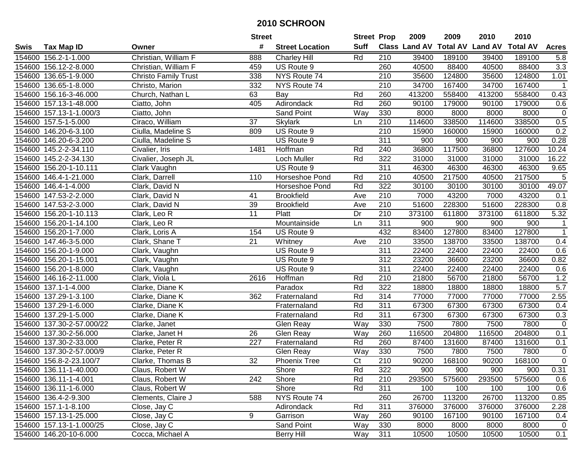|             |                           |                             | <b>Street</b>    |                        | <b>Street Prop</b> |                  | 2009   | 2009   | 2010                                    | 2010   |                |
|-------------|---------------------------|-----------------------------|------------------|------------------------|--------------------|------------------|--------|--------|-----------------------------------------|--------|----------------|
| <b>Swis</b> | <b>Tax Map ID</b>         | Owner                       | #                | <b>Street Location</b> | <b>Suff</b>        |                  |        |        | Class Land AV Total AV Land AV Total AV |        | <b>Acres</b>   |
|             | 154600 156.2-1-1.000      | Christian, William F        | 888              | <b>Charley Hill</b>    | Rd                 | 210              | 39400  | 189100 | 39400                                   | 189100 | 5.8            |
|             | 154600 156.12-2-8.000     | Christian, William F        | 459              | US Route 9             |                    | 260              | 40500  | 88400  | 40500                                   | 88400  | 3.3            |
|             | 154600 136.65-1-9.000     | <b>Christo Family Trust</b> | 338              | NYS Route 74           |                    | 210              | 35600  | 124800 | 35600                                   | 124800 | 1.01           |
|             | 154600 136.65-1-8.000     | Christo, Marion             | 332              | NYS Route 74           |                    | 210              | 34700  | 167400 | 34700                                   | 167400 | $\overline{1}$ |
|             | 154600 156.16-3-46.000    | Church, Nathan L            | 63               | Bay                    | Rd                 | 260              | 413200 | 558400 | 413200                                  | 558400 | 0.43           |
|             | 154600 157.13-1-48.000    | Ciatto, John                | 405              | Adirondack             | Rd                 | 260              | 90100  | 179000 | 90100                                   | 179000 | 0.6            |
|             | 154600 157.13-1-1.000/3   | Ciatto, John                |                  | Sand Point             | Way                | 330              | 8000   | 8000   | 8000                                    | 8000   | $\mathbf 0$    |
|             | 154600 157.5-1-5.000      | Ciraco, William             | $\overline{37}$  | <b>Skylark</b>         | Ln                 | 210              | 114600 | 338500 | 114600                                  | 338500 | 0.5            |
|             | 154600 146.20-6-3.100     | Ciulla, Madeline S          | 809              | US Route 9             |                    | $\overline{210}$ | 15900  | 160000 | 15900                                   | 160000 | 0.2            |
|             | 154600 146.20-6-3.200     | Ciulla, Madeline S          |                  | US Route 9             |                    | 311              | 900    | 900    | 900                                     | 900    | 0.28           |
|             | 154600 145.2-2-34.110     | Civalier, Iris              | 1481             | Hoffman                | Rd                 | 240              | 36800  | 117500 | 36800                                   | 127600 | 10.24          |
|             | 154600 145.2-2-34.130     | Civalier, Joseph JL         |                  | Loch Muller            | Rd                 | 322              | 31000  | 31000  | 31000                                   | 31000  | 16.22          |
|             | 154600 156.20-1-10.111    | Clark Vaughn                |                  | US Route 9             |                    | 311              | 46300  | 46300  | 46300                                   | 46300  | 9.65           |
| 154600      | 146.4-1-21.000            | Clark, Darrell              | 110              | Horseshoe Pond         | Rd                 | 210              | 40500  | 217500 | 40500                                   | 217500 | $\overline{5}$ |
| 154600      | 146.4-1-4.000             | Clark, David N              |                  | Horseshoe Pond         | Rd                 | 322              | 30100  | 30100  | 30100                                   | 30100  | 49.07          |
|             | 154600 147.53-2-2.000     | Clark, David N              | 41               | <b>Brookfield</b>      | Ave                | $\overline{210}$ | 7000   | 43200  | 7000                                    | 43200  | 0.1            |
|             | 154600 147.53-2-3.000     | Clark, David N              | 39               | <b>Brookfield</b>      | Ave                | 210              | 51600  | 228300 | 51600                                   | 228300 | 0.8            |
|             | 154600 156.20-1-10.113    | Clark, Leo R                | 11               | Platt                  | Dr                 | 210              | 373100 | 611800 | 373100                                  | 611800 | 5.32           |
|             | 154600 156.20-1-14.100    | Clark, Leo R                |                  | Mountainside           | Ln                 | 311              | 900    | 900    | 900                                     | 900    | 1              |
|             | 154600 156.20-1-7.000     | Clark, Loris A              | 154              | US Route 9             |                    | 432              | 83400  | 127800 | 83400                                   | 127800 | $\mathbf{1}$   |
|             | 154600 147.46-3-5.000     | Clark, Shane T              | 21               | Whitney                | Ave                | 210              | 33500  | 138700 | 33500                                   | 138700 | 0.4            |
|             | 154600 156.20-1-9.000     | Clark, Vaughn               |                  | US Route 9             |                    | 311              | 22400  | 22400  | 22400                                   | 22400  | 0.6            |
|             | 154600 156.20-1-15.001    | Clark, Vaughn               |                  | US Route 9             |                    | 312              | 23200  | 36600  | 23200                                   | 36600  | 0.82           |
|             | 154600 156.20-1-8.000     | Clark, Vaughn               |                  | US Route 9             |                    | 311              | 22400  | 22400  | 22400                                   | 22400  | 0.6            |
|             | 154600 146.16-2-11.000    | Clark, Viola L              | 2616             | Hoffman                | Rd                 | 210              | 21800  | 56700  | 21800                                   | 56700  | 1.2            |
|             | 154600 137.1-1-4.000      | Clarke, Diane K             |                  | Paradox                | Rd                 | 322              | 18800  | 18800  | 18800                                   | 18800  | 5.7            |
|             | 154600 137.29-1-3.100     | Clarke, Diane K             | 362              | Fraternaland           | Rd                 | 314              | 77000  | 77000  | 77000                                   | 77000  | 2.55           |
|             | 154600 137.29-1-6.000     | Clarke, Diane K             |                  | Fraternaland           | Rd                 | 311              | 67300  | 67300  | 67300                                   | 67300  | 0.4            |
|             | 154600 137.29-1-5.000     | Clarke, Diane K             |                  | Fraternaland           | Rd                 | 311              | 67300  | 67300  | 67300                                   | 67300  | 0.3            |
|             | 154600 137.30-2-57.000/22 | Clarke, Janet               |                  | Glen Reay              | Way                | 330              | 7500   | 7800   | 7500                                    | 7800   | $\overline{0}$ |
|             | 154600 137.30-2-56.000    | Clarke, Janet H             | 26               | Glen Reay              | Way                | 260              | 116500 | 204800 | 116500                                  | 204800 | 0.1            |
|             | 154600 137.30-2-33.000    | Clarke, Peter R             | $\overline{227}$ | Fraternaland           | Rd                 | 260              | 87400  | 131600 | 87400                                   | 131600 | 0.1            |
|             | 154600 137.30-2-57.000/9  | Clarke, Peter R             |                  | Glen Reay              | Way                | 330              | 7500   | 7800   | 7500                                    | 7800   | 0              |
|             | 154600 156.8-2-23.100/7   | Clarke, Thomas B            | $\overline{32}$  | <b>Phoenix Tree</b>    | $\overline{C}t$    | $\overline{210}$ | 90200  | 168100 | 90200                                   | 168100 | $\overline{0}$ |
|             | 154600 136.11-1-40.000    | Claus, Robert W             |                  | Shore                  | Rd                 | 322              | 900    | 900    | 900                                     | 900    | 0.31           |
|             | 154600 136.11-1-4.001     | Claus, Robert W             | 242              | Shore                  | Rd                 | 210              | 293500 | 575600 | 293500                                  | 575600 | 0.6            |
|             | 154600 136.11-1-6.000     | Claus, Robert W             |                  | Shore                  | Rd                 | 311              | 100    | 100    | 100                                     | 100    | 0.6            |
|             | 154600 136.4-2-9.300      | Clements, Claire J          | 588              | NYS Route 74           |                    | 260              | 26700  | 113200 | 26700                                   | 113200 | 0.85           |
|             | 154600 157.1-1-8.100      | Close, Jay C                |                  | Adirondack             | Rd                 | 311              | 376000 | 376000 | 376000                                  | 376000 | 2.28           |
|             | 154600 157.13-1-25.000    | Close, Jay C                | 9                | Garrison               | Way                | 260              | 90100  | 167100 | 90100                                   | 167100 | 0.4            |
|             | 154600 157.13-1-1.000/25  | Close, Jay C                |                  | <b>Sand Point</b>      | Way                | 330              | 8000   | 8000   | 8000                                    | 8000   | $\mathbf 0$    |
|             | 154600 146.20-10-6.000    | Cocca, Michael A            |                  | <b>Berry Hill</b>      | Way                | 311              | 10500  | 10500  | 10500                                   | 10500  | 0.1            |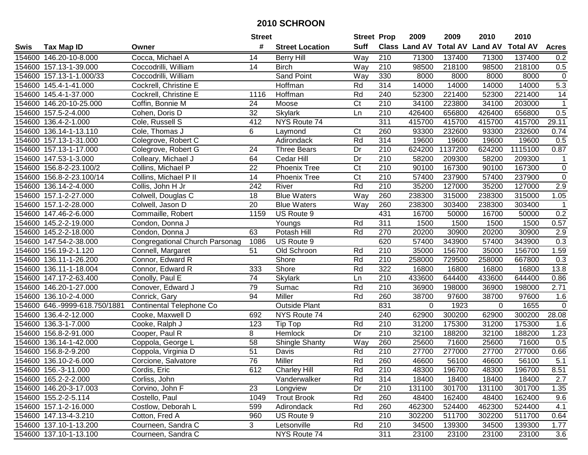|        |                               |                                       | <b>Street</b>   |                        | <b>Street Prop</b>     |                  | 2009        | 2009    | 2010                                    | 2010    |                 |
|--------|-------------------------------|---------------------------------------|-----------------|------------------------|------------------------|------------------|-------------|---------|-----------------------------------------|---------|-----------------|
| Swis   | <b>Tax Map ID</b>             | Owner                                 | #               | <b>Street Location</b> | <b>Suff</b>            |                  |             |         | Class Land AV Total AV Land AV Total AV |         | <b>Acres</b>    |
|        | 154600 146.20-10-8.000        | Cocca, Michael A                      | 14              | <b>Berry Hill</b>      | Way                    | 210              | 71300       | 137400  | 71300                                   | 137400  | 0.2             |
|        | 154600 157.13-1-39.000        | Coccodrilli, William                  | 14              | <b>Birch</b>           | Way                    | 210              | 98500       | 218100  | 98500                                   | 218100  | 0.5             |
|        | 154600 157.13-1-1.000/33      | Coccodrilli, William                  |                 | Sand Point             | Way                    | 330              | 8000        | 8000    | 8000                                    | 8000    | $\mathbf 0$     |
|        | 154600 145.4-1-41.000         | Cockrell, Christine E                 |                 | Hoffman                | Rd                     | 314              | 14000       | 14000   | 14000                                   | 14000   | 5.3             |
|        | 154600 145.4-1-37.000         | Cockrell, Christine E                 | 1116            | Hoffman                | Rd                     | 240              | 52300       | 221400  | 52300                                   | 221400  | $\overline{14}$ |
|        | 154600 146.20-10-25.000       | Coffin, Bonnie M                      | 24              | Moose                  | $\overline{\text{C}t}$ | 210              | 34100       | 223800  | 34100                                   | 203000  | $\mathbf 1$     |
|        | 154600 157.5-2-4.000          | Cohen, Doris D                        | $\overline{32}$ | <b>Skylark</b>         | Ln                     | 210              | 426400      | 656800  | 426400                                  | 656800  | 0.5             |
|        | 154600 136.4-2-1.000          | Cole, Russell S                       | 412             | NYS Route 74           |                        | 311              | 415700      | 415700  | 415700                                  | 415700  | 29.11           |
|        | 154600 136.14-1-13.110        | Cole, Thomas J                        | 6               | Laymond                | Ct                     | 260              | 93300       | 232600  | 93300                                   | 232600  | 0.74            |
|        | 154600 157.13-1-31.000        | Colegrove, Robert C                   |                 | Adirondack             | Rd                     | 314              | 19600       | 19600   | 19600                                   | 19600   | 0.5             |
|        | 154600 157.13-1-17.000        | Colegrove, Robert G                   | 24              | <b>Three Bears</b>     | Dr                     | 210              | 624200      | 1137200 | 624200                                  | 1115100 | 0.87            |
|        | 154600 147.53-1-3.000         | Colleary, Michael J                   | 64              | Cedar Hill             | Dr                     | 210              | 58200       | 209300  | 58200                                   | 209300  | $\mathbf{1}$    |
|        | 154600 156.8-2-23.100/2       | Collins, Michael P                    | 22              | <b>Phoenix Tree</b>    | Ct                     | 210              | 90100       | 167300  | 90100                                   | 167300  | $\mathbf 0$     |
|        | 154600 156.8-2-23.100/14      | Collins, Michael P II                 | 14              | <b>Phoenix Tree</b>    | Ct                     | 210              | 57400       | 237900  | 57400                                   | 237900  | $\mathbf 0$     |
|        | 154600 136.14-2-4.000         | Collis, John H Jr                     | 242             | River                  | Rd                     | 210              | 35200       | 127000  | 35200                                   | 127000  | 2.9             |
|        | 154600 157.1-2-27.000         | Colwell, Douglas C                    | 18              | <b>Blue Waters</b>     | $\overline{Way}$       | 260              | 238300      | 315000  | 238300                                  | 315000  | 1.05            |
|        | 154600 157.1-2-28.000         | Colwell, Jason D                      | 20              | <b>Blue Waters</b>     | Way                    | 260              | 238300      | 303400  | 238300                                  | 303400  | $\overline{1}$  |
|        | 154600 147.46-2-6.000         | Commaille, Robert                     | 1159            | US Route 9             |                        | 431              | 16700       | 50000   | 16700                                   | 50000   | 0.2             |
|        | 154600 145.2-2-19.000         | Condon, Donna J                       |                 | Youngs                 | Rd                     | 311              | 1500        | 1500    | 1500                                    | 1500    | 0.57            |
|        | 154600 145.2-2-18.000         | Condon, Donna J                       | 63              | Potash Hill            | Rd                     | 270              | 20200       | 30900   | 20200                                   | 30900   | 2.9             |
|        | 154600 147.54-2-38.000        | <b>Congregational Church Parsonag</b> | 1086            | US Route 9             |                        | 620              | 57400       | 343900  | 57400                                   | 343900  | 0.3             |
|        | 154600 156.19-2-1.120         | Connell, Margaret                     | 51              | Old Schroon            | Rd                     | 210              | 35000       | 156700  | 35000                                   | 156700  | 1.59            |
|        | 154600 136.11-1-26.200        | Connor, Edward R                      |                 | Shore                  | Rd                     | 210              | 258000      | 729500  | 258000                                  | 667800  | 0.3             |
|        | 154600 136.11-1-18.004        | Connor, Edward R                      | 333             | Shore                  | Rd                     | 322              | 16800       | 16800   | 16800                                   | 16800   | 13.8            |
|        | 154600 147.17-2-63.400        | Conolly, Paul E                       | 74              | <b>Skylark</b>         | Ln                     | 210              | 433600      | 644400  | 433600                                  | 644400  | 0.86            |
|        | 154600 146.20-1-27.000        | Conover, Edward J                     | 79              | Sumac                  | Rd                     | 210              | 36900       | 198000  | 36900                                   | 198000  | 2.71            |
|        | 154600 136.10-2-4.000         | Conrick, Gary                         | 94              | Miller                 | Rd                     | 260              | 38700       | 97600   | 38700                                   | 97600   | 1.6             |
|        | 154600 646.-9999-618.750/1881 | Continental Telephone Co              |                 | <b>Outside Plant</b>   |                        | 831              | $\mathbf 0$ | 1923    | $\Omega$                                | 1655    | $\overline{0}$  |
|        | 154600 136.4-2-12.000         | Cooke, Maxwell D                      | 692             | NYS Route 74           |                        | 240              | 62900       | 300200  | 62900                                   | 300200  | 28.08           |
|        | 154600 136.3-1-7.000          | Cooke, Ralph J                        | 123             | Tip Top                | Rd                     | $\overline{210}$ | 31200       | 175300  | 31200                                   | 175300  | 1.6             |
|        | 154600 156.8-2-91.000         | Cooper, Paul R                        | 8               | Hemlock                | Dr                     | 210              | 32100       | 188200  | 32100                                   | 188200  | 1.23            |
| 154600 | 136.14-1-42.000               | Coppola, George L                     | $\overline{58}$ | <b>Shingle Shanty</b>  | Way                    | 260              | 25600       | 71600   | 25600                                   | 71600   | 0.5             |
|        | 154600 156.8-2-9.200          | Coppola, Virginia D                   | $\overline{51}$ | Davis                  | Rd                     | $\overline{210}$ | 27700       | 277000  | 27700                                   | 277000  | 0.66            |
|        | 154600 136.10-2-6.000         | Corcione, Salvatore                   | 76              | Miller                 | Rd                     | 260              | 46600       | 56100   | 46600                                   | 56100   | 5.1             |
|        | 154600 156.-3-11.000          | Cordis, Eric                          | 612             | <b>Charley Hill</b>    | Rd                     | 210              | 48300       | 196700  | 48300                                   | 196700  | 8.51            |
|        | 154600 165.2-2-2.000          | Corliss, John                         |                 | Vanderwalker           | Rd                     | 314              | 18400       | 18400   | 18400                                   | 18400   | 2.7             |
|        | 154600 146.20-3-17.003        | Corvino, John F                       | 23              | Longview               | Dr                     | 210              | 131100      | 301700  | 131100                                  | 301700  | 1.35            |
|        | 154600 155.2-2-5.114          | Costello, Paul                        | 1049            | <b>Trout Brook</b>     | Rd                     | 260              | 48400       | 162400  | 48400                                   | 162400  | 9.6             |
|        | 154600 157.1-2-16.000         | Costlow, Deborah L                    | 599             | Adirondack             | Rd                     | 260              | 462300      | 524400  | 462300                                  | 524400  | 4.1             |
|        | 154600 147.13-4-3.210         | Cotton, Fred A                        | 960             | US Route 9             |                        | 210              | 302200      | 511700  | 302200                                  | 511700  | 0.64            |
|        | 154600 137.10-1-13.200        | Courneen, Sandra C                    | 3               | Letsonville            | Rd                     | 210              | 34500       | 139300  | 34500                                   | 139300  | 1.77            |
|        | 154600 137.10-1-13.100        | Courneen, Sandra C                    |                 | NYS Route 74           |                        | 311              | 23100       | 23100   | 23100                                   | 23100   | 3.6             |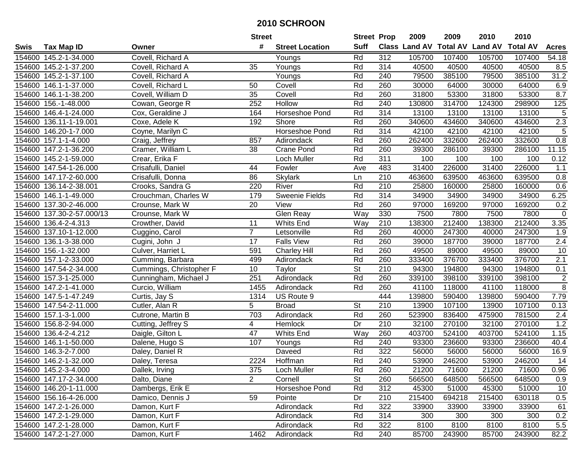|             |                           |                         | <b>Street</b>  |                        | <b>Street Prop</b>       |                  | 2009   | 2009   | 2010                                    | 2010   |                 |
|-------------|---------------------------|-------------------------|----------------|------------------------|--------------------------|------------------|--------|--------|-----------------------------------------|--------|-----------------|
| <b>Swis</b> | <b>Tax Map ID</b>         | Owner                   | #              | <b>Street Location</b> | Suff                     |                  |        |        | Class Land AV Total AV Land AV Total AV |        | <b>Acres</b>    |
|             | 154600 145.2-1-34.000     | Covell, Richard A       |                | Youngs                 | Rd                       | 312              | 105700 | 107400 | 105700                                  | 107400 | 54.18           |
|             | 154600 145.2-1-37.200     | Covell, Richard A       | 35             | Youngs                 | Rd                       | 314              | 40500  | 40500  | 40500                                   | 40500  | 8.5             |
|             | 154600 145.2-1-37.100     | Covell, Richard A       |                | Youngs                 | Rd                       | 240              | 79500  | 385100 | 79500                                   | 385100 | 31.2            |
|             | 154600 146.1-1-37.000     | Covell, Richard L       | 50             | Covell                 | Rd                       | 260              | 30000  | 64000  | 30000                                   | 64000  | 6.9             |
|             | 154600 146.1-1-38.200     | Covell, William D       | 35             | Covell                 | Rd                       | 260              | 31800  | 53300  | 31800                                   | 53300  | 8.7             |
|             | 154600 156.-1-48.000      | Cowan, George R         | 252            | Hollow                 | Rd                       | 240              | 130800 | 314700 | 124300                                  | 298900 | 125             |
|             | 154600 146.4-1-24.000     | Cox, Geraldine J        | 164            | Horseshoe Pond         | Rd                       | 314              | 13100  | 13100  | 13100                                   | 13100  | $\overline{5}$  |
|             | 154600 136.11-1-19.001    | Coxe, Adele K           | 192            | Shore                  | Rd                       | 260              | 340600 | 434600 | 340600                                  | 434600 | 2.3             |
|             | 154600 146.20-1-7.000     | Coyne, Marilyn C        |                | <b>Horseshoe Pond</b>  | Rd                       | 314              | 42100  | 42100  | 42100                                   | 42100  | $\overline{5}$  |
|             | 154600 157.1-1-4.000      | Craig, Jeffrey          | 857            | Adirondack             | Rd                       | 260              | 262400 | 332600 | 262400                                  | 332600 | 0.8             |
|             | 154600 147.2-1-36.200     | Cramer, William L       | 38             | <b>Crane Pond</b>      | Rd                       | 260              | 39300  | 286100 | 39300                                   | 286100 | 11.15           |
|             | 154600 145.2-1-59.000     | Crear, Erika F          |                | Loch Muller            | Rd                       | 311              | 100    | 100    | 100                                     | 100    | 0.12            |
|             | 154600 147.54-1-26.000    | Crisafulli, Daniel      | 44             | Fowler                 | Ave                      | 483              | 31400  | 226000 | 31400                                   | 226000 | 1.1             |
| 154600      | 147.17-2-60.000           | Crisafulli, Donna       | 86             | <b>Skylark</b>         | Ln                       | 210              | 463600 | 639500 | 463600                                  | 639500 | 0.8             |
| 154600      | 136.14-2-38.001           | Crooks, Sandra G        | 220            | River                  | Rd                       | 210              | 25800  | 160000 | 25800                                   | 160000 | 0.6             |
| 154600      | 146.1-1-49.000            | Crouchman, Charles W    | 179            | Sweenie Fields         | Rd                       | 314              | 34900  | 34900  | 34900                                   | 34900  | 6.25            |
|             | 154600 137.30-2-46.000    | Crounse, Mark W         | 20             | View                   | Rd                       | 260              | 97000  | 169200 | 97000                                   | 169200 | 0.2             |
|             | 154600 137.30-2-57.000/13 | Crounse, Mark W         |                | Glen Reay              | Way                      | 330              | 7500   | 7800   | 7500                                    | 7800   | $\mathbf 0$     |
|             | 154600 136.4-2-4.313      | Crowther, David         | 11             | Whits End              | Way                      | 210              | 138300 | 212400 | 138300                                  | 212400 | 3.35            |
|             | 154600 137.10-1-12.000    | Cuggino, Carol          | $\overline{7}$ | Letsonville            | Rd                       | 260              | 40000  | 247300 | 40000                                   | 247300 | 1.9             |
|             | 154600 136.1-3-38.000     | Cugini, John J          | 17             | <b>Falls View</b>      | Rd                       | 260              | 39000  | 187700 | 39000                                   | 187700 | 2.4             |
|             | 154600 156.-1-32.000      | Culver, Harriet L       | 591            | <b>Charley Hill</b>    | Rd                       | 260              | 49500  | 89000  | 49500                                   | 89000  | 10              |
|             | 154600 157.1-2-33.000     | Cumming, Barbara        | 499            | Adirondack             | Rd                       | 260              | 333400 | 376700 | 333400                                  | 376700 | 2.1             |
|             | 154600 147.54-2-34.000    | Cummings, Christopher F | 10             | Taylor                 | $\overline{\mathsf{St}}$ | 210              | 94300  | 194800 | 94300                                   | 194800 | 0.1             |
|             | 154600 157.3-1-25.000     | Cunningham, Michael J   | 251            | Adirondack             | Rd                       | 260              | 339100 | 398100 | 339100                                  | 398100 | $\sqrt{2}$      |
|             | 154600 147.2-1-41.000     | Curcio, William         | 1455           | Adirondack             | Rd                       | 260              | 41100  | 118000 | 41100                                   | 118000 | $\overline{8}$  |
|             | 154600 147.5-1-47.249     | Curtis, Jay S           | 1314           | US Route 9             |                          | 444              | 139800 | 590400 | 139800                                  | 590400 | 7.79            |
|             | 154600 147.54-2-11.000    | Cutler, Alan R          | 5              | <b>Broad</b>           | <b>St</b>                | 210              | 13900  | 107100 | 13900                                   | 107100 | 0.13            |
|             | 154600 157.1-3-1.000      | Cutrone, Martin B       | 703            | Adirondack             | Rd                       | 260              | 523900 | 836400 | 475900                                  | 781500 | 2.4             |
|             | 154600 156.8-2-94.000     | Cutting, Jeffrey S      | 4              | <b>Hemlock</b>         | Dr                       | $\overline{210}$ | 32100  | 270100 | 32100                                   | 270100 | 1.2             |
| 154600      | 136.4-2-4.212             | Daigle, Gilton L        | 47             | <b>Whits End</b>       | Way                      | 260              | 403700 | 524100 | 403700                                  | 524100 | 1.15            |
|             | 154600 146.1-1-50.000     | Dalene, Hugo S          | 107            | Youngs                 | Rd                       | 240              | 93300  | 236600 | 93300                                   | 236600 | 40.4            |
|             | 154600 146.3-2-7.000      | Daley, Daniel R         |                | Daveed                 | Rd                       | 322              | 56000  | 56000  | 56000                                   | 56000  | 16.9            |
|             | 154600 146.2-1-32.000     | Daley, Teresa           | 2224           | Hoffman                | Rd                       | 240              | 53900  | 246200 | 53900                                   | 246200 | $\overline{14}$ |
|             | 154600 145.2-3-4.000      | Dallek, Irving          | 375            | Loch Muller            | Rd                       | 260              | 21200  | 71600  | 21200                                   | 71600  | 0.96            |
|             | 154600 147.17-2-34.000    | Dalto, Diane            | $\overline{2}$ | Cornell                | <b>St</b>                | 260              | 566500 | 648500 | 566500                                  | 648500 | 0.9             |
|             | 154600 146.20-1-11.000    | Dambergs, Erik E        |                | Horseshoe Pond         | Rd                       | 312              | 45300  | 51000  | 45300                                   | 51000  | 10              |
|             | 154600 156.16-4-26.000    | Damico, Dennis J        | 59             | Pointe                 | Dr                       | 210              | 215400 | 694218 | 215400                                  | 630118 | 0.5             |
|             | 154600 147.2-1-26.000     | Damon, Kurt F           |                | Adirondack             | Rd                       | 322              | 33900  | 33900  | 33900                                   | 33900  | 61              |
|             | 154600 147.2-1-29.000     | Damon, Kurt F           |                | Adirondack             | Rd                       | 314              | 300    | 300    | 300                                     | 300    | 0.2             |
|             | 154600 147.2-1-28.000     | Damon, Kurt F           |                | Adirondack             | Rd                       | 322              | 8100   | 8100   | 8100                                    | 8100   | 5.5             |
|             | 154600 147.2-1-27.000     | Damon, Kurt F           | 1462           | Adirondack             | Rd                       | 240              | 85700  | 243900 | 85700                                   | 243900 | 82.2            |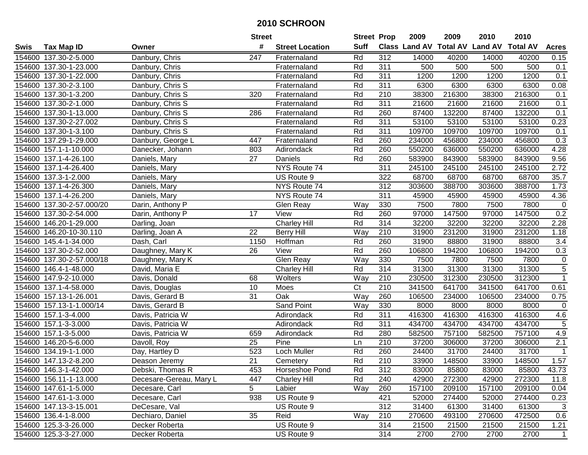|        |                           |                         | <b>Street</b>   |                        | <b>Street Prop</b> |                  | 2009   | 2009   | 2010                                    | 2010   |                  |
|--------|---------------------------|-------------------------|-----------------|------------------------|--------------------|------------------|--------|--------|-----------------------------------------|--------|------------------|
| Swis   | <b>Tax Map ID</b>         | Owner                   | #               | <b>Street Location</b> | <b>Suff</b>        |                  |        |        | Class Land AV Total AV Land AV Total AV |        | <b>Acres</b>     |
|        | 154600 137.30-2-5.000     | Danbury, Chris          | 247             | Fraternaland           | Rd                 | 312              | 14000  | 40200  | 14000                                   | 40200  | 0.15             |
|        | 154600 137.30-1-23.000    | Danbury, Chris          |                 | Fraternaland           | Rd                 | 311              | 500    | 500    | 500                                     | 500    | 0.1              |
|        | 154600 137.30-1-22.000    | Danbury, Chris          |                 | Fraternaland           | Rd                 | 311              | 1200   | 1200   | 1200                                    | 1200   | 0.1              |
|        | 154600 137.30-2-3.100     | Danbury, Chris S        |                 | Fraternaland           | Rd                 | 311              | 6300   | 6300   | 6300                                    | 6300   | 0.08             |
|        | 154600 137.30-1-3.200     | Danbury, Chris S        | 320             | Fraternaland           | Rd                 | $\overline{210}$ | 38300  | 216300 | 38300                                   | 216300 | 0.1              |
|        | 154600 137.30-2-1.000     | Danbury, Chris S        |                 | Fraternaland           | Rd                 | 311              | 21600  | 21600  | 21600                                   | 21600  | 0.1              |
|        | 154600 137.30-1-13.000    | Danbury, Chris S        | 286             | Fraternaland           | Rd                 | 260              | 87400  | 132200 | 87400                                   | 132200 | 0.1              |
|        | 154600 137.30-2-27.002    | Danbury, Chris S        |                 | Fraternaland           | Rd                 | 311              | 53100  | 53100  | 53100                                   | 53100  | 0.23             |
|        | 154600 137.30-1-3.100     | Danbury, Chris S        |                 | Fraternaland           | Rd                 | $\overline{311}$ | 109700 | 109700 | 109700                                  | 109700 | 0.1              |
|        | 154600 137.29-1-29.000    | Danbury, George L       | 447             | Fraternaland           | Rd                 | 260              | 234000 | 456800 | 234000                                  | 456800 | 0.3              |
|        | 154600 157.1-1-10.000     | Danecker, Johann        | 803             | Adirondack             | Rd                 | 260              | 550200 | 636000 | 550200                                  | 636000 | 4.28             |
|        | 154600 137.1-4-26.100     | Daniels, Mary           | 27              | Daniels                | Rd                 | 260              | 583900 | 843900 | 583900                                  | 843900 | 9.56             |
|        | 154600 137.1-4-26.400     | Daniels, Mary           |                 | NYS Route 74           |                    | 311              | 245100 | 245100 | 245100                                  | 245100 | 2.72             |
|        | 154600 137.3-1-2.000      | Daniels, Mary           |                 | US Route 9             |                    | 322              | 68700  | 68700  | 68700                                   | 68700  | 35.7             |
| 154600 | 137.1-4-26.300            | Daniels, Mary           |                 | NYS Route 74           |                    | 312              | 303600 | 388700 | 303600                                  | 388700 | 1.73             |
|        | 154600 137.1-4-26.200     | Daniels, Mary           |                 | NYS Route 74           |                    | $\overline{311}$ | 45900  | 45900  | 45900                                   | 45900  | 4.36             |
|        | 154600 137.30-2-57.000/20 | Darin, Anthony P        |                 | Glen Reay              | Way                | 330              | 7500   | 7800   | 7500                                    | 7800   | $\mathbf 0$      |
|        | 154600 137.30-2-54.000    | Darin, Anthony P        | 17              | View                   | Rd                 | 260              | 97000  | 147500 | 97000                                   | 147500 | 0.2              |
|        | 154600 146.20-1-29.000    | Darling, Joan           |                 | <b>Charley Hill</b>    | Rd                 | 314              | 32200  | 32200  | 32200                                   | 32200  | 2.28             |
|        | 154600 146.20-10-30.110   | Darling, Joan A         | 22              | <b>Berry Hill</b>      | Way                | 210              | 31900  | 231200 | 31900                                   | 231200 | 1.18             |
|        | 154600 145.4-1-34.000     | Dash, Carl              | 1150            | Hoffman                | Rd                 | 260              | 31900  | 88800  | 31900                                   | 88800  | 3.4              |
|        | 154600 137.30-2-52.000    | Daughney, Mary K        | 26              | View                   | Rd                 | 260              | 106800 | 194200 | 106800                                  | 194200 | 0.3              |
|        | 154600 137.30-2-57.000/18 | Daughney, Mary K        |                 | Glen Reay              | Way                | 330              | 7500   | 7800   | 7500                                    | 7800   | $\pmb{0}$        |
|        | 154600 146.4-1-48.000     | David, Maria E          |                 | <b>Charley Hill</b>    | Rd                 | 314              | 31300  | 31300  | 31300                                   | 31300  | $\overline{5}$   |
|        | 154600 147.9-2-10.000     | Davis, Donald           | 68              | Wolters                | Way                | 210              | 230500 | 312300 | 230500                                  | 312300 | $\mathbf{1}$     |
|        | 154600 137.1-4-58.000     | Davis, Douglas          | 10              | Moes                   | C <sub>t</sub>     | 210              | 341500 | 641700 | 341500                                  | 641700 | 0.61             |
|        | 154600 157.13-1-26.001    | Davis, Gerard B         | 31              | Oak                    | Way                | 260              | 106500 | 234000 | 106500                                  | 234000 | 0.75             |
|        | 154600 157.13-1-1.000/14  | Davis, Gerard B         |                 | Sand Point             | Way                | 330              | 8000   | 8000   | 8000                                    | 8000   | $\pmb{0}$        |
|        | 154600 157.1-3-4.000      | Davis, Patricia W       |                 | Adirondack             | Rd                 | 311              | 416300 | 416300 | 416300                                  | 416300 | 4.6              |
|        | 154600 157.1-3-3.000      | Davis, Patricia W       |                 | Adirondack             | Rd                 | 311              | 434700 | 434700 | 434700                                  | 434700 | 5                |
|        | 154600 157.1-3-5.000      | Davis, Patricia W       | 659             | Adirondack             | Rd                 | 280              | 582500 | 757100 | 582500                                  | 757100 | 4.9              |
|        | 154600 146.20-5-6.000     | Davoll, Roy             | $\overline{25}$ | Pine                   | Ln                 | $\overline{210}$ | 37200  | 306000 | 37200                                   | 306000 | $\overline{2.1}$ |
|        | 154600 134.19-1-1.000     | Day, Hartley D          | 523             | Loch Muller            | Rd                 | 260              | 24400  | 31700  | 24400                                   | 31700  | $\mathbf 1$      |
|        | 154600 147.13-2-8.200     | Deason Jeremy           | $\overline{21}$ | Cemetery               | Rd                 | $\overline{210}$ | 33900  | 148500 | 33900                                   | 148500 | 1.57             |
|        | 154600 146.3-1-42.000     | Debski, Thomas R        | 453             | Horseshoe Pond         | Rd                 | 312              | 83000  | 85800  | 83000                                   | 85800  | 43.73            |
|        | 154600 156.11-1-13.000    | Decesare-Gereau, Mary L | 447             | <b>Charley Hill</b>    | Rd                 | 240              | 42900  | 272300 | 42900                                   | 272300 | 11.8             |
|        | 154600 147.61-1-5.000     | Decesare, Carl          | 5               | Labier                 | Way                | 260              | 157100 | 209100 | 157100                                  | 209100 | 0.04             |
|        | 154600 147.61-1-3.000     | Decesare, Carl          | 938             | US Route 9             |                    | 421              | 52000  | 274400 | 52000                                   | 274400 | 0.23             |
|        | 154600 147.13-3-15.001    | DeCesare, Val           |                 | US Route 9             |                    | 312              | 31400  | 61300  | 31400                                   | 61300  | 3                |
|        | 154600 136.4-1-8.000      | Dechiaro, Daniel        | 35              | Reid                   | Way                | 210              | 270600 | 493100 | 270600                                  | 472500 | 0.6              |
|        | 154600 125.3-3-26.000     | Decker Roberta          |                 | US Route 9             |                    | 314              | 21500  | 21500  | 21500                                   | 21500  | 1.21             |
|        | 154600 125.3-3-27.000     | Decker Roberta          |                 | US Route 9             |                    | 314              | 2700   | 2700   | 2700                                    | 2700   | $\mathbf{1}$     |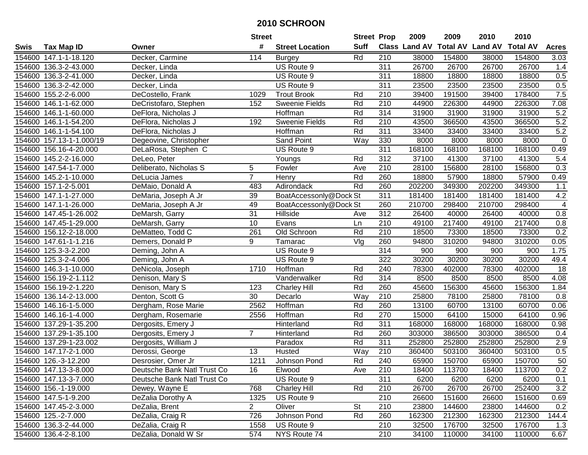|        |                          |                             | <b>Street</b>  |                        | <b>Street Prop</b> |                  | 2009   | 2009   | 2010                                    | 2010   |                 |
|--------|--------------------------|-----------------------------|----------------|------------------------|--------------------|------------------|--------|--------|-----------------------------------------|--------|-----------------|
| Swis   | <b>Tax Map ID</b>        | Owner                       | #              | <b>Street Location</b> | <b>Suff</b>        |                  |        |        | Class Land AV Total AV Land AV Total AV |        | <b>Acres</b>    |
|        | 154600 147.1-1-18.120    | Decker, Carmine             | 114            | <b>Burgey</b>          | Rd                 | 210              | 38000  | 154800 | 38000                                   | 154800 | 3.03            |
|        | 154600 136.3-2-43.000    | Decker, Linda               |                | US Route 9             |                    | 311              | 26700  | 26700  | 26700                                   | 26700  | 1.4             |
|        | 154600 136.3-2-41.000    | Decker, Linda               |                | US Route 9             |                    | 311              | 18800  | 18800  | 18800                                   | 18800  | 0.5             |
|        | 154600 136.3-2-42.000    | Decker, Linda               |                | US Route 9             |                    | 311              | 23500  | 23500  | 23500                                   | 23500  | 0.5             |
|        | 154600 155.2-2-6.000     | DeCostello, Frank           | 1029           | <b>Trout Brook</b>     | Rd                 | $\overline{210}$ | 39400  | 191500 | 39400                                   | 178400 | 7.5             |
|        | 154600 146.1-1-62.000    | DeCristofaro, Stephen       | 152            | <b>Sweenie Fields</b>  | Rd                 | 210              | 44900  | 226300 | 44900                                   | 226300 | 7.08            |
|        | 154600 146.1-1-60.000    | DeFlora, Nicholas J         |                | Hoffman                | Rd                 | 314              | 31900  | 31900  | 31900                                   | 31900  | 5.2             |
|        | 154600 146.1-1-54.200    | DeFlora, Nicholas J         | 192            | <b>Sweenie Fields</b>  | Rd                 | $\overline{210}$ | 43500  | 366500 | 43500                                   | 366500 | 5.2             |
|        | 154600 146.1-1-54.100    | DeFlora, Nicholas J         |                | <b>Hoffman</b>         | Rd                 | $\overline{311}$ | 33400  | 33400  | 33400                                   | 33400  | 5.2             |
|        | 154600 157.13-1-1.000/19 | Degeovine, Christopher      |                | Sand Point             | Way                | 330              | 8000   | 8000   | 8000                                    | 8000   | $\mathbf 0$     |
|        | 154600 156.16-4-20.000   | DeLaRosa, Stephen C         |                | US Route 9             |                    | 311              | 168100 | 168100 | 168100                                  | 168100 | 0.49            |
|        | 154600 145.2-2-16.000    | DeLeo, Peter                |                | Youngs                 | Rd                 | 312              | 37100  | 41300  | 37100                                   | 41300  | 5.4             |
|        | 154600 147.54-1-7.000    | Deliberato, Nicholas S      | 5              | Fowler                 | Ave                | 210              | 28100  | 156800 | 28100                                   | 156800 | 0.3             |
| 154600 | 145.2-1-10.000           | DeLucia James               | $\overline{7}$ | Henry                  | Rd                 | 260              | 18800  | 57900  | 18800                                   | 57900  | 0.49            |
| 154600 | 157.1-2-5.001            | DeMaio, Donald A            | 483            | Adirondack             | Rd                 | 260              | 202200 | 349300 | 202200                                  | 349300 | 1.1             |
|        | 154600 147.1-1-27.000    | DeMaria, Joseph A Jr        | 39             | BoatAccessonly@Dock St |                    | 311              | 181400 | 181400 | 181400                                  | 181400 | 4.2             |
|        | 154600 147.1-1-26.000    | DeMaria, Joseph A Jr        | 49             | BoatAccessonly@Dock St |                    | 260              | 210700 | 298400 | 210700                                  | 298400 | $\overline{4}$  |
|        | 154600 147.45-1-26.002   | DeMarsh, Garry              | 31             | Hillside               | Ave                | $\overline{312}$ | 26400  | 40000  | 26400                                   | 40000  | 0.8             |
|        | 154600 147.45-1-29.000   | DeMarsh, Garry              | 10             | Evans                  | Ln                 | 210              | 49100  | 217400 | 49100                                   | 217400 | 0.8             |
|        | 154600 156.12-2-18.000   | DeMatteo, Todd C            | 261            | Old Schroon            | Rd                 | 210              | 18500  | 73300  | 18500                                   | 73300  | 0.2             |
|        | 154600 147.61-1-1.216    | Demers, Donald P            | 9              | Tamarac                | Vlg                | 260              | 94800  | 310200 | 94800                                   | 310200 | 0.05            |
|        | 154600 125.3-3-2.200     | Deming, John A              |                | US Route 9             |                    | 314              | 900    | 900    | 900                                     | 900    | 1.75            |
|        | 154600 125.3-2-4.006     | Deming, John A              |                | US Route 9             |                    | 322              | 30200  | 30200  | 30200                                   | 30200  | 49.4            |
| 154600 | 146.3-1-10.000           | DeNicola, Joseph            | 1710           | Hoffman                | Rd                 | 240              | 78300  | 402000 | 78300                                   | 402000 | 18              |
| 154600 | 156.19-2-1.112           | Denison, Mary S             |                | Vanderwalker           | Rd                 | 314              | 8500   | 8500   | 8500                                    | 8500   | 4.08            |
|        | 154600 156.19-2-1.220    | Denison, Mary S             | 123            | <b>Charley Hill</b>    | Rd                 | 260              | 45600  | 156300 | 45600                                   | 156300 | 1.84            |
|        | 154600 136.14-2-13.000   | Denton, Scott G             | 30             | Decarlo                | Way                | 210              | 25800  | 78100  | 25800                                   | 78100  | 0.8             |
|        | 154600 146.16-1-5.000    | Dergham, Rose Marie         | 2562           | Hoffman                | Rd                 | 260              | 13100  | 60700  | 13100                                   | 60700  | 0.06            |
|        | 154600 146.16-1-4.000    | Dergham, Rosemarie          | 2556           | Hoffman                | Rd                 | 270              | 15000  | 64100  | 15000                                   | 64100  | 0.96            |
|        | 154600 137.29-1-35.200   | Dergosits, Emery J          |                | Hinterland             | Rd                 | $\overline{311}$ | 168000 | 168000 | 168000                                  | 168000 | 0.98            |
| 154600 | 137.29-1-35.100          | Dergosits, Emery J          | $\overline{7}$ | Hinterland             | Rd                 | 260              | 303000 | 386500 | 303000                                  | 386500 | 0.4             |
|        | 154600 137.29-1-23.002   | Dergosits, William J        |                | Paradox                | Rd                 | 311              | 252800 | 252800 | 252800                                  | 252800 | 2.9             |
|        | 154600 147.17-2-1.000    | Derossi, George             | 13             | Husted                 | Way                | $\overline{210}$ | 360400 | 503100 | 360400                                  | 503100 | 0.5             |
|        | 154600 126.-3-12.200     | Desrosier, Omer Jr          | 1211           | Johnson Pond           | Rd                 | 240              | 65900  | 150700 | 65900                                   | 150700 | $\overline{50}$ |
|        | 154600 147.13-3-8.000    | Deutsche Bank Natl Trust Co | 16             | Elwood                 | Ave                | 210              | 18400  | 113700 | 18400                                   | 113700 | 0.2             |
|        | 154600 147.13-3-7.000    | Deutsche Bank Natl Trust Co |                | US Route 9             |                    | 311              | 6200   | 6200   | 6200                                    | 6200   | 0.1             |
|        | 154600 156.-1-19.000     | Dewey, Wayne E              | 768            | <b>Charley Hill</b>    | Rd                 | 210              | 26700  | 26700  | 26700                                   | 252400 | 3.2             |
|        | 154600 147.5-1-9.200     | DeZalia Dorothy A           | 1325           | US Route 9             |                    | 210              | 26600  | 151600 | 26600                                   | 151600 | 0.69            |
|        | 154600 147.45-2-3.000    | DeZalia, Brent              | $\overline{2}$ | Oliver                 | <b>St</b>          | 210              | 23800  | 144600 | 23800                                   | 144600 | 0.2             |
|        | 154600 125.-2-7.000      | DeZalia, Craig R            | 726            | Johnson Pond           | Rd                 | 260              | 162300 | 212300 | 162300                                  | 212300 | 144.4           |
|        | 154600 136.3-2-44.000    | DeZalia, Craig R            | 1558           | US Route 9             |                    | 210              | 32500  | 176700 | 32500                                   | 176700 | 1.3             |
|        | 154600 136.4-2-8.100     | DeZalia, Donald W Sr        | 574            | NYS Route 74           |                    | 210              | 34100  | 110000 | 34100                                   | 110000 | 6.67            |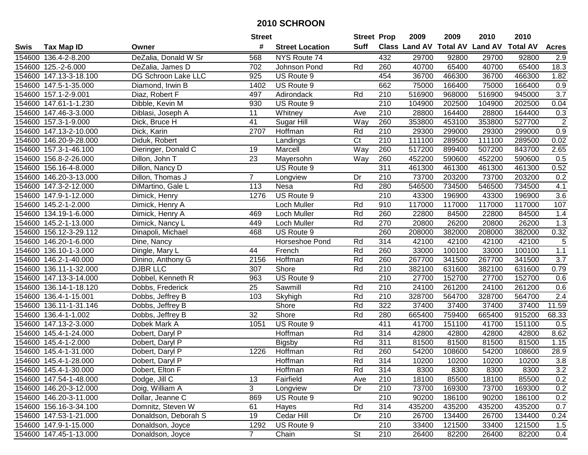|        |                        |                      | <b>Street</b>   |                        | <b>Street Prop</b> |                  | 2009                          | 2009   | 2010           | 2010            |                    |
|--------|------------------------|----------------------|-----------------|------------------------|--------------------|------------------|-------------------------------|--------|----------------|-----------------|--------------------|
| Swis   | <b>Tax Map ID</b>      | Owner                | #               | <b>Street Location</b> | Suff               |                  | <b>Class Land AV Total AV</b> |        | <b>Land AV</b> | <b>Total AV</b> | <b>Acres</b>       |
|        | 154600 136.4-2-8.200   | DeZalia, Donald W Sr | 568             | NYS Route 74           |                    | 432              | 29700                         | 92800  | 29700          | 92800           | 2.9                |
|        | 154600 125.-2-6.000    | DeZalia, James D     | 702             | Johnson Pond           | Rd                 | 260              | 40700                         | 65400  | 40700          | 65400           | 18.3               |
|        | 154600 147.13-3-18.100 | DG Schroon Lake LLC  | 925             | US Route 9             |                    | 454              | 36700                         | 466300 | 36700          | 466300          | 1.82               |
|        | 154600 147.5-1-35.000  | Diamond, Irwin B     | 1402            | US Route 9             |                    | 662              | 75000                         | 166400 | 75000          | 166400          | 0.9                |
|        | 154600 157.1-2-9.001   | Diaz, Robert F       | 497             | Adirondack             | Rd                 | 210              | 516900                        | 968000 | 516900         | 945000          | $\overline{3.7}$   |
|        | 154600 147.61-1-1.230  | Dibble, Kevin M      | 930             | US Route 9             |                    | $\overline{210}$ | 104900                        | 202500 | 104900         | 202500          | 0.04               |
|        | 154600 147.46-3-3.000  | Diblasi, Joseph A    | 11              | Whitney                | Ave                | 210              | 28800                         | 164400 | 28800          | 164400          | 0.3                |
|        | 154600 157.3-1-9.000   | Dick, Bruce H        | $\overline{41}$ | Sugar Hill             | Way                | 260              | 353800                        | 453100 | 353800         | 527700          | $\overline{2}$     |
|        | 154600 147.13-2-10.000 | Dick, Karin          | 2707            | Hoffman                | Rd                 | $\overline{210}$ | 29300                         | 299000 | 29300          | 299000          | 0.9                |
|        | 154600 146.20-9-28.000 | Diduk, Robert        |                 | Landings               | C <sub>t</sub>     | 210              | 111100                        | 289500 | 111100         | 289500          | 0.02               |
|        | 154600 157.3-1-46.100  | Dieringer, Donald C  | 19              | Marcell                | Way                | 260              | 517200                        | 899400 | 507200         | 843700          | 2.65               |
|        | 154600 156.8-2-26.000  | Dillon, John T       | 23              | Mayersohn              | Way                | 260              | 452200                        | 590600 | 452200         | 590600          | 0.5                |
|        | 154600 156.16-4-8.000  | Dillon, Nancy D      |                 | US Route 9             |                    | 311              | 461300                        | 461300 | 461300         | 461300          | 0.52               |
|        | 154600 146.20-3-13.000 | Dillon, Thomas J     | $\overline{7}$  | Longview               | Dr                 | 210              | 73700                         | 203200 | 73700          | 203200          | 0.2                |
|        | 154600 147.3-2-12.000  | DiMartino, Gale L    | 113             | Nesa                   | Rd                 | 280              | 546500                        | 734500 | 546500         | 734500          | 4.1                |
|        | 154600 147.9-1-12.000  | Dimick, Henry        | 1276            | US Route 9             |                    | 210              | 43300                         | 196900 | 43300          | 196900          | 3.6                |
|        | 154600 145.2-1-2.000   | Dimick, Henry A      |                 | Loch Muller            | Rd                 | 910              | 117000                        | 117000 | 117000         | 117000          | 107                |
| 154600 | 134.19-1-6.000         | Dimick, Henry A      | 469             | Loch Muller            | Rd                 | 260              | 22800                         | 84500  | 22800          | 84500           | 1.4                |
|        | 154600 145.2-1-13.000  | Dimick, Nancy L      | 449             | Loch Muller            | Rd                 | 270              | 20800                         | 26200  | 20800          | 26200           | 1.3                |
|        | 154600 156.12-3-29.112 | Dinapoli, Michael    | 468             | US Route 9             |                    | 260              | 208000                        | 382000 | 208000         | 382000          | 0.32               |
|        | 154600 146.20-1-6.000  | Dine, Nancy          |                 | Horseshoe Pond         | Rd                 | 314              | 42100                         | 42100  | 42100          | 42100           | 5                  |
| 154600 | 136.10-1-3.000         | Dingle, Mary L       | 44              | French                 | Rd                 | 260              | 33000                         | 100100 | 33000          | 100100          | $1.1$              |
| 154600 | 146.2-1-40.000         | Dinino, Anthony G    | 2156            | Hoffman                | Rd                 | 260              | 267700                        | 341500 | 267700         | 341500          | 3.7                |
| 154600 | 136.11-1-32.000        | <b>DJBR LLC</b>      | 307             | Shore                  | Rd                 | 210              | 382100                        | 631600 | 382100         | 631600          | 0.79               |
| 154600 | 147.13-3-14.000        | Dobbel, Kenneth R    | 963             | US Route 9             |                    | $\overline{210}$ | 27700                         | 152700 | 27700          | 152700          | 0.6                |
|        | 154600 136.14-1-18.120 | Dobbs, Frederick     | 25              | Sawmill                | Rd                 | 210              | 24100                         | 261200 | 24100          | 261200          | 0.6                |
|        | 154600 136.4-1-15.001  | Dobbs, Jeffrey B     | 103             | Skyhigh                | Rd                 | 210              | 328700                        | 564700 | 328700         | 564700          | 2.4                |
|        | 154600 136.11-1-31.146 | Dobbs, Jeffrey B     |                 | Shore                  | Rd                 | 322              | 37400                         | 37400  | 37400          | 37400           | $\overline{11.59}$ |
|        | 154600 136.4-1-1.002   | Dobbs, Jeffrey B     | 32              | Shore                  | Rd                 | 280              | 665400                        | 759400 | 665400         | 915200          | 68.33              |
|        | 154600 147.13-2-3.000  | Dobek Mark A         | 1051            | US Route 9             |                    | 411              | 41700                         | 151100 | 41700          | 151100          | 0.5                |
|        | 154600 145.4-1-24.000  | Dobert, Daryl P      |                 | Hoffman                | Rd                 | 314              | 42800                         | 42800  | 42800          | 42800           | 8.62               |
|        | 154600 145.4-1-2.000   | Dobert, Daryl P      |                 | <b>Bigsby</b>          | Rd                 | 311              | 81500                         | 81500  | 81500          | 81500           | 1.15               |
|        | 154600 145.4-1-31.000  | Dobert, Daryl P      | 1226            | Hoffman                | Rd                 | 260              | 54200                         | 108600 | 54200          | 108600          | 28.9               |
|        | 154600 145.4-1-28.000  | Dobert, Daryl P      |                 | Hoffman                | Rd                 | 314              | 10200                         | 10200  | 10200          | 10200           | 3.8                |
|        | 154600 145.4-1-30.000  | Dobert, Elton F      |                 | Hoffman                | Rd                 | 314              | 8300                          | 8300   | 8300           | 8300            | 3.2                |
|        | 154600 147.54-1-48.000 | Dodge, Jill C        | 13              | Fairfield              | Ave                | 210              | 18100                         | 85500  | 18100          | 85500           | 0.2                |
|        | 154600 146.20-3-12.000 | Doig, William A      | 3               | Longview               | Dr                 | 210              | 73700                         | 169300 | 73700          | 169300          | 0.2                |
|        | 154600 146.20-3-11.000 | Dollar, Jeanne C     | 869             | US Route 9             |                    | 210              | 90200                         | 186100 | 90200          | 186100          | 0.2                |
|        | 154600 156.16-3-34.100 | Domnitz, Steven W    | 61              | Hayes                  | Rd                 | 314              | 435200                        | 435200 | 435200         | 435200          | 0.7                |
|        | 154600 147.53-1-21.000 | Donaldson, Deborah S | 19              | Cedar Hill             | Dr                 | 210              | 26700                         | 134400 | 26700          | 134400          | 0.24               |
|        | 154600 147.9-1-15.000  | Donaldson, Joyce     | 1292            | US Route 9             |                    | 210              | 33400                         | 121500 | 33400          | 121500          | 1.5                |
|        | 154600 147.45-1-13.000 | Donaldson, Joyce     | $7^{\circ}$     | Chain                  | St                 | 210              | 26400                         | 82200  | 26400          | 82200           | 0.4                |
|        |                        |                      |                 |                        |                    |                  |                               |        |                |                 |                    |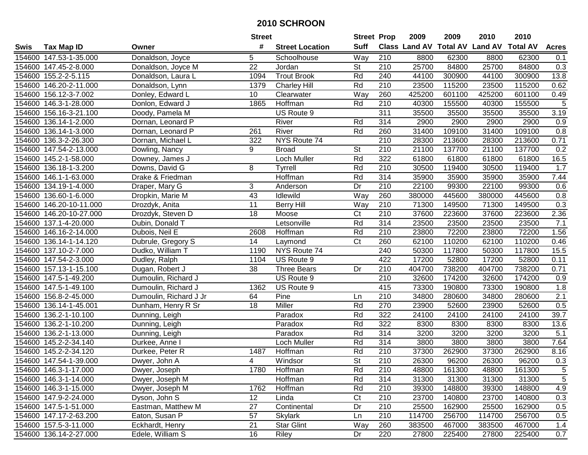|        |                         |                        | <b>Street</b> |                        | <b>Street Prop</b>       |                  | 2009   | 2009   | 2010                                    | 2010   |              |
|--------|-------------------------|------------------------|---------------|------------------------|--------------------------|------------------|--------|--------|-----------------------------------------|--------|--------------|
| Swis   | <b>Tax Map ID</b>       | Owner                  | #             | <b>Street Location</b> | <b>Suff</b>              |                  |        |        | Class Land AV Total AV Land AV Total AV |        | <b>Acres</b> |
|        | 154600 147.53-1-35.000  | Donaldson, Joyce       | 5             | Schoolhouse            | Way                      | 210              | 8800   | 62300  | 8800                                    | 62300  | 0.1          |
|        | 154600 147.45-2-8.000   | Donaldson, Joyce M     | 22            | Jordan                 | <b>St</b>                | 210              | 25700  | 84800  | 25700                                   | 84800  | 0.3          |
|        | 154600 155.2-2-5.115    | Donaldson, Laura L     | 1094          | <b>Trout Brook</b>     | Rd                       | 240              | 44100  | 300900 | 44100                                   | 300900 | 13.8         |
|        | 154600 146.20-2-11.000  | Donaldson, Lynn        | 1379          | <b>Charley Hill</b>    | Rd                       | 210              | 23500  | 115200 | 23500                                   | 115200 | 0.62         |
|        | 154600 156.12-3-7.002   | Donley, Edward L       | 10            | Clearwater             | $\overline{W}$ ay        | 260              | 425200 | 601100 | 425200                                  | 601100 | 0.49         |
|        | 154600 146.3-1-28.000   | Donlon, Edward J       | 1865          | Hoffman                | Rd                       | 210              | 40300  | 155500 | 40300                                   | 155500 | 5            |
|        | 154600 156.16-3-21.100  | Doody, Pamela M        |               | US Route 9             |                          | 311              | 35500  | 35500  | 35500                                   | 35500  | 3.19         |
|        | 154600 136.14-1-2.000   | Dornan, Leonard P      |               | River                  | Rd                       | 314              | 2900   | 2900   | 2900                                    | 2900   | 0.9          |
|        | 154600 136.14-1-3.000   | Dornan, Leonard P      | 261           | River                  | Rd                       | 260              | 31400  | 109100 | 31400                                   | 109100 | 0.8          |
|        | 154600 136.3-2-26.300   | Dornan, Michael L      | 322           | NYS Route 74           |                          | 210              | 28300  | 213600 | 28300                                   | 213600 | 0.71         |
|        | 154600 147.54-2-13.000  | Dowling, Nancy         | 9             | <b>Broad</b>           | St                       | 210              | 21100  | 137700 | 21100                                   | 137700 | 0.2          |
|        | 154600 145.2-1-58.000   | Downey, James J        |               | Loch Muller            | Rd                       | 322              | 61800  | 61800  | 61800                                   | 61800  | 16.5         |
| 154600 | 136.18-1-3.200          | Downs, David G         | 8             | Tyrrell                | Rd                       | 210              | 30500  | 119400 | 30500                                   | 119400 | 1.7          |
| 154600 | 146.1-1-63.000          | Drake & Friedman       |               | Hoffman                | Rd                       | 314              | 35900  | 35900  | 35900                                   | 35900  | 7.44         |
| 154600 | 134.19-1-4.000          | Draper, Mary G         | 3             | Anderson               | Dr                       | 210              | 22100  | 99300  | 22100                                   | 99300  | 0.6          |
| 154600 | 136.60-1-6.000          | Dropkin, Marie M       | 43            | Idlewild               | Way                      | 260              | 380000 | 445600 | 380000                                  | 445600 | 0.8          |
|        | 154600 146.20-10-11.000 | Drozdyk, Anita         | 11            | <b>Berry Hill</b>      | Way                      | 210              | 71300  | 149500 | 71300                                   | 149500 | 0.3          |
|        | 154600 146.20-10-27.000 | Drozdyk, Steven D      | 18            | Moose                  | $\overline{\text{C}t}$   | 210              | 37600  | 223600 | 37600                                   | 223600 | 2.36         |
|        | 154600 137.1-4-20.000   | Dubin, Donald T        |               | Letsonville            | Rd                       | 314              | 23500  | 23500  | 23500                                   | 23500  | 7.1          |
|        | 154600 146.16-2-14.000  | Dubois, Neil E         | 2608          | Hoffman                | Rd                       | 210              | 23800  | 72200  | 23800                                   | 72200  | 1.56         |
|        | 154600 136.14-1-14.120  | Dubrule, Gregory S     | 14            | Laymond                | Ct                       | 260              | 62100  | 110200 | 62100                                   | 110200 | 0.46         |
|        | 154600 137.10-2-7.000   | Dudko, William T       | 1190          | NYS Route 74           |                          | 240              | 50300  | 117800 | 50300                                   | 117800 | 15.5         |
|        | 154600 147.54-2-3.000   | Dudley, Ralph          | 1104          | US Route 9             |                          | 422              | 17200  | 52800  | 17200                                   | 52800  | 0.11         |
|        | 154600 157.13-1-15.100  | Dugan, Robert J        | 38            | <b>Three Bears</b>     | Dr                       | 210              | 404700 | 738200 | 404700                                  | 738200 | 0.71         |
|        | 154600 147.5-1-49.200   | Dumoulin, Richard J    |               | US Route 9             |                          | 210              | 32600  | 174200 | 32600                                   | 174200 | 0.9          |
|        | 154600 147.5-1-49.100   | Dumoulin, Richard J    | 1362          | US Route 9             |                          | 415              | 73300  | 190800 | 73300                                   | 190800 | 1.8          |
|        | 154600 156.8-2-45.000   | Dumoulin, Richard J Jr | 64            | Pine                   | Ln                       | 210              | 34800  | 280600 | 34800                                   | 280600 | 2.1          |
|        | 154600 136.14-1-45.001  | Dunham, Henry R Sr     | 18            | Miller                 | Rd                       | 270              | 23900  | 52600  | 23900                                   | 52600  | 0.5          |
| 154600 | 136.2-1-10.100          | Dunning, Leigh         |               | Paradox                | Rd                       | 322              | 24100  | 24100  | 24100                                   | 24100  | 39.7         |
| 154600 | 136.2-1-10.200          | Dunning, Leigh         |               | Paradox                | Rd                       | 322              | 8300   | 8300   | 8300                                    | 8300   | 13.6         |
| 154600 | 136.2-1-13.000          | Dunning, Leigh         |               | Paradox                | Rd                       | 314              | 3200   | 3200   | 3200                                    | 3200   | 5.1          |
| 154600 | 145.2-2-34.140          | Durkee, Anne I         |               | <b>Loch Muller</b>     | Rd                       | 314              | 3800   | 3800   | 3800                                    | 3800   | 7.64         |
|        | 154600 145.2-2-34.120   | Durkee, Peter R        | 1487          | Hoffman                | Rd                       | 210              | 37300  | 262900 | 37300                                   | 262900 | 8.16         |
|        | 154600 147.54-1-39.000  | Dwyer, John A          | 4             | Windsor                | $\overline{\mathsf{St}}$ | $\overline{210}$ | 26300  | 96200  | 26300                                   | 96200  | 0.3          |
|        | 154600 146.3-1-17.000   | Dwyer, Joseph          | 1780          | Hoffman                | Rd                       | 210              | 48800  | 161300 | 48800                                   | 161300 | $\,$ 5 $\,$  |
|        | 154600 146.3-1-14.000   | Dwyer, Joseph M        |               | Hoffman                | Rd                       | 314              | 31300  | 31300  | 31300                                   | 31300  | $\sqrt{5}$   |
|        | 154600 146.3-1-15.000   | Dwyer, Joseph M        | 1762          | Hoffman                | Rd                       | 210              | 39300  | 148800 | 39300                                   | 148800 | 4.9          |
|        | 154600 147.9-2-24.000   | Dyson, John S          | 12            | Linda                  | Ct                       | 210              | 23700  | 140800 | 23700                                   | 140800 | 0.3          |
|        | 154600 147.5-1-51.000   | Eastman, Matthew M     | 27            | Continental            | Dr                       | 210              | 25500  | 162900 | 25500                                   | 162900 | 0.5          |
|        | 154600 147.17-2-63.200  | Eaton, Susan P         | 57            | Skylark                | Ln                       | 210              | 114700 | 256700 | 114700                                  | 256700 | 0.5          |
|        | 154600 157.5-3-11.000   | Eckhardt, Henry        | 21            | Star Glint             | Way                      | 260              | 383500 | 467000 | 383500                                  | 467000 | 1.4          |
|        | 154600 136.14-2-27.000  | Edele, William S       | 16            | Riley                  | Dr                       | 220              | 27800  | 225400 | 27800                                   | 225400 | 0.7          |
|        |                         |                        |               |                        |                          |                  |        |        |                                         |        |              |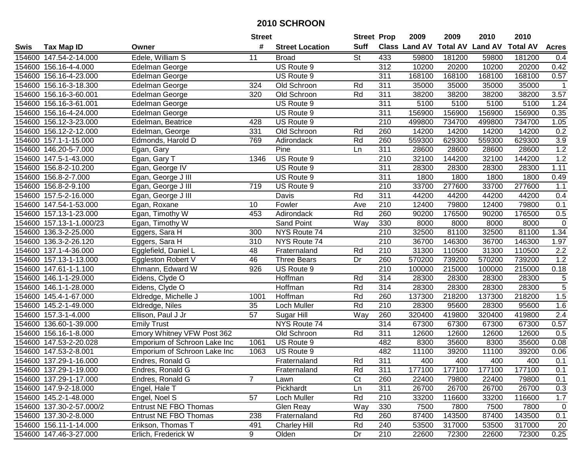|        |                          |                              | <b>Street</b>    |                        | <b>Street Prop</b>       |                  | 2009   | 2009   | 2010                           | 2010            |                |
|--------|--------------------------|------------------------------|------------------|------------------------|--------------------------|------------------|--------|--------|--------------------------------|-----------------|----------------|
| Swis   | <b>Tax Map ID</b>        | Owner                        | #                | <b>Street Location</b> | <b>Suff</b>              |                  |        |        | Class Land AV Total AV Land AV | <b>Total AV</b> | <b>Acres</b>   |
|        | 154600 147.54-2-14.000   | Edele, William S             | 11               | <b>Broad</b>           | $\overline{\mathsf{St}}$ | 433              | 59800  | 181200 | 59800                          | 181200          | 0.4            |
|        | 154600 156.16-4-4.000    | Edelman George               |                  | US Route 9             |                          | 312              | 10200  | 20200  | 10200                          | 20200           | 0.42           |
|        | 154600 156.16-4-23.000   | Edelman George               |                  | US Route 9             |                          | 311              | 168100 | 168100 | 168100                         | 168100          | 0.57           |
|        | 154600 156.16-3-18.300   | Edelman George               | 324              | Old Schroon            | Rd                       | 311              | 35000  | 35000  | 35000                          | 35000           | -1             |
|        | 154600 156.16-3-60.001   | Edelman George               | $\overline{320}$ | Old Schroon            | Rd                       | 311              | 38200  | 38200  | 38200                          | 38200           | 3.57           |
|        | 154600 156.16-3-61.001   | Edelman George               |                  | US Route 9             |                          | 311              | 5100   | 5100   | 5100                           | 5100            | 1.24           |
|        | 154600 156.16-4-24.000   | Edelman George               |                  | US Route 9             |                          | 311              | 156900 | 156900 | 156900                         | 156900          | 0.35           |
|        | 154600 156.12-3-23.000   | Edelman, Beatrice            | 428              | US Route 9             |                          | $\overline{210}$ | 499800 | 734700 | 499800                         | 734700          | 1.05           |
|        | 154600 156.12-2-12.000   | Edelman, George              | 331              | Old Schroon            | Rd                       | 260              | 14200  | 14200  | 14200                          | 14200           | 0.2            |
|        | 154600 157.1-1-15.000    | Edmonds, Harold D            | 769              | Adirondack             | Rd                       | 260              | 559300 | 629300 | 559300                         | 629300          | 3.9            |
|        | 154600 146.20-5-7.000    | Egan, Gary                   |                  | Pine                   | Ln                       | 311              | 28600  | 28600  | 28600                          | 28600           | 1.2            |
|        | 154600 147.5-1-43.000    | Egan, Gary T                 | 1346             | US Route 9             |                          | 210              | 32100  | 144200 | 32100                          | 144200          | 1.2            |
|        | 154600 156.8-2-10.200    | Egan, George IV              |                  | US Route 9             |                          | 311              | 28300  | 28300  | 28300                          | 28300           | 1.11           |
| 154600 | 156.8-2-7.000            | Egan, George J III           |                  | US Route 9             |                          | 311              | 1800   | 1800   | 1800                           | 1800            | 0.49           |
| 154600 | 156.8-2-9.100            | Egan, George J III           | 719              | US Route 9             |                          | 210              | 33700  | 277600 | 33700                          | 277600          | 1.1            |
| 154600 | 157.5-2-16.000           | Egan, George J III           |                  | Davis                  | Rd                       | 311              | 44200  | 44200  | 44200                          | 44200           | 0.4            |
|        | 154600 147.54-1-53.000   | Egan, Roxane                 | 10               | Fowler                 | Ave                      | 210              | 12400  | 79800  | 12400                          | 79800           | 0.1            |
|        | 154600 157.13-1-23.000   | Egan, Timothy W              | 453              | Adirondack             | Rd                       | 260              | 90200  | 176500 | 90200                          | 176500          | 0.5            |
|        | 154600 157.13-1-1.000/23 | Egan, Timothy W              |                  | <b>Sand Point</b>      | Way                      | 330              | 8000   | 8000   | 8000                           | 8000            | $\mathbf 0$    |
|        | 154600 136.3-2-25.000    | Eggers, Sara H               | 300              | NYS Route 74           |                          | $\overline{210}$ | 32500  | 81100  | 32500                          | 81100           | 1.34           |
|        | 154600 136.3-2-26.120    | Eggers, Sara H               | 310              | NYS Route 74           |                          | 210              | 36700  | 146300 | 36700                          | 146300          | 1.97           |
|        | 154600 137.1-4-36.000    | Egglefield, Daniel L         | 48               | Fraternaland           | Rd                       | 210              | 31300  | 110500 | 31300                          | 110500          | 2.2            |
|        | 154600 157.13-1-13.000   | Eggleston Robert V           | 46               | <b>Three Bears</b>     | Dr                       | 260              | 570200 | 739200 | 570200                         | 739200          | 1.2            |
|        | 154600 147.61-1-1.100    | Ehmann, Edward W             | 926              | US Route 9             |                          | $\overline{210}$ | 100000 | 215000 | 100000                         | 215000          | 0.18           |
|        | 154600 146.1-1-29.000    | Eidens, Clyde O              |                  | Hoffman                | Rd                       | 314              | 28300  | 28300  | 28300                          | 28300           | $\overline{5}$ |
|        | 154600 146.1-1-28.000    | Eidens, Clyde O              |                  | Hoffman                | Rd                       | 314              | 28300  | 28300  | 28300                          | 28300           | $\overline{5}$ |
|        | 154600 145.4-1-67.000    | Eldredge, Michelle J         | 1001             | Hoffman                | Rd                       | 260              | 137300 | 218200 | 137300                         | 218200          | 1.5            |
|        | 154600 145.2-1-49.000    | Eldredge, Niles              | 35               | Loch Muller            | Rd                       | 210              | 28300  | 95600  | 28300                          | 95600           | 1.6            |
|        | 154600 157.3-1-4.000     | Ellison, Paul J Jr           | 57               | Sugar Hill             | Way                      | 260              | 320400 | 419800 | 320400                         | 419800          | 2.4            |
|        | 154600 136.60-1-39.000   | <b>Emily Trust</b>           |                  | NYS Route 74           |                          | 314              | 67300  | 67300  | 67300                          | 67300           | 0.57           |
|        | 154600 156.16-1-8.000    | Emory Whitney VFW Post 362   |                  | Old Schroon            | Rd                       | 311              | 12600  | 12600  | 12600                          | 12600           | 0.5            |
|        | 154600 147.53-2-20.028   | Emporium of Schroon Lake Inc | 1061             | US Route 9             |                          | 482              | 8300   | 35600  | 8300                           | 35600           | 0.08           |
|        | 154600 147.53-2-8.001    | Emporium of Schroon Lake Inc | 1063             | US Route 9             |                          | 482              | 11100  | 39200  | 11100                          | 39200           | 0.06           |
|        | 154600 137.29-1-16.000   | Endres, Ronald G             |                  | Fraternaland           | Rd                       | 311              | 400    | 400    | 400                            | 400             | 0.1            |
|        | 154600 137.29-1-19.000   | Endres, Ronald G             |                  | Fraternaland           | Rd                       | 311              | 177100 | 177100 | 177100                         | 177100          | 0.1            |
|        | 154600 137.29-1-17.000   | Endres, Ronald G             | $\overline{7}$   | Lawn                   | Ct                       | 260              | 22400  | 79800  | 22400                          | 79800           | 0.1            |
|        | 154600 147.9-2-18.000    | Engel, Hale T                |                  | Pickhardt              | Ln                       | 311              | 26700  | 26700  | 26700                          | 26700           | 0.3            |
|        | 154600 145.2-1-48.000    | Engel, Noel S                | 57               | Loch Muller            | Rd                       | 210              | 33200  | 116600 | 33200                          | 116600          | 1.7            |
|        | 154600 137.30-2-57.000/2 | <b>Entrust NE FBO Thomas</b> |                  | Glen Reay              | Way                      | 330              | 7500   | 7800   | 7500                           | 7800            | 0              |
|        | 154600 137.30-2-8.000    | Entrust NE FBO Thomas        | 238              | Fraternaland           | Rd                       | 260              | 87400  | 143500 | 87400                          | 143500          | 0.1            |
|        | 154600 156.11-1-14.000   | Erikson, Thomas T            | 491              | <b>Charley Hill</b>    | Rd                       | 240              | 53500  | 317000 | 53500                          | 317000          | 20             |
|        | 154600 147.46-3-27.000   | Erlich, Frederick W          | 9                | Olden                  | Dr                       | 210              | 22600  | 72300  | 22600                          | 72300           | 0.25           |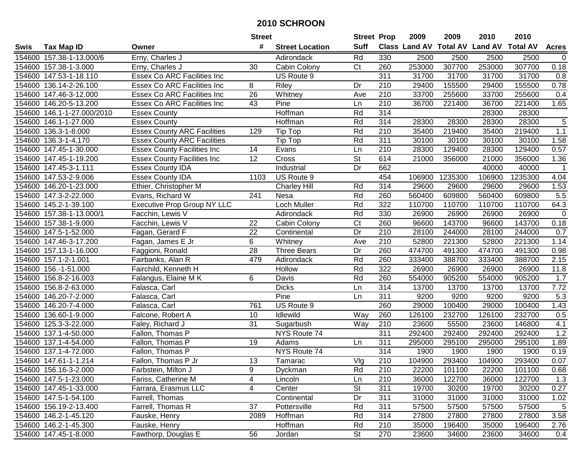|        |                          |                                    | <b>Street</b>   |                        | <b>Street Prop</b> |                  | 2009                          | 2009    | 2010           | 2010            |                |
|--------|--------------------------|------------------------------------|-----------------|------------------------|--------------------|------------------|-------------------------------|---------|----------------|-----------------|----------------|
| Swis   | <b>Tax Map ID</b>        | Owner                              | #               | <b>Street Location</b> | <b>Suff</b>        |                  | <b>Class Land AV Total AV</b> |         | <b>Land AV</b> | <b>Total AV</b> | <b>Acres</b>   |
|        | 154600 157.38-1-13.000/6 | Erny, Charles J                    |                 | Adirondack             | Rd                 | 330              | 2500                          | 2500    | 2500           | 2500            | $\mathbf 0$    |
|        | 154600 157.38-1-3.000    | Erny, Charles J                    | 30              | Cabin Colony           | C <sub>t</sub>     | 260              | 253000                        | 307700  | 253000         | 307700          | 0.18           |
|        | 154600 147.53-1-18.110   | <b>Essex Co ARC Facilities Inc</b> |                 | US Route 9             |                    | 311              | 31700                         | 31700   | 31700          | 31700           | 0.8            |
|        | 154600 136.14-2-26.100   | <b>Essex Co ARC Facilities Inc</b> | 8               | Riley                  | Dr                 | 210              | 29400                         | 155500  | 29400          | 155500          | 0.78           |
|        | 154600 147.46-3-12.000   | <b>Essex Co ARC Facilities Inc</b> | 26              | Whitney                | Ave                | 210              | 33700                         | 255600  | 33700          | 255600          | 0.4            |
|        | 154600 146.20-5-13.200   | Essex Co ARC Facilities Inc        | 43              | Pine                   | Ln                 | $\overline{210}$ | 36700                         | 221400  | 36700          | 221400          | 1.65           |
| 154600 | 146.1-1-27.000/2010      | <b>Essex County</b>                |                 | Hoffman                | Rd                 | 314              |                               |         | 28300          | 28300           |                |
| 154600 | 146.1-1-27.000           | <b>Essex County</b>                |                 | <b>Hoffman</b>         | Rd                 | 314              | 28300                         | 28300   | 28300          | 28300           | $\overline{5}$ |
|        | 154600 136.3-1-8.000     | <b>Essex County ARC Facilities</b> | 129             | Tip Top                | Rd                 | $\overline{210}$ | 35400                         | 219400  | 35400          | 219400          | 1.1            |
|        | 154600 136.3-1-4.170     | <b>Essex County ARC Facilities</b> |                 | Tip Top                | Rd                 | 311              | 30100                         | 30100   | 30100          | 30100           | 1.58           |
|        | 154600 147.45-1-30.000   | <b>Essex County Facilities Inc</b> | 14              | Evans                  | Ln                 | 210              | 28300                         | 129400  | 28300          | 129400          | 0.57           |
|        | 154600 147.45-1-19.200   | <b>Essex County Facilities Inc</b> | 12              | Cross                  | St                 | 614              | 21000                         | 356000  | 21000          | 356000          | 1.36           |
|        | 154600 147.45-3-1.111    | <b>Essex County IDA</b>            |                 | Industrial             | Dr                 | 662              |                               |         | 40000          | 40000           |                |
|        | 154600 147.53-2-9.006    | <b>Essex County IDA</b>            | 1103            | US Route 9             |                    | 454              | 106900                        | 1235300 | 106900         | 1235300         | 4.04           |
|        | 154600 146.20-1-23.000   | Ethier, Christopher M              |                 | <b>Charley Hill</b>    | Rd                 | 314              | 29600                         | 29600   | 29600          | 29600           | 1.53           |
|        | 154600 147.3-2-22.000    | Evans, Richard W                   | 241             | Nesa                   | Rd                 | 260              | 560400                        | 609800  | 560400         | 609800          | 5.5            |
|        | 154600 145.2-1-39.100    | <b>Executive Prop Group NY LLC</b> |                 | Loch Muller            | Rd                 | 322              | 110700                        | 110700  | 110700         | 110700          | 64.3           |
|        | 154600 157.38-1-13.000/1 | Facchin, Lewis V                   |                 | Adirondack             | Rd                 | 330              | 26900                         | 26900   | 26900          | 26900           | $\pmb{0}$      |
|        | 154600 157.38-1-9.000    | Facchin, Lewis V                   | 22              | Cabin Colony           | Ct                 | 260              | 96600                         | 143700  | 96600          | 143700          | 0.18           |
|        | 154600 147.5-1-52.000    | Fagan, Gerard F                    | 22              | Continental            | Dr                 | 210              | 28100                         | 244000  | 28100          | 244000          | 0.7            |
|        | 154600 147.46-3-17.200   | Fagan, James E Jr                  | 6               | Whitney                | Ave                | 210              | 52800                         | 221300  | 52800          | 221300          | 1.14           |
|        | 154600 157.13-1-16.000   | Faggioni, Ronald                   | 28              | <b>Three Bears</b>     | Dr                 | 260              | 474700                        | 491300  | 474700         | 491300          | 0.98           |
| 154600 | 157.1-2-1.001            | Fairbanks, Alan R                  | 479             | Adirondack             | Rd                 | 260              | 333400                        | 388700  | 333400         | 388700          | 2.15           |
| 154600 | 156.-1-51.000            | Fairchild, Kenneth H               |                 | Hollow                 | Rd                 | 322              | 26900                         | 26900   | 26900          | 26900           | 11.8           |
| 154600 | 156.8-2-16.003           | Falangus, Elaine M K               | 6               | Davis                  | Rd                 | 260              | 554000                        | 905200  | 554000         | 905200          | 1.7            |
| 154600 | 156.8-2-63.000           | Falasca, Carl                      |                 | <b>Dicks</b>           | Ln                 | 314              | 13700                         | 13700   | 13700          | 13700           | 7.72           |
|        | 154600 146.20-7-2.000    | Falasca, Carl                      |                 | Pine                   | Ln                 | 311              | 9200                          | 9200    | 9200           | 9200            | 5.3            |
|        | 154600 146.20-7-4.000    | Falasca, Carl                      | 761             | US Route 9             |                    | 260              | 29000                         | 100400  | 29000          | 100400          | 1.43           |
|        | 154600 136.60-1-9.000    | Falcone, Robert A                  | 10              | Idlewild               | Way                | 260              | 126100                        | 232700  | 126100         | 232700          | 0.5            |
|        | 154600 125.3-3-22.000    | Faley, Richard J                   | $\overline{31}$ | Sugarbush              | <b>Way</b>         | 210              | 23600                         | 55500   | 23600          | 146800          | 4.1            |
|        | 154600 137.1-4-50.000    | Fallon, Thomas P                   |                 | NYS Route 74           |                    | 311              | 292400                        | 292400  | 292400         | 292400          | 1.2            |
|        | 154600 137.1-4-54.000    | Fallon, Thomas P                   | 19              | Adams                  | Ln                 | 311              | 295000                        | 295100  | 295000         | 295100          | 1.89           |
|        | 154600 137.1-4-72.000    | Fallon, Thomas P                   |                 | NYS Route 74           |                    | 314              | 1900                          | 1900    | 1900           | 1900            | 0.19           |
|        | 154600 147.61-1-1.214    | Fallon, Thomas P Jr                | 13              | Tamarac                | Vlg                | 210              | 104900                        | 293400  | 104900         | 293400          | 0.07           |
|        | 154600 156.16-3-2.000    | Farbstein, Milton J                | 9               | Dyckman                | Rd                 | 210              | 22200                         | 101100  | 22200          | 101100          | 0.68           |
|        | 154600 147.5-1-23.000    | Fariss, Catherine M                | 4               | Lincoln                | Ln                 | 210              | 36000                         | 122700  | 36000          | 122700          | 1.3            |
|        | 154600 147.45-1-33.000   | Farrara, Erasmus LLC               | 4               | Center                 | <b>St</b>          | 311              | 19700                         | 30200   | 19700          | 30200           | 0.27           |
|        | 154600 147.5-1-54.100    | Farrell, Thomas                    |                 | Continental            | Dr                 | 311              | 31000                         | 31000   | 31000          | 31000           | 1.02           |
|        | 154600 156.19-2-13.400   | Farrell, Thomas R                  | 37              | Pottersville           | Rd                 | 311              | 57500                         | 57500   | 57500          | 57500           | 5              |
|        | 154600 146.2-1-45.120    | Fauske, Henry                      | 2089            | Hoffman                | Rd                 | 314              | 27800                         | 27800   | 27800          | 27800           | 3.58           |
|        | 154600 146.2-1-45.300    | Fauske, Henry                      |                 | Hoffman                | Rd                 | 210              | 35000                         | 196400  | 35000          | 196400          | 2.76           |
|        | 154600 147.45-1-8.000    | Fawthorp, Douglas E                | 56              | Jordan                 | St                 | 270              | 23600                         | 34600   | 23600          | 34600           | 0.4            |
|        |                          |                                    |                 |                        |                    |                  |                               |         |                |                 |                |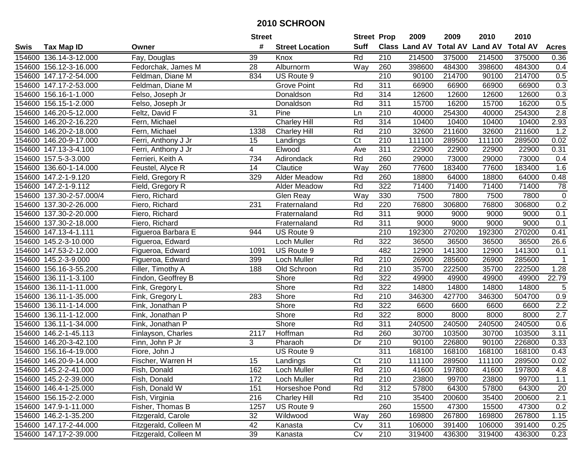|             |                        |                       | <b>Street</b>  |                        | <b>Street Prop</b>     |                  | 2009   | 2009   | 2010                                    | 2010   |              |
|-------------|------------------------|-----------------------|----------------|------------------------|------------------------|------------------|--------|--------|-----------------------------------------|--------|--------------|
| <b>Swis</b> | <b>Tax Map ID</b>      | Owner                 | #              | <b>Street Location</b> | <b>Suff</b>            |                  |        |        | Class Land AV Total AV Land AV Total AV |        | <b>Acres</b> |
|             | 154600 136.14-3-12.000 | Fay, Douglas          | 39             | Knox                   | Rd                     | 210              | 214500 | 375000 | 214500                                  | 375000 | 0.36         |
|             | 154600 156.12-3-16.000 | Fedorchak, James M    | 28             | Alburnorm              | Way                    | 260              | 398600 | 484300 | 398600                                  | 484300 | 0.4          |
|             | 154600 147.17-2-54.000 | Feldman, Diane M      | 834            | US Route 9             |                        | $\overline{210}$ | 90100  | 214700 | 90100                                   | 214700 | 0.5          |
|             | 154600 147.17-2-53.000 | Feldman, Diane M      |                | Grove Point            | Rd                     | 311              | 66900  | 66900  | 66900                                   | 66900  | 0.3          |
|             | 154600 156.16-1-1.000  | Felso, Joseph Jr      |                | Donaldson              | Rd                     | 314              | 12600  | 12600  | 12600                                   | 12600  | 0.3          |
|             | 154600 156.15-1-2.000  | Felso, Joseph Jr      |                | Donaldson              | Rd                     | 311              | 15700  | 16200  | 15700                                   | 16200  | 0.5          |
|             | 154600 146.20-5-12.000 | Feltz, David F        | 31             | Pine                   | Ln                     | 210              | 40000  | 254300 | 40000                                   | 254300 | 2.8          |
|             | 154600 146.20-2-16.220 | Fern, Michael         |                | Charley Hill           | Rd                     | 314              | 10400  | 10400  | 10400                                   | 10400  | 2.93         |
|             | 154600 146.20-2-18.000 | Fern, Michael         | 1338           | <b>Charley Hill</b>    | Rd                     | $\overline{210}$ | 32600  | 211600 | 32600                                   | 211600 | 1.2          |
|             | 154600 146.20-9-17.000 | Ferri, Anthony J Jr   | 15             | Landings               | $\overline{\text{C}t}$ | 210              | 111100 | 289500 | 111100                                  | 289500 | 0.02         |
|             | 154600 147.13-3-4.100  | Ferri, Anthony J Jr   | 4              | Elwood                 | Ave                    | 311              | 22900  | 22900  | 22900                                   | 22900  | 0.31         |
|             | 154600 157.5-3-3.000   | Ferrieri, Keith A     | 734            | Adirondack             | Rd                     | 260              | 29000  | 73000  | 29000                                   | 73000  | 0.4          |
| 154600      | 136.60-1-14.000        | Feustel, Alyce R      | 14             | Clautice               | Way                    | 260              | 77600  | 183400 | 77600                                   | 183400 | 1.6          |
| 154600      | 147.2-1-9.120          | Field, Gregory R      | 329            | <b>Alder Meadow</b>    | Rd                     | 260              | 18800  | 64000  | 18800                                   | 64000  | 0.48         |
| 154600      | 147.2-1-9.112          | Field, Gregory R      |                | Alder Meadow           | Rd                     | 322              | 71400  | 71400  | 71400                                   | 71400  | 78           |
| 154600      | 137.30-2-57.000/4      | Fiero, Richard        |                | Glen Reay              | Way                    | 330              | 7500   | 7800   | 7500                                    | 7800   | $\mathbf 0$  |
|             | 154600 137.30-2-26.000 | Fiero, Richard        | 231            | Fraternaland           | Rd                     | 220              | 76800  | 306800 | 76800                                   | 306800 | 0.2          |
|             | 154600 137.30-2-20.000 | Fiero, Richard        |                | Fraternaland           | Rd                     | 311              | 9000   | 9000   | 9000                                    | 9000   | 0.1          |
|             | 154600 137.30-2-18.000 | Fiero, Richard        |                | Fraternaland           | Rd                     | 311              | 9000   | 9000   | 9000                                    | 9000   | 0.1          |
|             | 154600 147.13-4-1.111  | Figueroa Barbara E    | 944            | US Route 9             |                        | $\overline{210}$ | 192300 | 270200 | 192300                                  | 270200 | 0.41         |
|             | 154600 145.2-3-10.000  | Figueroa, Edward      |                | Loch Muller            | Rd                     | 322              | 36500  | 36500  | 36500                                   | 36500  | 26.6         |
|             | 154600 147.53-2-12.000 | Figueroa, Edward      | 1091           | US Route 9             |                        | 482              | 12900  | 141300 | 12900                                   | 141300 | 0.1          |
|             | 154600 145.2-3-9.000   | Figueroa, Edward      | 399            | Loch Muller            | Rd                     | 210              | 26900  | 285600 | 26900                                   | 285600 | $\mathbf 1$  |
| 154600      | 156.16-3-55.200        | Filler, Timothy A     | 188            | Old Schroon            | Rd                     | 210              | 35700  | 222500 | 35700                                   | 222500 | 1.28         |
| 154600      | 136.11-1-3.100         | Findon, Geoffrey B    |                | Shore                  | Rd                     | 322              | 49900  | 49900  | 49900                                   | 49900  | 22.79        |
|             | 154600 136.11-1-11.000 | Fink, Gregory L       |                | Shore                  | Rd                     | 322              | 14800  | 14800  | 14800                                   | 14800  | 5            |
|             | 154600 136.11-1-35.000 | Fink, Gregory L       | 283            | Shore                  | Rd                     | 210              | 346300 | 427700 | 346300                                  | 504700 | 0.9          |
|             | 154600 136.11-1-14.000 | Fink, Jonathan P      |                | Shore                  | Rd                     | 322              | 6600   | 6600   | 6600                                    | 6600   | 2.2          |
| 154600      | 136.11-1-12.000        | Fink, Jonathan P      |                | Shore                  | Rd                     | 322              | 8000   | 8000   | 8000                                    | 8000   | 2.7          |
| 154600      | 136.11-1-34.000        | Fink, Jonathan P      |                | Shore                  | Rd                     | $\overline{311}$ | 240500 | 240500 | 240500                                  | 240500 | 0.6          |
| 154600      | 146.2-1-45.113         | Finlayson, Charles    | 2117           | Hoffman                | Rd                     | 260              | 30700  | 103500 | 30700                                   | 103500 | 3.11         |
| 154600      | 146.20-3-42.100        | Finn, John P Jr       | $\overline{3}$ | Pharaoh                | $\overline{Dr}$        | $\overline{210}$ | 90100  | 226800 | 90100                                   | 226800 | 0.33         |
|             | 154600 156.16-4-19.000 | Fiore, John J         |                | US Route 9             |                        | 311              | 168100 | 168100 | 168100                                  | 168100 | 0.43         |
|             | 154600 146.20-9-14.000 | Fischer, Warren H     | 15             | Landings               | $\overline{\text{C}t}$ | $\overline{210}$ | 111100 | 289500 | 111100                                  | 289500 | 0.02         |
|             | 154600 145.2-2-41.000  | Fish, Donald          | 162            | Loch Muller            | Rd                     | 210              | 41600  | 197800 | 41600                                   | 197800 | 4.8          |
|             | 154600 145.2-2-39.000  | Fish, Donald          | 172            | Loch Muller            | Rd                     | 210              | 23800  | 99700  | 23800                                   | 99700  | 1.1          |
|             | 154600 146.4-1-25.000  | Fish, Donald W        | 151            | Horseshoe Pond         | Rd                     | 312              | 57800  | 64300  | 57800                                   | 64300  | 20           |
|             | 154600 156.15-2-2.000  | Fish, Virginia        | 216            | <b>Charley Hill</b>    | Rd                     | 210              | 35400  | 200600 | 35400                                   | 200600 | 2.1          |
|             | 154600 147.9-1-11.000  | Fisher, Thomas B      | 1257           | US Route 9             |                        | 260              | 15500  | 47300  | 15500                                   | 47300  | 0.2          |
|             | 154600 146.2-1-35.200  | Fitzgerald, Carole    | 32             | Wildwood               | Way                    | 260              | 169800 | 267800 | 169800                                  | 267800 | 1.15         |
|             | 154600 147.17-2-44.000 | Fitzgerald, Colleen M | 42             | Kanasta                | Cv                     | 311              | 106000 | 391400 | 106000                                  | 391400 | 0.25         |
|             | 154600 147.17-2-39.000 | Fitzgerald, Colleen M | 39             | Kanasta                | Cv                     | 210              | 319400 | 436300 | 319400                                  | 436300 | 0.23         |
|             |                        |                       |                |                        |                        |                  |        |        |                                         |        |              |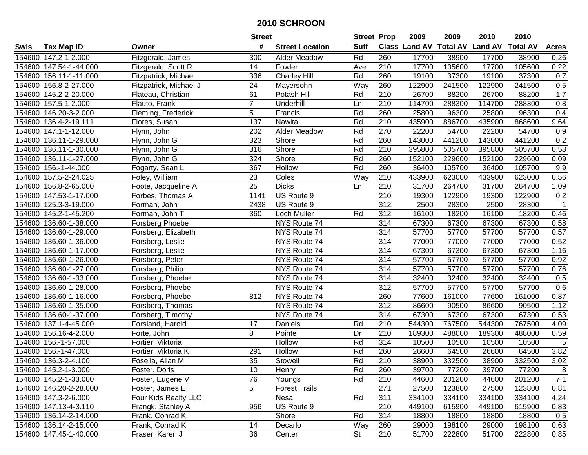|        |                        |                        | <b>Street</b>   |                        | <b>Street Prop</b> |                  | 2009   | 2009   | 2010                           | 2010            |                |
|--------|------------------------|------------------------|-----------------|------------------------|--------------------|------------------|--------|--------|--------------------------------|-----------------|----------------|
| Swis   | <b>Tax Map ID</b>      | Owner                  | #               | <b>Street Location</b> | <b>Suff</b>        |                  |        |        | Class Land AV Total AV Land AV | <b>Total AV</b> | <b>Acres</b>   |
|        | 154600 147.2-1-2.000   | Fitzgerald, James      | 300             | <b>Alder Meadow</b>    | Rd                 | 260              | 17700  | 38900  | 17700                          | 38900           | 0.26           |
|        | 154600 147.54-1-44.000 | Fitzgerald, Scott R    | 14              | Fowler                 | Ave                | 210              | 17700  | 105600 | 17700                          | 105600          | 0.22           |
|        | 154600 156.11-1-11.000 | Fitzpatrick, Michael   | 336             | Charley Hill           | Rd                 | 260              | 19100  | 37300  | 19100                          | 37300           | 0.7            |
|        | 154600 156.8-2-27.000  | Fitzpatrick, Michael J | 24              | Mayersohn              | Way                | 260              | 122900 | 241500 | 122900                         | 241500          | 0.5            |
|        | 154600 145.2-2-20.000  | Flateau, Christian     | 61              | Potash Hill            | Rd                 | 210              | 26700  | 88200  | 26700                          | 88200           | 1.7            |
|        | 154600 157.5-1-2.000   | Flauto, Frank          | $\overline{7}$  | Underhill              | Ln                 | 210              | 114700 | 288300 | 114700                         | 288300          | 0.8            |
|        | 154600 146.20-3-2.000  | Fleming, Frederick     | 5               | Francis                | Rd                 | 260              | 25800  | 96300  | 25800                          | 96300           | 0.4            |
|        | 154600 136.4-2-19.111  | Flores, Susan          | 137             | Nawita                 | Rd                 | $\overline{210}$ | 435900 | 886700 | 435900                         | 868600          | 9.64           |
|        | 154600 147.1-1-12.000  | Flynn, John            | 202             | Alder Meadow           | Rd                 | 270              | 22200  | 54700  | 22200                          | 54700           | 0.9            |
|        | 154600 136.11-1-29.000 | Flynn, John G          | 323             | Shore                  | Rd                 | 260              | 143000 | 441200 | 143000                         | 441200          | 0.2            |
|        | 154600 136.11-1-30.000 | Flynn, John G          | 316             | Shore                  | Rd                 | 210              | 395800 | 505700 | 395800                         | 505700          | 0.58           |
|        | 154600 136.11-1-27.000 | Flynn, John G          | 324             | Shore                  | Rd                 | 260              | 152100 | 229600 | 152100                         | 229600          | 0.09           |
|        | 154600 156.-1-44.000   | Fogarty, Sean L        | 367             | <b>Hollow</b>          | Rd                 | 260              | 36400  | 105700 | 36400                          | 105700          | 9.9            |
|        | 154600 157.5-2-24.025  | Foley, William         | 23              | Coles                  | Way                | 210              | 433900 | 623000 | 433900                         | 623000          | 0.56           |
|        | 154600 156.8-2-65.000  | Foote, Jacqueline A    | 25              | <b>Dicks</b>           | Ln                 | 210              | 31700  | 264700 | 31700                          | 264700          | 1.09           |
|        | 154600 147.53-1-17.000 | Forbes, Thomas A       | 1141            | US Route 9             |                    | 210              | 19300  | 122900 | 19300                          | 122900          | 0.2            |
|        | 154600 125.3-3-19.000  | Forman, John           | 2438            | US Route 9             |                    | 312              | 2500   | 28300  | 2500                           | 28300           | $\overline{1}$ |
|        | 154600 145.2-1-45.200  | Forman, John T         | 360             | Loch Muller            | Rd                 | 312              | 16100  | 18200  | 16100                          | 18200           | 0.46           |
|        | 154600 136.60-1-38.000 | Forsberg Phoebe        |                 | NYS Route 74           |                    | 314              | 67300  | 67300  | 67300                          | 67300           | 0.58           |
|        | 154600 136.60-1-29.000 | Forsberg, Elizabeth    |                 | NYS Route 74           |                    | 314              | 57700  | 57700  | 57700                          | 57700           | 0.57           |
|        | 154600 136.60-1-36.000 | Forsberg, Leslie       |                 | NYS Route 74           |                    | 314              | 77000  | 77000  | 77000                          | 77000           | 0.52           |
|        | 154600 136.60-1-17.000 | Forsberg, Leslie       |                 | NYS Route 74           |                    | 314              | 67300  | 67300  | 67300                          | 67300           | 1.16           |
| 154600 | 136.60-1-26.000        | Forsberg, Peter        |                 | NYS Route 74           |                    | 314              | 57700  | 57700  | 57700                          | 57700           | 0.92           |
| 154600 | 136.60-1-27.000        | Forsberg, Philip       |                 | NYS Route 74           |                    | 314              | 57700  | 57700  | 57700                          | 57700           | 0.76           |
|        | 154600 136.60-1-33.000 | Forsberg, Phoebe       |                 | NYS Route 74           |                    | 314              | 32400  | 32400  | 32400                          | 32400           | 0.5            |
|        | 154600 136.60-1-28.000 | Forsberg, Phoebe       |                 | NYS Route 74           |                    | 312              | 57700  | 57700  | 57700                          | 57700           | 0.6            |
|        | 154600 136.60-1-16.000 | Forsberg, Phoebe       | 812             | NYS Route 74           |                    | 260              | 77600  | 161000 | 77600                          | 161000          | 0.87           |
|        | 154600 136.60-1-35.000 | Forsberg, Thomas       |                 | NYS Route 74           |                    | 312              | 86600  | 90500  | 86600                          | 90500           | 1.12           |
|        | 154600 136.60-1-37.000 | Forsberg, Timothy      |                 | NYS Route 74           |                    | 314              | 67300  | 67300  | 67300                          | 67300           | 0.53           |
|        | 154600 137.1-4-45.000  | Forsland, Harold       | 17              | Daniels                | Rd                 | 210              | 544300 | 767500 | 544300                         | 767500          | 4.09           |
|        | 154600 156.16-4-2.000  | Forte, John            | 8               | Pointe                 | Dr                 | $\overline{210}$ | 189300 | 488000 | 189300                         | 488000          | 0.59           |
|        | 154600 156.-1-57.000   | Fortier, Viktoria      |                 | Hollow                 | Rd                 | 314              | 10500  | 10500  | 10500                          | 10500           | 5              |
|        | 154600 156.-1-47.000   | Fortier, Viktoria K    | 291             | Hollow                 | Rd                 | 260              | 26600  | 64500  | 26600                          | 64500           | 3.82           |
|        | 154600 136.3-2-4.100   | Fosella, Allan M       | $\overline{35}$ | Stowell                | Rd                 | $\overline{210}$ | 38900  | 332500 | 38900                          | 332500          | 3.02           |
|        | 154600 145.2-1-3.000   | Foster, Doris          | 10              | Henry                  | Rd                 | 260              | 39700  | 77200  | 39700                          | 77200           | 8              |
|        | 154600 145.2-1-33.000  | Foster, Eugene V       | 76              | Youngs                 | Rd                 | 210              | 44600  | 201200 | 44600                          | 201200          | 7.1            |
|        | 154600 146.20-2-28.000 | Foster, James E        | 5               | <b>Forest Trails</b>   |                    | 271              | 27500  | 123800 | 27500                          | 123800          | 0.81           |
|        | 154600 147.3-2-6.000   | Four Kids Realty LLC   |                 | Nesa                   | Rd                 | 311              | 334100 | 334100 | 334100                         | 334100          | 4.24           |
|        | 154600 147.13-4-3.110  | Frangk, Stanley A      | 956             | US Route 9             |                    | 210              | 449100 | 615900 | 449100                         | 615900          | 0.83           |
|        | 154600 136.14-2-14.000 | Frank, Conrad K        |                 | Shore                  | Rd                 | 314              | 18800  | 18800  | 18800                          | 18800           | 0.5            |
|        | 154600 136.14-2-15.000 | Frank, Conrad K        | 14              | Decarlo                | Way                | 260              | 29000  | 198100 | 29000                          | 198100          | 0.63           |
|        | 154600 147.45-1-40.000 | Fraser, Karen J        | 36              | Center                 | <b>St</b>          | 210              | 51700  | 222800 | 51700                          | 222800          | 0.85           |
|        |                        |                        |                 |                        |                    |                  |        |        |                                |                 |                |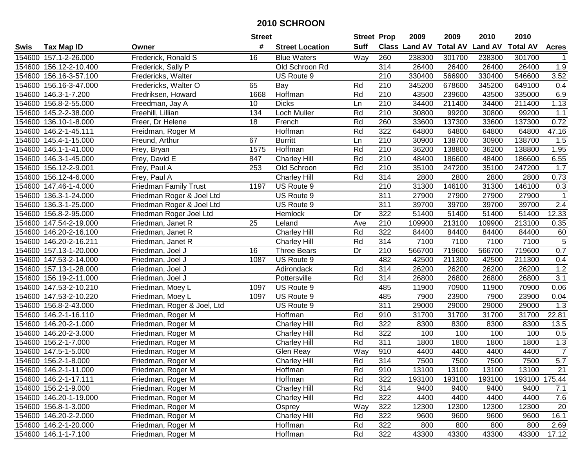|             |                        |                              | <b>Street</b> |                        | <b>Street Prop</b> |                  | 2009   | 2009   | 2010                                    | 2010   |                |
|-------------|------------------------|------------------------------|---------------|------------------------|--------------------|------------------|--------|--------|-----------------------------------------|--------|----------------|
| <b>Swis</b> | <b>Tax Map ID</b>      | Owner                        | #             | <b>Street Location</b> | <b>Suff</b>        |                  |        |        | Class Land AV Total AV Land AV Total AV |        | <b>Acres</b>   |
|             | 154600 157.1-2-26.000  | Frederick, Ronald S          | 16            | <b>Blue Waters</b>     | Way                | 260              | 238300 | 301700 | 238300                                  | 301700 |                |
|             | 154600 156.12-2-10.400 | Frederick, Sally P           |               | Old Schroon Rd         |                    | 314              | 26400  | 26400  | 26400                                   | 26400  | 1.9            |
|             | 154600 156.16-3-57.100 | Fredericks, Walter           |               | US Route 9             |                    | 210              | 330400 | 566900 | 330400                                  | 546600 | 3.52           |
|             | 154600 156.16-3-47.000 | Fredericks, Walter O         | 65            | Bay                    | Rd                 | 210              | 345200 | 678600 | 345200                                  | 649100 | 0.4            |
|             | 154600 146.3-1-7.200   | Fredriksen, Howard           | 1668          | Hoffman                | Rd                 | 210              | 43500  | 239600 | 43500                                   | 335000 | 6.9            |
|             | 154600 156.8-2-55.000  | Freedman, Jay A              | 10            | <b>Dicks</b>           | Ln                 | 210              | 34400  | 211400 | 34400                                   | 211400 | 1.13           |
|             | 154600 145.2-2-38.000  | Freehill, Lillian            | 134           | Loch Muller            | Rd                 | 210              | 30800  | 99200  | 30800                                   | 99200  | 1.1            |
|             | 154600 136.10-1-8.000  | Freer, Dr Helene             | 18            | French                 | Rd                 | 260              | 33600  | 137300 | 33600                                   | 137300 | 0.72           |
|             | 154600 146.2-1-45.111  | Freidman, Roger M            |               | <b>Hoffman</b>         | Rd                 | 322              | 64800  | 64800  | 64800                                   | 64800  | 47.16          |
|             | 154600 145.4-1-15.000  | Freund, Arthur               | 67            | <b>Burritt</b>         | Ln                 | 210              | 30900  | 138700 | 30900                                   | 138700 | 1.5            |
|             | 154600 146.1-1-41.000  | Frey, Bryan                  | 1575          | Hoffman                | Rd                 | 210              | 36200  | 138800 | 36200                                   | 138800 | 1.95           |
|             | 154600 146.3-1-45.000  | Frey, David E                | 847           | Charley Hill           | Rd                 | 210              | 48400  | 186600 | 48400                                   | 186600 | 6.55           |
| 154600      | 156.12-2-9.001         | Frey, Paul A                 | 253           | Old Schroon            | Rd                 | 210              | 35100  | 247200 | 35100                                   | 247200 | 1.7            |
| 154600      | 156.12-4-6.000         | Frey, Paul A                 |               | <b>Charley Hill</b>    | Rd                 | 314              | 2800   | 2800   | 2800                                    | 2800   | 0.73           |
| 154600      | 147.46-1-4.000         | <b>Friedman Family Trust</b> | 1197          | US Route 9             |                    | 210              | 31300  | 146100 | 31300                                   | 146100 | 0.3            |
| 154600      | 136.3-1-24.000         | Friedman Roger & Joel Ltd    |               | US Route 9             |                    | $\overline{311}$ | 27900  | 27900  | 27900                                   | 27900  | $\mathbf{1}$   |
|             | 154600 136.3-1-25.000  | Friedman Roger & Joel Ltd    |               | US Route 9             |                    | 311              | 39700  | 39700  | 39700                                   | 39700  | 2.4            |
|             | 154600 156.8-2-95.000  | Friedman Roger Joel Ltd      |               | Hemlock                | Dr                 | 322              | 51400  | 51400  | 51400                                   | 51400  | 12.33          |
|             | 154600 147.54-2-19.000 | Friedman, Janet R            | 25            | Leland                 | Ave                | 210              | 109900 | 213100 | 109900                                  | 213100 | 0.35           |
|             | 154600 146.20-2-16.100 | Friedman, Janet R            |               | <b>Charley Hill</b>    | Rd                 | 322              | 84400  | 84400  | 84400                                   | 84400  | 60             |
|             | 154600 146.20-2-16.211 | Friedman, Janet R            |               | <b>Charley Hill</b>    | Rd                 | 314              | 7100   | 7100   | 7100                                    | 7100   | $\overline{5}$ |
|             | 154600 157.13-1-20.000 | Friedman, Joel J             | 16            | <b>Three Bears</b>     | Dr                 | 210              | 566700 | 719600 | 566700                                  | 719600 | 0.7            |
|             | 154600 147.53-2-14.000 | Friedman, Joel J             | 1087          | US Route 9             |                    | 482              | 42500  | 211300 | 42500                                   | 211300 | 0.4            |
|             | 154600 157.13-1-28.000 | Friedman, Joel J             |               | Adirondack             | Rd                 | 314              | 26200  | 26200  | 26200                                   | 26200  | 1.2            |
|             | 154600 156.19-2-11.000 | Friedman, Joel J             |               | Pottersville           | Rd                 | 314              | 26800  | 26800  | 26800                                   | 26800  | 3.1            |
|             | 154600 147.53-2-10.210 | Friedman, Moey L             | 1097          | US Route 9             |                    | 485              | 11900  | 70900  | 11900                                   | 70900  | 0.06           |
|             | 154600 147.53-2-10.220 | Friedman, Moey L             | 1097          | US Route 9             |                    | 485              | 7900   | 23900  | 7900                                    | 23900  | 0.04           |
|             | 154600 156.8-2-43.000  | Friedman, Roger & Joel, Ltd  |               | US Route 9             |                    | 311              | 29000  | 29000  | 29000                                   | 29000  | 1.3            |
|             | 154600 146.2-1-16.110  | Friedman, Roger M            |               | Hoffman                | Rd                 | 910              | 31700  | 31700  | 31700                                   | 31700  | 22.81          |
|             | 154600 146.20-2-1.000  | Friedman, Roger M            |               | <b>Charley Hill</b>    | Rd                 | 322              | 8300   | 8300   | 8300                                    | 8300   | 13.5           |
|             | 154600 146.20-2-3.000  | Friedman, Roger M            |               | <b>Charley Hill</b>    | Rd                 | 322              | 100    | 100    | 100                                     | 100    | 0.5            |
|             | 154600 156.2-1-7.000   | Friedman, Roger M            |               | <b>Charley Hill</b>    | Rd                 | 311              | 1800   | 1800   | 1800                                    | 1800   | 1.3            |
|             | 154600 147.5-1-5.000   | Friedman, Roger M            |               | Glen Reay              | Way                | 910              | 4400   | 4400   | 4400                                    | 4400   | $\overline{7}$ |
|             | 154600 156.2-1-8.000   | Friedman, Roger M            |               | Charley Hill           | Rd                 | $\overline{314}$ | 7500   | 7500   | 7500                                    | 7500   | 5.7            |
|             | 154600 146.2-1-11.000  | Friedman, Roger M            |               | Hoffman                | Rd                 | 910              | 13100  | 13100  | 13100                                   | 13100  | 21             |
|             | 154600 146.2-1-17.111  | Friedman, Roger M            |               | Hoffman                | Rd                 | 322              | 193100 | 193100 | 193100                                  | 193100 | 175.44         |
|             | 154600 156.2-1-9.000   | Friedman, Roger M            |               | Charley Hill           | Rd                 | 314              | 9400   | 9400   | 9400                                    | 9400   | 7.1            |
|             | 154600 146.20-1-19.000 | Friedman, Roger M            |               | <b>Charley Hill</b>    | Rd                 | 322              | 4400   | 4400   | 4400                                    | 4400   | 7.6            |
|             | 154600 156.8-1-3.000   | Friedman, Roger M            |               | Osprey                 | Way                | 322              | 12300  | 12300  | 12300                                   | 12300  | 20             |
|             | 154600 146.20-2-2.000  | Friedman, Roger M            |               | Charley Hill           | Rd                 | 322              | 9600   | 9600   | 9600                                    | 9600   | 16.1           |
|             | 154600 146.2-1-20.000  | Friedman, Roger M            |               | Hoffman                | Rd                 | 322              | 800    | 800    | 800                                     | 800    | 2.69           |
|             | 154600 146.1-1-7.100   | Friedman, Roger M            |               | Hoffman                | Rd                 | 322              | 43300  | 43300  | 43300                                   | 43300  | 17.12          |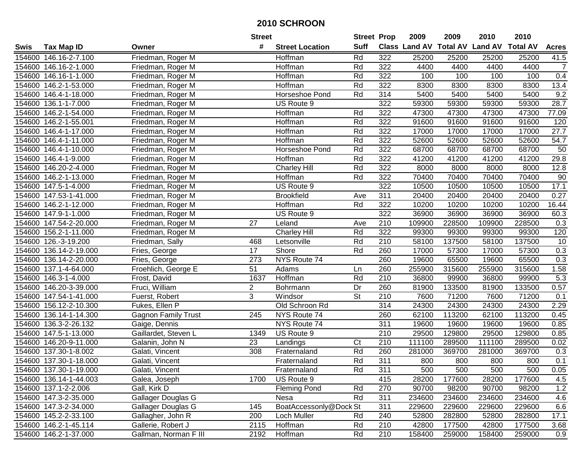|        |                        |                            | <b>Street</b>   |                        | <b>Street Prop</b> |                  | 2009   | 2009   | 2010                                    | 2010   |                |
|--------|------------------------|----------------------------|-----------------|------------------------|--------------------|------------------|--------|--------|-----------------------------------------|--------|----------------|
| Swis   | <b>Tax Map ID</b>      | Owner                      | #               | <b>Street Location</b> | <b>Suff</b>        |                  |        |        | Class Land AV Total AV Land AV Total AV |        | <b>Acres</b>   |
|        | 154600 146.16-2-7.100  | Friedman, Roger M          |                 | Hoffman                | Rd                 | 322              | 25200  | 25200  | 25200                                   | 25200  | 41.5           |
|        | 154600 146.16-2-1.000  | Friedman, Roger M          |                 | Hoffman                | Rd                 | 322              | 4400   | 4400   | 4400                                    | 4400   | $\overline{7}$ |
|        | 154600 146.16-1-1.000  | Friedman, Roger M          |                 | Hoffman                | Rd                 | 322              | 100    | 100    | 100                                     | 100    | 0.4            |
|        | 154600 146.2-1-53.000  | Friedman, Roger M          |                 | Hoffman                | Rd                 | 322              | 8300   | 8300   | 8300                                    | 8300   | 13.4           |
|        | 154600 146.4-1-18.000  | Friedman, Roger M          |                 | <b>Horseshoe Pond</b>  | Rd                 | 314              | 5400   | 5400   | 5400                                    | 5400   | 9.2            |
|        | 154600 136.1-1-7.000   | Friedman, Roger M          |                 | US Route 9             |                    | 322              | 59300  | 59300  | 59300                                   | 59300  | 28.7           |
|        | 154600 146.2-1-54.000  | Friedman, Roger M          |                 | Hoffman                | Rd                 | 322              | 47300  | 47300  | 47300                                   | 47300  | 77.09          |
| 154600 | 146.2-1-55.001         | Friedman, Roger M          |                 | Hoffman                | Rd                 | 322              | 91600  | 91600  | 91600                                   | 91600  | 120            |
| 154600 | 146.4-1-17.000         | Friedman, Roger M          |                 | <b>Hoffman</b>         | Rd                 | 322              | 17000  | 17000  | 17000                                   | 17000  | 27.7           |
|        | 154600 146.4-1-11.000  | Friedman, Roger M          |                 | Hoffman                | Rd                 | 322              | 52600  | 52600  | 52600                                   | 52600  | 54.7           |
|        | 154600 146.4-1-10.000  | Friedman, Roger M          |                 | Horseshoe Pond         | Rd                 | 322              | 68700  | 68700  | 68700                                   | 68700  | 50             |
|        | 154600 146.4-1-9.000   | Friedman, Roger M          |                 | Hoffman                | Rd                 | 322              | 41200  | 41200  | 41200                                   | 41200  | 29.8           |
|        | 154600 146.20-2-4.000  | Friedman, Roger M          |                 | <b>Charley Hill</b>    | Rd                 | 322              | 8000   | 8000   | 8000                                    | 8000   | 12.8           |
| 154600 | 146.2-1-13.000         | Friedman, Roger M          |                 | Hoffman                | Rd                 | 322              | 70400  | 70400  | 70400                                   | 70400  | 90             |
| 154600 | 147.5-1-4.000          | Friedman, Roger M          |                 | US Route 9             |                    | 322              | 10500  | 10500  | 10500                                   | 10500  | 17.1           |
|        | 154600 147.53-1-41.000 | Friedman, Roger M          |                 | <b>Brookfield</b>      | Ave                | 311              | 20400  | 20400  | 20400                                   | 20400  | 0.27           |
|        | 154600 146.2-1-12.000  | Friedman, Roger M          |                 | Hoffman                | Rd                 | 322              | 10200  | 10200  | 10200                                   | 10200  | 16.44          |
|        | 154600 147.9-1-1.000   | Friedman, Roger M          |                 | US Route 9             |                    | 322              | 36900  | 36900  | 36900                                   | 36900  | 60.3           |
|        | 154600 147.54-2-20.000 | Friedman, Roger M          | 27              | Leland                 | Ave                | 210              | 109900 | 228500 | 109900                                  | 228500 | 0.3            |
|        | 154600 156.2-1-11.000  | Friedman, Roger M          |                 | Charley Hill           | Rd                 | 322              | 99300  | 99300  | 99300                                   | 99300  | 120            |
|        | 154600 126.-3-19.200   | Friedman, Sally            | 468             | Letsonville            | Rd                 | 210              | 58100  | 137500 | 58100                                   | 137500 | 10             |
|        | 154600 136.14-2-19.000 | Fries, George              | 17              | Shore                  | Rd                 | 260              | 17000  | 57300  | 17000                                   | 57300  | 0.3            |
|        | 154600 136.14-2-20.000 | Fries, George              | 273             | NYS Route 74           |                    | 260              | 19600  | 65500  | 19600                                   | 65500  | 0.3            |
|        | 154600 137.1-4-64.000  | Froehlich, George E        | $\overline{51}$ | Adams                  | Ln                 | 260              | 255900 | 315600 | 255900                                  | 315600 | 1.58           |
| 154600 | 146.3-1-4.000          | Frost, David               | 1637            | Hoffman                | Rd                 | 210              | 36800  | 99900  | 36800                                   | 99900  | 5.3            |
|        | 154600 146.20-3-39.000 | Fruci, William             | $\overline{a}$  | Bohrmann               | Dr                 | 260              | 81900  | 133500 | 81900                                   | 133500 | 0.57           |
|        | 154600 147.54-1-41.000 | Fuerst, Robert             | 3               | Windsor                | <b>St</b>          | 210              | 7600   | 71200  | 7600                                    | 71200  | 0.1            |
|        | 154600 156.12-2-10.300 | Fukes, Ellen P             |                 | Old Schroon Rd         |                    | 314              | 24300  | 24300  | 24300                                   | 24300  | 2.29           |
|        | 154600 136.14-1-14.300 | <b>Gagnon Family Trust</b> | 245             | NYS Route 74           |                    | 260              | 62100  | 113200 | 62100                                   | 113200 | 0.45           |
|        | 154600 136.3-2-26.132  | Gaige, Dennis              |                 | NYS Route 74           |                    | 311              | 19600  | 19600  | 19600                                   | 19600  | 0.85           |
|        | 154600 147.5-1-13.000  | Gaillardet, Steven L       | 1349            | US Route 9             |                    | 210              | 29500  | 129800 | 29500                                   | 129800 | 0.85           |
| 154600 | 146.20-9-11.000        | Galanin, John N            | 23              | Landings               | Ct                 | $\overline{210}$ | 111100 | 289500 | 111100                                  | 289500 | 0.02           |
|        | 154600 137.30-1-8.002  | Galati, Vincent            | 308             | Fraternaland           | Rd                 | 260              | 281000 | 369700 | 281000                                  | 369700 | 0.3            |
|        | 154600 137.30-1-18.000 | Galati, Vincent            |                 | Fraternaland           | Rd                 | 311              | 800    | 800    | 800                                     | 800    | 0.1            |
|        | 154600 137.30-1-19.000 | Galati, Vincent            |                 | Fraternaland           | Rd                 | 311              | 500    | 500    | 500                                     | 500    | 0.05           |
|        | 154600 136.14-1-44.003 | Galea, Joseph              | 1700            | US Route 9             |                    | 415              | 28200  | 177600 | 28200                                   | 177600 | 4.5            |
|        | 154600 137.1-2-2.006   | Gall, Kirk D               |                 | Fleming Pond           | Rd                 | 270              | 90700  | 98200  | 90700                                   | 98200  | 1.2            |
|        | 154600 147.3-2-35.000  | Gallager Douglas G         |                 | Nesa                   | Rd                 | 311              | 234600 | 234600 | 234600                                  | 234600 | 4.6            |
|        | 154600 147.3-2-34.000  | Gallager Douglas G         | 145             | BoatAccessonly@Dock St |                    | 311              | 229600 | 229600 | 229600                                  | 229600 | 6.6            |
|        | 154600 145.2-2-33.100  | Gallagher, John R          | 200             | Loch Muller            | Rd                 | 240              | 52800  | 282800 | 52800                                   | 282800 | 17.1           |
|        | 154600 146.2-1-45.114  | Gallerie, Robert J         | 2115            | Hoffman                | Rd                 | 210              | 42800  | 177500 | 42800                                   | 177500 | 3.68           |
|        | 154600 146.2-1-37.000  | Gallman, Norman F III      | 2192            | Hoffman                | Rd                 | 210              | 158400 | 259000 | 158400                                  | 259000 | 0.9            |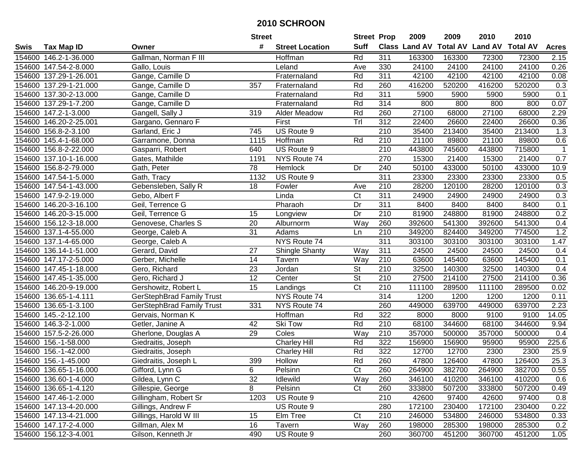|        |                        |                                  | <b>Street</b>   |                        | <b>Street Prop</b>       |                  | 2009   | 2009   | 2010                                    | 2010   |              |
|--------|------------------------|----------------------------------|-----------------|------------------------|--------------------------|------------------|--------|--------|-----------------------------------------|--------|--------------|
| Swis   | <b>Tax Map ID</b>      | Owner                            | #               | <b>Street Location</b> | <b>Suff</b>              |                  |        |        | Class Land AV Total AV Land AV Total AV |        | <b>Acres</b> |
|        | 154600 146.2-1-36.000  | Gallman, Norman F III            |                 | Hoffman                | Rd                       | 311              | 163300 | 163300 | 72300                                   | 72300  | 2.15         |
|        | 154600 147.54-2-8.000  | Gallo, Louis                     |                 | Leland                 | Ave                      | 330              | 24100  | 24100  | 24100                                   | 24100  | 0.26         |
|        | 154600 137.29-1-26.001 | Gange, Camille D                 |                 | Fraternaland           | Rd                       | 311              | 42100  | 42100  | 42100                                   | 42100  | 0.08         |
|        | 154600 137.29-1-21.000 | Gange, Camille D                 | 357             | Fraternaland           | Rd                       | 260              | 416200 | 520200 | 416200                                  | 520200 | 0.3          |
|        | 154600 137.30-2-13.000 | Gange, Camille D                 |                 | Fraternaland           | Rd                       | 311              | 5900   | 5900   | 5900                                    | 5900   | 0.1          |
|        | 154600 137.29-1-7.200  | Gange, Camille D                 |                 | Fraternaland           | Rd                       | 314              | 800    | 800    | 800                                     | 800    | 0.07         |
|        | 154600 147.2-1-3.000   | Gangell, Sally J                 | 319             | <b>Alder Meadow</b>    | Rd                       | 260              | 27100  | 68000  | 27100                                   | 68000  | 2.29         |
|        | 154600 146.20-2-25.001 | Gargano, Gennaro F               |                 | First                  | Trl                      | $\overline{312}$ | 22400  | 26600  | 22400                                   | 26600  | 0.36         |
|        | 154600 156.8-2-3.100   | Garland, Eric J                  | 745             | US Route 9             |                          | 210              | 35400  | 213400 | 35400                                   | 213400 | 1.3          |
| 154600 | 145.4-1-68.000         | Garramone, Donna                 | 1115            | Hoffman                | Rd                       | 210              | 21100  | 89800  | 21100                                   | 89800  | 0.6          |
|        | 154600 156.8-2-22.000  | Gasparri, Robert                 | 640             | US Route 9             |                          | 210              | 443800 | 745600 | 443800                                  | 715800 | $\mathbf{1}$ |
|        | 154600 137.10-1-16.000 | Gates, Mathilde                  | 1191            | NYS Route 74           |                          | 270              | 15300  | 21400  | 15300                                   | 21400  | 0.7          |
| 154600 | 156.8-2-79.000         | Gath, Peter                      | 78              | Hemlock                | Dr                       | 240              | 50100  | 433000 | 50100                                   | 433000 | 10.9         |
| 154600 | 147.54-1-5.000         | Gath, Tracy                      | 1132            | US Route 9             |                          | 311              | 23300  | 23300  | 23300                                   | 23300  | 0.5          |
| 154600 | 147.54-1-43.000        | Gebensleben, Sally R             | 18              | Fowler                 | Ave                      | 210              | 28200  | 120100 | 28200                                   | 120100 | 0.3          |
| 154600 | 147.9-2-19.000         | Gebo, Albert F                   |                 | Linda                  | $\overline{\text{C}t}$   | 311              | 24900  | 24900  | 24900                                   | 24900  | 0.3          |
|        | 154600 146.20-3-16.100 | Geil, Terrence G                 |                 | Pharaoh                | Dr                       | 311              | 8400   | 8400   | 8400                                    | 8400   | 0.1          |
|        | 154600 146.20-3-15.000 | Geil, Terrence G                 | 15              | Longview               | Dr                       | 210              | 81900  | 248800 | 81900                                   | 248800 | 0.2          |
|        | 154600 156.12-3-18.000 | Genovese, Charles S              | 20              | Alburnorm              | Way                      | 260              | 392600 | 541300 | 392600                                  | 541300 | 0.4          |
|        | 154600 137.1-4-55.000  | George, Caleb A                  | $\overline{31}$ | Adams                  | Ln                       | $\overline{210}$ | 349200 | 824400 | 349200                                  | 774500 | 1.2          |
| 154600 | 137.1-4-65.000         | George, Caleb A                  |                 | NYS Route 74           |                          | 311              | 303100 | 303100 | 303100                                  | 303100 | 1.47         |
| 154600 | 136.14-1-51.000        | Gerard, David                    | 27              | <b>Shingle Shanty</b>  | Way                      | 311              | 24500  | 24500  | 24500                                   | 24500  | 0.4          |
|        | 154600 147.17-2-5.000  | Gerber, Michelle                 | 14              | Tavern                 | Way                      | 210              | 63600  | 145400 | 63600                                   | 145400 | 0.1          |
|        | 154600 147.45-1-18.000 | Gero, Richard                    | $\overline{23}$ | Jordan                 | <b>St</b>                | 210              | 32500  | 140300 | 32500                                   | 140300 | 0.4          |
|        | 154600 147.45-1-35.000 | Gero, Richard J                  | $\overline{12}$ | Center                 | $\overline{\mathsf{St}}$ | 210              | 27500  | 214100 | 27500                                   | 214100 | 0.36         |
|        | 154600 146.20-9-19.000 | Gershowitz, Robert L             | 15              | Landings               | C <sub>t</sub>           | 210              | 111100 | 289500 | 111100                                  | 289500 | 0.02         |
|        | 154600 136.65-1-4.111  | <b>GerStephBrad Family Trust</b> |                 | NYS Route 74           |                          | 314              | 1200   | 1200   | 1200                                    | 1200   | 0.11         |
|        | 154600 136.65-1-3.100  | <b>GerStephBrad Family Trust</b> | 331             | NYS Route 74           |                          | 260              | 449000 | 639700 | 449000                                  | 639700 | 2.23         |
|        | 154600 145.-2-12.100   | Gervais, Norman K                |                 | Hoffman                | Rd                       | 322              | 8000   | 8000   | 9100                                    | 9100   | 14.05        |
|        | 154600 146.3-2-1.000   | Getler, Janine A                 | 42              | <b>Ski Tow</b>         | Rd                       | $\overline{210}$ | 68100  | 344600 | 68100                                   | 344600 | 9.94         |
| 154600 | 157.5-2-26.000         | Gherlone, Douglas A              | 29              | Coles                  | Way                      | 210              | 357000 | 500000 | 357000                                  | 500000 | 0.4          |
| 154600 | 156.-1-58.000          | Giedraitis, Joseph               |                 | Charley Hill           | Rd                       | 322              | 156900 | 156900 | 95900                                   | 95900  | 225.6        |
|        | 154600 156.-1-42.000   | Giedraitis, Joseph               |                 | <b>Charley Hill</b>    | Rd                       | 322              | 12700  | 12700  | 2300                                    | 2300   | 25.9         |
|        | 154600 156.-1-45.000   | Giedraitis, Joseph L             | 399             | Hollow                 | Rd                       | 260              | 47800  | 126400 | 47800                                   | 126400 | 25.3         |
|        | 154600 136.65-1-16.000 | Gifford, Lynn G                  | 6               | Pelsinn                | Ct                       | 260              | 264900 | 382700 | 264900                                  | 382700 | 0.55         |
|        | 154600 136.60-1-4.000  | Gildea, Lynn C                   | 32              | Idlewild               | Way                      | 260              | 346100 | 410200 | 346100                                  | 410200 | 0.6          |
|        | 154600 136.65-1-4.120  | Gillespie, George                | 8               | Pelsinn                | C <sub>t</sub>           | 260              | 333800 | 507200 | 333800                                  | 507200 | 0.49         |
|        | 154600 147.46-1-2.000  | Gillingham, Robert Sr            | 1203            | US Route 9             |                          | 210              | 42600  | 97400  | 42600                                   | 97400  | 0.8          |
|        | 154600 147.13-4-20.000 | Gillings, Andrew F               |                 | US Route 9             |                          | 280              | 172100 | 230400 | 172100                                  | 230400 | 0.22         |
|        | 154600 147.13-4-21.000 | Gillings, Harold W III           | 15              | Elm Tree               | Ct                       | 210              | 246000 | 534800 | 246000                                  | 534800 | 0.33         |
|        | 154600 147.17-2-4.000  | Gillman, Alex M                  | 16              | Tavern                 | Way                      | 260              | 198000 | 285300 | 198000                                  | 285300 | 0.2          |
|        | 154600 156.12-3-4.001  | Gilson, Kenneth Jr               | 490             | US Route 9             |                          | 260              | 360700 | 451200 | 360700                                  | 451200 | 1.05         |
|        |                        |                                  |                 |                        |                          |                  |        |        |                                         |        |              |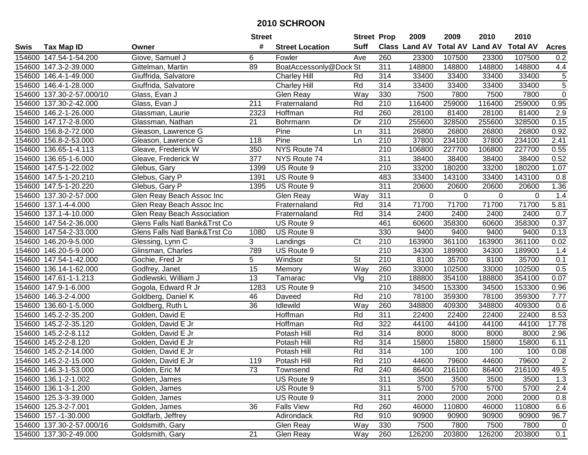|             |                           |                               | <b>Street</b>   |                        | <b>Street Prop</b> |                  | 2009   | 2009        | 2010                                    | 2010        |                |
|-------------|---------------------------|-------------------------------|-----------------|------------------------|--------------------|------------------|--------|-------------|-----------------------------------------|-------------|----------------|
| <b>Swis</b> | <b>Tax Map ID</b>         | Owner                         | #               | <b>Street Location</b> | <b>Suff</b>        |                  |        |             | Class Land AV Total AV Land AV Total AV |             | <b>Acres</b>   |
|             | 154600 147.54-1-54.200    | Giove, Samuel J               | 6               | Fowler                 | Ave                | 260              | 23300  | 107500      | 23300                                   | 107500      | 0.2            |
|             | 154600 147.3-2-39.000     | Gittelman, Martin             | 89              | BoatAccessonly@Dock St |                    | 311              | 148800 | 148800      | 148800                                  | 148800      | 4.4            |
|             | 154600 146.4-1-49.000     | Giuffrida, Salvatore          |                 | <b>Charley Hill</b>    | Rd                 | 314              | 33400  | 33400       | 33400                                   | 33400       | 5              |
|             | 154600 146.4-1-28.000     | Giuffrida, Salvatore          |                 | Charley Hill           | Rd                 | 314              | 33400  | 33400       | 33400                                   | 33400       | $\overline{5}$ |
|             | 154600 137.30-2-57.000/10 | Glass, Evan J                 |                 | Glen Reay              | Way                | 330              | 7500   | 7800        | 7500                                    | 7800        | $\overline{0}$ |
|             | 154600 137.30-2-42.000    | Glass, Evan J                 | 211             | Fraternaland           | Rd                 | 210              | 116400 | 259000      | 116400                                  | 259000      | 0.95           |
|             | 154600 146.2-1-26.000     | Glassman, Laurie              | 2323            | Hoffman                | Rd                 | 260              | 28100  | 81400       | 28100                                   | 81400       | 2.9            |
|             | 154600 147.17-2-8.000     | Glassman, Nathan              | $\overline{21}$ | Bohrmann               | Dr                 | $\overline{210}$ | 255600 | 328500      | 255600                                  | 328500      | 0.15           |
|             | 154600 156.8-2-72.000     | Gleason, Lawrence G           |                 | Pine                   | Ln                 | 311              | 26800  | 26800       | 26800                                   | 26800       | 0.92           |
|             | 154600 156.8-2-53.000     | Gleason, Lawrence G           | 118             | Pine                   | Ln                 | 210              | 37800  | 234100      | 37800                                   | 234100      | 2.41           |
|             | 154600 136.65-1-4.113     | Gleave, Frederick W           | 350             | NYS Route 74           |                    | 210              | 106800 | 227700      | 106800                                  | 227700      | 0.55           |
|             | 154600 136.65-1-6.000     | Gleave, Frederick W           | 377             | NYS Route 74           |                    | 311              | 38400  | 38400       | 38400                                   | 38400       | 0.52           |
|             | 154600 147.5-1-22.002     | Glebus, Gary                  | 1399            | US Route 9             |                    | 210              | 33200  | 180200      | 33200                                   | 180200      | 1.07           |
|             | 154600 147.5-1-20.210     | Glebus, Gary P                | 1391            | US Route 9             |                    | 483              | 33400  | 143100      | 33400                                   | 143100      | 0.8            |
| 154600      | 147.5-1-20.220            | Glebus, Gary P                | 1395            | US Route 9             |                    | 311              | 20600  | 20600       | 20600                                   | 20600       | 1.36           |
| 154600      | 137.30-2-57.000           | Glen Reay Beach Assoc Inc     |                 | Glen Reay              | Way                | 311              | 0      | $\mathbf 0$ | 0                                       | $\mathbf 0$ | 1.4            |
|             | 154600 137.1-4-4.000      | Glen Reay Beach Assoc Inc     |                 | Fraternaland           | Rd                 | 314              | 71700  | 71700       | 71700                                   | 71700       | 5.81           |
|             | 154600 137.1-4-10.000     | Glen Reay Beach Association   |                 | Fraternaland           | Rd                 | 314              | 2400   | 2400        | 2400                                    | 2400        | 0.7            |
|             | 154600 147.54-2-36.000    | Glens Falls Natl Bank&Trst Co |                 | US Route 9             |                    | 461              | 60600  | 358300      | 60600                                   | 358300      | 0.37           |
|             | 154600 147.54-2-33.000    | Glens Falls Natl Bank&Trst Co | 1080            | US Route 9             |                    | 330              | 9400   | 9400        | 9400                                    | 9400        | 0.13           |
|             | 154600 146.20-9-5.000     | Glessing, Lynn C              | 3               | Landings               | Ct                 | 210              | 163900 | 361100      | 163900                                  | 361100      | 0.02           |
|             | 154600 146.20-5-9.000     | Glinsman, Charles             | 789             | US Route 9             |                    | $\overline{210}$ | 34300  | 189900      | 34300                                   | 189900      | 1.4            |
|             | 154600 147.54-1-42.000    | Gochie, Fred Jr               | 5               | Windsor                | St                 | 210              | 8100   | 35700       | 8100                                    | 35700       | 0.1            |
|             | 154600 136.14-1-62.000    | Godfrey, Janet                | $\overline{15}$ | Memory                 | Way                | 260              | 33000  | 102500      | 33000                                   | 102500      | 0.5            |
|             | 154600 147.61-1-1.213     | Godlewski, William J          | 13              | Tamarac                | Vlg                | 210              | 188800 | 354100      | 188800                                  | 354100      | 0.07           |
|             | 154600 147.9-1-6.000      | Gogola, Edward R Jr           | 1283            | US Route 9             |                    | 210              | 34500  | 153300      | 34500                                   | 153300      | 0.96           |
|             | 154600 146.3-2-4.000      | Goldberg, Daniel K            | 46              | Daveed                 | Rd                 | 210              | 78100  | 359300      | 78100                                   | 359300      | 7.77           |
|             | 154600 136.60-1-5.000     | Goldberg, Ruth L              | 36              | Idlewild               | Way                | 260              | 348800 | 409300      | 348800                                  | 409300      | 0.6            |
|             | 154600 145.2-2-35.200     | Golden, David E               |                 | Hoffman                | Rd                 | 311              | 22400  | 22400       | 22400                                   | 22400       | 8.53           |
|             | 154600 145.2-2-35.120     | Golden, David E Jr            |                 | Hoffman                | Rd                 | 322              | 44100  | 44100       | 44100                                   | 44100       | 17.78          |
|             | 154600 145.2-2-8.112      | Golden, David E Jr            |                 | Potash Hill            | Rd                 | 314              | 8000   | 8000        | 8000                                    | 8000        | 2.96           |
|             | 154600 145.2-2-8.120      | Golden, David E Jr            |                 | Potash Hill            | Rd                 | 314              | 15800  | 15800       | 15800                                   | 15800       | 6.11           |
|             | 154600 145.2-2-14.000     | Golden, David E Jr            |                 | Potash Hill            | Rd                 | 314              | 100    | 100         | 100                                     | 100         | 0.08           |
|             | 154600 145.2-2-15.000     | Golden, David E Jr            | 119             | Potash Hill            | Rd                 | $\overline{210}$ | 44600  | 79600       | 44600                                   | 79600       | $\overline{2}$ |
|             | 154600 146.3-1-53.000     | Golden, Eric M                | 73              | Townsend               | Rd                 | 240              | 86400  | 216100      | 86400                                   | 216100      | 49.5           |
|             | 154600 136.1-2-1.002      | Golden, James                 |                 | US Route 9             |                    | 311              | 3500   | 3500        | 3500                                    | 3500        | 1.3            |
|             | 154600 136.1-3-1.200      | Golden, James                 |                 | US Route 9             |                    | 311              | 5700   | 5700        | 5700                                    | 5700        | 2.4            |
|             | 154600 125.3-3-39.000     | Golden, James                 |                 | US Route 9             |                    | 311              | 2000   | 2000        | 2000                                    | 2000        | 0.8            |
|             | 154600 125.3-2-7.001      | Golden, James                 | 36              | <b>Falls View</b>      | Rd                 | 260              | 46000  | 110800      | 46000                                   | 110800      | 6.6            |
|             | 154600 157.-1-30.000      | Goldfarb, Jeffrey             |                 | Adirondack             | Rd                 | 910              | 90900  | 90900       | 90900                                   | 90900       | 96.7           |
|             | 154600 137.30-2-57.000/16 | Goldsmith, Gary               |                 | Glen Reay              | Way                | 330              | 7500   | 7800        | 7500                                    | 7800        | 0              |
|             | 154600 137.30-2-49.000    | Goldsmith, Gary               | 21              | Glen Reay              | Way                | 260              | 126200 | 203800      | 126200                                  | 203800      | 0.1            |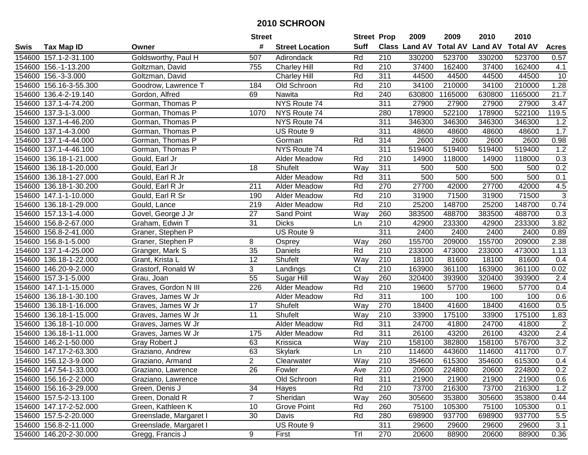|        |                        |                        | <b>Street</b>   |                        | <b>Street Prop</b> |                  | 2009   | 2009    | 2010                           | 2010            |                 |
|--------|------------------------|------------------------|-----------------|------------------------|--------------------|------------------|--------|---------|--------------------------------|-----------------|-----------------|
| Swis   | <b>Tax Map ID</b>      | Owner                  | #               | <b>Street Location</b> | <b>Suff</b>        |                  |        |         | Class Land AV Total AV Land AV | <b>Total AV</b> | <b>Acres</b>    |
|        | 154600 157.1-2-31.100  | Goldsworthy, Paul H    | 507             | Adirondack             | Rd                 | 210              | 330200 | 523700  | 330200                         | 523700          | 0.57            |
|        | 154600 156.-1-13.200   | Goltzman, David        | 755             | <b>Charley Hill</b>    | Rd                 | 210              | 37400  | 162400  | 37400                          | 162400          | 4.1             |
|        | 154600 156.-3-3.000    | Goltzman, David        |                 | <b>Charley Hill</b>    | Rd                 | 311              | 44500  | 44500   | 44500                          | 44500           | $\overline{10}$ |
|        | 154600 156.16-3-55.300 | Goodrow, Lawrence T    | 184             | Old Schroon            | Rd                 | 210              | 34100  | 210000  | 34100                          | 210000          | 1.28            |
|        | 154600 136.4-2-19.140  | Gordon, Alfred         | 69              | Nawita                 | Rd                 | 240              | 630800 | 1165000 | 630800                         | 1165000         | 21.7            |
|        | 154600 137.1-4-74.200  | Gorman, Thomas P       |                 | NYS Route 74           |                    | 311              | 27900  | 27900   | 27900                          | 27900           | 3.47            |
|        | 154600 137.3-1-3.000   | Gorman, Thomas P       | 1070            | NYS Route 74           |                    | 280              | 178900 | 522100  | 178900                         | 522100          | 119.5           |
|        | 154600 137.1-4-46.200  | Gorman, Thomas P       |                 | NYS Route 74           |                    | 311              | 346300 | 346300  | 346300                         | 346300          | 1.2             |
|        | 154600 137.1-4-3.000   | Gorman, Thomas P       |                 | US Route 9             |                    | 311              | 48600  | 48600   | 48600                          | 48600           | 1.7             |
|        | 154600 137.1-4-44.000  | Gorman, Thomas P       |                 | Gorman                 | Rd                 | 314              | 2600   | 2600    | 2600                           | 2600            | 0.98            |
|        | 154600 137.1-4-46.100  | Gorman, Thomas P       |                 | NYS Route 74           |                    | 311              | 519400 | 519400  | 519400                         | 519400          | 1.2             |
|        | 154600 136.18-1-21.000 | Gould, Earl Jr         |                 | Alder Meadow           | Rd                 | 210              | 14900  | 118000  | 14900                          | 118000          | 0.3             |
|        | 154600 136.18-1-20.000 | Gould, Earl Jr         | 18              | Shufelt                | Way                | 311              | 500    | 500     | 500                            | 500             | 0.2             |
| 154600 | 136.18-1-27.000        | Gould, Earl R Jr       |                 | <b>Alder Meadow</b>    | Rd                 | 311              | 500    | 500     | 500                            | 500             | 0.1             |
| 154600 | 136.18-1-30.200        | Gould, Earl R Jr       | 211             | <b>Alder Meadow</b>    | Rd                 | 270              | 27700  | 42000   | 27700                          | 42000           | 4.5             |
| 154600 | 147.1-1-10.000         | Gould, Earl R Sr       | 190             | <b>Alder Meadow</b>    | Rd                 | $\overline{210}$ | 31900  | 71500   | 31900                          | 71500           | $\overline{3}$  |
|        | 154600 136.18-1-29.000 | Gould, Lance           | 219             | <b>Alder Meadow</b>    | Rd                 | 210              | 25200  | 148700  | 25200                          | 148700          | 0.74            |
|        | 154600 157.13-1-4.000  | Govel, George J Jr     | 27              | <b>Sand Point</b>      | Way                | 260              | 383500 | 488700  | 383500                         | 488700          | 0.3             |
|        | 154600 156.8-2-67.000  | Graham, Edwin T        | 31              | <b>Dicks</b>           | Ln                 | 210              | 42900  | 233300  | 42900                          | 233300          | 3.82            |
|        | 154600 156.8-2-41.000  | Graner, Stephen P      |                 | US Route 9             |                    | 311              | 2400   | 2400    | 2400                           | 2400            | 0.89            |
|        | 154600 156.8-1-5.000   | Graner, Stephen P      | 8               | Osprey                 | Way                | 260              | 155700 | 209000  | 155700                         | 209000          | 2.38            |
| 154600 | 137.1-4-25.000         | Granger, Mark S        | 35              | Daniels                | Rd                 | 210              | 233000 | 473000  | 233000                         | 473000          | 1.13            |
|        | 154600 136.18-1-22.000 | Grant, Krista L        | 12              | Shufelt                | Way                | 210              | 18100  | 81600   | 18100                          | 81600           | 0.4             |
|        | 154600 146.20-9-2.000  | Grastorf, Ronald W     | 3               | Landings               | C <sub>t</sub>     | 210              | 163900 | 361100  | 163900                         | 361100          | 0.02            |
|        | 154600 157.3-1-5.000   | Grau, Joan             | $\overline{55}$ | Sugar Hill             | Way                | 260              | 320400 | 393900  | 320400                         | 393900          | 2.4             |
|        | 154600 147.1-1-15.000  | Graves, Gordon N III   | 226             | Alder Meadow           | Rd                 | 210              | 19600  | 57700   | 19600                          | 57700           | 0.4             |
|        | 154600 136.18-1-30.100 | Graves, James W Jr     |                 | Alder Meadow           | Rd                 | 311              | 100    | 100     | 100                            | 100             | 0.6             |
|        | 154600 136.18-1-16.000 | Graves, James W Jr     | 17              | Shufelt                | Way                | 270              | 18400  | 41600   | 18400                          | 41600           | 0.5             |
|        | 154600 136.18-1-15.000 | Graves, James W Jr     | 11              | Shufelt                | Way                | 210              | 33900  | 175100  | 33900                          | 175100          | 1.83            |
|        | 154600 136.18-1-10.000 | Graves, James W Jr     |                 | Alder Meadow           | Rd                 | 311              | 24700  | 41800   | 24700                          | 41800           | $\overline{2}$  |
| 154600 | 136.18-1-11.000        | Graves, James W Jr     | 175             | Alder Meadow           | Rd                 | 311              | 26100  | 43200   | 26100                          | 43200           | 2.4             |
|        | 154600 146.2-1-50.000  | Gray Robert J          | 63              | Krissica               | Way                | $\overline{210}$ | 158100 | 382800  | 158100                         | 576700          | 3.2             |
|        | 154600 147.17-2-63.300 | Graziano, Andrew       | 63              | Skylark                | Ln                 | $\overline{210}$ | 114600 | 443600  | 114600                         | 411700          | 0.7             |
|        | 154600 156.12-3-9.000  | Graziano, Armand       | $\overline{2}$  | Clearwater             | Way                | $\overline{210}$ | 354600 | 615300  | 354600                         | 615300          | 0.4             |
|        | 154600 147.54-1-33.000 | Graziano, Lawrence     | 26              | Fowler                 | Ave                | 210              | 20600  | 224800  | 20600                          | 224800          | 0.2             |
|        | 154600 156.16-2-2.000  | Graziano, Lawrence     |                 | Old Schroon            | Rd                 | 311              | 21900  | 21900   | 21900                          | 21900           | 0.6             |
|        | 154600 156.16-3-29.000 | Green, Denis J         | 34              | Hayes                  | Rd                 | 210              | 73700  | 216300  | 73700                          | 216300          | 1.2             |
|        | 154600 157.5-2-13.100  | Green, Donald R        | $\overline{7}$  | Sheridan               | Way                | 260              | 305600 | 353800  | 305600                         | 353800          | 0.44            |
|        | 154600 147.17-2-52.000 | Green, Kathleen K      | 10              | <b>Grove Point</b>     | Rd                 | 260              | 75100  | 105300  | 75100                          | 105300          | 0.1             |
|        | 154600 157.5-2-20.000  | Greenslade, Margaret I | 30              | Davis                  | Rd                 | 280              | 698900 | 937700  | 698900                         | 937700          | 5.5             |
|        | 154600 156.8-2-11.000  | Greenslade, Margaret I |                 | US Route 9             |                    | 311              | 29600  | 29600   | 29600                          | 29600           | 3.1             |
|        | 154600 146.20-2-30.000 | Gregg, Francis J       | 9               | First                  | Trl                | 270              | 20600  | 88900   | 20600                          | 88900           | 0.36            |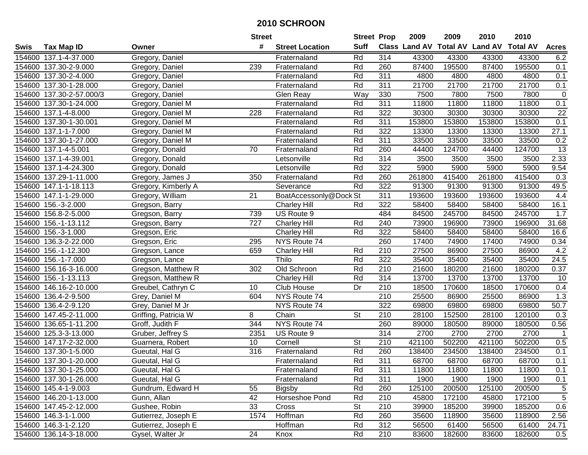|        |                          |                      | <b>Street</b> |                        | <b>Street Prop</b>       |     | 2009                          | 2009   | 2010           | 2010            |                 |
|--------|--------------------------|----------------------|---------------|------------------------|--------------------------|-----|-------------------------------|--------|----------------|-----------------|-----------------|
| Swis   | <b>Tax Map ID</b>        | Owner                | #             | <b>Street Location</b> | <b>Suff</b>              |     | <b>Class Land AV Total AV</b> |        | <b>Land AV</b> | <b>Total AV</b> | <b>Acres</b>    |
|        | 154600 137.1-4-37.000    | Gregory, Daniel      |               | Fraternaland           | Rd                       | 314 | 43300                         | 43300  | 43300          | 43300           | 6.2             |
|        | 154600 137.30-2-9.000    | Gregory, Daniel      | 239           | Fraternaland           | Rd                       | 260 | 87400                         | 195500 | 87400          | 195500          | 0.1             |
|        | 154600 137.30-2-4.000    | Gregory, Daniel      |               | Fraternaland           | Rd                       | 311 | 4800                          | 4800   | 4800           | 4800            | 0.1             |
|        | 154600 137.30-1-28.000   | Gregory, Daniel      |               | Fraternaland           | Rd                       | 311 | 21700                         | 21700  | 21700          | 21700           | 0.1             |
|        | 154600 137.30-2-57.000/3 | Gregory, Daniel      |               | Glen Reay              | Way                      | 330 | 7500                          | 7800   | 7500           | 7800            | $\mathbf 0$     |
|        | 154600 137.30-1-24.000   | Gregory, Daniel M    |               | Fraternaland           | Rd                       | 311 | 11800                         | 11800  | 11800          | 11800           | 0.1             |
|        | 154600 137.1-4-8.000     | Gregory, Daniel M    | 228           | Fraternaland           | Rd                       | 322 | 30300                         | 30300  | 30300          | 30300           | 22              |
|        | 154600 137.30-1-30.001   | Gregory, Daniel M    |               | Fraternaland           | Rd                       | 311 | 153800                        | 153800 | 153800         | 153800          | 0.1             |
|        | 154600 137.1-1-7.000     | Gregory, Daniel M    |               | Fraternaland           | Rd                       | 322 | 13300                         | 13300  | 13300          | 13300           | 27.1            |
|        | 154600 137.30-1-27.000   | Gregory, Daniel M    |               | Fraternaland           | Rd                       | 311 | 33500                         | 33500  | 33500          | 33500           | 0.2             |
|        | 154600 137.1-4-5.001     | Gregory, Donald      | 70            | Fraternaland           | Rd                       | 260 | 44400                         | 124700 | 44400          | 124700          | $\overline{13}$ |
|        | 154600 137.1-4-39.001    | Gregory, Donald      |               | Letsonville            | Rd                       | 314 | 3500                          | 3500   | 3500           | 3500            | 2.33            |
|        | 154600 137.1-4-24.300    | Gregory, Donald      |               | Letsonville            | Rd                       | 322 | 5900                          | 5900   | 5900           | 5900            | 9.54            |
|        | 154600 137.29-1-11.000   | Gregory, James J     | 350           | Fraternaland           | Rd                       | 260 | 261800                        | 415400 | 261800         | 415400          | 0.3             |
|        | 154600 147.1-1-18.113    | Gregory, Kimberly A  |               | Severance              | Rd                       | 322 | 91300                         | 91300  | 91300          | 91300           | 49.5            |
|        | 154600 147.1-1-29.000    | Gregory, William     | 21            | BoatAccessonly@Dock St |                          | 311 | 193600                        | 193600 | 193600         | 193600          | 4.4             |
|        | 154600 156.-3-2.000      | Gregson, Barry       |               | <b>Charley Hill</b>    | Rd                       | 322 | 58400                         | 58400  | 58400          | 58400           | 16.1            |
|        | 154600 156.8-2-5.000     | Gregson, Barry       | 739           | US Route 9             |                          | 484 | 84500                         | 245700 | 84500          | 245700          | 1.7             |
|        | 154600 156.-1-13.112     | Gregson, Barry       | 727           | <b>Charley Hill</b>    | Rd                       | 240 | 73900                         | 196900 | 73900          | 196900          | 31.68           |
|        | 154600 156.-3-1.000      | Gregson, Eric        |               | <b>Charley Hill</b>    | Rd                       | 322 | 58400                         | 58400  | 58400          | 58400           | 16.6            |
|        | 154600 136.3-2-22.000    | Gregson, Eric        | 295           | NYS Route 74           |                          | 260 | 17400                         | 74900  | 17400          | 74900           | 0.34            |
| 154600 | 156.-1-12.300            | Gregson, Lance       | 659           | <b>Charley Hill</b>    | Rd                       | 210 | 27500                         | 86900  | 27500          | 86900           | 4.2             |
| 154600 | 156.-1-7.000             | Gregson, Lance       |               | Thilo                  | Rd                       | 322 | 35400                         | 35400  | 35400          | 35400           | 24.5            |
| 154600 | 156.16-3-16.000          | Gregson, Matthew R   | 302           | Old Schroon            | Rd                       | 210 | 21600                         | 180200 | 21600          | 180200          | 0.37            |
| 154600 | 156.-1-13.113            | Gregson, Matthew R   |               | <b>Charley Hill</b>    | Rd                       | 314 | 13700                         | 13700  | 13700          | 13700           | 10              |
|        | 154600 146.16-2-10.000   | Greubel, Cathryn C   | 10            | Club House             | Dr                       | 210 | 18500                         | 170600 | 18500          | 170600          | 0.4             |
|        | 154600 136.4-2-9.500     | Grey, Daniel M       | 604           | NYS Route 74           |                          | 210 | 25500                         | 86900  | 25500          | 86900           | 1.3             |
|        | 154600 136.4-2-9.120     | Grey, Daniel M Jr    |               | NYS Route 74           |                          | 322 | 69800                         | 69800  | 69800          | 69800           | 50.7            |
|        | 154600 147.45-2-11.000   | Griffing, Patricia W | 8             | Chain                  | $\overline{\mathsf{St}}$ | 210 | 28100                         | 152500 | 28100          | 120100          | 0.3             |
|        | 154600 136.65-1-11.200   | Groff, Judith F      | 344           | NYS Route 74           |                          | 260 | 89000                         | 180500 | 89000          | 180500          | 0.56            |
|        | 154600 125.3-3-13.000    | Gruber, Jeffrey S    | 2351          | US Route 9             |                          | 314 | 2700                          | 2700   | 2700           | 2700            | $\overline{1}$  |
|        | 154600 147.17-2-32.000   | Guarnera, Robert     | 10            | Cornell                | <b>St</b>                | 210 | 421100                        | 502200 | 421100         | 502200          | 0.5             |
|        | 154600 137.30-1-5.000    | Gueutal, Hal G       | 316           | Fraternaland           | Rd                       | 260 | 138400                        | 234500 | 138400         | 234500          | 0.1             |
|        | 154600 137.30-1-20.000   | Gueutal, Hal G       |               | Fraternaland           | Rd                       | 311 | 68700                         | 68700  | 68700          | 68700           | 0.1             |
|        | 154600 137.30-1-25.000   | Gueutal, Hal G       |               | Fraternaland           | Rd                       | 311 | 11800                         | 11800  | 11800          | 11800           | 0.1             |
|        | 154600 137.30-1-26.000   | Gueutal, Hal G       |               | Fraternaland           | Rd                       | 311 | 1900                          | 1900   | 1900           | 1900            | 0.1             |
|        | 154600 145.4-1-9.003     | Gundrum, Edward H    | 55            | <b>Bigsby</b>          | Rd                       | 260 | 125100                        | 200500 | 125100         | 200500          | $\sqrt{5}$      |
|        | 154600 146.20-1-13.000   | Gunn, Allan          | 42            | Horseshoe Pond         | Rd                       | 210 | 45800                         | 172100 | 45800          | 172100          | $\sqrt{5}$      |
|        | 154600 147.45-2-12.000   | Gushee, Robin        | 33            | Cross                  | <b>St</b>                | 210 | 39900                         | 185200 | 39900          | 185200          | 0.6             |
|        | 154600 146.3-1-1.000     | Gutierrez, Joseph E  | 1574          | Hoffman                | Rd                       | 260 | 35600                         | 118900 | 35600          | 118900          | 2.56            |
|        | 154600 146.3-1-2.120     | Gutierrez, Joseph E  |               | Hoffman                | Rd                       | 312 | 56500                         | 61400  | 56500          | 61400           | 24.71           |
|        | 154600 136.14-3-18.000   | Gysel, Walter Jr     | 24            | Knox                   | Rd                       | 210 | 83600                         | 182600 | 83600          | 182600          | 0.5             |
|        |                          |                      |               |                        |                          |     |                               |        |                |                 |                 |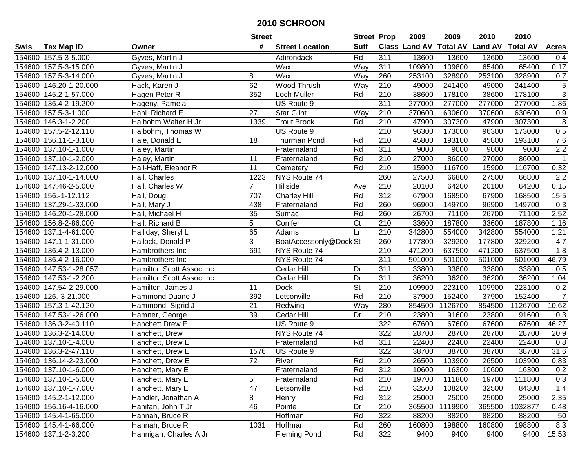|             |                        |                          | <b>Street</b>   |                        | <b>Street Prop</b> |                  | 2009   | 2009    | 2010                                    | 2010    |                  |
|-------------|------------------------|--------------------------|-----------------|------------------------|--------------------|------------------|--------|---------|-----------------------------------------|---------|------------------|
| <b>Swis</b> | <b>Tax Map ID</b>      | Owner                    | #               | <b>Street Location</b> | Suff               |                  |        |         | Class Land AV Total AV Land AV Total AV |         | <b>Acres</b>     |
|             | 154600 157.5-3-5.000   | Gyves, Martin J          |                 | Adirondack             | Rd                 | 311              | 13600  | 13600   | 13600                                   | 13600   | 0.4              |
|             | 154600 157.5-3-15.000  | Gyves, Martin J          |                 | Wax                    | Way                | 311              | 109800 | 109800  | 65400                                   | 65400   | 0.17             |
|             | 154600 157.5-3-14.000  | Gyves, Martin J          | 8               | Wax                    | Way                | 260              | 253100 | 328900  | 253100                                  | 328900  | 0.7              |
|             | 154600 146.20-1-20.000 | Hack, Karen J            | 62              | Wood Thrush            | Way                | 210              | 49000  | 241400  | 49000                                   | 241400  | $\,$ 5 $\,$      |
|             | 154600 145.2-1-57.000  | Hagen Peter R            | 352             | Loch Muller            | Rd                 | $\overline{210}$ | 38600  | 178100  | 38600                                   | 178100  | $\overline{3}$   |
|             | 154600 136.4-2-19.200  | Hageny, Pamela           |                 | US Route 9             |                    | 311              | 277000 | 277000  | 277000                                  | 277000  | 1.86             |
|             | 154600 157.5-3-1.000   | Hahl, Richard E          | $\overline{27}$ | <b>Star Glint</b>      | Way                | $\overline{210}$ | 370600 | 630600  | 370600                                  | 630600  | 0.9              |
|             | 154600 146.3-1-2.200   | Halbohm Walter H Jr      | 1339            | <b>Trout Brook</b>     | Rd                 | 210              | 47900  | 307300  | 47900                                   | 307300  | 8                |
|             | 154600 157.5-2-12.110  | Halbohm, Thomas W        |                 | US Route 9             |                    | $\overline{210}$ | 96300  | 173000  | 96300                                   | 173000  | 0.5              |
|             | 154600 156.11-1-3.100  | Hale, Donald E           | 18              | Thurman Pond           | Rd                 | 210              | 45800  | 193100  | 45800                                   | 193100  | 7.6              |
|             | 154600 137.10-1-1.000  | Haley, Martin            |                 | Fraternaland           | Rd                 | 311              | 9000   | 9000    | 9000                                    | 9000    | 2.2              |
|             | 154600 137.10-1-2.000  | Haley, Martin            | 11              | Fraternaland           | Rd                 | 210              | 27000  | 86000   | 27000                                   | 86000   | $\mathbf{1}$     |
|             | 154600 147.13-2-12.000 | Hall-Haff, Eleanor R     | 11              | Cemetery               | Rd                 | 210              | 15900  | 116700  | 15900                                   | 116700  | 0.32             |
| 154600      | 137.10-1-14.000        | Hall, Charles            | 1223            | NYS Route 74           |                    | 260              | 27500  | 66800   | 27500                                   | 66800   | 2.2              |
|             | 154600 147.46-2-5.000  | Hall, Charles W          | $\overline{7}$  | Hillside               | Ave                | 210              | 20100  | 64200   | 20100                                   | 64200   | 0.15             |
|             | 154600 156.-1-12.112   | Hall, Doug               | 707             | Charley Hill           | Rd                 | 312              | 67900  | 168500  | 67900                                   | 168500  | 15.5             |
|             | 154600 137.29-1-33.000 | Hall, Mary J             | 438             | Fraternaland           | Rd                 | 260              | 96900  | 149700  | 96900                                   | 149700  | 0.3              |
|             | 154600 146.20-1-28.000 | Hall, Michael H          | 35              | Sumac                  | Rd                 | 260              | 26700  | 71100   | 26700                                   | 71100   | 2.52             |
|             | 154600 156.8-2-86.000  | Hall, Richard B          | 5               | Conifer                | C <sub>t</sub>     | 210              | 33600  | 187800  | 33600                                   | 187800  | 1.16             |
|             | 154600 137.1-4-61.000  | Halliday, Sheryl L       | 65              | Adams                  | Ln                 | 210              | 342800 | 554000  | 342800                                  | 554000  | 1.21             |
|             | 154600 147.1-1-31.000  | Hallock, Donald P        | 3               | BoatAccessonly@Dock St |                    | 260              | 177800 | 329200  | 177800                                  | 329200  | 4.7              |
|             | 154600 136.4-2-13.000  | Hambrothers Inc          | 691             | NYS Route 74           |                    | 210              | 471200 | 637500  | 471200                                  | 637500  | 1.8              |
|             | 154600 136.4-2-16.000  | Hambrothers Inc          |                 | NYS Route 74           |                    | 311              | 501000 | 501000  | 501000                                  | 501000  | 46.79            |
|             | 154600 147.53-1-28.057 | Hamilton Scott Assoc Inc |                 | Cedar Hill             | Dr                 | 311              | 33800  | 33800   | 33800                                   | 33800   | 0.5              |
|             | 154600 147.53-1-2.200  | Hamilton Scott Assoc Inc |                 | Cedar Hill             | Dr                 | 311              | 36200  | 36200   | 36200                                   | 36200   | 1.04             |
|             | 154600 147.54-2-29.000 | Hamilton, James J        | 11              | <b>Dock</b>            | <b>St</b>          | 210              | 109900 | 223100  | 109900                                  | 223100  | 0.2              |
|             | 154600 126.-3-21.000   | Hammond Duane J          | 392             | Letsonville            | Rd                 | 210              | 37900  | 152400  | 37900                                   | 152400  | $\overline{7}$   |
|             | 154600 157.3-1-42.120  | Hammond, Sigrid J        | 21              | Redwing                | Way                | 280              | 854500 | 1126700 | 854500                                  | 1126700 | 10.62            |
|             | 154600 147.53-1-26.000 | Hamner, George           | 39              | Cedar Hill             | Dr                 | 210              | 23800  | 91600   | 23800                                   | 91600   | 0.3              |
|             | 154600 136.3-2-40.110  | <b>Hanchett Drew E</b>   |                 | US Route 9             |                    | 322              | 67600  | 67600   | 67600                                   | 67600   | 46.27            |
| 154600      | 136.3-2-14.000         | Hanchett, Drew           |                 | NYS Route 74           |                    | 322              | 28700  | 28700   | 28700                                   | 28700   | 20.9             |
| 154600      | 137.10-1-4.000         | Hanchett, Drew E         |                 | Fraternaland           | Rd                 | 311              | 22400  | 22400   | 22400                                   | 22400   | $\overline{0.8}$ |
|             | 154600 136.3-2-47.110  | Hanchett, Drew E         | 1576            | US Route 9             |                    | 322              | 38700  | 38700   | 38700                                   | 38700   | 31.6             |
|             | 154600 136.14-2-23.000 | Hanchett, Drew E         | $\overline{72}$ | River                  | Rd                 | $\overline{210}$ | 26500  | 103900  | 26500                                   | 103900  | 0.83             |
|             | 154600 137.10-1-6.000  | Hanchett, Mary E         |                 | Fraternaland           | Rd                 | 312              | 10600  | 16300   | 10600                                   | 16300   | 0.2              |
|             | 154600 137.10-1-5.000  | Hanchett, Mary E         | 5               | Fraternaland           | Rd                 | 210              | 19700  | 111800  | 19700                                   | 111800  | 0.3              |
|             | 154600 137.10-1-7.000  | Hanchett, Mary E         | 47              | Letsonville            | Rd                 | 210              | 32500  | 108200  | 32500                                   | 84300   | 1.4              |
|             | 154600 145.2-1-12.000  | Handler, Jonathan A      | 8               | Henry                  | Rd                 | 312              | 25000  | 25000   | 25000                                   | 25000   | 2.35             |
|             | 154600 156.16-4-16.000 | Hanifan, John T Jr       | 46              | Pointe                 | Dr                 | 210              | 365500 | 1119900 | 365500                                  | 1032877 | 0.48             |
|             | 154600 145.4-1-65.000  | Hannah, Bruce R          |                 | Hoffman                | Rd                 | 322              | 88200  | 88200   | 88200                                   | 88200   | 50               |
|             | 154600 145.4-1-66.000  | Hannah, Bruce R          | 1031            | Hoffman                | Rd                 | 260              | 160800 | 198800  | 160800                                  | 198800  | 8.3              |
|             | 154600 137.1-2-3.200   | Hannigan, Charles A Jr   |                 | <b>Fleming Pond</b>    | Rd                 | 322              | 9400   | 9400    | 9400                                    | 9400    | 15.53            |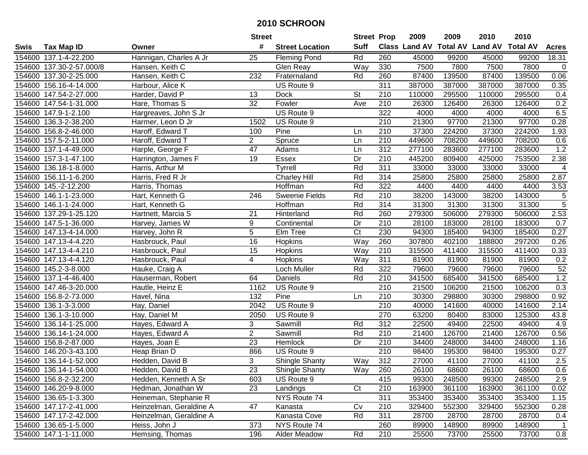|      |                          |                         | <b>Street</b>   |                        | <b>Street Prop</b> |                  | 2009   | 2009   | 2010                           | 2010            |                |
|------|--------------------------|-------------------------|-----------------|------------------------|--------------------|------------------|--------|--------|--------------------------------|-----------------|----------------|
| Swis | <b>Tax Map ID</b>        | Owner                   | #               | <b>Street Location</b> | <b>Suff</b>        |                  |        |        | Class Land AV Total AV Land AV | <b>Total AV</b> | <b>Acres</b>   |
|      | 154600 137.1-4-22.200    | Hannigan, Charles A Jr  | 25              | <b>Fleming Pond</b>    | Rd                 | 260              | 45000  | 99200  | 45000                          | 99200           | 18.31          |
|      | 154600 137.30-2-57.000/8 | Hansen, Keith C         |                 | Glen Reay              | Way                | 330              | 7500   | 7800   | 7500                           | 7800            | $\mathbf 0$    |
|      | 154600 137.30-2-25.000   | Hansen, Keith C         | 232             | Fraternaland           | Rd                 | 260              | 87400  | 139500 | 87400                          | 139500          | 0.06           |
|      | 154600 156.16-4-14.000   | Harbour, Alice K        |                 | US Route 9             |                    | $\overline{311}$ | 387000 | 387000 | 387000                         | 387000          | 0.35           |
|      | 154600 147.54-2-27.000   | Harder, David P         | 13              | <b>Dock</b>            | <b>St</b>          | 210              | 110000 | 295500 | 110000                         | 295500          | 0.4            |
|      | 154600 147.54-1-31.000   | Hare, Thomas S          | 32              | Fowler                 | Ave                | 210              | 26300  | 126400 | 26300                          | 126400          | 0.2            |
|      | 154600 147.9-1-2.100     | Hargreaves, John S Jr   |                 | US Route 9             |                    | 322              | 4000   | 4000   | 4000                           | 4000            | 6.5            |
|      | 154600 136.3-2-38.200    | Harmer, Leon D Jr       | 1502            | US Route 9             |                    | 210              | 21300  | 97700  | 21300                          | 97700           | 0.28           |
|      | 154600 156.8-2-46.000    | Haroff, Edward T        | 100             | Pine                   | Ln                 | $\overline{210}$ | 37300  | 224200 | 37300                          | 224200          | 1.93           |
|      | 154600 157.5-2-11.000    | Haroff, Edward T        | $\overline{2}$  | Spruce                 | Ln                 | 210              | 449600 | 708200 | 449600                         | 708200          | 0.6            |
|      | 154600 137.1-4-49.000    | Harple, George F        | 47              | Adams                  | Ln                 | 312              | 277100 | 283600 | 277100                         | 283600          | 1.2            |
|      | 154600 157.3-1-47.100    | Harrington, James F     | 19              | <b>Essex</b>           | Dr                 | 210              | 445200 | 809400 | 425000                         | 753500          | 2.38           |
|      | 154600 136.18-1-8.000    | Harris, Arthur M        |                 | Tyrrell                | Rd                 | 311              | 33000  | 33000  | 33000                          | 33000           | 4              |
|      | 154600 156.11-1-6.200    | Harris, Fred R Jr       |                 | <b>Charley Hill</b>    | Rd                 | 314              | 25800  | 25800  | 25800                          | 25800           | 2.87           |
|      | 154600 145.-2-12.200     | Harris, Thomas          |                 | Hoffman                | Rd                 | 322              | 4400   | 4400   | 4400                           | 4400            | 3.53           |
|      | 154600 146.1-1-23.000    | Hart, Kenneth G         | 246             | <b>Sweenie Fields</b>  | Rd                 | 210              | 38200  | 143000 | 38200                          | 143000          | $\,$ 5 $\,$    |
|      | 154600 146.1-1-24.000    | Hart, Kenneth G         |                 | Hoffman                | Rd                 | 314              | 31300  | 31300  | 31300                          | 31300           | $\overline{5}$ |
|      | 154600 137.29-1-25.120   | Hartnett, Marcia S      | 21              | Hinterland             | Rd                 | 260              | 279300 | 506000 | 279300                         | 506000          | 2.53           |
|      | 154600 147.5-1-36.000    | Harvey, James W         | 9               | Continental            | Dr                 | 210              | 28100  | 183000 | 28100                          | 183000          | 0.7            |
|      | 154600 147.13-4-14.000   | Harvey, John R          | $\overline{5}$  | Elm Tree               | C <sub>t</sub>     | 230              | 94300  | 185400 | 94300                          | 185400          | 0.27           |
|      | 154600 147.13-4-4.220    | Hasbrouck, Paul         | $\overline{16}$ | Hopkins                | Way                | 260              | 307800 | 402100 | 188800                         | 297200          | 0.26           |
|      | 154600 147.13-4-4.210    | Hasbrouck, Paul         | 15              | Hopkins                | Way                | 210              | 315500 | 411400 | 315500                         | 411400          | 0.33           |
|      | 154600 147.13-4-4.120    | Hasbrouck, Paul         | 4               | Hopkins                | Way                | 311              | 81900  | 81900  | 81900                          | 81900           | 0.2            |
|      | 154600 145.2-3-8.000     | Hauke, Craig A          |                 | Loch Muller            | Rd                 | 322              | 79600  | 79600  | 79600                          | 79600           | 52             |
|      | 154600 137.1-4-46.400    | Hauserman, Robert       | 64              | Daniels                | Rd                 | $\overline{210}$ | 341500 | 685400 | 341500                         | 685400          | 1.2            |
|      | 154600 147.46-3-20.000   | Hautle, Heinz E         | 1162            | US Route 9             |                    | 210              | 21500  | 106200 | 21500                          | 106200          | 0.3            |
|      | 154600 156.8-2-73.000    | Havel, Nina             | 132             | Pine                   | Ln                 | 210              | 30300  | 298800 | 30300                          | 298800          | 0.92           |
|      | 154600 136.1-3-3.000     | Hay, Daniel             | 2042            | US Route 9             |                    | 210              | 40000  | 141600 | 40000                          | 141600          | 2.14           |
|      | 154600 136.1-3-10.000    | Hay, Daniel M           | 2050            | US Route 9             |                    | 270              | 63200  | 80400  | 83000                          | 125300          | 43.8           |
|      | 154600 136.14-1-25.000   | Hayes, Edward A         | 3               | Sawmill                | Rd                 | $\overline{312}$ | 22500  | 49400  | 22500                          | 49400           | 4.9            |
|      | 154600 136.14-1-24.000   | Hayes, Edward A         | $\overline{2}$  | Sawmill                | Rd                 | $\overline{210}$ | 21400  | 126700 | 21400                          | 126700          | 0.56           |
|      | 154600 156.8-2-87.000    | Hayes, Joan E           | $\overline{23}$ | Hemlock                | Dr                 | 210              | 34400  | 248000 | 34400                          | 248000          | 1.16           |
|      | 154600 146.20-3-43.100   | Heap Brian D            | 866             | US Route 9             |                    | 210              | 98400  | 195300 | 98400                          | 195300          | 0.27           |
|      | 154600 136.14-1-52.000   | Hedden, David B         | 3               | Shingle Shanty         | Way                | 312              | 27000  | 41100  | 27000                          | 41100           | 2.5            |
|      | 154600 136.14-1-54.000   | Hedden, David B         | 23              | <b>Shingle Shanty</b>  | Way                | 260              | 26100  | 68600  | 26100                          | 68600           | 0.6            |
|      | 154600 156.8-2-32.200    | Hedden, Kenneth A Sr    | 603             | US Route 9             |                    | 415              | 99300  | 248500 | 99300                          | 248500          | 2.9            |
|      | 154600 146.20-9-8.000    | Hedman, Jonathan W      | 23              | Landings               | C <sub>t</sub>     | 210              | 163900 | 361100 | 163900                         | 361100          | 0.02           |
|      | 154600 136.65-1-3.300    | Heineman, Stephanie R   |                 | NYS Route 74           |                    | 311              | 353400 | 353400 | 353400                         | 353400          | 1.15           |
|      | 154600 147.17-2-41.000   | Heinzelman, Geraldine A | 47              | Kanasta                | Cv                 | 210              | 329400 | 552300 | 329400                         | 552300          | 0.28           |
|      | 154600 147.17-2-42.000   | Heinzelman, Geraldine A |                 | Kanasta Cove           | Rd                 | 311              | 28700  | 28700  | 28700                          | 28700           | 0.4            |
|      | 154600 136.65-1-5.000    | Heiss, John J           | 373             | NYS Route 74           |                    | 260              | 89900  | 148900 | 89900                          | 148900          | 1              |
|      | 154600 147.1-1-11.000    | Hemsing, Thomas         | 196             | Alder Meadow           | Rd                 | 210              | 25500  | 73700  | 25500                          | 73700           | 0.8            |
|      |                          |                         |                 |                        |                    |                  |        |        |                                |                 |                |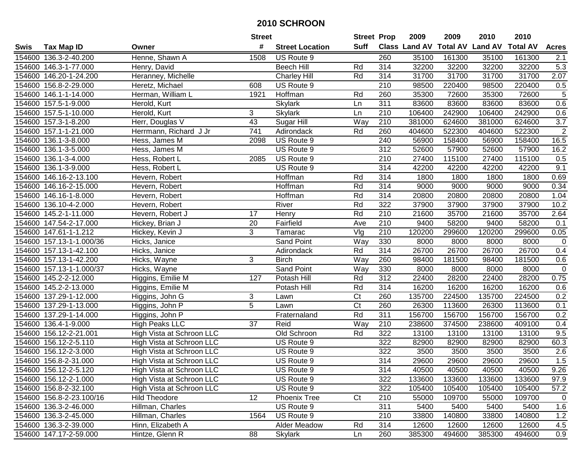|        |                          |                           | <b>Street</b>    |                        | <b>Street Prop</b> |                  | 2009   | 2009   | 2010                                    | 2010   |                  |
|--------|--------------------------|---------------------------|------------------|------------------------|--------------------|------------------|--------|--------|-----------------------------------------|--------|------------------|
| Swis   | <b>Tax Map ID</b>        | Owner                     | #                | <b>Street Location</b> | <b>Suff</b>        |                  |        |        | Class Land AV Total AV Land AV Total AV |        | <b>Acres</b>     |
|        | 154600 136.3-2-40.200    | Henne, Shawn A            | 1508             | US Route 9             |                    | 260              | 35100  | 161300 | 35100                                   | 161300 | 2.1              |
|        | 154600 146.3-1-77.000    | Henry, David              |                  | <b>Beech Hill</b>      | Rd                 | 314              | 32200  | 32200  | 32200                                   | 32200  | 5.3              |
|        | 154600 146.20-1-24.200   | Heranney, Michelle        |                  | <b>Charley Hill</b>    | Rd                 | 314              | 31700  | 31700  | 31700                                   | 31700  | 2.07             |
|        | 154600 156.8-2-29.000    | Heretz, Michael           | 608              | US Route 9             |                    | 210              | 98500  | 220400 | 98500                                   | 220400 | 0.5              |
|        | 154600 146.1-1-14.000    | Herman, William L         | 1921             | Hoffman                | Rd                 | 260              | 35300  | 72600  | 35300                                   | 72600  | $\overline{5}$   |
|        | 154600 157.5-1-9.000     | Herold, Kurt              |                  | Skylark                | Ln                 | 311              | 83600  | 83600  | 83600                                   | 83600  | 0.6              |
|        | 154600 157.5-1-10.000    | Herold, Kurt              | 3                | <b>Skylark</b>         | Ln                 | 210              | 106400 | 242900 | 106400                                  | 242900 | 0.6              |
|        | 154600 157.3-1-8.200     | Herr, Douglas V           | 43               | Sugar Hill             | Way                | $\overline{210}$ | 381000 | 624600 | 381000                                  | 624600 | $\overline{3.7}$ |
|        | 154600 157.1-1-21.000    | Herrmann, Richard J Jr    | $\overline{741}$ | Adirondack             | Rd                 | 260              | 404600 | 522300 | 404600                                  | 522300 | $\overline{2}$   |
|        | 154600 136.1-3-8.000     | Hess, James M             | 2098             | US Route 9             |                    | 240              | 56900  | 158400 | 56900                                   | 158400 | 16.5             |
|        | 154600 136.1-3-5.000     | Hess, James M             |                  | US Route 9             |                    | 312              | 52600  | 57900  | 52600                                   | 57900  | 16.2             |
|        | 154600 136.1-3-4.000     | Hess, Robert L            | 2085             | US Route 9             |                    | 210              | 27400  | 115100 | 27400                                   | 115100 | 0.5              |
|        | 154600 136.1-3-9.000     | Hess, Robert L            |                  | US Route 9             |                    | 314              | 42200  | 42200  | 42200                                   | 42200  | 9.1              |
| 154600 | 146.16-2-13.100          | Hevern, Robert            |                  | Hoffman                | Rd                 | 314              | 1800   | 1800   | 1800                                    | 1800   | 0.69             |
|        | 154600 146.16-2-15.000   | Hevern, Robert            |                  | Hoffman                | Rd                 | 314              | 9000   | 9000   | 9000                                    | 9000   | 0.34             |
|        | 154600 146.16-1-8.000    | Hevern, Robert            |                  | Hoffman                | Rd                 | 314              | 20800  | 20800  | 20800                                   | 20800  | 1.04             |
|        | 154600 136.10-4-2.000    | Hevern, Robert            |                  | River                  | Rd                 | 322              | 37900  | 37900  | 37900                                   | 37900  | 10.2             |
|        | 154600 145.2-1-11.000    | Hevern, Robert J          | 17               | Henry                  | Rd                 | 210              | 21600  | 35700  | 21600                                   | 35700  | 2.64             |
|        | 154600 147.54-2-17.000   | Hickey, Brian J           | 20               | Fairfield              | Ave                | 210              | 9400   | 58200  | 9400                                    | 58200  | 0.1              |
|        | 154600 147.61-1-1.212    | Hickey, Kevin J           | 3                | Tamarac                | Vlg                | 210              | 120200 | 299600 | 120200                                  | 299600 | 0.05             |
|        | 154600 157.13-1-1.000/36 | Hicks, Janice             |                  | Sand Point             | Way                | 330              | 8000   | 8000   | 8000                                    | 8000   | $\overline{0}$   |
|        | 154600 157.13-1-42.100   | Hicks, Janice             |                  | Adirondack             | Rd                 | 314              | 26700  | 26700  | 26700                                   | 26700  | 0.4              |
|        | 154600 157.13-1-42.200   | Hicks, Wayne              | 3                | <b>Birch</b>           | Way                | 260              | 98400  | 181500 | 98400                                   | 181500 | 0.6              |
|        | 154600 157.13-1-1.000/37 | Hicks, Wayne              |                  | Sand Point             | Way                | 330              | 8000   | 8000   | 8000                                    | 8000   | $\mathbf 0$      |
|        | 154600 145.2-2-12.000    | Higgins, Emilie M         | 127              | Potash Hill            | Rd                 | 312              | 22400  | 28200  | 22400                                   | 28200  | 0.75             |
|        | 154600 145.2-2-13.000    | Higgins, Emilie M         |                  | Potash Hill            | Rd                 | 314              | 16200  | 16200  | 16200                                   | 16200  | 0.6              |
|        | 154600 137.29-1-12.000   | Higgins, John G           | 3                | Lawn                   | Ct                 | 260              | 135700 | 224500 | 135700                                  | 224500 | 0.2              |
|        | 154600 137.29-1-13.000   | Higgins, John P           | $\overline{5}$   | Lawn                   | Ct                 | 260              | 26300  | 113600 | 26300                                   | 113600 | 0.1              |
|        | 154600 137.29-1-14.000   | Higgins, John P           |                  | Fraternaland           | Rd                 | 311              | 156700 | 156700 | 156700                                  | 156700 | 0.2              |
|        | 154600 136.4-1-9.000     | <b>High Peaks LLC</b>     | $\overline{37}$  | Reid                   | Way                | $\overline{210}$ | 238600 | 374500 | 238600                                  | 409100 | 0.4              |
|        | 154600 156.12-2-21.001   | High Vista at Schroon LLC |                  | Old Schroon            | Rd                 | 322              | 13100  | 13100  | 13100                                   | 13100  | 9.5              |
|        | 154600 156.12-2-5.110    | High Vista at Schroon LLC |                  | US Route 9             |                    | 322              | 82900  | 82900  | 82900                                   | 82900  | 60.3             |
|        | 154600 156.12-2-3.000    | High Vista at Schroon LLC |                  | US Route 9             |                    | 322              | 3500   | 3500   | 3500                                    | 3500   | 2.6              |
|        | 154600 156.8-2-31.000    | High Vista at Schroon LLC |                  | US Route 9             |                    | $\overline{314}$ | 29600  | 29600  | 29600                                   | 29600  | 1.5              |
|        | 154600 156.12-2-5.120    | High Vista at Schroon LLC |                  | US Route 9             |                    | 314              | 40500  | 40500  | 40500                                   | 40500  | 9.26             |
|        | 154600 156.12-2-1.000    | High Vista at Schroon LLC |                  | US Route 9             |                    | 322              | 133600 | 133600 | 133600                                  | 133600 | 97.9             |
|        | 154600 156.8-2-32.100    | High Vista at Schroon LLC |                  | US Route 9             |                    | 322              | 105400 | 105400 | 105400                                  | 105400 | 57.2             |
|        | 154600 156.8-2-23.100/16 | <b>Hild Theodore</b>      | 12               | <b>Phoenix Tree</b>    | Ct                 | 210              | 55000  | 109700 | 55000                                   | 109700 | $\mathbf{0}$     |
|        | 154600 136.3-2-46.000    | Hillman, Charles          |                  | US Route 9             |                    | 311              | 5400   | 5400   | 5400                                    | 5400   | 1.6              |
|        | 154600 136.3-2-45.000    | Hillman, Charles          | 1564             | US Route 9             |                    | 210              | 33800  | 140800 | 33800                                   | 140800 | 1.2              |
|        | 154600 136.3-2-39.000    | Hinn, Elizabeth A         |                  | Alder Meadow           | Rd                 | 314              | 12600  | 12600  | 12600                                   | 12600  | 4.5              |
|        | 154600 147.17-2-59.000   | Hintze, Glenn R           | 88               | Skylark                | Ln                 | 260              | 385300 | 494600 | 385300                                  | 494600 | 0.9              |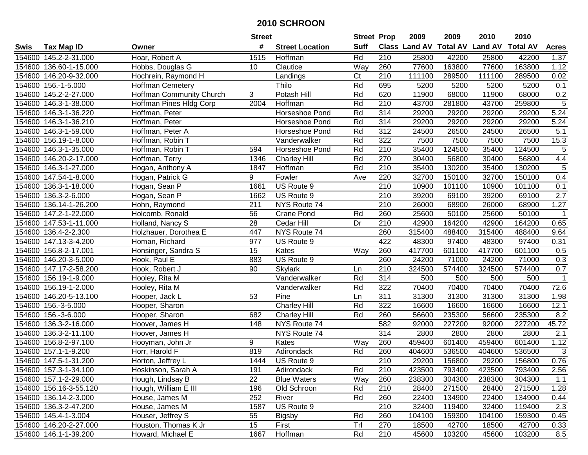|      |                        |                          | <b>Street</b> |                        | <b>Street Prop</b> |                  | 2009                          | 2009   | 2010           | 2010            |                |
|------|------------------------|--------------------------|---------------|------------------------|--------------------|------------------|-------------------------------|--------|----------------|-----------------|----------------|
| Swis | <b>Tax Map ID</b>      | Owner                    | #             | <b>Street Location</b> | <b>Suff</b>        |                  | <b>Class Land AV Total AV</b> |        | <b>Land AV</b> | <b>Total AV</b> | <b>Acres</b>   |
|      | 154600 145.2-2-31.000  | Hoar, Robert A           | 1515          | Hoffman                | Rd                 | 210              | 25800                         | 42200  | 25800          | 42200           | 1.37           |
|      | 154600 136.60-1-15.000 | Hobbs, Douglas G         | 10            | Clautice               | Way                | 260              | 77600                         | 163800 | 77600          | 163800          | 1.12           |
|      | 154600 146.20-9-32.000 | Hochrein, Raymond H      |               | Landings               | Ct                 | 210              | 111100                        | 289500 | 111100         | 289500          | 0.02           |
|      | 154600 156.-1-5.000    | <b>Hoffman Cemetery</b>  |               | Thilo                  | Rd                 | 695              | 5200                          | 5200   | 5200           | 5200            | 0.1            |
|      | 154600 145.2-2-27.000  | Hoffman Community Church | 3             | Potash Hill            | Rd                 | 620              | 11900                         | 68000  | 11900          | 68000           | 0.2            |
|      | 154600 146.3-1-38.000  | Hoffman Pines Hldg Corp  | 2004          | Hoffman                | Rd                 | $\overline{210}$ | 43700                         | 281800 | 43700          | 259800          | $\overline{5}$ |
|      | 154600 146.3-1-36.220  | Hoffman, Peter           |               | Horseshoe Pond         | Rd                 | 314              | 29200                         | 29200  | 29200          | 29200           | 5.24           |
|      | 154600 146.3-1-36.210  | Hoffman, Peter           |               | Horseshoe Pond         | Rd                 | 314              | 29200                         | 29200  | 29200          | 29200           | 5.24           |
|      | 154600 146.3-1-59.000  | Hoffman, Peter A         |               | Horseshoe Pond         | Rd                 | 312              | 24500                         | 26500  | 24500          | 26500           | 5.1            |
|      | 154600 156.19-1-8.000  | Hoffman, Robin T         |               | Vanderwalker           | Rd                 | 322              | 7500                          | 7500   | 7500           | 7500            | 15.3           |
|      | 154600 146.3-1-35.000  | Hoffman, Robin T         | 594           | Horseshoe Pond         | Rd                 | 210              | 35400                         | 124500 | 35400          | 124500          | 5              |
|      | 154600 146.20-2-17.000 | Hoffman, Terry           | 1346          | <b>Charley Hill</b>    | Rd                 | 270              | 30400                         | 56800  | 30400          | 56800           | 4.4            |
|      | 154600 146.3-1-27.000  | Hogan, Anthony A         | 1847          | Hoffman                | Rd                 | 210              | 35400                         | 130200 | 35400          | 130200          | 5              |
|      | 154600 147.54-1-8.000  | Hogan, Patrick G         | 9             | Fowler                 | Ave                | 220              | 32700                         | 150100 | 32700          | 150100          | 0.4            |
|      | 154600 136.3-1-18.000  | Hogan, Sean P            | 1661          | US Route 9             |                    | 210              | 10900                         | 101100 | 10900          | 101100          | 0.1            |
|      | 154600 136.3-2-6.000   | Hogan, Sean P            | 1662          | US Route 9             |                    | 210              | 39200                         | 69100  | 39200          | 69100           | 2.7            |
|      | 154600 136.14-1-26.200 | Hohn, Raymond            | 211           | NYS Route 74           |                    | 210              | 26000                         | 68900  | 26000          | 68900           | 1.27           |
|      | 154600 147.2-1-22.000  | Holcomb, Ronald          | 56            | Crane Pond             | Rd                 | 260              | 25600                         | 50100  | 25600          | 50100           | $\mathbf 1$    |
|      | 154600 147.53-1-11.000 | Holland, Nancy S         | 28            | Cedar Hill             | Dr                 | 210              | 42900                         | 164200 | 42900          | 164200          | 0.65           |
|      | 154600 136.4-2-2.300   | Holzhauer, Dorothea E    | 447           | NYS Route 74           |                    | 260              | 315400                        | 488400 | 315400         | 488400          | 9.64           |
|      | 154600 147.13-3-4.200  | Homan, Richard           | 977           | US Route 9             |                    | 422              | 48300                         | 97400  | 48300          | 97400           | 0.31           |
|      | 154600 156.8-2-17.001  | Honsinger, Sandra S      | 15            | Kates                  | Way                | 260              | 417700                        | 601100 | 417700         | 601100          | 0.5            |
|      | 154600 146.20-3-5.000  | Hook, Paul E             | 883           | US Route 9             |                    | 260              | 24200                         | 71000  | 24200          | 71000           | 0.3            |
|      | 154600 147.17-2-58.200 | Hook, Robert J           | 90            | <b>Skylark</b>         | Ln                 | 210              | 324500                        | 574400 | 324500         | 574400          | 0.7            |
|      | 154600 156.19-1-9.000  | Hooley, Rita M           |               | Vanderwalker           | Rd                 | 314              | 500                           | 500    | 500            | 500             | $\mathbf{1}$   |
|      | 154600 156.19-1-2.000  | Hooley, Rita M           |               | Vanderwalker           | Rd                 | 322              | 70400                         | 70400  | 70400          | 70400           | 72.6           |
|      | 154600 146.20-5-13.100 | Hooper, Jack L           | 53            | Pine                   | Ln                 | 311              | 31300                         | 31300  | 31300          | 31300           | 1.98           |
|      | 154600 156.-3-5.000    | Hooper, Sharon           |               | <b>Charley Hill</b>    | Rd                 | 322              | 16600                         | 16600  | 16600          | 16600           | 12.1           |
|      | 154600 156.-3-6.000    | Hooper, Sharon           | 682           | <b>Charley Hill</b>    | Rd                 | 260              | 56600                         | 235300 | 56600          | 235300          | 8.2            |
|      | 154600 136.3-2-16.000  | Hoover, James H          | 148           | NYS Route 74           |                    | 582              | 92000                         | 227200 | 92000          | 227200          | 45.72          |
|      | 154600 136.3-2-11.100  | Hoover, James H          |               | NYS Route 74           |                    | 314              | 2800                          | 2800   | 2800           | 2800            | 2.1            |
|      | 154600 156.8-2-97.100  | Hooyman, John Jr         | 9             | Kates                  | Way                | 260              | 459400                        | 601400 | 459400         | 601400          | 1.12           |
|      | 154600 157.1-1-9.200   | Horr, Harold F           | 819           | Adirondack             | Rd                 | 260              | 404600                        | 536500 | 404600         | 536500          | 3              |
|      | 154600 147.5-1-31.200  | Horton, Jeffrey L        | 1444          | US Route 9             |                    | $\overline{210}$ | 29200                         | 156800 | 29200          | 156800          | 0.76           |
|      | 154600 157.3-1-34.100  | Hoskinson, Sarah A       | 191           | Adirondack             | Rd                 | 210              | 423500                        | 793400 | 423500         | 793400          | 2.56           |
|      | 154600 157.1-2-29.000  | Hough, Lindsay B         | 22            | <b>Blue Waters</b>     | Way                | 260              | 238300                        | 304300 | 238300         | 304300          | $1.1$          |
|      | 154600 156.16-3-55.120 | Hough, William E III     | 196           | Old Schroon            | Rd                 | 210              | 28400                         | 271500 | 28400          | 271500          | 1.28           |
|      | 154600 136.14-2-3.000  | House, James M           | 252           | River                  | Rd                 | 260              | 22400                         | 134900 | 22400          | 134900          | 0.44           |
|      | 154600 136.3-2-47.200  | House, James M           | 1587          | US Route 9             |                    | 210              | 32400                         | 119400 | 32400          | 119400          | 2.3            |
|      | 154600 145.4-1-3.004   | Houser, Jeffrey S        | 55            | <b>Bigsby</b>          | Rd                 | 260              | 104100                        | 159300 | 104100         | 159300          | 0.45           |
|      | 154600 146.20-2-27.000 | Houston, Thomas K Jr     | 15            | First                  | Trl                | 270              | 18500                         | 42700  | 18500          | 42700           | 0.33           |
|      | 154600 146.1-1-39.200  | Howard, Michael E        | 1667          | Hoffman                | Rd                 | 210              | 45600                         | 103200 | 45600          | 103200          | 8.5            |
|      |                        |                          |               |                        |                    |                  |                               |        |                |                 |                |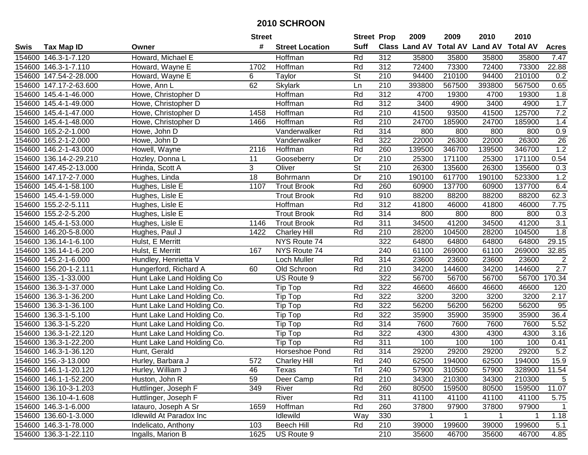|        |                        |                                | <b>Street</b>    |                             | <b>Street Prop</b>       |                  | 2009                 | 2009   | 2010                    | 2010            |                  |
|--------|------------------------|--------------------------------|------------------|-----------------------------|--------------------------|------------------|----------------------|--------|-------------------------|-----------------|------------------|
| Swis   | <b>Tax Map ID</b>      | Owner                          | #                | <b>Street Location</b>      | <b>Suff</b>              |                  | <b>Class Land AV</b> |        | <b>Total AV Land AV</b> | <b>Total AV</b> | <b>Acres</b>     |
|        | 154600 146.3-1-7.120   | Howard, Michael E              |                  | Hoffman                     | Rd                       | 312              | 35800                | 35800  | 35800                   | 35800           | 7.47             |
|        | 154600 146.3-1-7.110   | Howard, Wayne E                | 1702             | Hoffman                     | Rd                       | 312              | 72400                | 73300  | 72400                   | 73300           | 22.88            |
|        | 154600 147.54-2-28.000 | Howard, Wayne E                | 6                | Taylor                      | <b>St</b>                | 210              | 94400                | 210100 | 94400                   | 210100          | 0.2              |
|        | 154600 147.17-2-63.600 | Howe, Ann L                    | 62               | <b>Skylark</b>              | Ln                       | 210              | 393800               | 567500 | 393800                  | 567500          | 0.65             |
|        | 154600 145.4-1-46.000  | Howe, Christopher D            |                  | <b>Hoffman</b>              | Rd                       | $\overline{312}$ | 4700                 | 19300  | 4700                    | 19300           | 1.8              |
|        | 154600 145.4-1-49.000  | Howe, Christopher D            |                  | <b>Hoffman</b>              | Rd                       | 312              | 3400                 | 4900   | 3400                    | 4900            | 1.7              |
|        | 154600 145.4-1-47.000  | Howe, Christopher D            | 1458             | Hoffman                     | Rd                       | 210              | 41500                | 93500  | 41500                   | 125700          | 7.2              |
|        | 154600 145.4-1-48.000  | Howe, Christopher D            | 1466             | Hoffman                     | Rd                       | 210              | 24700                | 185900 | 24700                   | 185900          | 1.4              |
|        | 154600 165.2-2-1.000   | Howe, John D                   |                  | Vanderwalker                | Rd                       | 314              | 800                  | 800    | 800                     | 800             | 0.9              |
|        | 154600 165.2-1-2.000   | Howe, John D                   |                  | Vanderwalker                | Rd                       | 322              | 22000                | 26300  | 22000                   | 26300           | 26               |
|        | 154600 146.2-1-43.000  | Howell, Wayne                  | 2116             | Hoffman                     | Rd                       | 260              | 139500               | 346700 | 139500                  | 346700          | 1.2              |
|        | 154600 136.14-2-29.210 | Hozley, Donna L                | 11               | Gooseberry                  | Dr                       | 210              | 25300                | 171100 | 25300                   | 171100          | 0.54             |
|        | 154600 147.45-2-13.000 | Hrinda, Scott A                | 3                | Oliver                      | $\overline{\mathsf{St}}$ | 210              | 26300                | 135600 | 26300                   | 135600          | 0.3              |
|        | 154600 147.17-2-7.000  | Hughes, Linda                  | 18               | Bohrmann                    | Dr                       | 210              | 190100               | 617700 | 190100                  | 523300          | 1.2              |
|        | 154600 145.4-1-58.100  | Hughes, Lisle E                | 1107             | <b>Trout Brook</b>          | Rd                       | 260              | 60900                | 137700 | 60900                   | 137700          | 6.4              |
|        | 154600 145.4-1-59.000  | Hughes, Lisle E                |                  | <b>Trout Brook</b>          | Rd                       | 910              | 88200                | 88200  | 88200                   | 88200           | 62.3             |
|        | 154600 155.2-2-5.111   | Hughes, Lisle E                |                  | Hoffman                     | Rd                       | 312              | 41800                | 46000  | 41800                   | 46000           | 7.75             |
|        | 154600 155.2-2-5.200   | Hughes, Lisle E                |                  | Trout Brook                 | Rd                       | 314              | 800                  | 800    | 800                     | 800             | 0.3              |
|        | 154600 145.4-1-53.000  | Hughes, Lisle E                | 1146             | <b>Trout Brook</b>          | Rd                       | 311              | 34500                | 41200  | 34500                   | 41200           | $\overline{3.1}$ |
|        | 154600 146.20-5-8.000  | Hughes, Paul J                 | 1422             | Charley Hill                | Rd                       | 210              | 28200                | 104500 | 28200                   | 104500          | 1.8              |
|        | 154600 136.14-1-6.100  | Hulst, E Merritt               |                  | NYS Route 74                |                          | 322              | 64800                | 64800  | 64800                   | 64800           | 29.15            |
|        | 154600 136.14-1-6.200  | Hulst, E Merritt               | 167              | NYS Route 74                |                          | 240              | 61100                | 269000 | 61100                   | 269000          | 32.85            |
| 154600 | 145.2-1-6.000          | Hundley, Henrietta V           |                  | Loch Muller                 | Rd                       | 314              | 23600                | 23600  | 23600                   | 23600           | $\overline{2}$   |
| 154600 | 156.20-1-2.111         | Hungerford, Richard A          | 60               | Old Schroon                 | Rd                       | 210              | 34200                | 144600 | 34200                   | 144600          | 2.7              |
|        | 154600 135.-1-33.000   | Hunt Lake Land Holding Co      |                  | US Route 9                  |                          | 322              | 56700                | 56700  | 56700                   | 56700           | 170.34           |
|        | 154600 136.3-1-37.000  | Hunt Lake Land Holding Co.     |                  | Tip Top                     | Rd                       | 322              | 46600                | 46600  | 46600                   | 46600           | 120              |
|        | 154600 136.3-1-36.200  | Hunt Lake Land Holding Co.     |                  | Tip Top                     | Rd                       | 322              | 3200                 | 3200   | 3200                    | 3200            | 2.17             |
|        | 154600 136.3-1-36.100  | Hunt Lake Land Holding Co.     |                  | Tip Top                     | Rd                       | 322              | 56200                | 56200  | 56200                   | 56200           | 95               |
|        | 154600 136.3-1-5.100   | Hunt Lake Land Holding Co.     |                  | Tip Top                     | Rd                       | 322              | 35900                | 35900  | 35900                   | 35900           | 36.4             |
|        | 154600 136.3-1-5.220   | Hunt Lake Land Holding Co.     |                  | Tip Top                     | Rd                       | 314              | 7600                 | 7600   | 7600                    | 7600            | 5.52             |
|        | 154600 136.3-1-22.120  | Hunt Lake Land Holding Co.     |                  | Tip Top                     | Rd                       | 322              | 4300                 | 4300   | 4300                    | 4300            | 3.16             |
|        | 154600 136.3-1-22.200  | Hunt Lake Land Holding Co.     |                  | $\overline{\text{Tip}}$ Top | Rd                       | 311              | 100                  | 100    | 100                     | 100             | 0.41             |
|        | 154600 146.3-1-36.120  | Hunt, Gerald                   |                  | Horseshoe Pond              | Rd                       | $\overline{314}$ | 29200                | 29200  | 29200                   | 29200           | 5.2              |
|        | 154600 156.-3-13.000   | Hurley, Barbara J              | $\overline{572}$ | <b>Charley Hill</b>         | Rd                       | 240              | 62500                | 194000 | 62500                   | 194000          | 15.9             |
|        | 154600 146.1-1-20.120  | Hurley, William J              | 46               | Texas                       | Trl                      | 240              | 57900                | 310500 | 57900                   | 328900          | 11.54            |
|        | 154600 146.1-1-52.200  | Huston, John R                 | 59               | Deer Camp                   | Rd                       | 210              | 34300                | 210300 | 34300                   | 210300          | 5                |
|        | 154600 136.10-3-1.203  | Huttlinger, Joseph F           | 349              | River                       | Rd                       | 260              | 80500                | 159500 | 80500                   | 159500          | 11.07            |
|        | 154600 136.10-4-1.608  | Huttlinger, Joseph F           |                  | River                       | Rd                       | 311              | 41100                | 41100  | 41100                   | 41100           | 5.75             |
|        | 154600 146.3-1-6.000   | latauro, Joseph A Sr           | 1659             | Hoffman                     | Rd                       | 260              | 37800                | 97900  | 37800                   | 97900           | $\overline{1}$   |
|        | 154600 136.60-1-3.000  | <b>Idlewild At Paradox Inc</b> |                  | Idlewild                    | Way                      | 330              | 1                    |        |                         | 1               | 1.18             |
|        | 154600 146.3-1-78.000  | Indelicato, Anthony            | 103              | <b>Beech Hill</b>           | Rd                       | 210              | 39000                | 199600 | 39000                   | 199600          | 5.1              |
|        | 154600 136.3-1-22.110  | Ingalls, Marion B              | 1625             | US Route 9                  |                          | 210              | 35600                | 46700  | 35600                   | 46700           | 4.85             |
|        |                        |                                |                  |                             |                          |                  |                      |        |                         |                 |                  |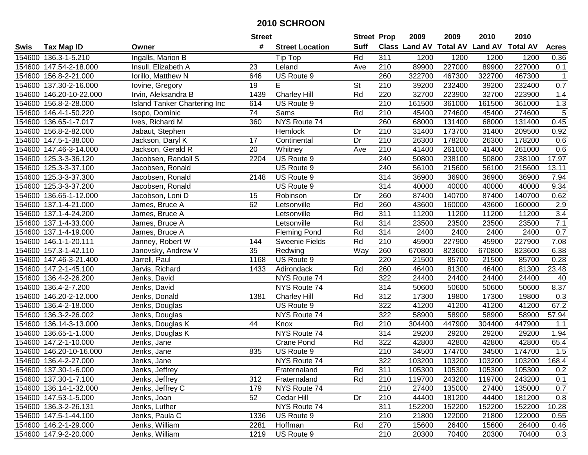|      |                         |                                     | <b>Street</b> |                        | <b>Street Prop</b> |                  | 2009   | 2009   | 2010                           | 2010            |                |
|------|-------------------------|-------------------------------------|---------------|------------------------|--------------------|------------------|--------|--------|--------------------------------|-----------------|----------------|
| Swis | <b>Tax Map ID</b>       | Owner                               | #             | <b>Street Location</b> | <b>Suff</b>        |                  |        |        | Class Land AV Total AV Land AV | <b>Total AV</b> | <b>Acres</b>   |
|      | 154600 136.3-1-5.210    | Ingalls, Marion B                   |               | Tip Top                | Rd                 | 311              | 1200   | 1200   | 1200                           | 1200            | 0.36           |
|      | 154600 147.54-2-18.000  | Insull, Elizabeth A                 | 23            | Leland                 | Ave                | 210              | 89900  | 227000 | 89900                          | 227000          | 0.1            |
|      | 154600 156.8-2-21.000   | Iorillo, Matthew N                  | 646           | US Route 9             |                    | 260              | 322700 | 467300 | 322700                         | 467300          | $\mathbf{1}$   |
|      | 154600 137.30-2-16.000  | lovine, Gregory                     | 19            | E                      | St                 | 210              | 39200  | 232400 | 39200                          | 232400          | $0.7\,$        |
|      | 154600 146.20-10-22.000 | Irvin, Aleksandra B                 | 1439          | <b>Charley Hill</b>    | Rd                 | 220              | 32700  | 223900 | 32700                          | 223900          | 1.4            |
|      | 154600 156.8-2-28.000   | <b>Island Tanker Chartering Inc</b> | 614           | US Route 9             |                    | $\overline{210}$ | 161500 | 361000 | 161500                         | 361000          | 1.3            |
|      | 154600 146.4-1-50.220   | Isopo, Dominic                      | 74            | Sams                   | Rd                 | 210              | 45400  | 274600 | 45400                          | 274600          | $\overline{5}$ |
|      | 154600 136.65-1-7.017   | Ives, Richard M                     | 360           | NYS Route 74           |                    | 260              | 68000  | 131400 | 68000                          | 131400          | 0.45           |
|      | 154600 156.8-2-82.000   | Jabaut, Stephen                     |               | Hemlock                | Dr                 | $\overline{210}$ | 31400  | 173700 | 31400                          | 209500          | 0.92           |
|      | 154600 147.5-1-38.000   | Jackson, Daryl K                    | 17            | Continental            | Dr                 | 210              | 26300  | 178200 | 26300                          | 178200          | 0.6            |
|      | 154600 147.46-3-14.000  | Jackson, Gerald R                   | 20            | Whitney                | Ave                | 210              | 41400  | 261000 | 41400                          | 261000          | 0.6            |
|      | 154600 125.3-3-36.120   | Jacobsen, Randall S                 | 2204          | US Route 9             |                    | 240              | 50800  | 238100 | 50800                          | 238100          | 17.97          |
|      | 154600 125.3-3-37.100   | Jacobsen, Ronald                    |               | US Route 9             |                    | 240              | 56100  | 215600 | 56100                          | 215600          | 13.11          |
|      | 154600 125.3-3-37.300   | Jacobsen, Ronald                    | 2148          | US Route 9             |                    | 314              | 36900  | 36900  | 36900                          | 36900           | 7.94           |
|      | 154600 125.3-3-37.200   | Jacobsen, Ronald                    |               | US Route 9             |                    | 314              | 40000  | 40000  | 40000                          | 40000           | 9.34           |
|      | 154600 136.65-1-12.000  | Jacobson, Loni D                    | 15            | Robinson               | Dr                 | 260              | 87400  | 140700 | 87400                          | 140700          | 0.62           |
|      | 154600 137.1-4-21.000   | James, Bruce A                      | 62            | Letsonville            | Rd                 | 260              | 43600  | 160000 | 43600                          | 160000          | 2.9            |
|      | 154600 137.1-4-24.200   | James, Bruce A                      |               | Letsonville            | Rd                 | 311              | 11200  | 11200  | 11200                          | 11200           | 3.4            |
|      | 154600 137.1-4-33.000   | James, Bruce A                      |               | Letsonville            | Rd                 | 314              | 23500  | 23500  | 23500                          | 23500           | 7.1            |
|      | 154600 137.1-4-19.000   | James, Bruce A                      |               | <b>Fleming Pond</b>    | Rd                 | 314              | 2400   | 2400   | 2400                           | 2400            | 0.7            |
|      | 154600 146.1-1-20.111   | Janney, Robert W                    | 144           | Sweenie Fields         | Rd                 | 210              | 45900  | 227900 | 45900                          | 227900          | 7.08           |
|      | 154600 157.3-1-42.110   | Janovsky, Andrew V                  | 35            | Redwing                | Way                | 260              | 670800 | 823600 | 670800                         | 823600          | 6.38           |
|      | 154600 147.46-3-21.400  | Jarrell, Paul                       | 1168          | US Route 9             |                    | 220              | 21500  | 85700  | 21500                          | 85700           | 0.28           |
|      | 154600 147.2-1-45.100   | Jarvis, Richard                     | 1433          | Adirondack             | Rd                 | 260              | 46400  | 81300  | 46400                          | 81300           | 23.48          |
|      | 154600 136.4-2-26.200   | Jenks, David                        |               | NYS Route 74           |                    | 322              | 24400  | 24400  | 24400                          | 24400           | 40             |
|      | 154600 136.4-2-7.200    | Jenks, David                        |               | NYS Route 74           |                    | 314              | 50600  | 50600  | 50600                          | 50600           | 8.37           |
|      | 154600 146.20-2-12.000  | Jenks, Donald                       | 1381          | <b>Charley Hill</b>    | Rd                 | 312              | 17300  | 19800  | 17300                          | 19800           | 0.3            |
|      | 154600 136.4-2-18.000   | Jenks, Douglas                      |               | US Route 9             |                    | 322              | 41200  | 41200  | 41200                          | 41200           | 67.2           |
|      | 154600 136.3-2-26.002   | Jenks, Douglas                      |               | NYS Route 74           |                    | $\overline{322}$ | 58900  | 58900  | 58900                          | 58900           | 57.94          |
|      | 154600 136.14-3-13.000  | Jenks, Douglas K                    | 44            | Knox                   | Rd                 | 210              | 304400 | 447900 | 304400                         | 447900          | 1.1            |
|      | 154600 136.65-1-1.000   | Jenks, Douglas K                    |               | NYS Route 74           |                    | 314              | 29200  | 29200  | 29200                          | 29200           | 1.94           |
|      | 154600 147.2-1-10.000   | Jenks, Jane                         |               | Crane Pond             | Rd                 | 322              | 42800  | 42800  | 42800                          | 42800           | 65.4           |
|      | 154600 146.20-10-16.000 | Jenks, Jane                         | 835           | US Route 9             |                    | $\overline{210}$ | 34500  | 174700 | 34500                          | 174700          | 1.5            |
|      | 154600 136.4-2-27.000   | Jenks, Jane                         |               | NYS Route 74           |                    | 322              | 103200 | 103200 | 103200                         | 103200          | 168.4          |
|      | 154600 137.30-1-6.000   | Jenks, Jeffrey                      |               | Fraternaland           | Rd                 | 311              | 105300 | 105300 | 105300                         | 105300          | 0.2            |
|      | 154600 137.30-1-7.100   | Jenks, Jeffrey                      | 312           | Fraternaland           | Rd                 | 210              | 119700 | 243200 | 119700                         | 243200          | 0.1            |
|      | 154600 136.14-1-32.000  | Jenks, Jeffrey C                    | 179           | NYS Route 74           |                    | 210              | 27400  | 135000 | 27400                          | 135000          | 0.7            |
|      | 154600 147.53-1-5.000   | Jenks, Joan                         | 52            | Cedar Hill             | Dr                 | 210              | 44400  | 181200 | 44400                          | 181200          | 0.8            |
|      | 154600 136.3-2-26.131   | Jenks, Luther                       |               | NYS Route 74           |                    | 311              | 152200 | 152200 | 152200                         | 152200          | 10.28          |
|      | 154600 147.5-1-44.100   | Jenks, Paula C                      | 1336          | US Route 9             |                    | 210              | 21800  | 122000 | 21800                          | 122000          | 0.55           |
|      | 154600 146.2-1-29.000   | Jenks, William                      | 2281          | Hoffman                | Rd                 | 270              | 15600  | 26400  | 15600                          | 26400           | 0.46           |
|      | 154600 147.9-2-20.000   | Jenks, William                      | 1219          | US Route 9             |                    | 210              | 20300  | 70400  | 20300                          | 70400           | 0.3            |
|      |                         |                                     |               |                        |                    |                  |        |        |                                |                 |                |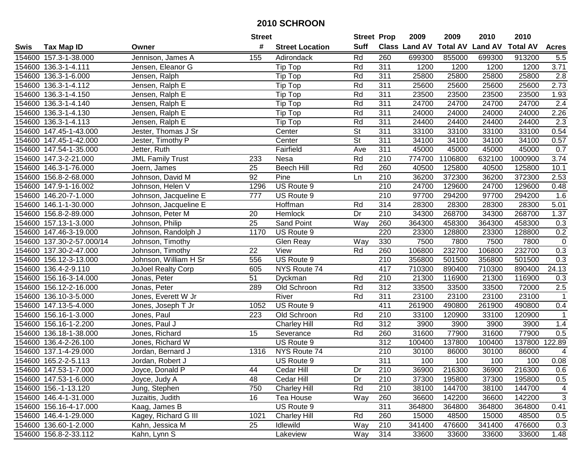|        |                           |                           | <b>Street</b> |                               | <b>Street Prop</b> |     | 2009   | 2009    | 2010                                    | 2010    |                  |
|--------|---------------------------|---------------------------|---------------|-------------------------------|--------------------|-----|--------|---------|-----------------------------------------|---------|------------------|
| Swis   | <b>Tax Map ID</b>         | Owner                     | #             | <b>Street Location</b>        | <b>Suff</b>        |     |        |         | Class Land AV Total AV Land AV Total AV |         | <b>Acres</b>     |
|        | 154600 157.3-1-38.000     | Jennison, James A         | 155           | Adirondack                    | Rd                 | 260 | 699300 | 855000  | 699300                                  | 913200  | 5.5              |
|        | 154600 136.3-1-4.111      | Jensen, Eleanor G         |               | $\overline{\mathsf{Tip}}$ Top | Rd                 | 311 | 1200   | 1200    | 1200                                    | 1200    | 3.71             |
|        | 154600 136.3-1-6.000      | Jensen, Ralph             |               | Tip Top                       | Rd                 | 311 | 25800  | 25800   | 25800                                   | 25800   | 2.8              |
|        | 154600 136.3-1-4.112      | Jensen, Ralph E           |               | Tip Top                       | Rd                 | 311 | 25600  | 25600   | 25600                                   | 25600   | 2.73             |
|        | 154600 136.3-1-4.150      | Jensen, Ralph E           |               | Tip Top                       | Rd                 | 311 | 23500  | 23500   | 23500                                   | 23500   | 1.93             |
|        | 154600 136.3-1-4.140      | Jensen, Ralph E           |               | Tip Top                       | Rd                 | 311 | 24700  | 24700   | 24700                                   | 24700   | $\overline{2.4}$ |
|        | 154600 136.3-1-4.130      | Jensen, Ralph E           |               | Tip Top                       | Rd                 | 311 | 24000  | 24000   | 24000                                   | 24000   | 2.26             |
|        | 154600 136.3-1-4.113      | Jensen, Ralph E           |               | Tip Top                       | Rd                 | 311 | 24400  | 24400   | 24400                                   | 24400   | 2.3              |
|        | 154600 147.45-1-43.000    | Jester, Thomas J Sr       |               | Center                        | $\overline{St}$    | 311 | 33100  | 33100   | 33100                                   | 33100   | 0.54             |
|        | 154600 147.45-1-42.000    | Jester, Timothy P         |               | Center                        | St                 | 311 | 34100  | 34100   | 34100                                   | 34100   | 0.57             |
|        | 154600 147.54-1-35.000    | Jetter, Ruth              |               | Fairfield                     | Ave                | 311 | 45000  | 45000   | 45000                                   | 45000   | 0.7              |
|        | 154600 147.3-2-21.000     | <b>JML Family Trust</b>   | 233           | Nesa                          | Rd                 | 210 | 774700 | 1106800 | 632100                                  | 1000900 | 3.74             |
|        | 154600 146.3-1-76.000     | Joern, James              | 25            | <b>Beech Hill</b>             | Rd                 | 260 | 40500  | 125800  | 40500                                   | 125800  | 10.1             |
|        | 154600 156.8-2-68.000     | Johnson, David M          | 92            | Pine                          | Ln                 | 210 | 36200  | 372300  | 36200                                   | 372300  | 2.53             |
| 154600 | 147.9-1-16.002            | Johnson, Helen V          | 1296          | US Route 9                    |                    | 210 | 24700  | 129600  | 24700                                   | 129600  | 0.48             |
|        | 154600 146.20-7-1.000     | Johnson, Jacqueline E     | 777           | US Route 9                    |                    | 210 | 97700  | 294200  | 97700                                   | 294200  | 1.6              |
|        | 154600 146.1-1-30.000     | Johnson, Jacqueline E     |               | Hoffman                       | Rd                 | 314 | 28300  | 28300   | 28300                                   | 28300   | 5.01             |
|        | 154600 156.8-2-89.000     | Johnson, Peter M          | 20            | Hemlock                       | Dr                 | 210 | 34300  | 268700  | 34300                                   | 268700  | 1.37             |
|        | 154600 157.13-1-3.000     | Johnson, Philip           | 25            | Sand Point                    | Way                | 260 | 364300 | 458300  | 364300                                  | 458300  | 0.3              |
|        | 154600 147.46-3-19.000    | Johnson, Randolph J       | 1170          | US Route 9                    |                    | 220 | 23300  | 128800  | 23300                                   | 128800  | 0.2              |
|        | 154600 137.30-2-57.000/14 | Johnson, Timothy          |               | Glen Reay                     | Way                | 330 | 7500   | 7800    | 7500                                    | 7800    | $\mathbf 0$      |
|        | 154600 137.30-2-47.000    | Johnson, Timothy          | 22            | View                          | Rd                 | 260 | 106800 | 232700  | 106800                                  | 232700  | 0.3              |
|        | 154600 156.12-3-13.000    | Johnson, William H Sr     | 556           | US Route 9                    |                    | 210 | 356800 | 501500  | 356800                                  | 501500  | 0.3              |
|        | 154600 136.4-2-9.110      | <b>JoJoel Realty Corp</b> | 605           | NYS Route 74                  |                    | 417 | 710300 | 890400  | 710300                                  | 890400  | 24.13            |
|        | 154600 156.16-3-14.000    | Jonas, Peter              | 51            | Dyckman                       | Rd                 | 210 | 21300  | 116900  | 21300                                   | 116900  | 0.3              |
|        | 154600 156.12-2-16.000    | Jonas, Peter              | 289           | Old Schroon                   | Rd                 | 312 | 33500  | 33500   | 33500                                   | 72000   | 2.5              |
|        | 154600 136.10-3-5.000     | Jones, Everett W Jr       |               | River                         | Rd                 | 311 | 23100  | 23100   | 23100                                   | 23100   | $\overline{1}$   |
|        | 154600 147.13-5-4.000     | Jones, Joseph T Jr        | 1052          | US Route 9                    |                    | 411 | 261900 | 490800  | 261900                                  | 490800  | 0.4              |
|        | 154600 156.16-1-3.000     | Jones, Paul               | 223           | Old Schroon                   | Rd                 | 210 | 33100  | 120900  | 33100                                   | 120900  | $\mathbf{1}$     |
|        | 154600 156.16-1-2.200     | Jones, Paul J             |               | <b>Charley Hill</b>           | Rd                 | 312 | 3900   | 3900    | 3900                                    | 3900    | 1.4              |
| 154600 | 136.18-1-38.000           | Jones, Richard            | 15            | Severance                     | Rd                 | 260 | 31600  | 77900   | 31600                                   | 77900   | 0.5              |
|        | 154600 136.4-2-26.100     | Jones, Richard W          |               | US Route 9                    |                    | 312 | 100400 | 137800  | 100400                                  | 137800  | 122.89           |
|        | 154600 137.1-4-29.000     | Jordan, Bernard J         | 1316          | NYS Route 74                  |                    | 210 | 30100  | 86000   | 30100                                   | 86000   | 4                |
|        | 154600 165.2-2-5.113      | Jordan, Robert J          |               | US Route 9                    |                    | 311 | 100    | 100     | 100                                     | 100     | 0.08             |
|        | 154600 147.53-1-7.000     | Joyce, Donald P           | 44            | Cedar Hill                    | Dr                 | 210 | 36900  | 216300  | 36900                                   | 216300  | 0.6              |
|        | 154600 147.53-1-6.000     | Joyce, Judy A             | 48            | Cedar Hill                    | Dr                 | 210 | 37300  | 195800  | 37300                                   | 195800  | 0.5              |
|        | 154600 156.-1-13.120      | Jung, Stephen             | 750           | Charley Hill                  | Rd                 | 210 | 38100  | 144700  | 38100                                   | 144700  | 4                |
|        | 154600 146.4-1-31.000     | Juzaitis, Judith          | 16            | Tea House                     | Way                | 260 | 36600  | 142200  | 36600                                   | 142200  | 3                |
|        | 154600 156.16-4-17.000    | Kaag, James B             |               | US Route 9                    |                    | 311 | 364800 | 364800  | 364800                                  | 364800  | 0.41             |
|        | 154600 146.4-1-29.000     | Kagey, Richard G III      | 1021          | <b>Charley Hill</b>           | Rd                 | 260 | 15000  | 48500   | 15000                                   | 48500   | 0.5              |
|        | 154600 136.60-1-2.000     | Kahn, Jessica M           | 25            | Idlewild                      | Way                | 210 | 341400 | 476600  | 341400                                  | 476600  | 0.3              |
|        | 154600 156.8-2-33.112     | Kahn, Lynn S              |               | Lakeview                      | Way                | 314 | 33600  | 33600   | 33600                                   | 33600   | 1.48             |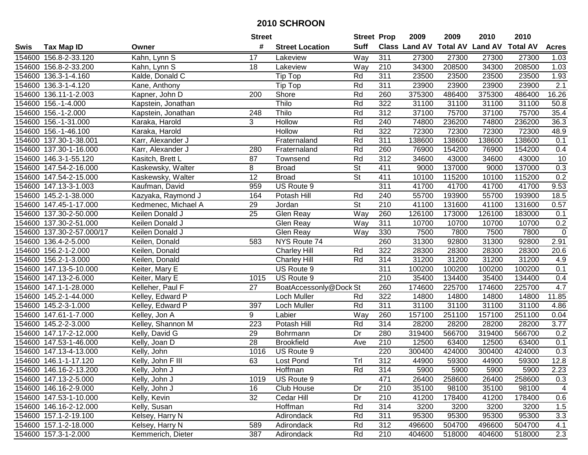|             |                           |                     | <b>Street</b>    |                        | <b>Street Prop</b>       |                  | 2009   | 2009   | 2010                                    | 2010   |              |
|-------------|---------------------------|---------------------|------------------|------------------------|--------------------------|------------------|--------|--------|-----------------------------------------|--------|--------------|
| <b>Swis</b> | <b>Tax Map ID</b>         | Owner               | #                | <b>Street Location</b> | <b>Suff</b>              |                  |        |        | Class Land AV Total AV Land AV Total AV |        | <b>Acres</b> |
|             | 154600 156.8-2-33.120     | Kahn, Lynn S        | 17               | Lakeview               | Way                      | 311              | 27300  | 27300  | 27300                                   | 27300  | 1.03         |
|             | 154600 156.8-2-33.200     | Kahn, Lynn S        | 18               | Lakeview               | Way                      | 210              | 34300  | 208500 | 34300                                   | 208500 | 1.03         |
|             | 154600 136.3-1-4.160      | Kalde, Donald C     |                  | Tip Top                | Rd                       | 311              | 23500  | 23500  | 23500                                   | 23500  | 1.93         |
|             | 154600 136.3-1-4.120      | Kane, Anthony       |                  | Tip Top                | Rd                       | 311              | 23900  | 23900  | 23900                                   | 23900  | 2.1          |
|             | 154600 136.11-1-2.003     | Kapner, John D      | 200              | Shore                  | Rd                       | 260              | 375300 | 486400 | 375300                                  | 486400 | 16.26        |
|             | 154600 156.-1-4.000       | Kapstein, Jonathan  |                  | Thilo                  | Rd                       | 322              | 31100  | 31100  | 31100                                   | 31100  | 50.8         |
|             | 154600 156.-1-2.000       | Kapstein, Jonathan  | 248              | Thilo                  | Rd                       | 312              | 37100  | 75700  | 37100                                   | 75700  | 35.4         |
|             | 154600 156.-1-31.000      | Karaka, Harold      | 3                | Hollow                 | Rd                       | 240              | 74800  | 236200 | 74800                                   | 236200 | 36.3         |
|             | 154600 156.-1-46.100      | Karaka, Harold      |                  | Hollow                 | Rd                       | 322              | 72300  | 72300  | 72300                                   | 72300  | 48.9         |
|             | 154600 137.30-1-38.001    | Karr, Alexander J   |                  | Fraternaland           | Rd                       | 311              | 138600 | 138600 | 138600                                  | 138600 | 0.1          |
|             | 154600 137.30-1-16.000    | Karr, Alexander J   | 280              | Fraternaland           | Rd                       | 260              | 76900  | 154200 | 76900                                   | 154200 | 0.4          |
|             | 154600 146.3-1-55.120     | Kasitch, Brett L    | 87               | Townsend               | Rd                       | 312              | 34600  | 43000  | 34600                                   | 43000  | 10           |
|             | 154600 147.54-2-16.000    | Kaskewsky, Walter   | 8                | <b>Broad</b>           | <b>St</b>                | 411              | 9000   | 137000 | 9000                                    | 137000 | 0.3          |
|             | 154600 147.54-2-15.000    | Kaskewsky, Walter   | 12               | <b>Broad</b>           | St                       | 411              | 10100  | 115200 | 10100                                   | 115200 | 0.2          |
|             | 154600 147.13-3-1.003     | Kaufman, David      | 959              | US Route 9             |                          | 311              | 41700  | 41700  | 41700                                   | 41700  | 9.53         |
|             | 154600 145.2-1-38.000     | Kazyaka, Raymond J  | 164              | Potash Hill            | Rd                       | 240              | 55700  | 193900 | 55700                                   | 193900 | 18.5         |
|             | 154600 147.45-1-17.000    | Kedmenec, Michael A | 29               | Jordan                 | $\overline{\mathsf{St}}$ | 210              | 41100  | 131600 | 41100                                   | 131600 | 0.57         |
|             | 154600 137.30-2-50.000    | Keilen Donald J     | 25               | Glen Reay              | Way                      | 260              | 126100 | 173000 | 126100                                  | 183000 | 0.1          |
|             | 154600 137.30-2-51.000    | Keilen Donald J     |                  | Glen Reay              | Way                      | 311              | 10700  | 10700  | 10700                                   | 10700  | 0.2          |
|             | 154600 137.30-2-57.000/17 | Keilen Donald J     |                  | Glen Reay              | Way                      | 330              | 7500   | 7800   | 7500                                    | 7800   | $\mathsf 0$  |
|             | 154600 136.4-2-5.000      | Keilen, Donald      | 583              | NYS Route 74           |                          | 260              | 31300  | 92800  | 31300                                   | 92800  | 2.91         |
|             | 154600 156.2-1-2.000      | Keilen, Donald      |                  | <b>Charley Hill</b>    | Rd                       | 322              | 28300  | 28300  | 28300                                   | 28300  | 20.6         |
|             | 154600 156.2-1-3.000      | Keilen, Donald      |                  | <b>Charley Hill</b>    | Rd                       | 314              | 31200  | 31200  | 31200                                   | 31200  | 4.9          |
|             | 154600 147.13-5-10.000    | Keiter, Mary E      |                  | US Route 9             |                          | 311              | 100200 | 100200 | 100200                                  | 100200 | 0.1          |
|             | 154600 147.13-2-6.000     | Keiter, Mary E      | 1015             | US Route 9             |                          | 210              | 35400  | 134400 | 35400                                   | 134400 | 0.4          |
|             | 154600 147.1-1-28.000     | Kelleher, Paul F    | 27               | BoatAccessonly@Dock St |                          | 260              | 174600 | 225700 | 174600                                  | 225700 | 4.7          |
|             | 154600 145.2-1-44.000     | Kelley, Edward P    |                  | Loch Muller            | Rd                       | 322              | 14800  | 14800  | 14800                                   | 14800  | 11.85        |
|             | 154600 145.2-3-1.000      | Kelley, Edward P    | 397              | Loch Muller            | Rd                       | 311              | 31100  | 31100  | 31100                                   | 31100  | 4.86         |
|             | 154600 147.61-1-7.000     | Kelley, Jon A       | 9                | Labier                 | Way                      | 260              | 157100 | 251100 | 157100                                  | 251100 | 0.04         |
|             | 154600 145.2-2-3.000      | Kelley, Shannon M   | $\overline{223}$ | Potash Hill            | Rd                       | 314              | 28200  | 28200  | 28200                                   | 28200  | 3.77         |
|             | 154600 147.17-2-12.000    | Kelly, David G      | 29               | Bohrmann               | Dr                       | 280              | 319400 | 566700 | 319400                                  | 566700 | 0.2          |
|             | 154600 147.53-1-46.000    | Kelly, Joan D       | $\overline{28}$  | <b>Brookfield</b>      | Ave                      | 210              | 12500  | 63400  | 12500                                   | 63400  | 0.1          |
|             | 154600 147.13-4-13.000    | Kelly, John         | 1016             | US Route 9             |                          | 220              | 300400 | 424000 | 300400                                  | 424000 | 0.3          |
|             | 154600 146.1-1-17.120     | Kelly, John F III   | 63               | Lost Pond              | Tr                       | $\overline{312}$ | 44900  | 59300  | 44900                                   | 59300  | 12.8         |
|             | 154600 146.16-2-13.200    | Kelly, John J       |                  | Hoffman                | Rd                       | 314              | 5900   | 5900   | 5900                                    | 5900   | 2.23         |
|             | 154600 147.13-2-5.000     | Kelly, John J       | 1019             | US Route 9             |                          | 471              | 26400  | 258600 | 26400                                   | 258600 | 0.3          |
|             | 154600 146.16-2-9.000     | Kelly, John J       | 16               | Club House             | Dr                       | 210              | 35100  | 98100  | 35100                                   | 98100  | 4            |
|             | 154600 147.53-1-10.000    | Kelly, Kevin        | 32               | Cedar Hill             | Dr                       | 210              | 41200  | 178400 | 41200                                   | 178400 | 0.6          |
|             | 154600 146.16-2-12.000    | Kelly, Susan        |                  | Hoffman                | Rd                       | 314              | 3200   | 3200   | 3200                                    | 3200   | 1.5          |
|             | 154600 157.1-2-19.100     | Kelsey, Harry N     |                  | Adirondack             | Rd                       | 311              | 95300  | 95300  | 95300                                   | 95300  | 3.3          |
|             | 154600 157.1-2-18.000     | Kelsey, Harry N     | 589              | Adirondack             | Rd                       | 312              | 496600 | 504700 | 496600                                  | 504700 | 4.1          |
|             | 154600 157.3-1-2.000      | Kemmerich, Dieter   | 387              | Adirondack             | Rd                       | 210              | 404600 | 518000 | 404600                                  | 518000 | 2.3          |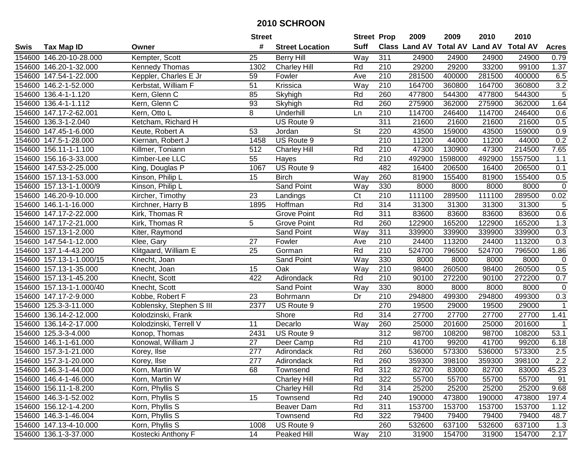|             |                          |                          | <b>Street</b>    |                        | <b>Street Prop</b>       |                  | 2009   | 2009    | 2010                                    | 2010    |                |
|-------------|--------------------------|--------------------------|------------------|------------------------|--------------------------|------------------|--------|---------|-----------------------------------------|---------|----------------|
| <b>Swis</b> | <b>Tax Map ID</b>        | Owner                    | #                | <b>Street Location</b> | <b>Suff</b>              |                  |        |         | Class Land AV Total AV Land AV Total AV |         | <b>Acres</b>   |
|             | 154600 146.20-10-28.000  | Kempter, Scott           | 25               | <b>Berry Hill</b>      | Way                      | 311              | 24900  | 24900   | 24900                                   | 24900   | 0.79           |
|             | 154600 146.20-1-32.000   | <b>Kennedy Thomas</b>    | 1302             | <b>Charley Hill</b>    | Rd                       | 210              | 29200  | 29200   | 33200                                   | 99100   | 1.37           |
|             | 154600 147.54-1-22.000   | Keppler, Charles E Jr    | 59               | Fowler                 | Ave                      | 210              | 281500 | 400000  | 281500                                  | 400000  | 6.5            |
|             | 154600 146.2-1-52.000    | Kerbstat, William F      | 51               | Krissica               | Way                      | 210              | 164700 | 360800  | 164700                                  | 360800  | 3.2            |
|             | 154600 136.4-1-1.120     | Kern, Glenn C            | 85               | Skyhigh                | Rd                       | 260              | 477800 | 544300  | 477800                                  | 544300  | $\overline{5}$ |
|             | 154600 136.4-1-1.112     | Kern, Glenn C            | 93               | Skyhigh                | Rd                       | 260              | 275900 | 362000  | 275900                                  | 362000  | 1.64           |
|             | 154600 147.17-2-62.001   | Kern, Otto L             | 8                | Underhill              | Ln                       | 210              | 114700 | 246400  | 114700                                  | 246400  | 0.6            |
|             | 154600 136.3-1-2.040     | Ketcham, Richard H       |                  | US Route 9             |                          | 311              | 21600  | 21600   | 21600                                   | 21600   | 0.5            |
|             | 154600 147.45-1-6.000    | Keute, Robert A          | 53               | Jordan                 | $\overline{\mathsf{St}}$ | 220              | 43500  | 159000  | 43500                                   | 159000  | 0.9            |
|             | 154600 147.5-1-28.000    | Kiernan, Robert J        | 1458             | US Route 9             |                          | 210              | 11200  | 44000   | 11200                                   | 44000   | 0.2            |
|             | 154600 156.11-1-1.100    | Killmer, Toniann         | 512              | <b>Charley Hill</b>    | Rd                       | 210              | 47300  | 130900  | 47300                                   | 214500  | 7.65           |
|             | 154600 156.16-3-33.000   | Kimber-Lee LLC           | 55               | Hayes                  | Rd                       | 210              | 492900 | 1598000 | 492900                                  | 1557500 | 1.1            |
|             | 154600 147.53-2-25.000   | King, Douglas P          | 1067             | US Route 9             |                          | 482              | 16400  | 206500  | 16400                                   | 206500  | 0.1            |
|             | 154600 157.13-1-53.000   | Kinson, Philip L         | 15               | <b>Birch</b>           | Way                      | 260              | 81900  | 155400  | 81900                                   | 155400  | 0.5            |
| 154600      | 157.13-1-1.000/9         | Kinson, Philip L         |                  | Sand Point             | Way                      | 330              | 8000   | 8000    | 8000                                    | 8000    | $\mathbf 0$    |
|             | 154600 146.20-9-10.000   | Kircher, Timothy         | 23               | Landings               | C <sub>t</sub>           | 210              | 111100 | 289500  | 111100                                  | 289500  | 0.02           |
|             | 154600 146.1-1-16.000    | Kirchner, Harry B        | 1895             | Hoffman                | Rd                       | 314              | 31300  | 31300   | 31300                                   | 31300   | 5              |
|             | 154600 147.17-2-22.000   | Kirk, Thomas R           |                  | <b>Grove Point</b>     | Rd                       | 311              | 83600  | 83600   | 83600                                   | 83600   | 0.6            |
|             | 154600 147.17-2-21.000   | Kirk, Thomas R           | 5                | <b>Grove Point</b>     | Rd                       | 260              | 122900 | 165200  | 122900                                  | 165200  | 1.3            |
|             | 154600 157.13-1-2.000    | Kiter, Raymond           |                  | <b>Sand Point</b>      | Way                      | 311              | 339900 | 339900  | 339900                                  | 339900  | 0.3            |
|             | 154600 147.54-1-12.000   | Klee, Gary               | 27               | Fowler                 | Ave                      | 210              | 24400  | 113200  | 24400                                   | 113200  | 0.3            |
|             | 154600 137.1-4-43.200    | Klitgaard, William E     | 25               | Gorman                 | Rd                       | 210              | 524700 | 796500  | 524700                                  | 796500  | 1.86           |
|             | 154600 157.13-1-1.000/15 | Knecht, Joan             |                  | Sand Point             | Way                      | 330              | 8000   | 8000    | 8000                                    | 8000    | 0              |
|             | 154600 157.13-1-35.000   | Knecht, Joan             | 15               | Oak                    | Way                      | 210              | 98400  | 260500  | 98400                                   | 260500  | 0.5            |
|             | 154600 157.13-1-45.200   | Knecht, Scott            | 422              | Adirondack             | Rd                       | 210              | 90100  | 272200  | 90100                                   | 272200  | 0.7            |
|             | 154600 157.13-1-1.000/40 | Knecht, Scott            |                  | <b>Sand Point</b>      | Way                      | 330              | 8000   | 8000    | 8000                                    | 8000    | $\mathbf 0$    |
|             | 154600 147.17-2-9.000    | Kobbe, Robert F          | 23               | Bohrmann               | Dr                       | 210              | 294800 | 499300  | 294800                                  | 499300  | 0.3            |
|             | 154600 125.3-3-11.000    | Koblensky, Stephen S III | 2377             | US Route 9             |                          | 270              | 19500  | 29000   | 19500                                   | 29000   | $\mathbf{1}$   |
|             | 154600 136.14-2-12.000   | Kolodzinski, Frank       |                  | Shore                  | Rd                       | 314              | 27700  | 27700   | 27700                                   | 27700   | 1.41           |
|             | 154600 136.14-2-17.000   | Kolodzinski, Terrell V   | 11               | Decarlo                | Way                      | 260              | 25000  | 201600  | 25000                                   | 201600  | $\mathbf{1}$   |
|             | 154600 125.3-3-4.000     | Konop, Thomas            | 2431             | US Route 9             |                          | 312              | 98700  | 108200  | 98700                                   | 108200  | 53.1           |
|             | 154600 146.1-1-61.000    | Konowal, William J       | $\overline{27}$  | Deer Camp              | Rd                       | $\overline{210}$ | 41700  | 99200   | 41700                                   | 99200   | 6.18           |
|             | 154600 157.3-1-21.000    | Korey, Ilse              | $\overline{277}$ | Adirondack             | Rd                       | 260              | 536000 | 573300  | 536000                                  | 573300  | 2.5            |
|             | 154600 157.3-1-20.000    | Korey, Ilse              | $\overline{277}$ | Adirondack             | Rd                       | 260              | 359300 | 398100  | 359300                                  | 398100  | 2.2            |
|             | 154600 146.3-1-44.000    | Korn, Martin W           | 68               | Townsend               | Rd                       | 312              | 82700  | 83000   | 82700                                   | 83000   | 45.23          |
|             | 154600 146.4-1-46.000    | Korn, Martin W           |                  | <b>Charley Hill</b>    | Rd                       | 322              | 55700  | 55700   | 55700                                   | 55700   | 91             |
|             | 154600 156.11-1-8.200    | Korn, Phyllis S          |                  | <b>Charley Hill</b>    | Rd                       | 314              | 25200  | 25200   | 25200                                   | 25200   | 9.68           |
|             | 154600 146.3-1-52.002    | Korn, Phyllis S          | 15               | Townsend               | Rd                       | 240              | 190000 | 473800  | 190000                                  | 473800  | 197.4          |
|             | 154600 156.12-1-4.200    | Korn, Phyllis S          |                  | Beaver Dam             | Rd                       | 311              | 153700 | 153700  | 153700                                  | 153700  | 1.12           |
|             | 154600 146.3-1-46.004    | Korn, Phyllis S          |                  | Townsend               | Rd                       | 322              | 79400  | 79400   | 79400                                   | 79400   | 48.7           |
|             | 154600 147.13-4-10.000   | Korn, Phyllis S          | 1008             | US Route 9             |                          | 260              | 532600 | 637100  | 532600                                  | 637100  | 1.3            |
|             | 154600 136.1-3-37.000    | Kostecki Anthony F       | 14               | Peaked Hill            | Way                      | 210              | 31900  | 154700  | 31900                                   | 154700  | 2.17           |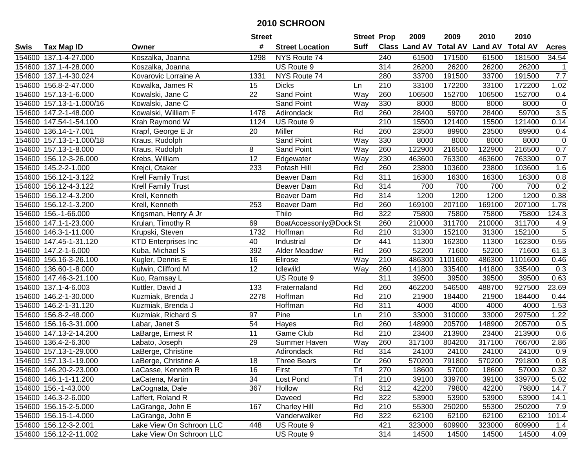|        |                          |                            | <b>Street</b>   |                        | <b>Street Prop</b> |                  | 2009   | 2009    | 2010                                    | 2010    |                |
|--------|--------------------------|----------------------------|-----------------|------------------------|--------------------|------------------|--------|---------|-----------------------------------------|---------|----------------|
| Swis   | <b>Tax Map ID</b>        | Owner                      | #               | <b>Street Location</b> | Suff               |                  |        |         | Class Land AV Total AV Land AV Total AV |         | <b>Acres</b>   |
|        | 154600 137.1-4-27.000    | Koszalka, Joanna           | 1298            | NYS Route 74           |                    | 240              | 61500  | 171500  | 61500                                   | 181500  | 34.54          |
|        | 154600 137.1-4-28.000    | Koszalka, Joanna           |                 | US Route 9             |                    | 314              | 26200  | 26200   | 26200                                   | 26200   |                |
|        | 154600 137.1-4-30.024    | Kovarovic Lorraine A       | 1331            | NYS Route 74           |                    | 280              | 33700  | 191500  | 33700                                   | 191500  | 7.7            |
|        | 154600 156.8-2-47.000    | Kowalka, James R           | 15              | <b>Dicks</b>           | Ln                 | 210              | 33100  | 172200  | 33100                                   | 172200  | 1.02           |
|        | 154600 157.13-1-6.000    | Kowalski, Jane C           | $\overline{22}$ | <b>Sand Point</b>      | Way                | 260              | 106500 | 152700  | 106500                                  | 152700  | 0.4            |
|        | 154600 157.13-1-1.000/16 | Kowalski, Jane C           |                 | Sand Point             | Way                | 330              | 8000   | 8000    | 8000                                    | 8000    | $\mathbf 0$    |
|        | 154600 147.2-1-48.000    | Kowalski, William F        | 1478            | Adirondack             | Rd                 | 260              | 28400  | 59700   | 28400                                   | 59700   | 3.5            |
|        | 154600 147.54-1-54.100   | Krah Raymond W             | 1124            | US Route 9             |                    | $\overline{210}$ | 15500  | 121400  | 15500                                   | 121400  | 0.14           |
|        | 154600 136.14-1-7.001    | Krapf, George E Jr         | 20              | Miller                 | Rd                 | 260              | 23500  | 89900   | 23500                                   | 89900   | 0.4            |
|        | 154600 157.13-1-1.000/18 | Kraus, Rudolph             |                 | Sand Point             | Way                | 330              | 8000   | 8000    | 8000                                    | 8000    | $\pmb{0}$      |
|        | 154600 157.13-1-8.000    | Kraus, Rudolph             | 8               | Sand Point             | Way                | 260              | 122900 | 216500  | 122900                                  | 216500  | 0.7            |
|        | 154600 156.12-3-26.000   | Krebs, William             | $\overline{12}$ | Edgewater              | Way                | 230              | 463600 | 763300  | 463600                                  | 763300  | 0.7            |
|        | 154600 145.2-2-1.000     | Krejci, Otaker             | 233             | Potash Hill            | Rd                 | 260              | 23800  | 103600  | 23800                                   | 103600  | 1.6            |
| 154600 | 156.12-1-3.122           | <b>Krell Family Trust</b>  |                 | <b>Beaver Dam</b>      | Rd                 | 311              | 16300  | 16300   | 16300                                   | 16300   | 0.8            |
| 154600 | 156.12-4-3.122           | <b>Krell Family Trust</b>  |                 | Beaver Dam             | Rd                 | 314              | 700    | 700     | 700                                     | 700     | 0.2            |
| 154600 | 156.12-4-3.200           | Krell, Kenneth             |                 | Beaver Dam             | Rd                 | 314              | 1200   | 1200    | 1200                                    | 1200    | 0.38           |
|        | 154600 156.12-1-3.200    | Krell, Kenneth             | 253             | Beaver Dam             | Rd                 | 260              | 169100 | 207100  | 169100                                  | 207100  | 1.78           |
|        | 154600 156.-1-66.000     | Krigsman, Henry A Jr       |                 | Thilo                  | Rd                 | 322              | 75800  | 75800   | 75800                                   | 75800   | 124.3          |
|        | 154600 147.1-1-23.000    | Krulan, Timothy R          | 69              | BoatAccessonly@Dock St |                    | 260              | 210000 | 311700  | 210000                                  | 311700  | 4.9            |
|        | 154600 146.3-1-11.000    | Krupski, Steven            | 1732            | Hoffman                | Rd                 | 210              | 31300  | 152100  | 31300                                   | 152100  | $\overline{5}$ |
|        | 154600 147.45-1-31.120   | <b>KTD Enterprises Inc</b> | 40              | Industrial             | Dr                 | 441              | 11300  | 162300  | 11300                                   | 162300  | 0.55           |
|        | 154600 147.2-1-6.000     | Kuba, Michael S            | 392             | Alder Meadow           | Rd                 | 260              | 52200  | 71600   | 52200                                   | 71600   | 61.3           |
|        | 154600 156.16-3-26.100   | Kugler, Dennis E           | 16              | Elirose                | Way                | 210              | 486300 | 1101600 | 486300                                  | 1101600 | 0.46           |
|        | 154600 136.60-1-8.000    | Kulwin, Clifford M         | 12              | Idlewild               | Way                | 260              | 141800 | 335400  | 141800                                  | 335400  | 0.3            |
|        | 154600 147.46-3-21.100   | Kuo, Ramsay L              |                 | US Route 9             |                    | 311              | 39500  | 39500   | 39500                                   | 39500   | 0.63           |
|        | 154600 137.1-4-6.003     | Kuttler, David J           | 133             | Fraternaland           | Rd                 | 260              | 462200 | 546500  | 488700                                  | 927500  | 23.69          |
|        | 154600 146.2-1-30.000    | Kuzmiak, Brenda J          | 2278            | Hoffman                | Rd                 | 210              | 21900  | 184400  | 21900                                   | 184400  | 0.44           |
|        | 154600 146.2-1-31.120    | Kuzmiak, Brenda J          |                 | Hoffman                | Rd                 | 311              | 4000   | 4000    | 4000                                    | 4000    | 1.53           |
|        | 154600 156.8-2-48.000    | Kuzmiak, Richard S         | 97              | Pine                   | Ln                 | 210              | 33000  | 310000  | 33000                                   | 297500  | 1.22           |
|        | 154600 156.16-3-31.000   | Labar, Janet S             | 54              | Hayes                  | Rd                 | 260              | 148900 | 205700  | 148900                                  | 205700  | 0.5            |
|        | 154600 147.13-2-14.200   | LaBarge, Ernest R          | 11              | Game Club              | Rd                 | 210              | 23400  | 213900  | 23400                                   | 213900  | 0.6            |
|        | 154600 136.4-2-6.300     | Labato, Joseph             | 29              | Summer Haven           | Way                | 260              | 317100 | 804200  | 317100                                  | 766700  | 2.86           |
|        | 154600 157.13-1-29.000   | LaBerge, Christine         |                 | Adirondack             | Rd                 | 314              | 24100  | 24100   | 24100                                   | 24100   | 0.9            |
|        | 154600 157.13-1-19.000   | LaBerge, Christine A       | 18              | <b>Three Bears</b>     | $\overline{Dr}$    | 260              | 570200 | 791800  | 570200                                  | 791800  | 0.8            |
|        | 154600 146.20-2-23.000   | LaCasse, Kenneth R         | 16              | First                  | Trl                | 270              | 18600  | 57000   | 18600                                   | 57000   | 0.32           |
|        | 154600 146.1-1-11.200    | LaCatena, Martin           | 34              | Lost Pond              | Trl                | 210              | 39100  | 339700  | 39100                                   | 339700  | 5.02           |
|        | 154600 156.-1-43.000     | LaCognata, Dale            | 367             | Hollow                 | Rd                 | 312              | 42200  | 79800   | 42200                                   | 79800   | 14.7           |
|        | 154600 146.3-2-6.000     | Laffert, Roland R          |                 | Daveed                 | Rd                 | 322              | 53900  | 53900   | 53900                                   | 53900   | 14.1           |
|        | 154600 156.15-2-5.000    | LaGrange, John E           | 167             | <b>Charley Hill</b>    | Rd                 | 210              | 55300  | 250200  | 55300                                   | 250200  | 7.9            |
|        | 154600 156.15-1-4.000    | LaGrange, John E           |                 | Vanderwalker           | Rd                 | 322              | 62100  | 62100   | 62100                                   | 62100   | 101.4          |
|        | 154600 156.12-3-2.001    | Lake View On Schroon LLC   | 448             | US Route 9             |                    | 421              | 323000 | 609900  | 323000                                  | 609900  | 1.4            |
|        | 154600 156.12-2-11.002   | Lake View On Schroon LLC   |                 | US Route 9             |                    | 314              | 14500  | 14500   | 14500                                   | 14500   | 4.09           |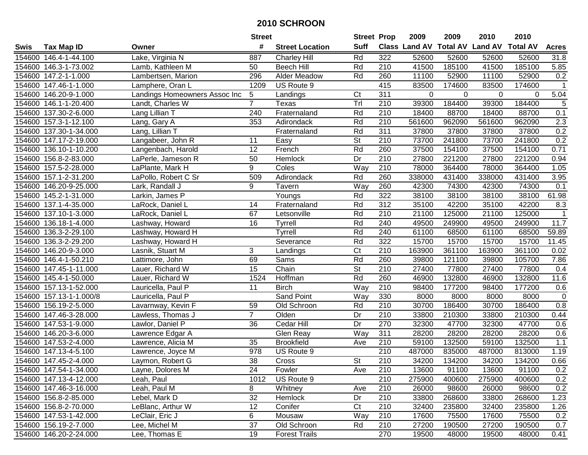|        |                         |                               | <b>Street</b>   |                        | <b>Street Prop</b>       |                  | 2009   | 2009   | 2010                                    | 2010   |              |
|--------|-------------------------|-------------------------------|-----------------|------------------------|--------------------------|------------------|--------|--------|-----------------------------------------|--------|--------------|
| Swis   | <b>Tax Map ID</b>       | Owner                         | #               | <b>Street Location</b> | <b>Suff</b>              |                  |        |        | Class Land AV Total AV Land AV Total AV |        | <b>Acres</b> |
|        | 154600 146.4-1-44.100   | Lake, Virginia N              | 887             | <b>Charley Hill</b>    | Rd                       | 322              | 52600  | 52600  | 52600                                   | 52600  | 31.8         |
|        | 154600 146.3-1-73.002   | Lamb, Kathleen M              | 50              | <b>Beech Hill</b>      | Rd                       | 210              | 41500  | 185100 | 41500                                   | 185100 | 5.85         |
|        | 154600 147.2-1-1.000    | Lambertsen, Marion            | 296             | <b>Alder Meadow</b>    | Rd                       | 260              | 11100  | 52900  | 11100                                   | 52900  | 0.2          |
|        | 154600 147.46-1-1.000   | Lamphere, Oran L              | 1209            | US Route 9             |                          | 415              | 83500  | 174600 | 83500                                   | 174600 | -1           |
|        | 154600 146.20-9-1.000   | Landings Homeowners Assoc Inc | 5               | Landings               | $\overline{\text{C}t}$   | 311              | 0      | 0      | 0                                       | 0      | 5.04         |
|        | 154600 146.1-1-20.400   | Landt, Charles W              | $\overline{7}$  | Texas                  | Tr                       | $\overline{210}$ | 39300  | 184400 | 39300                                   | 184400 | 5            |
|        | 154600 137.30-2-6.000   | Lang Lillian T                | 240             | Fraternaland           | Rd                       | $\overline{210}$ | 18400  | 88700  | 18400                                   | 88700  | 0.1          |
|        | 154600 157.3-1-12.100   | Lang, Gary A                  | 353             | Adirondack             | Rd                       | $\overline{210}$ | 561600 | 962090 | 561600                                  | 962090 | 2.3          |
|        | 154600 137.30-1-34.000  | Lang, Lillian T               |                 | Fraternaland           | Rd                       | 311              | 37800  | 37800  | 37800                                   | 37800  | 0.2          |
|        | 154600 147.17-2-19.000  | Langabeer, John R             | 11              | Easy                   | <b>St</b>                | 210              | 73700  | 241800 | 73700                                   | 241800 | 0.2          |
|        | 154600 136.10-1-10.200  | Langenbach, Harold            | 12              | French                 | Rd                       | 260              | 37500  | 154100 | 37500                                   | 154100 | 0.71         |
|        | 154600 156.8-2-83.000   | LaPerle, Jameson R            | 50              | Hemlock                | Dr                       | 210              | 27800  | 221200 | 27800                                   | 221200 | 0.94         |
|        | 154600 157.5-2-28.000   | LaPlante, Mark H              | 9               | Coles                  | Way                      | 210              | 78000  | 364400 | 78000                                   | 364400 | 1.05         |
|        | 154600 157.1-2-31.200   | LaPollo, Robert C Sr          | 509             | Adirondack             | Rd                       | 260              | 338000 | 431400 | 338000                                  | 431400 | 3.95         |
| 154600 | 146.20-9-25.000         | Lark, Randall J               | 9               | Tavern                 | Way                      | 260              | 42300  | 74300  | 42300                                   | 74300  | 0.1          |
|        | 154600 145.2-1-31.000   | Larkin, James P               |                 | Youngs                 | Rd                       | 322              | 38100  | 38100  | 38100                                   | 38100  | 61.98        |
|        | 154600 137.1-4-35.000   | LaRock, Daniel L              | 14              | Fraternaland           | Rd                       | 312              | 35100  | 42200  | 35100                                   | 42200  | 8.3          |
|        | 154600 137.10-1-3.000   | LaRock, Daniel L              | 67              | Letsonville            | Rd                       | 210              | 21100  | 125000 | 21100                                   | 125000 | $\mathbf 1$  |
|        | 154600 136.18-1-4.000   | Lashway, Howard               | 16              | Tyrrell                | Rd                       | 240              | 49500  | 249900 | 49500                                   | 249900 | 11.7         |
|        | 154600 136.3-2-29.100   | Lashway, Howard H             |                 | Tyrrell                | Rd                       | 240              | 61100  | 68500  | 61100                                   | 68500  | 59.89        |
|        | 154600 136.3-2-29.200   | Lashway, Howard H             |                 | Severance              | Rd                       | 322              | 15700  | 15700  | 15700                                   | 15700  | 11.45        |
|        | 154600 146.20-9-3.000   | Lasnik, Stuart M              | 3               | Landings               | Ct                       | 210              | 163900 | 361100 | 163900                                  | 361100 | 0.02         |
|        | 154600 146.4-1-50.210   | Lattimore, John               | 69              | Sams                   | Rd                       | 260              | 39800  | 121100 | 39800                                   | 105700 | 7.86         |
|        | 154600 147.45-1-11.000  | Lauer, Richard W              | 15              | Chain                  | $\overline{\mathsf{St}}$ | 210              | 27400  | 77800  | 27400                                   | 77800  | 0.4          |
|        | 154600 145.4-1-50.000   | Lauer, Richard W              | 1524            | Hoffman                | Rd                       | 260              | 46900  | 132800 | 46900                                   | 132800 | 11.6         |
|        | 154600 157.13-1-52.000  | Lauricella, Paul P            | 11              | <b>Birch</b>           | Way                      | 210              | 98400  | 177200 | 98400                                   | 177200 | 0.6          |
|        | 154600 157.13-1-1.000/8 | Lauricella, Paul P            |                 | <b>Sand Point</b>      | Way                      | 330              | 8000   | 8000   | 8000                                    | 8000   | $\pmb{0}$    |
|        | 154600 156.19-2-5.000   | Lavarnway, Kevin F            | 59              | Old Schroon            | Rd                       | 210              | 30700  | 186400 | 30700                                   | 186400 | 0.8          |
|        | 154600 147.46-3-28.000  | Lawless, Thomas J             | $\overline{7}$  | Olden                  | Dr                       | 210              | 33800  | 210300 | 33800                                   | 210300 | 0.44         |
|        | 154600 147.53-1-9.000   | Lawlor, Daniel P              | 36              | Cedar Hill             | Dr                       | 270              | 32300  | 47700  | 32300                                   | 47700  | 0.6          |
|        | 154600 146.20-3-6.000   | Lawrence Edgar A              |                 | Glen Reay              | Way                      | 311              | 28200  | 28200  | 28200                                   | 28200  | 0.6          |
|        | 154600 147.53-2-4.000   | Lawrence, Alicia M            | $\overline{35}$ | <b>Brookfield</b>      | Ave                      | $\overline{210}$ | 59100  | 132500 | 59100                                   | 132500 | 1.1          |
|        | 154600 147.13-4-5.100   | Lawrence, Joyce M             | 978             | US Route 9             |                          | $\overline{210}$ | 487000 | 835000 | 487000                                  | 813000 | 1.19         |
|        | 154600 147.45-2-4.000   | Laymon, Robert G              | $\overline{38}$ | Cross                  | $\overline{\mathsf{St}}$ | $\overline{210}$ | 34200  | 134200 | 34200                                   | 134200 | 0.66         |
|        | 154600 147.54-1-34.000  | Layne, Dolores M              | 24              | Fowler                 | Ave                      | 210              | 13600  | 91100  | 13600                                   | 91100  | 0.2          |
|        | 154600 147.13-4-12.000  | Leah, Paul                    | 1012            | US Route 9             |                          | 210              | 275900 | 400600 | 275900                                  | 400600 | 0.2          |
|        | 154600 147.46-3-16.000  | Leah, Paul M                  | 8               | Whitney                | Ave                      | 210              | 26000  | 98600  | 26000                                   | 98600  | 0.2          |
|        | 154600 156.8-2-85.000   | Lebel, Mark D                 | 32              | Hemlock                | Dr                       | 210              | 33800  | 268600 | 33800                                   | 268600 | 1.23         |
|        | 154600 156.8-2-70.000   | LeBlanc, Arthur W             | 12              | Conifer                | C <sub>t</sub>           | 210              | 32400  | 235800 | 32400                                   | 235800 | 1.26         |
|        | 154600 147.53-1-42.000  | LeClair, Eric J               | 6               | Mousaw                 | Way                      | 210              | 17600  | 75500  | 17600                                   | 75500  | 0.2          |
|        | 154600 156.19-2-7.000   | Lee, Michel M                 | 37              | Old Schroon            | Rd                       | 210              | 27200  | 190500 | 27200                                   | 190500 | 0.7          |
|        | 154600 146.20-2-24.000  | Lee, Thomas E                 | 19              | <b>Forest Trails</b>   |                          | 270              | 19500  | 48000  | 19500                                   | 48000  | 0.41         |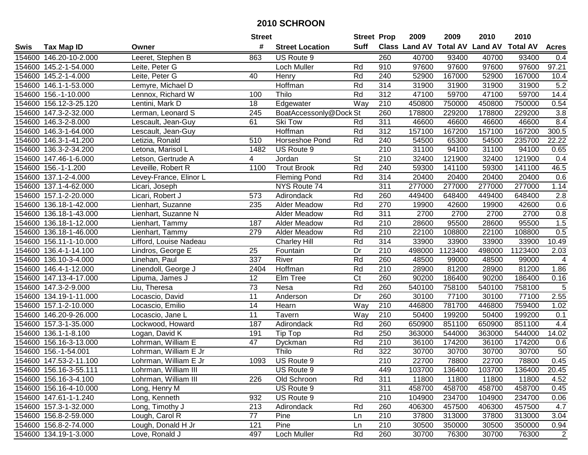|      |                        |                        | <b>Street</b>    |                        | <b>Street Prop</b>     |                  | 2009   | 2009    | 2010                                    | 2010    |                         |
|------|------------------------|------------------------|------------------|------------------------|------------------------|------------------|--------|---------|-----------------------------------------|---------|-------------------------|
| Swis | Tax Map ID             | Owner                  | #                | <b>Street Location</b> | <b>Suff</b>            |                  |        |         | Class Land AV Total AV Land AV Total AV |         | <b>Acres</b>            |
|      | 154600 146.20-10-2.000 | Leeret, Stephen B      | 863              | US Route 9             |                        | 260              | 40700  | 93400   | 40700                                   | 93400   | 0.4                     |
|      | 154600 145.2-1-54.000  | Leite, Peter G         |                  | Loch Muller            | Rd                     | 910              | 97600  | 97600   | 97600                                   | 97600   | 97.21                   |
|      | 154600 145.2-1-4.000   | Leite, Peter G         | 40               | Henry                  | Rd                     | 240              | 52900  | 167000  | 52900                                   | 167000  | 10.4                    |
|      | 154600 146.1-1-53.000  | Lemyre, Michael D      |                  | Hoffman                | Rd                     | 314              | 31900  | 31900   | 31900                                   | 31900   | 5.2                     |
|      | 154600 156.-1-10.000   | Lennox, Richard W      | 100              | Thilo                  | Rd                     | 312              | 47100  | 59700   | 47100                                   | 59700   | 14.4                    |
|      | 154600 156.12-3-25.120 | Lentini, Mark D        | 18               | Edgewater              | Way                    | 210              | 450800 | 750000  | 450800                                  | 750000  | 0.54                    |
|      | 154600 147.3-2-32.000  | Lerman, Leonard S      | $\overline{245}$ | BoatAccessonly@Dock St |                        | 260              | 178800 | 229200  | 178800                                  | 229200  | $\overline{3.8}$        |
|      | 154600 146.3-2-8.000   | Lescault, Jean-Guy     | 61               | <b>Ski Tow</b>         | Rd                     | 311              | 46600  | 46600   | 46600                                   | 46600   | 8.4                     |
|      | 154600 146.3-1-64.000  | Lescault, Jean-Guy     |                  | Hoffman                | Rd                     | $\overline{312}$ | 157100 | 167200  | 157100                                  | 167200  | 300.5                   |
|      | 154600 146.3-1-41.200  | Letizia, Ronald        | 510              | Horseshoe Pond         | Rd                     | 240              | 54500  | 65300   | 54500                                   | 235700  | 22.22                   |
|      | 154600 136.3-2-34.200  | Letona, Marisol L      | 1482             | US Route 9             |                        | 210              | 31100  | 94100   | 31100                                   | 94100   | 0.65                    |
|      | 154600 147.46-1-6.000  | Letson, Gertrude A     | 4                | Jordan                 | <b>St</b>              | 210              | 32400  | 121900  | 32400                                   | 121900  | 0.4                     |
|      | 154600 156.-1-1.200    | Leveille, Robert R     | 1100             | <b>Trout Brook</b>     | Rd                     | 240              | 59300  | 141100  | 59300                                   | 141100  | 46.5                    |
|      | 154600 137.1-2-4.000   | Levey-France, Elinor L |                  | <b>Fleming Pond</b>    | Rd                     | 314              | 20400  | 20400   | 20400                                   | 20400   | 0.6                     |
|      | 154600 137.1-4-62.000  | Licari, Joseph         |                  | NYS Route 74           |                        | 311              | 277000 | 277000  | 277000                                  | 277000  | 1.14                    |
|      | 154600 157.1-2-20.000  | Licari, Robert J       | 573              | Adirondack             | Rd                     | 260              | 449400 | 648400  | 449400                                  | 648400  | 2.8                     |
|      | 154600 136.18-1-42.000 | Lienhart, Suzanne      | 235              | Alder Meadow           | Rd                     | 270              | 19900  | 42600   | 19900                                   | 42600   | 0.6                     |
|      | 154600 136.18-1-43.000 | Lienhart, Suzanne N    |                  | <b>Alder Meadow</b>    | Rd                     | 311              | 2700   | 2700    | 2700                                    | 2700    | 0.8                     |
|      | 154600 136.18-1-12.000 | Lienhart, Tammy        | 187              | <b>Alder Meadow</b>    | Rd                     | 210              | 28600  | 95500   | 28600                                   | 95500   | 1.5                     |
|      | 154600 136.18-1-46.000 | Lienhart, Tammy        | 279              | Alder Meadow           | Rd                     | $\overline{210}$ | 22100  | 108800  | 22100                                   | 108800  | 0.5                     |
|      | 154600 156.11-1-10.000 | Lifford, Louise Nadeau |                  | <b>Charley Hill</b>    | Rd                     | 314              | 33900  | 33900   | 33900                                   | 33900   | 10.49                   |
|      | 154600 136.4-1-14.100  | Lindros, George E      | 25               | Fountain               | Dr                     | 210              | 498000 | 1123400 | 498000                                  | 1123400 | 2.03                    |
|      | 154600 136.10-3-4.000  | Linehan, Paul          | 337              | River                  | Rd                     | 260              | 48500  | 99000   | 48500                                   | 99000   | $\overline{\mathbf{4}}$ |
|      | 154600 146.4-1-12.000  | Linendoll, George J    | 2404             | Hoffman                | Rd                     | 210              | 28900  | 81200   | 28900                                   | 81200   | 1.86                    |
|      | 154600 147.13-4-17.000 | Lipuma, James J        | 12               | Elm Tree               | $\overline{\text{C}t}$ | 260              | 90200  | 186400  | 90200                                   | 186400  | 0.16                    |
|      | 154600 147.3-2-9.000   | Liu, Theresa           | 73               | Nesa                   | Rd                     | 260              | 540100 | 758100  | 540100                                  | 758100  | $\sqrt{5}$              |
|      | 154600 134.19-1-11.000 | Locascio, David        | 11               | Anderson               | Dr                     | 260              | 30100  | 77100   | 30100                                   | 77100   | 2.55                    |
|      | 154600 157.1-2-10.000  | Locascio, Emilio       | 14               | Hearn                  | Way                    | 210              | 446800 | 781700  | 446800                                  | 759400  | 1.02                    |
|      | 154600 146.20-9-26.000 | Locascio, Jane L       | 11               | Tavern                 | Way                    | 210              | 50400  | 199200  | 50400                                   | 199200  | 0.1                     |
|      | 154600 157.3-1-35.000  | Lockwood, Howard       | 187              | Adirondack             | Rd                     | 260              | 650900 | 851100  | 650900                                  | 851100  | 4.4                     |
|      | 154600 136.1-1-8.100   | Logan, David K         | 191              | Tip Top                | Rd                     | 250              | 363000 | 544000  | 363000                                  | 544000  | 14.02                   |
|      | 154600 156.16-3-13.000 | Lohrman, William E     | $\overline{47}$  | Dyckman                | Rd                     | 210              | 36100  | 174200  | 36100                                   | 174200  | 0.6                     |
|      | 154600 156.-1-54.001   | Lohrman, William E Jr  |                  | Thilo                  | Rd                     | 322              | 30700  | 30700   | 30700                                   | 30700   | 50                      |
|      | 154600 147.53-2-11.100 | Lohrman, William E Jr  | 1093             | US Route 9             |                        | $\overline{210}$ | 22700  | 78800   | 22700                                   | 78800   | 0.45                    |
|      | 154600 156.16-3-55.111 | Lohrman, William III   |                  | US Route 9             |                        | 449              | 103700 | 136400  | 103700                                  | 136400  | 20.45                   |
|      | 154600 156.16-3-4.100  | Lohrman, William III   | 226              | Old Schroon            | Rd                     | 311              | 11800  | 11800   | 11800                                   | 11800   | 4.52                    |
|      | 154600 156.16-4-10.000 | Long, Henry M          |                  | US Route 9             |                        | 311              | 458700 | 458700  | 458700                                  | 458700  | 0.45                    |
|      | 154600 147.61-1-1.240  | Long, Kenneth          | 932              | US Route 9             |                        | 210              | 104900 | 234700  | 104900                                  | 234700  | 0.06                    |
|      | 154600 157.3-1-32.000  | Long, Timothy J        | 213              | Adirondack             | Rd                     | 260              | 406300 | 457500  | 406300                                  | 457500  | 4.7                     |
|      | 154600 156.8-2-59.000  | Lough, Carol R         | 77               | Pine                   | Ln                     | 210              | 37800  | 313000  | 37800                                   | 313000  | 3.04                    |
|      | 154600 156.8-2-74.000  | Lough, Donald H Jr     | 121              | Pine                   | Ln                     | 210              | 30500  | 350000  | 30500                                   | 350000  | 0.94                    |
|      | 154600 134.19-1-3.000  | Love, Ronald J         | 497              | Loch Muller            | Rd                     | 260              | 30700  | 76300   | 30700                                   | 76300   | $\overline{2}$          |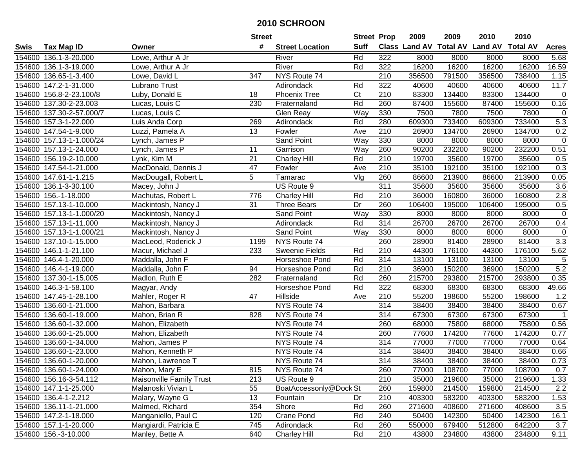|        |                          |                                 | <b>Street</b>   |                        | <b>Street Prop</b> |                  | 2009   | 2009   | 2010                                    | 2010   |              |
|--------|--------------------------|---------------------------------|-----------------|------------------------|--------------------|------------------|--------|--------|-----------------------------------------|--------|--------------|
| Swis   | <b>Tax Map ID</b>        | Owner                           | #               | <b>Street Location</b> | <b>Suff</b>        |                  |        |        | Class Land AV Total AV Land AV Total AV |        | <b>Acres</b> |
|        | 154600 136.1-3-20.000    | Lowe, Arthur A Jr               |                 | River                  | Rd                 | 322              | 8000   | 8000   | 8000                                    | 8000   | 5.68         |
|        | 154600 136.1-3-19.000    | Lowe, Arthur A Jr               |                 | River                  | Rd                 | 322              | 16200  | 16200  | 16200                                   | 16200  | 16.59        |
|        | 154600 136.65-1-3.400    | Lowe, David L                   | 347             | NYS Route 74           |                    | 210              | 356500 | 791500 | 356500                                  | 738400 | 1.15         |
|        | 154600 147.2-1-31.000    | Lubrano Trust                   |                 | Adirondack             | Rd                 | 322              | 40600  | 40600  | 40600                                   | 40600  | 11.7         |
|        | 154600 156.8-2-23.100/8  | Luby, Donald E                  | 18              | <b>Phoenix Tree</b>    | C <sub>t</sub>     | 210              | 83300  | 134400 | 83300                                   | 134400 | $\mathbf 0$  |
|        | 154600 137.30-2-23.003   | Lucas, Louis C                  | 230             | Fraternaland           | Rd                 | 260              | 87400  | 155600 | 87400                                   | 155600 | 0.16         |
|        | 154600 137.30-2-57.000/7 | Lucas, Louis C                  |                 | Glen Reay              | Way                | 330              | 7500   | 7800   | 7500                                    | 7800   | $\mathbf 0$  |
|        | 154600 157.3-1-22.000    | Luis Anda Corp                  | 269             | Adirondack             | Rd                 | 280              | 609300 | 733400 | 609300                                  | 733400 | 5.3          |
|        | 154600 147.54-1-9.000    | Luzzi, Pamela A                 | $\overline{13}$ | Fowler                 | Ave                | $\overline{210}$ | 26900  | 134700 | 26900                                   | 134700 | 0.2          |
|        | 154600 157.13-1-1.000/24 | Lynch, James P                  |                 | Sand Point             | Way                | 330              | 8000   | 8000   | 8000                                    | 8000   | $\mathbf 0$  |
|        | 154600 157.13-1-24.000   | Lynch, James P                  | 11              | Garrison               | Way                | 260              | 90200  | 232200 | 90200                                   | 232200 | 0.51         |
|        | 154600 156.19-2-10.000   | Lynk, Kim M                     | 21              | <b>Charley Hill</b>    | Rd                 | 210              | 19700  | 35600  | 19700                                   | 35600  | 0.5          |
|        | 154600 147.54-1-21.000   | MacDonald, Dennis J             | 47              | Fowler                 | Ave                | 210              | 35100  | 192100 | 35100                                   | 192100 | 0.3          |
|        | 154600 147.61-1-1.215    | MacDougall, Robert L            | 5               | Tamarac                | Vlg                | 260              | 86600  | 213900 | 86600                                   | 213900 | 0.05         |
|        | 154600 136.1-3-30.100    | Macey, John J                   |                 | US Route 9             |                    | 311              | 35600  | 35600  | 35600                                   | 35600  | 3.6          |
|        | 154600 156.-1-18.000     | Machutas, Robert L              | 776             | <b>Charley Hill</b>    | Rd                 | 210              | 36000  | 160800 | 36000                                   | 160800 | $2.8$        |
|        | 154600 157.13-1-10.000   | Mackintosh, Nancy J             | 31              | <b>Three Bears</b>     | Dr                 | 260              | 106400 | 195000 | 106400                                  | 195000 | 0.5          |
|        | 154600 157.13-1-1.000/20 | Mackintosh, Nancy J             |                 | Sand Point             | Way                | 330              | 8000   | 8000   | 8000                                    | 8000   | $\pmb{0}$    |
|        | 154600 157.13-1-11.000   | Mackintosh, Nancy J             |                 | Adirondack             | Rd                 | 314              | 26700  | 26700  | 26700                                   | 26700  | 0.4          |
|        | 154600 157.13-1-1.000/21 | Mackintosh, Nancy J             |                 | <b>Sand Point</b>      | Way                | 330              | 8000   | 8000   | 8000                                    | 8000   | $\mathbf 0$  |
|        | 154600 137.10-1-15.000   | MacLeod, Roderick J             | 1199            | NYS Route 74           |                    | 260              | 28900  | 81400  | 28900                                   | 81400  | 3.3          |
|        | 154600 146.1-1-21.100    | Macur, Michael J                | 233             | <b>Sweenie Fields</b>  | Rd                 | 210              | 44300  | 176100 | 44300                                   | 176100 | 5.62         |
| 154600 | 146.4-1-20.000           | Maddalla, John F                |                 | Horseshoe Pond         | Rd                 | 314              | 13100  | 13100  | 13100                                   | 13100  | $\sqrt{5}$   |
| 154600 | 146.4-1-19.000           | Maddalla, John F                | 94              | Horseshoe Pond         | Rd                 | 210              | 36900  | 150200 | 36900                                   | 150200 | 5.2          |
|        | 154600 137.30-1-15.005   | Madlon, Ruth E                  | 282             | Fraternaland           | Rd                 | 260              | 215700 | 293800 | 215700                                  | 293800 | 0.35         |
|        | 154600 146.3-1-58.100    | Magyar, Andy                    |                 | Horseshoe Pond         | Rd                 | 322              | 68300  | 68300  | 68300                                   | 68300  | 49.66        |
|        | 154600 147.45-1-28.100   | Mahler, Roger R                 | 47              | Hillside               | Ave                | 210              | 55200  | 198600 | 55200                                   | 198600 | 1.2          |
|        | 154600 136.60-1-21.000   | Mahon, Barbara                  |                 | NYS Route 74           |                    | 314              | 38400  | 38400  | 38400                                   | 38400  | 0.67         |
|        | 154600 136.60-1-19.000   | Mahon, Brian R                  | 828             | NYS Route 74           |                    | $\overline{314}$ | 67300  | 67300  | 67300                                   | 67300  |              |
|        | 154600 136.60-1-32.000   | Mahon, Elizabeth                |                 | NYS Route 74           |                    | 260              | 68000  | 75800  | 68000                                   | 75800  | 0.56         |
|        | 154600 136.60-1-25.000   | Mahon, Elizabeth                |                 | NYS Route 74           |                    | 260              | 77600  | 174200 | 77600                                   | 174200 | 0.77         |
|        | 154600 136.60-1-34.000   | Mahon, James P                  |                 | NYS Route 74           |                    | 314              | 77000  | 77000  | 77000                                   | 77000  | 0.64         |
|        | 154600 136.60-1-23.000   | Mahon, Kenneth P                |                 | NYS Route 74           |                    | 314              | 38400  | 38400  | 38400                                   | 38400  | 0.66         |
|        | 154600 136.60-1-20.000   | Mahon, Lawrence T               |                 | NYS Route 74           |                    | 314              | 38400  | 38400  | 38400                                   | 38400  | 0.73         |
|        | 154600 136.60-1-24.000   | Mahon, Mary E                   | 815             | NYS Route 74           |                    | 260              | 77000  | 108700 | 77000                                   | 108700 | 0.7          |
|        | 154600 156.16-3-54.112   | <b>Maisonville Family Trust</b> | 213             | US Route 9             |                    | 210              | 35000  | 219600 | 35000                                   | 219600 | 1.33         |
|        | 154600 147.1-1-25.000    | Malanoski Vivian L              | 55              | BoatAccessonly@Dock St |                    | 260              | 159800 | 214500 | 159800                                  | 214500 | $2.2\,$      |
|        | 154600 136.4-1-2.212     | Malary, Wayne G                 | 13              | Fountain               | Dr                 | 210              | 403300 | 583200 | 403300                                  | 583200 | 1.53         |
|        | 154600 136.11-1-21.000   | Malmed, Richard                 | 354             | Shore                  | Rd                 | 260              | 271600 | 408600 | 271600                                  | 408600 | 3.5          |
|        | 154600 147.2-1-18.000    | Manganiello, Paul C             | 120             | <b>Crane Pond</b>      | Rd                 | 240              | 50400  | 142300 | 50400                                   | 142300 | 16.1         |
|        | 154600 157.1-1-20.000    | Mangiardi, Patricia E           | 745             | Adirondack             | Rd                 | 260              | 550000 | 679400 | 512800                                  | 642200 | 3.7          |
|        | 154600 156.-3-10.000     | Manley, Bette A                 | 640             | <b>Charley Hill</b>    | Rd                 | 210              | 43800  | 234800 | 43800                                   | 234800 | 9.11         |
|        |                          |                                 |                 |                        |                    |                  |        |        |                                         |        |              |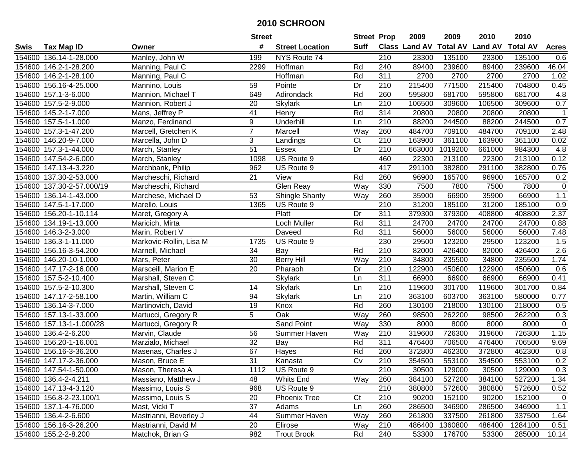|        |                           |                         | <b>Street</b>  |                        | <b>Street Prop</b> |                  | 2009                           | 2009    | 2010   | 2010            |              |
|--------|---------------------------|-------------------------|----------------|------------------------|--------------------|------------------|--------------------------------|---------|--------|-----------------|--------------|
| Swis   | <b>Tax Map ID</b>         | Owner                   | #              | <b>Street Location</b> | Suff               |                  | Class Land AV Total AV Land AV |         |        | <b>Total AV</b> | <b>Acres</b> |
|        | 154600 136.14-1-28.000    | Manley, John W          | 199            | NYS Route 74           |                    | 210              | 23300                          | 135100  | 23300  | 135100          | 0.6          |
|        | 154600 146.2-1-28.200     | Manning, Paul C         | 2299           | Hoffman                | Rd                 | 240              | 89400                          | 239600  | 89400  | 239600          | 46.04        |
|        | 154600 146.2-1-28.100     | Manning, Paul C         |                | Hoffman                | Rd                 | 311              | 2700                           | 2700    | 2700   | 2700            | 1.02         |
|        | 154600 156.16-4-25.000    | Mannino, Louis          | 59             | Pointe                 | Dr                 | 210              | 215400                         | 771500  | 215400 | 704800          | 0.45         |
|        | 154600 157.1-3-6.000      | Mannion, Michael T      | 649            | Adirondack             | Rd                 | 260              | 595800                         | 681700  | 595800 | 681700          | 4.8          |
|        | 154600 157.5-2-9.000      | Mannion, Robert J       | 20             | <b>Skylark</b>         | Ln                 | $\overline{210}$ | 106500                         | 309600  | 106500 | 309600          | 0.7          |
|        | 154600 145.2-1-7.000      | Mans, Jeffrey P         | 41             | Henry                  | Rd                 | 314              | 20800                          | 20800   | 20800  | 20800           | $\mathbf 1$  |
|        | 154600 157.5-1-1.000      | Manzo, Ferdinand        | $\overline{9}$ | Underhill              | Ln                 | 210              | 88200                          | 244500  | 88200  | 244500          | 0.7          |
|        | 154600 157.3-1-47.200     | Marcell, Gretchen K     | $\overline{7}$ | Marcell                | Way                | 260              | 484700                         | 709100  | 484700 | 709100          | 2.48         |
|        | 154600 146.20-9-7.000     | Marcella, John D        | 3              | Landings               | C <sub>t</sub>     | 210              | 163900                         | 361100  | 163900 | 361100          | 0.02         |
|        | 154600 157.3-1-44.000     | March, Stanley          | 51             | Essex                  | Dr                 | 210              | 663000                         | 1019200 | 661000 | 984300          | 4.8          |
|        | 154600 147.54-2-6.000     | March, Stanley          | 1098           | US Route 9             |                    | 460              | 22300                          | 213100  | 22300  | 213100          | 0.12         |
|        | 154600 147.13-4-3.220     | Marchbank, Philip       | 962            | US Route 9             |                    | 417              | 291100                         | 382800  | 291100 | 382800          | 0.76         |
|        | 154600 137.30-2-53.000    | Marcheschi, Richard     | 21             | View                   | Rd                 | 260              | 96900                          | 165700  | 96900  | 165700          | 0.2          |
|        | 154600 137.30-2-57.000/19 | Marcheschi, Richard     |                | Glen Reay              | Way                | 330              | 7500                           | 7800    | 7500   | 7800            | $\mathbf 0$  |
|        | 154600 136.14-1-43.000    | Marchese, Michael D     | 53             | Shingle Shanty         | Way                | 260              | 35900                          | 66900   | 35900  | 66900           | 1.1          |
|        | 154600 147.5-1-17.000     | Marello, Louis          | 1365           | US Route 9             |                    | 210              | 31200                          | 185100  | 31200  | 185100          | 0.9          |
|        | 154600 156.20-1-10.114    | Maret, Gregory A        |                | Platt                  | Dr                 | 311              | 379300                         | 379300  | 408800 | 408800          | 2.37         |
|        | 154600 134.19-1-13.000    | Maricich, Mirta         |                | Loch Muller            | Rd                 | 311              | 24700                          | 24700   | 24700  | 24700           | 0.88         |
|        | 154600 146.3-2-3.000      | Marin, Robert V         |                | Daveed                 | Rd                 | 311              | 56000                          | 56000   | 56000  | 56000           | 7.48         |
|        | 154600 136.3-1-11.000     | Markovic-Rollin, Lisa M | 1735           | US Route 9             |                    | 230              | 29500                          | 123200  | 29500  | 123200          | 1.5          |
| 154600 | 156.16-3-54.200           | Marnell, Michael        | 34             | Bay                    | Rd                 | 210              | 82000                          | 426400  | 82000  | 426400          | 2.6          |
| 154600 | 146.20-10-1.000           | Mars, Peter             | 30             | Berry Hill             | Way                | 210              | 34800                          | 235500  | 34800  | 235500          | 1.74         |
|        | 154600 147.17-2-16.000    | Marsceill, Marion E     | 20             | Pharaoh                | Dr                 | 210              | 122900                         | 450600  | 122900 | 450600          | 0.6          |
|        | 154600 157.5-2-10.400     | Marshall, Steven C      |                | <b>Skylark</b>         | Ln                 | 311              | 66900                          | 66900   | 66900  | 66900           | 0.41         |
|        | 154600 157.5-2-10.300     | Marshall, Steven C      | 14             | <b>Skylark</b>         | Ln                 | 210              | 119600                         | 301700  | 119600 | 301700          | 0.84         |
|        | 154600 147.17-2-58.100    | Martin, William C       | 94             | <b>Skylark</b>         | Ln                 | 210              | 363100                         | 603700  | 363100 | 580000          | 0.77         |
|        | 154600 136.14-3-7.000     | Martinovich, David      | 19             | Knox                   | Rd                 | 260              | 130100                         | 218000  | 130100 | 218000          | 0.5          |
|        | 154600 157.13-1-33.000    | Martucci, Gregory R     | 5              | Oak                    | Way                | 260              | 98500                          | 262200  | 98500  | 262200          | 0.3          |
|        | 154600 157.13-1-1.000/28  | Martucci, Gregory R     |                | <b>Sand Point</b>      | Way                | 330              | 8000                           | 8000    | 8000   | 8000            | $\mathbf 0$  |
|        | 154600 136.4-2-6.200      | Marvin, Claude          | 56             | Summer Haven           | Way                | 210              | 319600                         | 726300  | 319600 | 726300          | 1.15         |
|        | 154600 156.20-1-16.001    | Marzialo, Michael       | 32             | <b>Bay</b>             | Rd                 | 311              | 476400                         | 706500  | 476400 | 706500          | 9.69         |
|        | 154600 156.16-3-36.200    | Masenas, Charles J      | 67             | Hayes                  | Rd                 | 260              | 372800                         | 462300  | 372800 | 462300          | 0.8          |
|        | 154600 147.17-2-36.000    | Mason, Bruce E          | 31             | Kanasta                | $\overline{C}$     | $\overline{210}$ | 354500                         | 553100  | 354500 | 553100          | 0.2          |
|        | 154600 147.54-1-50.000    | Mason, Theresa A        | 1112           | US Route 9             |                    | 210              | 30500                          | 129000  | 30500  | 129000          | 0.3          |
|        | 154600 136.4-2-4.211      | Massiano, Matthew J     | 48             | Whits End              | Way                | 260              | 384100                         | 527200  | 384100 | 527200          | 1.34         |
|        | 154600 147.13-4-3.120     | Massimo, Louis S        | 968            | US Route 9             |                    | 210              | 380800                         | 572600  | 380800 | 572600          | 0.52         |
|        | 154600 156.8-2-23.100/1   | Massimo, Louis S        | 20             | <b>Phoenix Tree</b>    | Ct                 | 210              | 90200                          | 152100  | 90200  | 152100          | $\mathbf 0$  |
|        | 154600 137.1-4-76.000     | Mast, Vicki T           | 37             | Adams                  | Ln                 | 260              | 286500                         | 346900  | 286500 | 346900          | 1.1          |
|        | 154600 136.4-2-6.600      | Mastrianni, Beverley J  | 44             | Summer Haven           | Way                | 260              | 261800                         | 337500  | 261800 | 337500          | 1.64         |
|        | 154600 156.16-3-26.200    | Mastrianni, David M     | 20             | Elirose                | Way                | 210              | 486400                         | 1360800 | 486400 | 1284100         | 0.51         |
|        | 154600 155.2-2-8.200      | Matchok, Brian G        | 982            | <b>Trout Brook</b>     | Rd                 | 240              | 53300                          | 176700  | 53300  | 285000          | 10.14        |
|        |                           |                         |                |                        |                    |                  |                                |         |        |                 |              |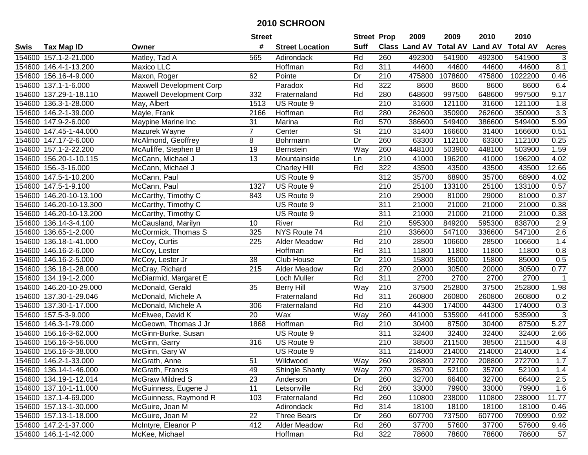|        |                         |                                 | <b>Street</b>  |                        | <b>Street Prop</b>       |                  | 2009   | 2009    | 2010                           | 2010            |                           |
|--------|-------------------------|---------------------------------|----------------|------------------------|--------------------------|------------------|--------|---------|--------------------------------|-----------------|---------------------------|
| Swis   | <b>Tax Map ID</b>       | Owner                           | #              | <b>Street Location</b> | <b>Suff</b>              |                  |        |         | Class Land AV Total AV Land AV | <b>Total AV</b> | <b>Acres</b>              |
|        | 154600 157.1-2-21.000   | Matley, Tad A                   | 565            | Adirondack             | Rd                       | 260              | 492300 | 541900  | 492300                         | 541900          | 3                         |
|        | 154600 146.4-1-13.200   | Maxico LLC                      |                | Hoffman                | Rd                       | 311              | 44600  | 44600   | 44600                          | 44600           | 8.1                       |
|        | 154600 156.16-4-9.000   | Maxon, Roger                    | 62             | Pointe                 | Dr                       | 210              | 475800 | 1078600 | 475800                         | 1022200         | 0.46                      |
|        | 154600 137.1-1-6.000    | <b>Maxwell Development Corp</b> |                | Paradox                | Rd                       | 322              | 8600   | 8600    | 8600                           | 8600            | 6.4                       |
|        | 154600 137.29-1-18.110  | <b>Maxwell Development Corp</b> | 332            | Fraternaland           | Rd                       | 280              | 648600 | 997500  | 648600                         | 997500          | 9.17                      |
|        | 154600 136.3-1-28.000   | May, Albert                     | 1513           | US Route 9             |                          | 210              | 31600  | 121100  | 31600                          | 121100          | 1.8                       |
|        | 154600 146.2-1-39.000   | Mayle, Frank                    | 2166           | Hoffman                | Rd                       | 280              | 262600 | 350900  | 262600                         | 350900          | 3.3                       |
|        | 154600 147.9-2-6.000    | Maypine Marine Inc              | 31             | Marina                 | Rd                       | 570              | 386600 | 549400  | 386600                         | 549400          | 5.99                      |
|        | 154600 147.45-1-44.000  | Mazurek Wayne                   | $\overline{7}$ | Center                 | $\overline{\mathsf{St}}$ | $\overline{210}$ | 31400  | 166600  | 31400                          | 166600          | 0.51                      |
|        | 154600 147.17-2-6.000   | McAlmond, Geoffrey              | 8              | Bohrmann               | Dr                       | 260              | 63300  | 112100  | 63300                          | 112100          | 0.25                      |
|        | 154600 157.1-2-22.200   | McAuliffe, Stephen B            | 19             | <b>Bernstein</b>       | Way                      | 260              | 448100 | 503900  | 448100                         | 503900          | 1.59                      |
|        | 154600 156.20-1-10.115  | McCann, Michael J               | 13             | Mountainside           | Ln                       | 210              | 41000  | 196200  | 41000                          | 196200          | 4.02                      |
|        | 154600 156.-3-16.000    | McCann, Michael J               |                | <b>Charley Hill</b>    | Rd                       | 322              | 43500  | 43500   | 43500                          | 43500           | 12.66                     |
|        | 154600 147.5-1-10.200   | McCann, Paul                    |                | US Route 9             |                          | 312              | 35700  | 68900   | 35700                          | 68900           | 4.02                      |
|        | 154600 147.5-1-9.100    | McCann, Paul                    | 1327           | US Route 9             |                          | 210              | 25100  | 133100  | 25100                          | 133100          | 0.57                      |
|        | 154600 146.20-10-13.100 | McCarthy, Timothy C             | 843            | US Route 9             |                          | 210              | 29000  | 81000   | 29000                          | 81000           | 0.37                      |
|        | 154600 146.20-10-13.300 | McCarthy, Timothy C             |                | US Route 9             |                          | 311              | 21000  | 21000   | 21000                          | 21000           | 0.38                      |
|        | 154600 146.20-10-13.200 | McCarthy, Timothy C             |                | US Route 9             |                          | 311              | 21000  | 21000   | 21000                          | 21000           | 0.38                      |
|        | 154600 136.14-3-4.100   | McCausland, Marilyn             | 10             | River                  | Rd                       | 210              | 595300 | 849200  | 595300                         | 838700          | 2.9                       |
|        | 154600 136.65-1-2.000   | McCormick, Thomas S             | 325            | NYS Route 74           |                          | $\overline{210}$ | 336600 | 547100  | 336600                         | 547100          | $\overline{2.6}$          |
|        | 154600 136.18-1-41.000  | McCoy, Curtis                   | 225            | <b>Alder Meadow</b>    | Rd                       | 210              | 28500  | 106600  | 28500                          | 106600          | 1.4                       |
|        | 154600 146.16-2-6.000   | McCoy, Lester                   |                | Hoffman                | Rd                       | 311              | 11800  | 11800   | 11800                          | 11800           | 0.8                       |
|        | 154600 146.16-2-5.000   | McCoy, Lester Jr                | 38             | Club House             | Dr                       | 210              | 15800  | 85000   | 15800                          | 85000           | 0.5                       |
|        | 154600 136.18-1-28.000  | McCray, Richard                 | 215            | Alder Meadow           | Rd                       | 270              | 20000  | 30500   | 20000                          | 30500           | 0.77                      |
|        | 154600 134.19-1-2.000   | McDiarmid, Margaret E           |                | Loch Muller            | Rd                       | 311              | 2700   | 2700    | 2700                           | 2700            | $\overline{1}$            |
|        | 154600 146.20-10-29.000 | McDonald, Gerald                | 35             | <b>Berry Hill</b>      | Way                      | 210              | 37500  | 252800  | 37500                          | 252800          | 1.98                      |
|        | 154600 137.30-1-29.046  | McDonald, Michele A             |                | Fraternaland           | Rd                       | 311              | 260800 | 260800  | 260800                         | 260800          | 0.2                       |
|        | 154600 137.30-1-17.000  | McDonald, Michele A             | 306            | Fraternaland           | Rd                       | 210              | 44300  | 174000  | 44300                          | 174000          | 0.3                       |
|        | 154600 157.5-3-9.000    | McElwee, David K                | 20             | Wax                    | Way                      | 260              | 441000 | 535900  | 441000                         | 535900          | $\ensuremath{\mathsf{3}}$ |
|        | 154600 146.3-1-79.000   | McGeown, Thomas J Jr            | 1868           | Hoffman                | Rd                       | 210              | 30400  | 87500   | 30400                          | 87500           | 5.27                      |
|        | 154600 156.16-3-62.000  | McGinn-Burke, Susan             |                | US Route 9             |                          | 311              | 32400  | 32400   | 32400                          | 32400           | 2.66                      |
| 154600 | 156.16-3-56.000         | McGinn, Garry                   | 316            | US Route 9             |                          | $\overline{210}$ | 38500  | 211500  | 38500                          | 211500          | 4.8                       |
|        | 154600 156.16-3-38.000  | McGinn, Gary W                  |                | US Route 9             |                          | 311              | 214000 | 214000  | 214000                         | 214000          | 1.4                       |
|        | 154600 146.2-1-33.000   | McGrath, Anne                   | 51             | Wildwood               | Way                      | 260              | 208800 | 272700  | 208800                         | 272700          | 1.7                       |
|        | 154600 136.14-1-46.000  | McGrath, Francis                | 49             | <b>Shingle Shanty</b>  | Way                      | 270              | 35700  | 52100   | 35700                          | 52100           | 1.4                       |
|        | 154600 134.19-1-12.014  | <b>McGraw Mildred S</b>         | 23             | Anderson               | Dr                       | 260              | 32700  | 66400   | 32700                          | 66400           | 2.5                       |
|        | 154600 137.10-1-11.000  | McGuinness, Eugene J            | 11             | Letsonville            | Rd                       | 260              | 33000  | 79900   | 33000                          | 79900           | 1.6                       |
|        | 154600 137.1-4-69.000   | McGuinness, Raymond R           | 103            | Fraternaland           | Rd                       | 260              | 110800 | 238000  | 110800                         | 238000          | 11.77                     |
|        | 154600 157.13-1-30.000  | McGuire, Joan M                 |                | Adirondack             | Rd                       | 314              | 18100  | 18100   | 18100                          | 18100           | 0.46                      |
|        | 154600 157.13-1-18.000  | McGuire, Joan M                 | 22             | <b>Three Bears</b>     | Dr                       | 260              | 607700 | 737500  | 607700                         | 709900          | 0.92                      |
|        | 154600 147.2-1-37.000   | McIntyre, Eleanor P             | 412            | Alder Meadow           | Rd                       | 260              | 37700  | 57600   | 37700                          | 57600           | 9.46                      |
|        | 154600 146.1-1-42.000   | McKee, Michael                  |                | Hoffman                | Rd                       | 322              | 78600  | 78600   | 78600                          | 78600           | 57                        |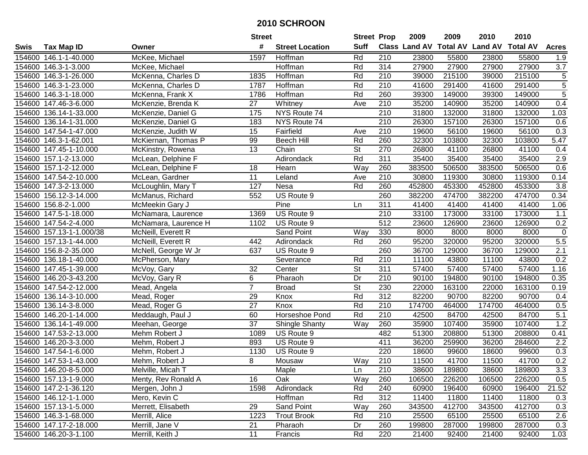|             |                          |                      | <b>Street</b>     |                        | <b>Street Prop</b>       |                  | 2009   | 2009   | 2010                                    | 2010   |                  |
|-------------|--------------------------|----------------------|-------------------|------------------------|--------------------------|------------------|--------|--------|-----------------------------------------|--------|------------------|
| <b>Swis</b> | <b>Tax Map ID</b>        | Owner                | #                 | <b>Street Location</b> | Suff                     |                  |        |        | Class Land AV Total AV Land AV Total AV |        | <b>Acres</b>     |
|             | 154600 146.1-1-40.000    | McKee, Michael       | 1597              | Hoffman                | Rd                       | 210              | 23800  | 55800  | 23800                                   | 55800  | 1.9              |
|             | 154600 146.3-1-3.000     | McKee, Michael       |                   | Hoffman                | Rd                       | 314              | 27900  | 27900  | 27900                                   | 27900  | 3.7              |
|             | 154600 146.3-1-26.000    | McKenna, Charles D   | 1835              | Hoffman                | Rd                       | 210              | 39000  | 215100 | 39000                                   | 215100 | $\sqrt{5}$       |
|             | 154600 146.3-1-23.000    | McKenna, Charles D   | 1787              | Hoffman                | Rd                       | 210              | 41600  | 291400 | 41600                                   | 291400 | $\overline{5}$   |
|             | 154600 146.3-1-18.000    | McKenna, Frank X     | 1786              | Hoffman                | Rd                       | 260              | 39300  | 149000 | 39300                                   | 149000 | $\overline{5}$   |
|             | 154600 147.46-3-6.000    | McKenzie, Brenda K   | 27                | Whitney                | Ave                      | 210              | 35200  | 140900 | 35200                                   | 140900 | 0.4              |
|             | 154600 136.14-1-33.000   | McKenzie, Daniel G   | $\frac{175}{175}$ | NYS Route 74           |                          | 210              | 31800  | 132000 | 31800                                   | 132000 | 1.03             |
|             | 154600 136.14-1-31.000   | McKenzie, Daniel G   | 183               | NYS Route 74           |                          | $\overline{210}$ | 26300  | 157100 | 26300                                   | 157100 | 0.6              |
|             | 154600 147.54-1-47.000   | McKenzie, Judith W   | 15                | Fairfield              | Ave                      | 210              | 19600  | 56100  | 19600                                   | 56100  | 0.3              |
|             | 154600 146.3-1-62.001    | McKiernan, Thomas P  | 99                | <b>Beech Hill</b>      | Rd                       | 260              | 32300  | 103800 | 32300                                   | 103800 | 5.47             |
|             | 154600 147.45-1-10.000   | McKinstry, Rowena    | 13                | Chain                  | St                       | 270              | 26800  | 41100  | 26800                                   | 41100  | 0.4              |
|             | 154600 157.1-2-13.000    | McLean, Delphine F   |                   | Adirondack             | Rd                       | 311              | 35400  | 35400  | 35400                                   | 35400  | 2.9              |
|             | 154600 157.1-2-12.000    | McLean, Delphine F   | 18                | Hearn                  | Way                      | 260              | 383500 | 506500 | 383500                                  | 506500 | 0.6              |
|             | 154600 147.54-2-10.000   | McLean, Gardner      | 11                | Leland                 | Ave                      | 210              | 30800  | 119300 | 30800                                   | 119300 | 0.14             |
| 154600      | 147.3-2-13.000           | McLoughlin, Mary T   | 127               | Nesa                   | Rd                       | 260              | 452800 | 453300 | 452800                                  | 453300 | 3.8              |
| 154600      | 156.12-3-14.000          | McManus, Richard     | 552               | US Route 9             |                          | 260              | 382200 | 474700 | 382200                                  | 474700 | 0.34             |
|             | 154600 156.8-2-1.000     | McMeekin Gary J      |                   | Pine                   | Ln                       | 311              | 41400  | 41400  | 41400                                   | 41400  | 1.06             |
|             | 154600 147.5-1-18.000    | McNamara, Laurence   | 1369              | US Route 9             |                          | 210              | 33100  | 173000 | 33100                                   | 173000 | 1.1              |
|             | 154600 147.54-2-4.000    | McNamara, Laurence H | 1102              | US Route 9             |                          | 512              | 23600  | 126900 | 23600                                   | 126900 | 0.2              |
|             | 154600 157.13-1-1.000/38 | McNeill, Everett R   |                   | Sand Point             | Way                      | 330              | 8000   | 8000   | 8000                                    | 8000   | $\boldsymbol{0}$ |
|             | 154600 157.13-1-44.000   | McNeill, Everett R   | 442               | Adirondack             | Rd                       | 260              | 95200  | 320000 | 95200                                   | 320000 | $5.5$            |
|             | 154600 156.8-2-35.000    | McNell, George W Jr  | 637               | US Route 9             |                          | 260              | 36700  | 129000 | 36700                                   | 129000 | 2.1              |
|             | 154600 136.18-1-40.000   | McPherson, Mary      |                   | Severance              | Rd                       | 210              | 11100  | 43800  | 11100                                   | 43800  | 0.2              |
|             | 154600 147.45-1-39.000   | McVoy, Gary          | 32                | Center                 | $\overline{\mathsf{St}}$ | $\overline{311}$ | 57400  | 57400  | 57400                                   | 57400  | 1.16             |
|             | 154600 146.20-3-43.200   | McVoy, Gary R        | 6                 | Pharaoh                | Dr                       | 210              | 90100  | 194800 | 90100                                   | 194800 | 0.35             |
|             | 154600 147.54-2-12.000   | Mead, Angela         | $\overline{7}$    | <b>Broad</b>           | St                       | 230              | 22000  | 163100 | 22000                                   | 163100 | 0.19             |
|             | 154600 136.14-3-10.000   | Mead, Roger          | 29                | Knox                   | Rd                       | 312              | 82200  | 90700  | 82200                                   | 90700  | 0.4              |
|             | 154600 136.14-3-8.000    | Mead, Roger G        | 27                | Knox                   | Rd                       | 210              | 174700 | 464000 | 174700                                  | 464000 | 0.5              |
|             | 154600 146.20-1-14.000   | Meddaugh, Paul J     | 60                | Horseshoe Pond         | Rd                       | 210              | 42500  | 84700  | 42500                                   | 84700  | 5.1              |
|             | 154600 136.14-1-49.000   | Meehan, George       | $\overline{37}$   | <b>Shingle Shanty</b>  | Way                      | 260              | 35900  | 107400 | 35900                                   | 107400 | 1.2              |
|             | 154600 147.53-2-13.000   | Mehm Robert J        | 1089              | US Route 9             |                          | 482              | 51300  | 208800 | 51300                                   | 208800 | 0.41             |
|             | 154600 146.20-3-3.000    | Mehm, Robert J       | 893               | US Route 9             |                          | 411              | 36200  | 259900 | 36200                                   | 284600 | $\overline{2.2}$ |
|             | 154600 147.54-1-6.000    | Mehm, Robert J       | 1130              | US Route 9             |                          | 220              | 18600  | 99600  | 18600                                   | 99600  | 0.3              |
|             | 154600 147.53-1-43.000   | Mehm, Robert J       | 8                 | Mousaw                 | Way                      | $\overline{210}$ | 11500  | 41700  | 11500                                   | 41700  | 0.2              |
|             | 154600 146.20-8-5.000    | Melville, Micah T    |                   | Maple                  | Ln                       | 210              | 38600  | 189800 | 38600                                   | 189800 | 3.3              |
|             | 154600 157.13-1-9.000    | Menty, Rev Ronald A  | 16                | Oak                    | Way                      | 260              | 106500 | 226200 | 106500                                  | 226200 | 0.5              |
|             | 154600 147.2-1-36.120    | Mergen, John J       | 1598              | Adirondack             | Rd                       | 240              | 60900  | 196400 | 60900                                   | 196400 | 21.52            |
|             | 154600 146.12-1-1.000    | Mero, Kevin C        |                   | Hoffman                | Rd                       | 312              | 11400  | 11800  | 11400                                   | 11800  | 0.3              |
|             | 154600 157.13-1-5.000    | Merrett, Elisabeth   | 29                | Sand Point             | Way                      | 260              | 343500 | 412700 | 343500                                  | 412700 | 0.3              |
|             | 154600 146.3-1-68.000    | Merrill, Alice       | 1223              | <b>Trout Brook</b>     | Rd                       | 210              | 25500  | 65100  | 25500                                   | 65100  | 2.6              |
|             | 154600 147.17-2-18.000   | Merrill, Jane V      | 21                | Pharaoh                | Dr                       | 260              | 199800 | 287000 | 199800                                  | 287000 | 0.3              |
|             | 154600 146.20-3-1.100    | Merrill, Keith J     | 11                | Francis                | Rd                       | 220              | 21400  | 92400  | 21400                                   | 92400  | 1.03             |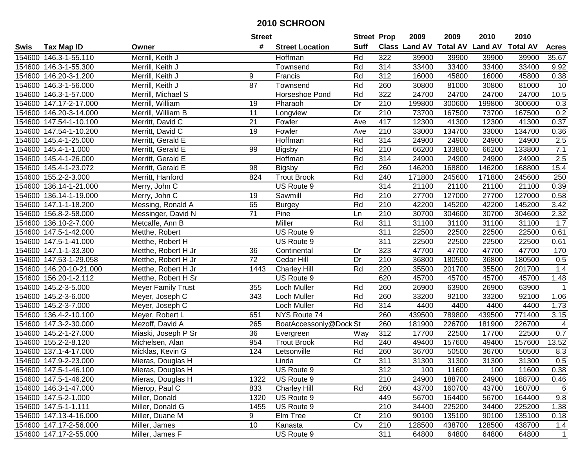|        |                        |                           | <b>Street</b>   |                        | <b>Street Prop</b> |                  | 2009   | 2009   | 2010                           | 2010            |                |
|--------|------------------------|---------------------------|-----------------|------------------------|--------------------|------------------|--------|--------|--------------------------------|-----------------|----------------|
| Swis   | <b>Tax Map ID</b>      | Owner                     | #               | <b>Street Location</b> | <b>Suff</b>        |                  |        |        | Class Land AV Total AV Land AV | <b>Total AV</b> | <b>Acres</b>   |
|        | 154600 146.3-1-55.110  | Merrill, Keith J          |                 | Hoffman                | Rd                 | 322              | 39900  | 39900  | 39900                          | 39900           | 35.67          |
|        | 154600 146.3-1-55.300  | Merrill, Keith J          |                 | Townsend               | Rd                 | 314              | 33400  | 33400  | 33400                          | 33400           | 9.92           |
|        | 154600 146.20-3-1.200  | Merrill, Keith J          | 9               | Francis                | Rd                 | 312              | 16000  | 45800  | 16000                          | 45800           | 0.38           |
|        | 154600 146.3-1-56.000  | Merrill, Keith J          | 87              | Townsend               | Rd                 | 260              | 30800  | 81000  | 30800                          | 81000           | 10             |
|        | 154600 146.3-1-57.000  | Merrill, Michael S        |                 | Horseshoe Pond         | Rd                 | 322              | 24700  | 24700  | 24700                          | 24700           | 10.5           |
|        | 154600 147.17-2-17.000 | Merrill, William          | 19              | Pharaoh                | Dr                 | 210              | 199800 | 300600 | 199800                         | 300600          | 0.3            |
|        | 154600 146.20-3-14.000 | Merrill, William B        | 11              | Longview               | Dr                 | 210              | 73700  | 167500 | 73700                          | 167500          | 0.2            |
|        | 154600 147.54-1-10.100 | Merritt, David C          | $\overline{21}$ | Fowler                 | Ave                | 417              | 12300  | 41300  | 12300                          | 41300           | 0.37           |
|        | 154600 147.54-1-10.200 | Merritt, David C          | 19              | Fowler                 | Ave                | $\overline{210}$ | 33000  | 134700 | 33000                          | 134700          | 0.36           |
|        | 154600 145.4-1-25.000  | Merritt, Gerald E         |                 | Hoffman                | Rd                 | 314              | 24900  | 24900  | 24900                          | 24900           | 2.5            |
|        | 154600 145.4-1-1.000   | Merritt, Gerald E         | 99              | <b>Bigsby</b>          | Rd                 | 210              | 66200  | 133800 | 66200                          | 133800          | 7.1            |
|        | 154600 145.4-1-26.000  | Merritt, Gerald E         |                 | Hoffman                | Rd                 | 314              | 24900  | 24900  | 24900                          | 24900           | 2.5            |
|        | 154600 145.4-1-23.072  | Merritt, Gerald E         | 98              | <b>Bigsby</b>          | Rd                 | 260              | 146200 | 168800 | 146200                         | 168800          | 15.4           |
|        | 154600 155.2-2-3.000   | Merritt, Hanford          | 824             | <b>Trout Brook</b>     | Rd                 | 240              | 171800 | 245600 | 171800                         | 245600          | 250            |
|        | 154600 136.14-1-21.000 | Merry, John C             |                 | US Route 9             |                    | 314              | 21100  | 21100  | 21100                          | 21100           | 0.39           |
|        | 154600 136.14-1-19.000 | Merry, John C             | 19              | Sawmill                | Rd                 | 210              | 27700  | 127000 | 27700                          | 127000          | 0.58           |
|        | 154600 147.1-1-18.200  | Messing, Ronald A         | 65              | <b>Burgey</b>          | Rd                 | 210              | 42200  | 145200 | 42200                          | 145200          | 3.42           |
|        | 154600 156.8-2-58.000  | Messinger, David N        | $\overline{71}$ | Pine                   | Ln                 | 210              | 30700  | 304600 | 30700                          | 304600          | 2.32           |
|        | 154600 136.10-2-7.000  | Metcalfe, Ann B           |                 | Miller                 | Rd                 | 311              | 31100  | 31100  | 31100                          | 31100           | 1.7            |
|        | 154600 147.5-1-42.000  | Metthe, Robert            |                 | US Route 9             |                    | 311              | 22500  | 22500  | 22500                          | 22500           | 0.61           |
|        | 154600 147.5-1-41.000  | Metthe, Robert H          |                 | US Route 9             |                    | 311              | 22500  | 22500  | 22500                          | 22500           | 0.61           |
|        | 154600 147.1-1-33.300  | Metthe, Robert H Jr       | 36              | Continental            | Dr                 | 323              | 47700  | 47700  | 47700                          | 47700           | 170            |
| 154600 | 147.53-1-29.058        | Metthe, Robert H Jr       | 72              | Cedar Hill             | Dr                 | 210              | 36800  | 180500 | 36800                          | 180500          | 0.5            |
| 154600 | 146.20-10-21.000       | Metthe, Robert H Jr       | 1443            | <b>Charley Hill</b>    | Rd                 | 220              | 35500  | 201700 | 35500                          | 201700          | 1.4            |
|        | 154600 156.20-1-2.112  | Metthe, Robert H Sr       |                 | US Route 9             |                    | 620              | 45700  | 45700  | 45700                          | 45700           | 1.48           |
|        | 154600 145.2-3-5.000   | <b>Meyer Family Trust</b> | 355             | Loch Muller            | Rd                 | 260              | 26900  | 63900  | 26900                          | 63900           | $\overline{1}$ |
|        | 154600 145.2-3-6.000   | Meyer, Joseph C           | 343             | Loch Muller            | Rd                 | 260              | 33200  | 92100  | 33200                          | 92100           | 1.06           |
|        | 154600 145.2-3-7.000   | Meyer, Joseph C           |                 | Loch Muller            | Rd                 | 314              | 4400   | 4400   | 4400                           | 4400            | 1.73           |
|        | 154600 136.4-2-10.100  | Meyer, Robert L           | 651             | NYS Route 74           |                    | 260              | 439500 | 789800 | 439500                         | 771400          | 3.15           |
|        | 154600 147.3-2-30.000  | Mezoff, David A           | 265             | BoatAccessonly@Dock St |                    | 260              | 181900 | 226700 | 181900                         | 226700          | 4              |
|        | 154600 145.2-1-27.000  | Miaski, Joseph P Sr       | $\overline{36}$ | Evergreen              | Way                | 312              | 17700  | 22500  | 17700                          | 22500           | 0.7            |
|        | 154600 155.2-2-8.120   | Michelsen, Alan           | 954             | <b>Trout Brook</b>     | Rd                 | 240              | 49400  | 157600 | 49400                          | 157600          | 13.52          |
|        | 154600 137.1-4-17.000  | Micklas, Kevin G          | 124             | Letsonville            | Rd                 | 260              | 36700  | 50500  | 36700                          | 50500           | 8.3            |
|        | 154600 147.9-2-23.000  | Mieras, Douglas H         |                 | Linda                  | $\overline{C}t$    | 311              | 31300  | 31300  | 31300                          | 31300           | 0.5            |
|        | 154600 147.5-1-46.100  | Mieras, Douglas H         |                 | US Route 9             |                    | 312              | 100    | 11600  | 100                            | 11600           | 0.38           |
|        | 154600 147.5-1-46.200  | Mieras, Douglas H         | 1322            | US Route 9             |                    | 210              | 24900  | 188700 | 24900                          | 188700          | 0.46           |
|        | 154600 146.3-1-47.000  | Mierop, Paul C            | 833             | <b>Charley Hill</b>    | Rd                 | 260              | 43700  | 160700 | 43700                          | 160700          | 6              |
|        | 154600 147.5-2-1.000   | Miller, Donald            | 1320            | US Route 9             |                    | 449              | 56700  | 164400 | 56700                          | 164400          | 9.8            |
|        | 154600 147.5-1-1.111   | Miller, Donald G          | 1455            | US Route 9             |                    | 210              | 34400  | 225200 | 34400                          | 225200          | 1.38           |
|        | 154600 147.13-4-16.000 | Miller, Duane M           | 9               | Elm Tree               | Ct                 | 210              | 90100  | 135100 | 90100                          | 135100          | 0.18           |
|        | 154600 147.17-2-56.000 | Miller, James             | 10              | Kanasta                | Cv                 | 210              | 128500 | 438700 | 128500                         | 438700          | 1.4            |
|        | 154600 147.17-2-55.000 | Miller, James F           |                 | US Route 9             |                    | 311              | 64800  | 64800  | 64800                          | 64800           | $\mathbf{1}$   |
|        |                        |                           |                 |                        |                    |                  |        |        |                                |                 |                |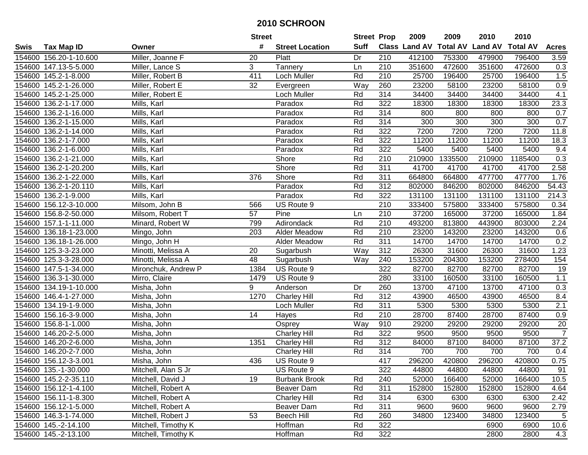|             |                        |                     | <b>Street</b> |                        | <b>Street Prop</b> |                  | 2009   | 2009    | 2010                           | 2010            |                 |
|-------------|------------------------|---------------------|---------------|------------------------|--------------------|------------------|--------|---------|--------------------------------|-----------------|-----------------|
| <b>Swis</b> | <b>Tax Map ID</b>      | Owner               | #             | <b>Street Location</b> | <b>Suff</b>        |                  |        |         | Class Land AV Total AV Land AV | <b>Total AV</b> | <b>Acres</b>    |
|             | 154600 156.20-1-10.600 | Miller, Joanne F    | 20            | Platt                  | Dr                 | 210              | 412100 | 753300  | 479900                         | 796400          | 3.59            |
|             | 154600 147.13-5-5.000  | Miller, Lance S     | 3             | Tannery                | Ln                 | 210              | 351600 | 472600  | 351600                         | 472600          | 0.3             |
|             | 154600 145.2-1-8.000   | Miller, Robert B    | 411           | Loch Muller            | Rd                 | $\overline{210}$ | 25700  | 196400  | 25700                          | 196400          | 1.5             |
|             | 154600 145.2-1-26.000  | Miller, Robert E    | 32            | Evergreen              | Way                | 260              | 23200  | 58100   | 23200                          | 58100           | 0.9             |
|             | 154600 145.2-1-25.000  | Miller, Robert E    |               | <b>Loch Muller</b>     | Rd                 | 314              | 34400  | 34400   | 34400                          | 34400           | 4.1             |
|             | 154600 136.2-1-17.000  | Mills, Karl         |               | Paradox                | Rd                 | 322              | 18300  | 18300   | 18300                          | 18300           | 23.3            |
|             | 154600 136.2-1-16.000  | Mills, Karl         |               | Paradox                | Rd                 | 314              | 800    | 800     | 800                            | 800             | 0.7             |
|             | 154600 136.2-1-15.000  | Mills, Karl         |               | Paradox                | Rd                 | 314              | 300    | 300     | 300                            | 300             | 0.7             |
| 154600      | 136.2-1-14.000         | Mills, Karl         |               | Paradox                | Rd                 | 322              | 7200   | 7200    | 7200                           | 7200            | 11.8            |
|             | 154600 136.2-1-7.000   | Mills, Karl         |               | Paradox                | Rd                 | 322              | 11200  | 11200   | 11200                          | 11200           | 18.3            |
| 154600      | 136.2-1-6.000          | Mills, Karl         |               | Paradox                | Rd                 | 322              | 5400   | 5400    | 5400                           | 5400            | 9.4             |
|             | 154600 136.2-1-21.000  | Mills, Karl         |               | Shore                  | Rd                 | 210              | 210900 | 1335500 | 210900                         | 1185400         | 0.3             |
| 154600      | 136.2-1-20.200         | Mills, Karl         |               | Shore                  | Rd                 | 311              | 41700  | 41700   | 41700                          | 41700           | 2.58            |
| 154600      | 136.2-1-22.000         | Mills, Karl         | 376           | Shore                  | Rd                 | 311              | 664800 | 664800  | 477700                         | 477700          | 1.76            |
| 154600      | 136.2-1-20.110         | Mills, Karl         |               | Paradox                | Rd                 | 312              | 802000 | 846200  | 802000                         | 846200          | 54.43           |
| 154600      | 136.2-1-9.000          | Mills, Karl         |               | Paradox                | Rd                 | 322              | 131100 | 131100  | 131100                         | 131100          | 214.3           |
|             | 154600 156.12-3-10.000 | Milsom, John B      | 566           | US Route 9             |                    | 210              | 333400 | 575800  | 333400                         | 575800          | 0.34            |
|             | 154600 156.8-2-50.000  | Milsom, Robert T    | 57            | Pine                   | Ln                 | 210              | 37200  | 165000  | 37200                          | 165000          | 1.84            |
|             | 154600 157.1-1-11.000  | Minard, Robert W    | 799           | Adirondack             | Rd                 | 210              | 493200 | 813800  | 443900                         | 803000          | 2.24            |
|             | 154600 136.18-1-23.000 | Mingo, John         | 203           | Alder Meadow           | Rd                 | $\overline{210}$ | 23200  | 143200  | 23200                          | 143200          | 0.6             |
|             | 154600 136.18-1-26.000 | Mingo, John H       |               | Alder Meadow           | Rd                 | 311              | 14700  | 14700   | 14700                          | 14700           | 0.2             |
|             | 154600 125.3-3-23.000  | Minotti, Melissa A  | 20            | Sugarbush              | Way                | 312              | 26300  | 31600   | 26300                          | 31600           | 1.23            |
|             | 154600 125.3-3-28.000  | Minotti, Melissa A  | 48            | Sugarbush              | Way                | 240              | 153200 | 204300  | 153200                         | 278400          | 154             |
|             | 154600 147.5-1-34.000  | Mironchuk, Andrew P | 1384          | US Route 9             |                    | 322              | 82700  | 82700   | 82700                          | 82700           | 19              |
| 154600      | 136.3-1-30.000         | Mirro, Claire       | 1479          | US Route 9             |                    | 280              | 33100  | 160500  | 33100                          | 160500          | $1.1$           |
|             | 154600 134.19-1-10.000 | Misha, John         | 9             | Anderson               | Dr                 | 260              | 13700  | 47100   | 13700                          | 47100           | 0.3             |
|             | 154600 146.4-1-27.000  | Misha, John         | 1270          | <b>Charley Hill</b>    | Rd                 | 312              | 43900  | 46500   | 43900                          | 46500           | 8.4             |
|             | 154600 134.19-1-9.000  | Misha, John         |               | Loch Muller            | Rd                 | 311              | 5300   | 5300    | 5300                           | 5300            | 2.1             |
|             | 154600 156.16-3-9.000  | Misha, John         | 14            | Hayes                  | Rd                 | 210              | 28700  | 87400   | 28700                          | 87400           | 0.9             |
|             | 154600 156.8-1-1.000   | Misha, John         |               | Osprey                 | Way                | 910              | 29200  | 29200   | 29200                          | 29200           | $\overline{20}$ |
|             | 154600 146.20-2-5.000  | Misha, John         |               | <b>Charley Hill</b>    | Rd                 | 322              | 9500   | 9500    | 9500                           | 9500            | $\overline{7}$  |
|             | 154600 146.20-2-6.000  | Misha, John         | 1351          | Charley Hill           | Rd                 | 312              | 84000  | 87100   | 84000                          | 87100           | 37.2            |
|             | 154600 146.20-2-7.000  | Misha, John         |               | <b>Charley Hill</b>    | Rd                 | 314              | 700    | 700     | 700                            | 700             | 0.4             |
|             | 154600 156.12-3-3.001  | Misha, John         | 436           | US Route 9             |                    | 417              | 296200 | 420800  | 296200                         | 420800          | 0.75            |
|             | 154600 135.-1-30.000   | Mitchell, Alan S Jr |               | US Route 9             |                    | 322              | 44800  | 44800   | 44800                          | 44800           | 91              |
|             | 154600 145.2-2-35.110  | Mitchell, David J   | 19            | <b>Burbank Brook</b>   | Rd                 | 240              | 52000  | 166400  | 52000                          | 166400          | 10.5            |
|             | 154600 156.12-1-4.100  | Mitchell, Robert A  |               | Beaver Dam             | Rd                 | 311              | 152800 | 152800  | 152800                         | 152800          | 4.64            |
|             | 154600 156.11-1-8.300  | Mitchell, Robert A  |               | <b>Charley Hill</b>    | Rd                 | 314              | 6300   | 6300    | 6300                           | 6300            | 2.42            |
|             | 154600 156.12-1-5.000  | Mitchell, Robert A  |               | Beaver Dam             | Rd                 | 311              | 9600   | 9600    | 9600                           | 9600            | 2.79            |
|             | 154600 146.3-1-74.000  | Mitchell, Robert J  | 53            | Beech Hill             | Rd                 | 260              | 34800  | 123400  | 34800                          | 123400          | 5               |
|             | 154600 145.-2-14.100   | Mitchell, Timothy K |               | Hoffman                | Rd                 | 322              |        |         | 6900                           | 6900            | 10.6            |
|             | 154600 145.-2-13.100   | Mitchell, Timothy K |               | Hoffman                | Rd                 | 322              |        |         | 2800                           | 2800            | 4.3             |
|             |                        |                     |               |                        |                    |                  |        |         |                                |                 |                 |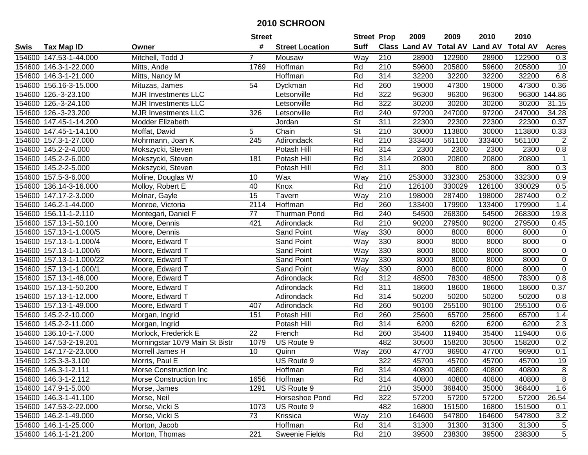|        |                          |                                | <b>Street</b>  |                        | <b>Street Prop</b>       |                  | 2009   | 2009   | 2010                                    | 2010   |                  |
|--------|--------------------------|--------------------------------|----------------|------------------------|--------------------------|------------------|--------|--------|-----------------------------------------|--------|------------------|
| Swis   | <b>Tax Map ID</b>        | Owner                          | #              | <b>Street Location</b> | <b>Suff</b>              |                  |        |        | Class Land AV Total AV Land AV Total AV |        | <b>Acres</b>     |
|        | 154600 147.53-1-44.000   | Mitchell, Todd J               | $\overline{7}$ | Mousaw                 | Way                      | 210              | 28900  | 122900 | 28900                                   | 122900 | 0.3              |
|        | 154600 146.3-1-22.000    | Mitts, Ande                    | 1769           | Hoffman                | Rd                       | 210              | 59600  | 205800 | 59600                                   | 205800 | 10               |
|        | 154600 146.3-1-21.000    | Mitts, Nancy M                 |                | Hoffman                | Rd                       | 314              | 32200  | 32200  | 32200                                   | 32200  | 6.8              |
|        | 154600 156.16-3-15.000   | Mituzas, James                 | 54             | Dyckman                | Rd                       | 260              | 19000  | 47300  | 19000                                   | 47300  | 0.36             |
|        | 154600 126.-3-23.100     | <b>MJR Investments LLC</b>     |                | Letsonville            | Rd                       | 322              | 96300  | 96300  | 96300                                   | 96300  | 144.86           |
|        | 154600 126.-3-24.100     | <b>MJR Investments LLC</b>     |                | Letsonville            | Rd                       | $\overline{322}$ | 30200  | 30200  | 30200                                   | 30200  | 31.15            |
|        | 154600 126.-3-23.200     | <b>MJR Investments LLC</b>     | 326            | Letsonville            | Rd                       | 240              | 97200  | 247000 | 97200                                   | 247000 | 34.28            |
|        | 154600 147.45-1-14.200   | Modder Elizabeth               |                | Jordan                 | $\overline{\mathsf{St}}$ | 311              | 22300  | 22300  | 22300                                   | 22300  | 0.37             |
|        | 154600 147.45-1-14.100   | Moffat, David                  | 5              | Chain                  | $\overline{\mathsf{St}}$ | $\overline{210}$ | 30000  | 113800 | 30000                                   | 113800 | 0.33             |
|        | 154600 157.3-1-27.000    | Mohrmann, Joan K               | 245            | Adirondack             | Rd                       | 210              | 333400 | 561100 | 333400                                  | 561100 | $\overline{c}$   |
|        | 154600 145.2-2-4.000     | Mokszycki, Steven              |                | Potash Hill            | Rd                       | 314              | 2300   | 2300   | 2300                                    | 2300   | 0.8              |
|        | 154600 145.2-2-6.000     | Mokszycki, Steven              | 181            | Potash Hill            | Rd                       | 314              | 20800  | 20800  | 20800                                   | 20800  | $\mathbf{1}$     |
|        | 154600 145.2-2-5.000     | Mokszycki, Steven              |                | Potash Hill            | Rd                       | 311              | 800    | 800    | 800                                     | 800    | 0.3              |
| 154600 | 157.5-3-6.000            | Moline, Douglas W              | 10             | Wax                    | Way                      | 210              | 253000 | 332300 | 253000                                  | 332300 | 0.9              |
| 154600 | 136.14-3-16.000          | Molloy, Robert E               | 40             | Knox                   | Rd                       | 210              | 126100 | 330029 | 126100                                  | 330029 | 0.5              |
| 154600 | 147.17-2-3.000           | Molnar, Gayle                  | 15             | Tavern                 | Way                      | $\overline{210}$ | 198000 | 287400 | 198000                                  | 287400 | 0.2              |
|        | 154600 146.2-1-44.000    | Monroe, Victoria               | 2114           | Hoffman                | Rd                       | 260              | 133400 | 179900 | 133400                                  | 179900 | 1.4              |
|        | 154600 156.11-1-2.110    | Montegari, Daniel F            | 77             | <b>Thurman Pond</b>    | Rd                       | 240              | 54500  | 268300 | 54500                                   | 268300 | 19.8             |
|        | 154600 157.13-1-50.100   | Moore, Dennis                  | 421            | Adirondack             | Rd                       | 210              | 90200  | 279500 | 90200                                   | 279500 | 0.45             |
|        | 154600 157.13-1-1.000/5  | Moore, Dennis                  |                | Sand Point             | Way                      | 330              | 8000   | 8000   | 8000                                    | 8000   | $\pmb{0}$        |
|        | 154600 157.13-1-1.000/4  | Moore, Edward T                |                | Sand Point             | Way                      | 330              | 8000   | 8000   | 8000                                    | 8000   | $\pmb{0}$        |
|        | 154600 157.13-1-1.000/6  | Moore, Edward T                |                | Sand Point             | Way                      | 330              | 8000   | 8000   | 8000                                    | 8000   | $\overline{0}$   |
|        | 154600 157.13-1-1.000/22 | Moore, Edward T                |                | Sand Point             | Way                      | 330              | 8000   | 8000   | 8000                                    | 8000   | $\pmb{0}$        |
|        | 154600 157.13-1-1.000/1  | Moore, Edward T                |                | Sand Point             | Way                      | 330              | 8000   | 8000   | 8000                                    | 8000   | $\overline{0}$   |
|        | 154600 157.13-1-46.000   | Moore, Edward T                |                | Adirondack             | Rd                       | 312              | 48500  | 78300  | 48500                                   | 78300  | $0.8\,$          |
|        | 154600 157.13-1-50.200   | Moore, Edward T                |                | Adirondack             | Rd                       | 311              | 18600  | 18600  | 18600                                   | 18600  | 0.37             |
|        | 154600 157.13-1-12.000   | Moore, Edward T                |                | Adirondack             | Rd                       | 314              | 50200  | 50200  | 50200                                   | 50200  | 0.8              |
|        | 154600 157.13-1-49.000   | Moore, Edward T                | 407            | Adirondack             | Rd                       | 260              | 90100  | 255100 | 90100                                   | 255100 | 0.6              |
|        | 154600 145.2-2-10.000    | Morgan, Ingrid                 | 151            | Potash Hill            | Rd                       | 260              | 25600  | 65700  | 25600                                   | 65700  | 1.4              |
|        | 154600 145.2-2-11.000    | Morgan, Ingrid                 |                | Potash Hill            | Rd                       | 314              | 6200   | 6200   | 6200                                    | 6200   | $\overline{2.3}$ |
| 154600 | 136.10-1-7.000           | Morlock, Frederick E           | 22             | French                 | Rd                       | 260              | 35400  | 119400 | 35400                                   | 119400 | 0.6              |
| 154600 | 147.53-2-19.201          | Morningstar 1079 Main St Bistr | 1079           | US Route 9             |                          | 482              | 30500  | 158200 | 30500                                   | 158200 | 0.2              |
|        | 154600 147.17-2-23.000   | Morrell James H                | 10             | Quinn                  | Way                      | 260              | 47700  | 96900  | 47700                                   | 96900  | 0.1              |
|        | 154600 125.3-3-3.100     | Morris, Paul E                 |                | US Route 9             |                          | 322              | 45700  | 45700  | 45700                                   | 45700  | 19               |
|        | 154600 146.3-1-2.111     | Morse Construction Inc         |                | Hoffman                | Rd                       | 314              | 40800  | 40800  | 40800                                   | 40800  | 8                |
|        | 154600 146.3-1-2.112     | Morse Construction Inc         | 1656           | Hoffman                | Rd                       | 314              | 40800  | 40800  | 40800                                   | 40800  | 8                |
|        | 154600 147.9-1-5.000     | Morse, James                   | 1291           | US Route 9             |                          | 210              | 35000  | 368400 | 35000                                   | 368400 | 1.6              |
|        | 154600 146.3-1-41.100    | Morse, Neil                    |                | Horseshoe Pond         | Rd                       | 322              | 57200  | 57200  | 57200                                   | 57200  | 26.54            |
|        | 154600 147.53-2-22.000   | Morse, Vicki S                 | 1073           | US Route 9             |                          | 482              | 16800  | 151500 | 16800                                   | 151500 | 0.1              |
|        | 154600 146.2-1-49.000    | Morse, Vicki S                 | 73             | Krissica               | Way                      | 210              | 164600 | 547800 | 164600                                  | 547800 | 3.2              |
|        | 154600 146.1-1-25.000    | Morton, Jacob                  |                | Hoffman                | Rd                       | 314              | 31300  | 31300  | 31300                                   | 31300  | 5                |
|        | 154600 146.1-1-21.200    | Morton, Thomas                 | 221            | Sweenie Fields         | Rd                       | 210              | 39500  | 238300 | 39500                                   | 238300 | 5                |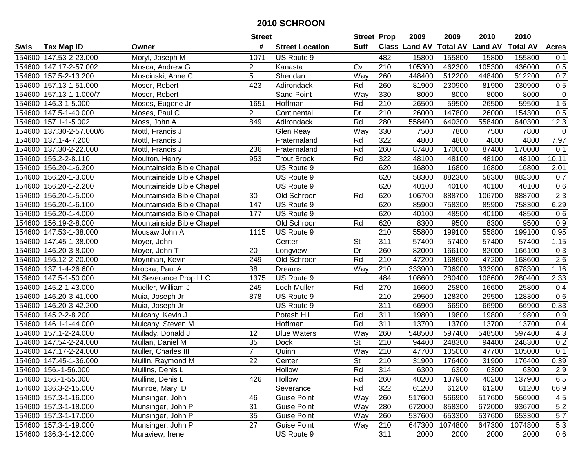|      |                          |                           | <b>Street</b>   |                        | <b>Street Prop</b>       |                  | 2009          | 2009            | 2010           | 2010            |              |
|------|--------------------------|---------------------------|-----------------|------------------------|--------------------------|------------------|---------------|-----------------|----------------|-----------------|--------------|
| Swis | <b>Tax Map ID</b>        | Owner                     | #               | <b>Street Location</b> | <b>Suff</b>              |                  | Class Land AV | <b>Total AV</b> | <b>Land AV</b> | <b>Total AV</b> | <b>Acres</b> |
|      | 154600 147.53-2-23.000   | Moryl, Joseph M           | 1071            | US Route 9             |                          | 482              | 15800         | 155800          | 15800          | 155800          | 0.1          |
|      | 154600 147.17-2-57.002   | Mosca, Andrew G           | $\overline{a}$  | Kanasta                | Cv                       | 210              | 105300        | 462300          | 105300         | 436000          | 0.5          |
|      | 154600 157.5-2-13.200    | Moscinski, Anne C         | 5               | Sheridan               | Way                      | 260              | 448400        | 512200          | 448400         | 512200          | 0.7          |
|      | 154600 157.13-1-51.000   | Moser, Robert             | 423             | Adirondack             | Rd                       | 260              | 81900         | 230900          | 81900          | 230900          | 0.5          |
|      | 154600 157.13-1-1.000/7  | Moser, Robert             |                 | Sand Point             | Way                      | 330              | 8000          | 8000            | 8000           | 8000            | $\mathbf 0$  |
|      | 154600 146.3-1-5.000     | Moses, Eugene Jr          | 1651            | Hoffman                | Rd                       | 210              | 26500         | 59500           | 26500          | 59500           | 1.6          |
|      | 154600 147.5-1-40.000    | Moses, Paul C             | $\overline{2}$  | Continental            | Dr                       | 210              | 26000         | 147800          | 26000          | 154300          | 0.5          |
|      | 154600 157.1-1-5.002     | Moss, John A              | 849             | Adirondack             | Rd                       | 280              | 558400        | 640300          | 558400         | 640300          | 12.3         |
|      | 154600 137.30-2-57.000/6 | Mottl, Francis J          |                 | Glen Reay              | Way                      | 330              | 7500          | 7800            | 7500           | 7800            | $\mathbf 0$  |
|      | 154600 137.1-4-7.200     | Mottl, Francis J          |                 | Fraternaland           | Rd                       | 322              | 4800          | 4800            | 4800           | 4800            | 7.97         |
|      | 154600 137.30-2-22.000   | Mottl, Francis J          | 236             | Fraternaland           | Rd                       | 260              | 87400         | 170000          | 87400          | 170000          | 0.1          |
|      | 154600 155.2-2-8.110     | Moulton, Henry            | 953             | <b>Trout Brook</b>     | Rd                       | 322              | 48100         | 48100           | 48100          | 48100           | 10.11        |
|      | 154600 156.20-1-6.200    | Mountainside Bible Chapel |                 | US Route 9             |                          | 620              | 16800         | 16800           | 16800          | 16800           | 2.01         |
|      | 154600 156.20-1-3.000    | Mountainside Bible Chapel |                 | US Route 9             |                          | 620              | 58300         | 882300          | 58300          | 882300          | 0.7          |
|      | 154600 156.20-1-2.200    | Mountainside Bible Chapel |                 | US Route 9             |                          | 620              | 40100         | 40100           | 40100          | 40100           | 0.6          |
|      | 154600 156.20-1-5.000    | Mountainside Bible Chapel | 30              | Old Schroon            | Rd                       | 620              | 106700        | 888700          | 106700         | 888700          | 2.3          |
|      | 154600 156.20-1-6.100    | Mountainside Bible Chapel | 147             | US Route 9             |                          | 620              | 85900         | 758300          | 85900          | 758300          | 6.29         |
|      | 154600 156.20-1-4.000    | Mountainside Bible Chapel | 177             | US Route 9             |                          | 620              | 40100         | 48500           | 40100          | 48500           | 0.6          |
|      | 154600 156.19-2-8.000    | Mountainside Bible Chapel |                 | Old Schroon            | Rd                       | 620              | 8300          | 9500            | 8300           | 9500            | 0.9          |
|      | 154600 147.53-1-38.000   | Mousaw John A             | 1115            | US Route 9             |                          | 210              | 55800         | 199100          | 55800          | 199100          | 0.95         |
|      | 154600 147.45-1-38.000   | Moyer, John               |                 | Center                 | <b>St</b>                | 311              | 57400         | 57400           | 57400          | 57400           | 1.15         |
|      | 154600 146.20-3-8.000    | Moyer, John T             | 20              | Longview               | Dr                       | 260              | 82000         | 166100          | 82000          | 166100          | 0.3          |
|      | 154600 156.12-2-20.000   | Moynihan, Kevin           | 249             | Old Schroon            | Rd                       | 210              | 47200         | 168600          | 47200          | 168600          | 2.6          |
|      | 154600 137.1-4-26.600    | Mrocka, Paul A            | 38              | Dreams                 | Way                      | 210              | 333900        | 706900          | 333900         | 678300          | 1.16         |
|      | 154600 147.5-1-50.000    | Mt Severance Prop LLC     | 1375            | US Route 9             |                          | 484              | 108600        | 280400          | 108600         | 280400          | 2.33         |
|      | 154600 145.2-1-43.000    | Mueller, William J        | 245             | Loch Muller            | Rd                       | 270              | 16600         | 25800           | 16600          | 25800           | 0.4          |
|      | 154600 146.20-3-41.000   | Muia, Joseph Jr           | 878             | US Route 9             |                          | 210              | 29500         | 128300          | 29500          | 128300          | 0.6          |
|      | 154600 146.20-3-42.200   | Muia, Joseph Jr           |                 | US Route 9             |                          | 311              | 66900         | 66900           | 66900          | 66900           | 0.33         |
|      | 154600 145.2-2-8.200     | Mulcahy, Kevin J          |                 | Potash Hill            | Rd                       | $\overline{311}$ | 19800         | 19800           | 19800          | 19800           | 0.9          |
|      | 154600 146.1-1-44.000    | Mulcahy, Steven M         |                 | Hoffman                | Rd                       | $\overline{311}$ | 13700         | 13700           | 13700          | 13700           | 0.4          |
|      | 154600 157.1-2-24.000    | Mullady, Donald J         | 12              | <b>Blue Waters</b>     | Way                      | 260              | 548500        | 597400          | 548500         | 597400          | 4.3          |
|      | 154600 147.54-2-24.000   | Mullan, Daniel M          | 35              | Dock                   | $\overline{\mathsf{St}}$ | 210              | 94400         | 248300          | 94400          | 248300          | 0.2          |
|      | 154600 147.17-2-24.000   | Muller, Charles III       | $\overline{7}$  | Quinn                  | Way                      | $\overline{210}$ | 47700         | 105000          | 47700          | 105000          | 0.1          |
|      | 154600 147.45-1-36.000   | Mullin, Raymond M         | $\overline{22}$ | Center                 | $\overline{\mathsf{St}}$ | 210              | 31900         | 176400          | 31900          | 176400          | 0.39         |
|      | 154600 156.-1-56.000     | Mullins, Denis L          |                 | Hollow                 | Rd                       | 314              | 6300          | 6300            | 6300           | 6300            | 2.9          |
|      | 154600 156.-1-55.000     | Mullins, Denis L          | 426             | Hollow                 | Rd                       | 260              | 40200         | 137900          | 40200          | 137900          | 6.5          |
|      | 154600 136.3-2-15.000    | Munroe, Mary D            |                 | Severance              | Rd                       | 322              | 61200         | 61200           | 61200          | 61200           | 66.9         |
|      | 154600 157.3-1-16.000    | Munsinger, John           | 46              | <b>Guise Point</b>     | Way                      | 260              | 517600        | 566900          | 517600         | 566900          | 4.5          |
|      | 154600 157.3-1-18.000    | Munsinger, John P         | 31              | <b>Guise Point</b>     | Way                      | 280              | 672000        | 858300          | 672000         | 936700          | 5.2          |
|      | 154600 157.3-1-17.000    | Munsinger, John P         | 35              | <b>Guise Point</b>     | Way                      | 260              | 537600        | 653300          | 537600         | 653300          | 5.7          |
|      | 154600 157.3-1-19.000    | Munsinger, John P         | 27              | <b>Guise Point</b>     | Way                      | 210              | 647300        | 1074800         | 647300         | 1074800         | 5.3          |
|      | 154600 136.3-1-12.000    | Muraview, Irene           |                 | US Route 9             |                          | 311              | 2000          | 2000            | 2000           | 2000            | 0.6          |
|      |                          |                           |                 |                        |                          |                  |               |                 |                |                 |              |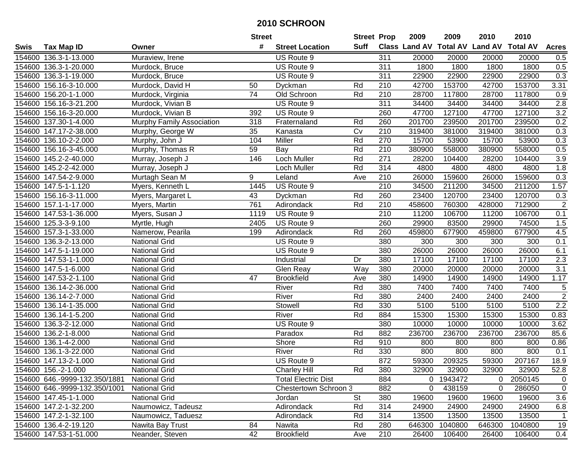|             |                               |                           | <b>Street</b> |                            | <b>Street Prop</b> |                  | 2009           | 2009    | 2010                                    | 2010    |                  |
|-------------|-------------------------------|---------------------------|---------------|----------------------------|--------------------|------------------|----------------|---------|-----------------------------------------|---------|------------------|
| <b>Swis</b> | <b>Tax Map ID</b>             | Owner                     | #             | <b>Street Location</b>     | <b>Suff</b>        |                  |                |         | Class Land AV Total AV Land AV Total AV |         | <b>Acres</b>     |
|             | 154600 136.3-1-13.000         | Muraview, Irene           |               | US Route 9                 |                    | 311              | 20000          | 20000   | 20000                                   | 20000   | 0.5              |
|             | 154600 136.3-1-20.000         | Murdock, Bruce            |               | US Route 9                 |                    | 311              | 1800           | 1800    | 1800                                    | 1800    | 0.5              |
|             | 154600 136.3-1-19.000         | Murdock, Bruce            |               | US Route 9                 |                    | 311              | 22900          | 22900   | 22900                                   | 22900   | 0.3              |
|             | 154600 156.16-3-10.000        | Murdock, David H          | 50            | Dyckman                    | Rd                 | 210              | 42700          | 153700  | 42700                                   | 153700  | 3.31             |
|             | 154600 156.20-1-1.000         | Murdock, Virginia         | 74            | Old Schroon                | Rd                 | $\overline{210}$ | 28700          | 117800  | 28700                                   | 117800  | 0.9              |
|             | 154600 156.16-3-21.200        | Murdock, Vivian B         |               | US Route 9                 |                    | 311              | 34400          | 34400   | 34400                                   | 34400   | 2.8              |
|             | 154600 156.16-3-20.000        | Murdock, Vivian B         | 392           | US Route 9                 |                    | 260              | 47700          | 127100  | 47700                                   | 127100  | 3.2              |
|             | 154600 137.30-1-4.000         | Murphy Family Association | 318           | Fraternaland               | Rd                 | 260              | 201700         | 239500  | 201700                                  | 239500  | 0.2              |
|             | 154600 147.17-2-38.000        | Murphy, George W          | 35            | Kanasta                    | $\overline{C}$     | $\overline{210}$ | 319400         | 381000  | 319400                                  | 381000  | 0.3              |
|             | 154600 136.10-2-2.000         | Murphy, John J            | 104           | Miller                     | Rd                 | 270              | 15700          | 53900   | 15700                                   | 53900   | 0.3              |
|             | 154600 156.16-3-45.000        | Murphy, Thomas R          | 59            | Bay                        | Rd                 | 210              | 380900         | 558000  | 380900                                  | 558000  | 0.5              |
|             | 154600 145.2-2-40.000         | Murray, Joseph J          | 146           | <b>Loch Muller</b>         | Rd                 | 271              | 28200          | 104400  | 28200                                   | 104400  | 3.9              |
|             | 154600 145.2-2-42.000         | Murray, Joseph J          |               | Loch Muller                | Rd                 | 314              | 4800           | 4800    | 4800                                    | 4800    | 1.8              |
| 154600      | 147.54-2-9.000                | Murtagh Sean M            | 9             | Leland                     | Ave                | 210              | 26000          | 159600  | 26000                                   | 159600  | 0.3              |
| 154600      | 147.5-1-1.120                 | Myers, Kenneth L          | 1445          | US Route 9                 |                    | 210              | 34500          | 211200  | 34500                                   | 211200  | 1.57             |
|             | 154600 156.16-3-11.000        | Myers, Margaret L         | 43            | Dyckman                    | Rd                 | 260              | 23400          | 120700  | 23400                                   | 120700  | 0.3              |
|             | 154600 157.1-1-17.000         | Myers, Martin             | 761           | Adirondack                 | Rd                 | 210              | 458600         | 760300  | 428000                                  | 712900  | $\sqrt{2}$       |
|             | 154600 147.53-1-36.000        | Myers, Susan J            | 1119          | US Route 9                 |                    | 210              | 11200          | 106700  | 11200                                   | 106700  | 0.1              |
|             | 154600 125.3-3-9.100          | Myrtle, Hugh              | 2405          | US Route 9                 |                    | 260              | 29900          | 83500   | 29900                                   | 74500   | 1.5              |
|             | 154600 157.3-1-33.000         | Namerow, Pearila          | 199           | Adirondack                 | Rd                 | 260              | 459800         | 677900  | 459800                                  | 677900  | 4.5              |
|             | 154600 136.3-2-13.000         | <b>National Grid</b>      |               | US Route 9                 |                    | 380              | 300            | 300     | 300                                     | 300     | 0.1              |
|             | 154600 147.5-1-19.000         | <b>National Grid</b>      |               | US Route 9                 |                    | 380              | 26000          | 26000   | 26000                                   | 26000   | 6.1              |
|             | 154600 147.53-1-1.000         | <b>National Grid</b>      |               | Industrial                 | Dr                 | 380              | 17100          | 17100   | 17100                                   | 17100   | 2.3              |
|             | 154600 147.5-1-6.000          | <b>National Grid</b>      |               | Glen Reay                  | Way                | 380              | 20000          | 20000   | 20000                                   | 20000   | $\overline{3.1}$ |
|             | 154600 147.53-2-1.100         | <b>National Grid</b>      | 47            | <b>Brookfield</b>          | Ave                | 380              | 14900          | 14900   | 14900                                   | 14900   | 1.17             |
|             | 154600 136.14-2-36.000        | <b>National Grid</b>      |               | River                      | Rd                 | 380              | 7400           | 7400    | 7400                                    | 7400    | $\,$ 5 $\,$      |
|             | 154600 136.14-2-7.000         | National Grid             |               | River                      | Rd                 | 380              | 2400           | 2400    | 2400                                    | 2400    | $\overline{2}$   |
|             | 154600 136.14-1-35.000        | <b>National Grid</b>      |               | Stowell                    | Rd                 | 330              | 5100           | 5100    | 5100                                    | 5100    | 2.2              |
| 154600      | 136.14-1-5.200                | <b>National Grid</b>      |               | River                      | Rd                 | 884              | 15300          | 15300   | 15300                                   | 15300   | 0.83             |
| 154600      | 136.3-2-12.000                | <b>National Grid</b>      |               | US Route 9                 |                    | 380              | 10000          | 10000   | 10000                                   | 10000   | 3.62             |
| 154600      | 136.2-1-8.000                 | <b>National Grid</b>      |               | Paradox                    | Rd                 | 882              | 236700         | 236700  | 236700                                  | 236700  | 85.6             |
| 154600      | 136.1-4-2.000                 | <b>National Grid</b>      |               | Shore                      | Rd                 | 910              | 800            | 800     | 800                                     | 800     | 0.86             |
|             | 154600 136.1-3-22.000         | <b>National Grid</b>      |               | River                      | Rd                 | 330              | 800            | 800     | 800                                     | 800     | 0.1              |
|             | 154600 147.13-2-1.000         | <b>National Grid</b>      |               | US Route 9                 |                    | 872              | 59300          | 209325  | 59300                                   | 207167  | 18.9             |
|             | 154600 156.-2-1.000           | <b>National Grid</b>      |               | <b>Charley Hill</b>        | Rd                 | 380              | 32900          | 32900   | 32900                                   | 32900   | 52.8             |
|             | 154600 646.-9999-132.350/1881 | <b>National Grid</b>      |               | <b>Total Electric Dist</b> |                    | 884              | $\overline{0}$ | 1943472 | 0                                       | 2050145 | $\mathbf 0$      |
|             | 154600 646.-9999-132.350/1001 | <b>National Grid</b>      |               | Chestertown Schroon 3      |                    | 882              | $\mathbf 0$    | 438159  | 0                                       | 286050  | $\mathbf 0$      |
|             | 154600 147.45-1-1.000         | <b>National Grid</b>      |               | Jordan                     | <b>St</b>          | 380              | 19600          | 19600   | 19600                                   | 19600   | 3.6              |
|             | 154600 147.2-1-32.200         | Naumowicz, Tadeusz        |               | Adirondack                 | Rd                 | 314              | 24900          | 24900   | 24900                                   | 24900   | 6.8              |
|             | 154600 147.2-1-32.100         | Naumowicz, Taduesz        |               | Adirondack                 | Rd                 | 314              | 13500          | 13500   | 13500                                   | 13500   | 1                |
|             | 154600 136.4-2-19.120         | Nawita Bay Trust          | 84            | Nawita                     | Rd                 | 280              | 646300         | 1040800 | 646300                                  | 1040800 | 19               |
|             | 154600 147.53-1-51.000        | Neander, Steven           | 42            | <b>Brookfield</b>          | Ave                | 210              | 26400          | 106400  | 26400                                   | 106400  | 0.4              |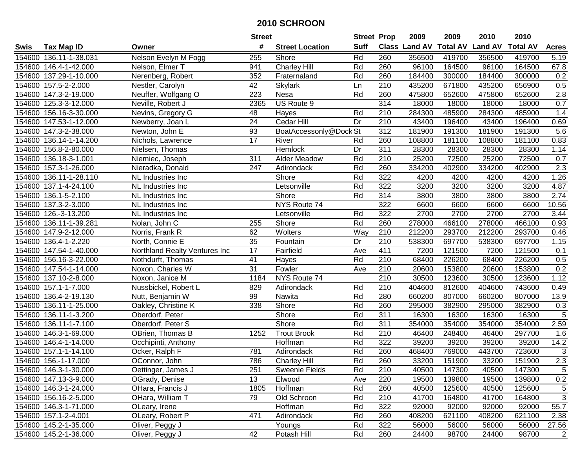|        |                        |                               | <b>Street</b>   |                        | <b>Street Prop</b> |                  | 2009                 | 2009            | 2010           | 2010            |                  |
|--------|------------------------|-------------------------------|-----------------|------------------------|--------------------|------------------|----------------------|-----------------|----------------|-----------------|------------------|
| Swis   | <b>Tax Map ID</b>      | Owner                         | #               | <b>Street Location</b> | <b>Suff</b>        |                  | <b>Class Land AV</b> | <b>Total AV</b> | <b>Land AV</b> | <b>Total AV</b> | <b>Acres</b>     |
|        | 154600 136.11-1-38.031 | Nelson Evelyn M Fogg          | 255             | Shore                  | Rd                 | 260              | 356500               | 419700          | 356500         | 419700          | 5.19             |
|        | 154600 146.4-1-42.000  | Nelson, Elmer T               | 941             | <b>Charley Hill</b>    | Rd                 | 260              | 96100                | 164500          | 96100          | 164500          | 67.8             |
|        | 154600 137.29-1-10.000 | Nerenberg, Robert             | 352             | Fraternaland           | Rd                 | 260              | 184400               | 300000          | 184400         | 300000          | 0.2              |
|        | 154600 157.5-2-2.000   | Nestler, Carolyn              | 42              | Skylark                | Ln                 | 210              | 435200               | 671800          | 435200         | 656900          | 0.5              |
|        | 154600 147.3-2-19.000  | Neuffer, Wolfgang O           | 223             | Nesa                   | Rd                 | 260              | 475800               | 652600          | 475800         | 652600          | 2.8              |
|        | 154600 125.3-3-12.000  | Neville, Robert J             | 2365            | US Route 9             |                    | 314              | 18000                | 18000           | 18000          | 18000           | 0.7              |
| 154600 | 156.16-3-30.000        | Nevins, Gregory G             | 48              | Hayes                  | Rd                 | 210              | 284300               | 485900          | 284300         | 485900          | 1.4              |
| 154600 | 147.53-1-12.000        | Newberry, Joan L              | $\overline{24}$ | Cedar Hill             | $\overline{Dr}$    | 210              | 43400                | 196400          | 43400          | 196400          | 0.69             |
|        | 154600 147.3-2-38.000  | Newton, John E                | 93              | BoatAccessonly@Dock St |                    | $\overline{312}$ | 181900               | 191300          | 181900         | 191300          | 5.6              |
|        | 154600 136.14-1-14.200 | Nichols, Lawrence             | 17              | River                  | Rd                 | 260              | 108800               | 181100          | 108800         | 181100          | 0.83             |
|        | 154600 156.8-2-80.000  | Nielsen, Thomas               |                 | Hemlock                | Dr                 | 311              | 28300                | 28300           | 28300          | 28300           | 1.14             |
|        | 154600 136.18-3-1.001  | Niemiec, Joseph               | 311             | Alder Meadow           | Rd                 | 210              | 25200                | 72500           | 25200          | 72500           | 0.7              |
|        | 154600 157.3-1-26.000  | Nieradka, Donald              | 247             | Adirondack             | Rd                 | 260              | 334200               | 402900          | 334200         | 402900          | $\overline{2.3}$ |
| 154600 | 136.11-1-28.110        | NL Industries Inc             |                 | Shore                  | Rd                 | 322              | 4200                 | 4200            | 4200           | 4200            | 1.26             |
| 154600 | 137.1-4-24.100         | NL Industries Inc             |                 | Letsonville            | Rd                 | 322              | 3200                 | 3200            | 3200           | 3200            | 4.87             |
|        | 154600 136.1-5-2.100   | NL Industries Inc             |                 | Shore                  | Rd                 | 314              | 3800                 | 3800            | 3800           | 3800            | 2.74             |
| 154600 | 137.3-2-3.000          | NL Industries Inc             |                 | NYS Route 74           |                    | 322              | 6600                 | 6600            | 6600           | 6600            | 10.56            |
| 154600 | 126.-3-13.200          | NL Industries Inc             |                 | Letsonville            | Rd                 | 322              | 2700                 | 2700            | 2700           | 2700            | 3.44             |
| 154600 | 136.11-1-39.281        | Nolan, John C                 | 255             | Shore                  | Rd                 | 260              | 278000               | 466100          | 278000         | 466100          | 0.93             |
|        | 154600 147.9-2-12.000  | Norris, Frank R               | 62              | Wolters                | Way                | 210              | 212200               | 293700          | 212200         | 293700          | 0.46             |
|        | 154600 136.4-1-2.220   | North, Connie E               | 35              | Fountain               | Dr                 | 210              | 538300               | 697700          | 538300         | 697700          | 1.15             |
| 154600 | 147.54-1-40.000        | Northland Realty Ventures Inc | 17              | Fairfield              | Ave                | 411              | 7200                 | 121500          | 7200           | 121500          | 0.1              |
| 154600 | 156.16-3-22.000        | Nothdurft, Thomas             | 41              | Hayes                  | Rd                 | 210              | 68400                | 226200          | 68400          | 226200          | 0.5              |
| 154600 | 147.54-1-14.000        | Noxon, Charles W              | 31              | Fowler                 | Ave                | 210              | 20600                | 153800          | 20600          | 153800          | 0.2              |
| 154600 | 137.10-2-8.000         | Noxon, Janice M               | 1184            | NYS Route 74           |                    | $\overline{210}$ | 30500                | 123600          | 30500          | 123600          | 1.12             |
|        | 154600 157.1-1-7.000   | Nussbickel, Robert L          | 829             | Adirondack             | Rd                 | 210              | 404600               | 812600          | 404600         | 743600          | 0.49             |
| 154600 | 136.4-2-19.130         | Nutt, Benjamin W              | 99              | Nawita                 | Rd                 | 280              | 660200               | 807000          | 660200         | 807000          | 13.9             |
|        | 154600 136.11-1-25.000 | Oakley, Christine K           | 338             | Shore                  | Rd                 | 260              | 295000               | 382900          | 295000         | 382900          | 0.3              |
|        | 154600 136.11-1-3.200  | Oberdorf, Peter               |                 | Shore                  | Rd                 | 311              | 16300                | 16300           | 16300          | 16300           | $\overline{5}$   |
| 154600 | 136.11-1-7.100         | Oberdorf, Peter S             |                 | Shore                  | Rd                 | 311              | 354000               | 354000          | 354000         | 354000          | 2.59             |
|        | 154600 146.3-1-69.000  | OBrien, Thomas B              | 1252            | <b>Trout Brook</b>     | Rd                 | $\overline{210}$ | 46400                | 248400          | 46400          | 297700          | 1.6              |
|        | 154600 146.4-1-14.000  | Occhipinti, Anthony           |                 | Hoffman                | Rd                 | 322              | 39200                | 39200           | 39200          | 39200           | 14.2             |
|        | 154600 157.1-1-14.100  | Ocker, Ralph F                | 781             | Adirondack             | Rd                 | 260              | 468400               | 769000          | 443700         | 723600          | 3                |
|        | 154600 156.-1-17.000   | OConnor, John                 | 786             | <b>Charley Hill</b>    | Rd                 | 260              | 33200                | 151900          | 33200          | 151900          | 2.3              |
|        | 154600 146.3-1-30.000  | Oettinger, James J            | 251             | <b>Sweenie Fields</b>  | Rd                 | 210              | 40500                | 147300          | 40500          | 147300          | 5                |
|        | 154600 147.13-3-9.000  | OGrady, Denise                | 13              | Elwood                 | Ave                | 220              | 19500                | 139800          | 19500          | 139800          | $0.2\,$          |
|        | 154600 146.3-1-24.000  | OHara, Francis J              | 1805            | Hoffman                | Rd                 | 260              | 40500                | 125600          | 40500          | 125600          | 5                |
|        | 154600 156.16-2-5.000  | OHara, William T              | 79              | Old Schroon            | Rd                 | 210              | 41700                | 164800          | 41700          | 164800          | 3                |
|        | 154600 146.3-1-71.000  | OLeary, Irene                 |                 | Hoffman                | Rd                 | 322              | 92000                | 92000           | 92000          | 92000           | 55.7             |
|        | 154600 157.1-2-4.001   | OLeary, Robert P              | 471             | Adirondack             | Rd                 | 260              | 408200               | 621100          | 408200         | 621100          | 2.38             |
|        | 154600 145.2-1-35.000  | Oliver, Peggy J               |                 | Youngs                 | Rd                 | 322              | 56000                | 56000           | 56000          | 56000           | 27.56            |
|        | 154600 145.2-1-36.000  | Oliver, Peggy J               | 42              | Potash Hill            | Rd                 | 260              | 24400                | 98700           | 24400          | 98700           | $\overline{2}$   |
|        |                        |                               |                 |                        |                    |                  |                      |                 |                |                 |                  |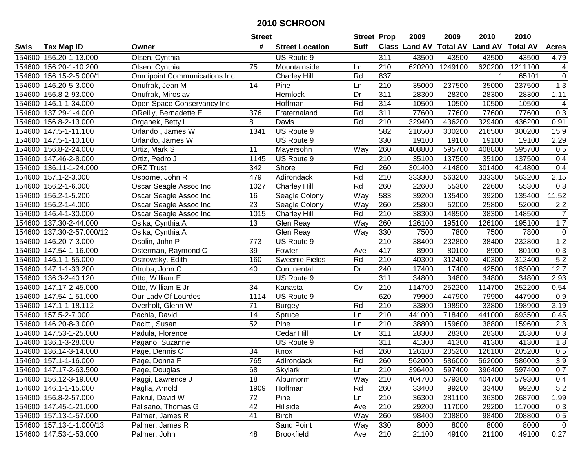|        |                           |                                     | <b>Street</b>   |                        | <b>Street Prop</b> |                  | 2009                          | 2009    | 2010           | 2010            |                |
|--------|---------------------------|-------------------------------------|-----------------|------------------------|--------------------|------------------|-------------------------------|---------|----------------|-----------------|----------------|
| Swis   | <b>Tax Map ID</b>         | Owner                               | #               | <b>Street Location</b> | <b>Suff</b>        |                  | <b>Class Land AV Total AV</b> |         | <b>Land AV</b> | <b>Total AV</b> | <b>Acres</b>   |
|        | 154600 156.20-1-13.000    | Olsen, Cynthia                      |                 | US Route 9             |                    | 311              | 43500                         | 43500   | 43500          | 43500           | 4.79           |
|        | 154600 156.20-1-10.200    | Olsen, Cynthia                      | 75              | Mountainside           | Ln                 | 210              | 620200                        | 1249100 | 620200         | 1211100         | 4              |
|        | 154600 156.15-2-5.000/1   | <b>Omnipoint Communications Inc</b> |                 | <b>Charley Hill</b>    | Rd                 | 837              |                               |         |                | 65101           | $\mathbf 0$    |
|        | 154600 146.20-5-3.000     | Onufrak, Jean M                     | 14              | Pine                   | Ln                 | 210              | 35000                         | 237500  | 35000          | 237500          | 1.3            |
|        | 154600 156.8-2-93.000     | Onufrak, Miroslav                   |                 | Hemlock                | Dr                 | $\overline{311}$ | 28300                         | 28300   | 28300          | 28300           | 1.11           |
|        | 154600 146.1-1-34.000     | Open Space Conservancy Inc          |                 | Hoffman                | Rd                 | 314              | 10500                         | 10500   | 10500          | 10500           | $\overline{4}$ |
| 154600 | 137.29-1-4.000            | OReilly, Bernadette E               | 376             | Fraternaland           | Rd                 | 311              | 77600                         | 77600   | 77600          | 77600           | 0.3            |
| 154600 | 156.8-2-13.000            | Organek, Betty L                    | 8               | Davis                  | Rd                 | $\overline{210}$ | 329400                        | 436200  | 329400         | 436200          | 0.91           |
|        | 154600 147.5-1-11.100     | Orlando, James W                    | 1341            | US Route 9             |                    | 582              | 216500                        | 300200  | 216500         | 300200          | 15.9           |
|        | 154600 147.5-1-10.100     | Orlando, James W                    |                 | US Route 9             |                    | 330              | 19100                         | 19100   | 19100          | 19100           | 2.29           |
|        | 154600 156.8-2-24.000     | Ortiz, Mark S                       | 11              | Mayersohn              | Way                | 260              | 408800                        | 595700  | 408800         | 595700          | 0.5            |
|        | 154600 147.46-2-8.000     | Ortiz, Pedro J                      | 1145            | US Route 9             |                    | 210              | 35100                         | 137500  | 35100          | 137500          | 0.4            |
|        | 154600 136.11-1-24.000    | <b>ORZ Trust</b>                    | 342             | Shore                  | Rd                 | 260              | 301400                        | 414800  | 301400         | 414800          | 0.4            |
| 154600 | 157.1-2-3.000             | Osborne, John R                     | 479             | Adirondack             | Rd                 | 210              | 333300                        | 563200  | 333300         | 563200          | 2.15           |
| 154600 | 156.2-1-6.000             | Oscar Seagle Assoc Inc              | 1027            | <b>Charley Hill</b>    | Rd                 | 260              | 22600                         | 55300   | 22600          | 55300           | 0.8            |
| 154600 | 156.2-1-5.200             | Oscar Seagle Assoc Inc              | 16              | Seagle Colony          | Way                | 583              | 39200                         | 135400  | 39200          | 135400          | 11.52          |
| 154600 | 156.2-1-4.000             | Oscar Seagle Assoc Inc              | $\overline{23}$ | Seagle Colony          | Way                | 260              | 25800                         | 52000   | 25800          | 52000           | $2.2\,$        |
| 154600 | 146.4-1-30.000            | Oscar Seagle Assoc Inc              | 1015            | <b>Charley Hill</b>    | Rd                 | 210              | 38300                         | 148500  | 38300          | 148500          | $\overline{7}$ |
|        | 154600 137.30-2-44.000    | Osika, Cynthia A                    | 13              | Glen Reay              | Way                | 260              | 126100                        | 195100  | 126100         | 195100          | 1.7            |
|        | 154600 137.30-2-57.000/12 | Osika, Cynthia A                    |                 | Glen Reay              | Way                | 330              | 7500                          | 7800    | 7500           | 7800            | $\pmb{0}$      |
|        | 154600 146.20-7-3.000     | Osolin, John P                      | 773             | US Route 9             |                    | 210              | 38400                         | 232800  | 38400          | 232800          | 1.2            |
| 154600 | 147.54-1-16.000           | Osterman, Raymond C                 | 39              | Fowler                 | Ave                | 417              | 8900                          | 80100   | 8900           | 80100           | 0.3            |
| 154600 | 146.1-1-55.000            | Ostrowsky, Edith                    | 160             | Sweenie Fields         | Rd                 | 210              | 40300                         | 312400  | 40300          | 312400          | 5.2            |
| 154600 | 147.1-1-33.200            | Otruba, John C                      | 40              | Continental            | Dr                 | 240              | 17400                         | 17400   | 42500          | 183000          | 12.7           |
| 154600 | 136.3-2-40.120            | Otto, William E                     |                 | US Route 9             |                    | 311              | 34800                         | 34800   | 34800          | 34800           | 2.93           |
|        | 154600 147.17-2-45.000    | Otto, William E Jr                  | 34              | Kanasta                | Cv                 | 210              | 114700                        | 252200  | 114700         | 252200          | 0.54           |
|        | 154600 147.54-1-51.000    | Our Lady Of Lourdes                 | 1114            | US Route 9             |                    | 620              | 79900                         | 447900  | 79900          | 447900          | 0.9            |
|        | 154600 147.1-1-18.112     | Overholt, Glenn W                   | 71              | <b>Burgey</b>          | Rd                 | 210              | 33800                         | 198900  | 33800          | 198900          | 3.19           |
|        | 154600 157.5-2-7.000      | Pachla, David                       | 14              | Spruce                 | Ln                 | $\overline{210}$ | 441000                        | 718400  | 441000         | 693500          | 0.45           |
|        | 154600 146.20-8-3.000     | Pacitti, Susan                      | 52              | Pine                   | Ln                 | $\overline{210}$ | 38800                         | 159600  | 38800          | 159600          | 2.3            |
|        | 154600 147.53-1-25.000    | Padula, Florence                    |                 | Cedar Hill             | Dr                 | 311              | 28300                         | 28300   | 28300          | 28300           | 0.3            |
|        | 154600 136.1-3-28.000     | Pagano, Suzanne                     |                 | US Route 9             |                    | 311              | 41300                         | 41300   | 41300          | 41300           | 1.8            |
| 154600 | 136.14-3-14.000           | Page, Dennis C                      | $\overline{34}$ | Knox                   | Rd                 | 260              | 126100                        | 205200  | 126100         | 205200          | 0.5            |
|        | 154600 157.1-1-16.000     | Page, Donna F                       | 765             | Adirondack             | Rd                 | 260              | 562000                        | 586000  | 562000         | 586000          | 3.9            |
|        | 154600 147.17-2-63.500    | Page, Douglas                       | 68              | Skylark                | Ln                 | 210              | 396400                        | 597400  | 396400         | 597400          | 0.7            |
|        | 154600 156.12-3-19.000    | Paggi, Lawrence J                   | 18              | Alburnorm              | Way                | 210              | 404700                        | 579300  | 404700         | 579300          | 0.4            |
|        | 154600 146.1-1-15.000     | Paglia, Arnold                      | 1909            | Hoffman                | Rd                 | 260              | 33400                         | 99200   | 33400          | 99200           | 5.2            |
|        | 154600 156.8-2-57.000     | Pakrul, David W                     | 72              | Pine                   | Ln                 | 210              | 36300                         | 281100  | 36300          | 268700          | 1.99           |
|        | 154600 147.45-1-21.000    | Palisano, Thomas G                  | 42              | Hillside               | Ave                | 210              | 29200                         | 117000  | 29200          | 117000          | 0.3            |
|        | 154600 157.13-1-57.000    | Palmer, James R                     | 41              | <b>Birch</b>           | Way                | 260              | 98400                         | 208800  | 98400          | 208800          | 0.5            |
|        | 154600 157.13-1-1.000/13  | Palmer, James R                     |                 | Sand Point             | Way                | 330              | 8000                          | 8000    | 8000           | 8000            | $\mathbf 0$    |
|        | 154600 147.53-1-53.000    | Palmer, John                        | 48              | <b>Brookfield</b>      | Ave                | 210              | 21100                         | 49100   | 21100          | 49100           | 0.27           |
|        |                           |                                     |                 |                        |                    |                  |                               |         |                |                 |                |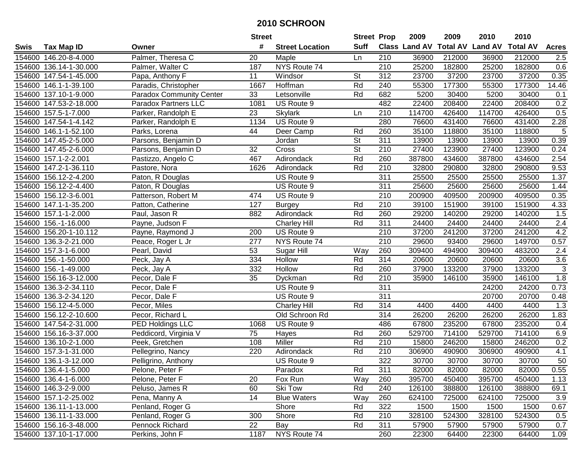|        |                        |                                 | <b>Street</b>   |                        | <b>Street Prop</b>       |                  | 2009          | 2009            | 2010           | 2010            |                 |
|--------|------------------------|---------------------------------|-----------------|------------------------|--------------------------|------------------|---------------|-----------------|----------------|-----------------|-----------------|
| Swis   | <b>Tax Map ID</b>      | Owner                           | #               | <b>Street Location</b> | <b>Suff</b>              |                  | Class Land AV | <b>Total AV</b> | <b>Land AV</b> | <b>Total AV</b> | <b>Acres</b>    |
|        | 154600 146.20-8-4.000  | Palmer, Theresa C               | 20              | Maple                  | Ln                       | 210              | 36900         | 212000          | 36900          | 212000          | 2.5             |
|        | 154600 136.14-1-30.000 | Palmer, Walter C                | 187             | NYS Route 74           |                          | 210              | 25200         | 182800          | 25200          | 182800          | 0.6             |
|        | 154600 147.54-1-45.000 | Papa, Anthony F                 | 11              | Windsor                | <b>St</b>                | 312              | 23700         | 37200           | 23700          | 37200           | 0.35            |
|        | 154600 146.1-1-39.100  | Paradis, Christopher            | 1667            | Hoffman                | Rd                       | 240              | 55300         | 177300          | 55300          | 177300          | 14.46           |
|        | 154600 137.10-1-9.000  | <b>Paradox Community Center</b> | 33              | Letsonville            | Rd                       | 682              | 5200          | 30400           | 5200           | 30400           | 0.1             |
|        | 154600 147.53-2-18.000 | <b>Paradox Partners LLC</b>     | 1081            | US Route 9             |                          | 482              | 22400         | 208400          | 22400          | 208400          | 0.2             |
|        | 154600 157.5-1-7.000   | Parker, Randolph E              | 23              | <b>Skylark</b>         | Ln                       | 210              | 114700        | 426400          | 114700         | 426400          | 0.5             |
|        | 154600 147.54-1-4.142  | Parker, Randolph E              | 1134            | US Route 9             |                          | 280              | 76600         | 431400          | 76600          | 431400          | 2.28            |
|        | 154600 146.1-1-52.100  | Parks, Lorena                   | 44              | Deer Camp              | Rd                       | 260              | 35100         | 118800          | 35100          | 118800          | 5               |
|        | 154600 147.45-2-5.000  | Parsons, Benjamin D             |                 | Jordan                 | $\overline{\mathsf{St}}$ | 311              | 13900         | 13900           | 13900          | 13900           | 0.39            |
|        | 154600 147.45-2-6.000  | Parsons, Benjamin D             | 32              | Cross                  | $\overline{\mathsf{St}}$ | 210              | 27400         | 123900          | 27400          | 123900          | 0.24            |
|        | 154600 157.1-2-2.001   | Pastizzo, Angelo C              | 467             | Adirondack             | Rd                       | 260              | 387800        | 434600          | 387800         | 434600          | 2.54            |
|        | 154600 147.2-1-36.110  | Pastore, Nora                   | 1626            | Adirondack             | Rd                       | 210              | 32800         | 290800          | 32800          | 290800          | 9.53            |
|        | 154600 156.12-2-4.200  | Paton, R Douglas                |                 | US Route 9             |                          | 311              | 25500         | 25500           | 25500          | 25500           | 1.37            |
|        | 154600 156.12-2-4.400  | Paton, R Douglas                |                 | US Route 9             |                          | 311              | 25600         | 25600           | 25600          | 25600           | 1.44            |
|        | 154600 156.12-3-6.001  | Patterson, Robert M             | 474             | US Route 9             |                          | 210              | 200900        | 409500          | 200900         | 409500          | 0.35            |
|        | 154600 147.1-1-35.200  | Patton, Catherine               | 127             | <b>Burgey</b>          | Rd                       | 210              | 39100         | 151900          | 39100          | 151900          | 4.33            |
|        | 154600 157.1-1-2.000   | Paul, Jason R                   | 882             | Adirondack             | Rd                       | 260              | 29200         | 140200          | 29200          | 140200          | 1.5             |
|        | 154600 156.-1-16.000   | Payne, Judson F                 |                 | <b>Charley Hill</b>    | Rd                       | 311              | 24400         | 24400           | 24400          | 24400           | 2.4             |
|        | 154600 156.20-1-10.112 | Payne, Raymond J                | 200             | US Route 9             |                          | 210              | 37200         | 241200          | 37200          | 241200          | 4.2             |
|        | 154600 136.3-2-21.000  | Peace, Roger L Jr               | 277             | NYS Route 74           |                          | 210              | 29600         | 93400           | 29600          | 149700          | 0.57            |
| 154600 | 157.3-1-6.000          | Pearl, David                    | 53              | Sugar Hill             | Way                      | 260              | 309400        | 494900          | 309400         | 483200          | 2.4             |
| 154600 | 156.-1-50.000          | Peck, Jay A                     | 334             | Hollow                 | Rd                       | 314              | 20600         | 20600           | 20600          | 20600           | 3.6             |
| 154600 | 156.-1-49.000          | Peck, Jay A                     | 332             | Hollow                 | Rd                       | 260              | 37900         | 133200          | 37900          | 133200          | $\sqrt{3}$      |
| 154600 | 156.16-3-12.000        | Pecor, Dale F                   | 35              | Dyckman                | Rd                       | 210              | 35900         | 146100          | 35900          | 146100          | 1.8             |
| 154600 | 136.3-2-34.110         | Pecor, Dale F                   |                 | US Route 9             |                          | 311              |               |                 | 24200          | 24200           | 0.73            |
| 154600 | 136.3-2-34.120         | Pecor, Dale F                   |                 | US Route 9             |                          | 311              |               |                 | 20700          | 20700           | 0.48            |
|        | 154600 156.12-4-5.000  | Pecor, Miles                    |                 | <b>Charley Hill</b>    | Rd                       | 314              | 4400          | 4400            | 4400           | 4400            | 1.3             |
|        | 154600 156.12-2-10.600 | Pecor, Richard L                |                 | Old Schroon Rd         |                          | $\overline{314}$ | 26200         | 26200           | 26200          | 26200           | 1.83            |
|        | 154600 147.54-2-31.000 | PED Holdings LLC                | 1068            | US Route 9             |                          | 486              | 67800         | 235200          | 67800          | 235200          | 0.4             |
|        | 154600 156.16-3-37.000 | Peddicord, Virginia V           | $\overline{75}$ | Hayes                  | Rd                       | 260              | 529700        | 714100          | 529700         | 714100          | 6.9             |
|        | 154600 136.10-2-1.000  | Peek, Gretchen                  | 108             | Miller                 | Rd                       | 210              | 15800         | 246200          | 15800          | 246200          | 0.2             |
|        | 154600 157.3-1-31.000  | Pellegrino, Nancy               | 220             | Adirondack             | Rd                       | $\overline{210}$ | 306900        | 490900          | 306900         | 490900          | 4.1             |
|        | 154600 136.1-3-12.000  | Pelligrino, Anthony             |                 | US Route 9             |                          | 322              | 30700         | 30700           | 30700          | 30700           | $\overline{50}$ |
|        | 154600 136.4-1-5.000   | Pelone, Peter F                 |                 | Paradox                | Rd                       | 311              | 82000         | 82000           | 82000          | 82000           | 0.55            |
|        | 154600 136.4-1-6.000   | Pelone, Peter F                 | 20              | Fox Run                | Way                      | 260              | 395700        | 450400          | 395700         | 450400          | 1.13            |
|        | 154600 146.3-2-9.000   | Peluso, James R                 | 60              | Ski Tow                | Rd                       | 240              | 126100        | 388800          | 126100         | 388800          | 69.1            |
|        | 154600 157.1-2-25.002  | Pena, Manny A                   | 14              | <b>Blue Waters</b>     | Way                      | 260              | 624100        | 725000          | 624100         | 725000          | 3.9             |
|        | 154600 136.11-1-13.000 | Penland, Roger G                |                 | Shore                  | Rd                       | 322              | 1500          | 1500            | 1500           | 1500            | 0.67            |
|        | 154600 136.11-1-33.000 | Penland, Roger G                | 300             | Shore                  | Rd                       | 210              | 328100        | 524300          | 328100         | 524300          | 0.5             |
|        | 154600 156.16-3-48.000 | Pennock Richard                 | 22              | Bay                    | Rd                       | 311              | 57900         | 57900           | 57900          | 57900           | 0.7             |
|        | 154600 137.10-1-17.000 | Perkins, John F                 | 1187            | NYS Route 74           |                          | 260              | 22300         | 64400           | 22300          | 64400           | 1.09            |
|        |                        |                                 |                 |                        |                          |                  |               |                 |                |                 |                 |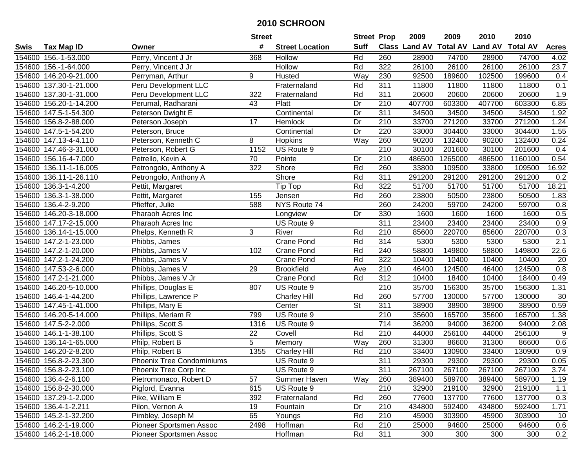|        |                        |                                  | <b>Street</b>  |                        | <b>Street Prop</b> |                  | 2009   | 2009    | 2010                                    | 2010    |                  |
|--------|------------------------|----------------------------------|----------------|------------------------|--------------------|------------------|--------|---------|-----------------------------------------|---------|------------------|
| Swis   | <b>Tax Map ID</b>      | Owner                            | #              | <b>Street Location</b> | <b>Suff</b>        |                  |        |         | Class Land AV Total AV Land AV Total AV |         | <b>Acres</b>     |
|        | 154600 156.-1-53.000   | Perry, Vincent J Jr              | 368            | Hollow                 | Rd                 | 260              | 28900  | 74700   | 28900                                   | 74700   | 4.02             |
|        | 154600 156.-1-64.000   | Perry, Vincent J Jr              |                | Hollow                 | Rd                 | 322              | 26100  | 26100   | 26100                                   | 26100   | 23.7             |
|        | 154600 146.20-9-21.000 | Perryman, Arthur                 | 9              | Husted                 | Way                | 230              | 92500  | 189600  | 102500                                  | 199600  | 0.4              |
|        | 154600 137.30-1-21.000 | Peru Development LLC             |                | Fraternaland           | Rd                 | 311              | 11800  | 11800   | 11800                                   | 11800   | 0.1              |
|        | 154600 137.30-1-31.000 | Peru Development LLC             | 322            | Fraternaland           | Rd                 | 311              | 20600  | 20600   | 20600                                   | 20600   | 1.9              |
|        | 154600 156.20-1-14.200 | Perumal, Radharani               | 43             | Platt                  | Dr                 | 210              | 407700 | 603300  | 407700                                  | 603300  | 6.85             |
|        | 154600 147.5-1-54.300  | Peterson Dwight E                |                | Continental            | $\overline{Dr}$    | 311              | 34500  | 34500   | 34500                                   | 34500   | 1.92             |
|        | 154600 156.8-2-88.000  | Peterson Joseph                  | 17             | Hemlock                | Dr                 | $\overline{210}$ | 33700  | 271200  | 33700                                   | 271200  | 1.24             |
|        | 154600 147.5-1-54.200  | Peterson, Bruce                  |                | Continental            | Dr                 | 220              | 33000  | 304400  | 33000                                   | 304400  | 1.55             |
|        | 154600 147.13-4-4.110  | Peterson, Kenneth C              | 8              | Hopkins                | Way                | 260              | 90200  | 132400  | 90200                                   | 132400  | 0.24             |
|        | 154600 147.46-3-31.000 | Peterson, Robert G               | 1152           | US Route 9             |                    | 210              | 30100  | 201600  | 30100                                   | 201600  | 0.4              |
|        | 154600 156.16-4-7.000  | Petrello, Kevin A                | 70             | Pointe                 | Dr                 | 210              | 486500 | 1265000 | 486500                                  | 1160100 | 0.54             |
|        | 154600 136.11-1-16.005 | Petrongolo, Anthony A            | 322            | Shore                  | Rd                 | 260              | 33800  | 109500  | 33800                                   | 109500  | 16.92            |
| 154600 | 136.11-1-26.110        | Petrongolo, Anthony A            |                | Shore                  | Rd                 | 311              | 291200 | 291200  | 291200                                  | 291200  | 0.2              |
| 154600 | 136.3-1-4.200          | Pettit, Margaret                 |                | Tip Top                | Rd                 | 322              | 51700  | 51700   | 51700                                   | 51700   | 18.21            |
| 154600 | 136.3-1-38.000         | Pettit, Margaret                 | 155            | Jensen                 | Rd                 | 260              | 23800  | 50500   | 23800                                   | 50500   | 1.83             |
|        | 154600 136.4-2-9.200   | Pfieffer, Julie                  | 588            | NYS Route 74           |                    | 260              | 24200  | 59700   | 24200                                   | 59700   | 0.8              |
|        | 154600 146.20-3-18.000 | Pharaoh Acres Inc                |                | Longview               | Dr                 | 330              | 1600   | 1600    | 1600                                    | 1600    | 0.5              |
|        | 154600 147.17-2-15.000 | Pharaoh Acres Inc                |                | US Route 9             |                    | 311              | 23400  | 23400   | 23400                                   | 23400   | 0.9              |
|        | 154600 136.14-1-15.000 | Phelps, Kenneth R                | 3              | River                  | Rd                 | 210              | 85600  | 220700  | 85600                                   | 220700  | 0.3              |
|        | 154600 147.2-1-23.000  | Phibbs, James                    |                | <b>Crane Pond</b>      | Rd                 | 314              | 5300   | 5300    | 5300                                    | 5300    | $\overline{2.1}$ |
|        | 154600 147.2-1-20.000  | Phibbs, James V                  | 102            | <b>Crane Pond</b>      | Rd                 | 240              | 58800  | 149800  | 58800                                   | 149800  | 22.6             |
|        | 154600 147.2-1-24.200  | Phibbs, James V                  |                | Crane Pond             | Rd                 | 322              | 10400  | 10400   | 10400                                   | 10400   | 20               |
|        | 154600 147.53-2-6.000  | Phibbs, James V                  | 29             | <b>Brookfield</b>      | Ave                | 210              | 46400  | 124500  | 46400                                   | 124500  | 0.8              |
|        | 154600 147.2-1-21.000  | Phibbs, James V Jr               |                | Crane Pond             | Rd                 | 312              | 10400  | 18400   | 10400                                   | 18400   | 0.49             |
|        | 154600 146.20-5-10.000 | Phillips, Douglas E              | 807            | US Route 9             |                    | 210              | 35700  | 156300  | 35700                                   | 156300  | 1.31             |
|        | 154600 146.4-1-44.200  | Phillips, Lawrence P             |                | <b>Charley Hill</b>    | Rd                 | 260              | 57700  | 130000  | 57700                                   | 130000  | 30               |
|        | 154600 147.45-1-41.000 | Phillips, Mary E                 |                | Center                 | St                 | 311              | 38900  | 38900   | 38900                                   | 38900   | 0.59             |
|        | 154600 146.20-5-14.000 | Phillips, Meriam R               | 799            | US Route 9             |                    | 210              | 35600  | 165700  | 35600                                   | 165700  | 1.38             |
|        | 154600 147.5-2-2.000   | Phillips, Scott S                | 1316           | US Route 9             |                    | $\overline{714}$ | 36200  | 94000   | 36200                                   | 94000   | 2.08             |
|        | 154600 146.1-1-38.100  | Phillips, Scott S                | 22             | Covell                 | Rd                 | 210              | 44000  | 256100  | 44000                                   | 256100  | 9                |
| 154600 | 136.14-1-65.000        | Philp, Robert B                  | $\overline{5}$ | Memory                 | Way                | 260              | 31300  | 86600   | 31300                                   | 86600   | 0.6              |
|        | 154600 146.20-2-8.200  | Philp, Robert B                  | 1355           | Charley Hill           | Rd                 | 210              | 33400  | 130900  | 33400                                   | 130900  | 0.9              |
|        | 154600 156.8-2-23.300  | <b>Phoenix Tree Condominiums</b> |                | US Route 9             |                    | 311              | 29300  | 29300   | 29300                                   | 29300   | 0.05             |
|        | 154600 156.8-2-23.100  | Phoenix Tree Corp Inc            |                | US Route 9             |                    | 311              | 267100 | 267100  | 267100                                  | 267100  | 3.74             |
|        | 154600 136.4-2-6.100   | Pietromonaco, Robert D           | 57             | Summer Haven           | Way                | 260              | 389400 | 589700  | 389400                                  | 589700  | 1.19             |
|        | 154600 156.8-2-30.000  | Pigford, Evanna                  | 615            | US Route 9             |                    | 210              | 32900  | 219100  | 32900                                   | 219100  | 1.1              |
|        | 154600 137.29-1-2.000  | Pike, William E                  | 392            | Fraternaland           | Rd                 | 260              | 77600  | 137700  | 77600                                   | 137700  | 0.3              |
|        | 154600 136.4-1-2.211   | Pilon, Vernon A                  | 19             | Fountain               | Dr                 | 210              | 434800 | 592400  | 434800                                  | 592400  | 1.71             |
|        | 154600 145.2-1-32.200  | Pimbley, Joseph M                | 65             | Youngs                 | Rd                 | 210              | 45900  | 303900  | 45900                                   | 303900  | 10               |
|        | 154600 146.2-1-19.000  | Pioneer Sportsmen Assoc          | 2498           | Hoffman                | Rd                 | 210              | 25000  | 94600   | 25000                                   | 94600   | 0.6              |
|        | 154600 146.2-1-18.000  | Pioneer Sportsmen Assoc          |                | Hoffman                | Rd                 | 311              | 300    | 300     | 300                                     | 300     | 0.2              |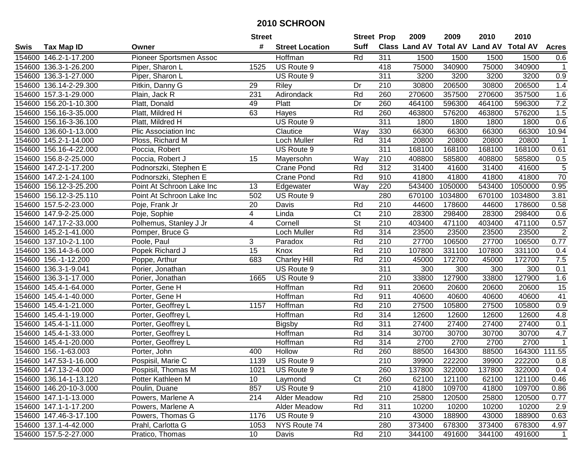|        |                        |                           | <b>Street</b>   |                        | <b>Street Prop</b>     |                  | 2009   | 2009    | 2010                           | 2010            |                 |
|--------|------------------------|---------------------------|-----------------|------------------------|------------------------|------------------|--------|---------|--------------------------------|-----------------|-----------------|
| Swis   | <b>Tax Map ID</b>      | Owner                     | #               | <b>Street Location</b> | <b>Suff</b>            |                  |        |         | Class Land AV Total AV Land AV | <b>Total AV</b> | <b>Acres</b>    |
|        | 154600 146.2-1-17.200  | Pioneer Sportsmen Assoc   |                 | Hoffman                | Rd                     | 311              | 1500   | 1500    | 1500                           | 1500            | 0.6             |
|        | 154600 136.3-1-26.200  | Piper, Sharon L           | 1525            | US Route 9             |                        | 418              | 75000  | 340900  | 75000                          | 340900          | $\mathbf{1}$    |
|        | 154600 136.3-1-27.000  | Piper, Sharon L           |                 | US Route 9             |                        | 311              | 3200   | 3200    | 3200                           | 3200            | 0.9             |
|        | 154600 136.14-2-29.300 | Pitkin, Danny G           | 29              | Riley                  | Dr                     | 210              | 30800  | 206500  | 30800                          | 206500          | 1.4             |
|        | 154600 157.3-1-29.000  | Plain, Jack R             | 231             | Adirondack             | Rd                     | 260              | 270600 | 357500  | 270600                         | 357500          | 1.6             |
|        | 154600 156.20-1-10.300 | Platt, Donald             | 49              | <b>Platt</b>           | Dr                     | 260              | 464100 | 596300  | 464100                         | 596300          | 7.2             |
| 154600 | 156.16-3-35.000        | Platt, Mildred H          | 63              | Hayes                  | Rd                     | 260              | 463800 | 576200  | 463800                         | 576200          | 1.5             |
| 154600 | 156.16-3-36.100        | Platt, Mildred H          |                 | US Route 9             |                        | 311              | 1800   | 1800    | 1800                           | 1800            | 0.6             |
|        | 154600 136.60-1-13.000 | Plic Association Inc      |                 | Clautice               | Way                    | 330              | 66300  | 66300   | 66300                          | 66300           | 10.94           |
|        | 154600 145.2-1-14.000  | Ploss, Richard M          |                 | Loch Muller            | Rd                     | 314              | 20800  | 20800   | 20800                          | 20800           | $\overline{1}$  |
|        | 154600 156.16-4-22.000 | Poccia, Robert            |                 | US Route 9             |                        | 311              | 168100 | 168100  | 168100                         | 168100          | 0.61            |
|        | 154600 156.8-2-25.000  | Poccia, Robert J          | 15              | Mayersohn              | Way                    | 210              | 408800 | 585800  | 408800                         | 585800          | 0.5             |
|        | 154600 147.2-1-17.200  | Podnorszki, Stephen E     |                 | Crane Pond             | Rd                     | $\overline{312}$ | 31400  | 41600   | 31400                          | 41600           | $\overline{5}$  |
|        | 154600 147.2-1-24.100  | Podnorszki, Stephen E     |                 | <b>Crane Pond</b>      | Rd                     | 910              | 41800  | 41800   | 41800                          | 41800           | 70              |
| 154600 | 156.12-3-25.200        | Point At Schroon Lake Inc | 13              | Edgewater              | Way                    | 220              | 543400 | 1050000 | 543400                         | 1050000         | 0.95            |
| 154600 | 156.12-3-25.110        | Point At Schroon Lake Inc | 502             | US Route 9             |                        | 280              | 670100 | 1034800 | 670100                         | 1034800         | 3.81            |
|        | 154600 157.5-2-23.000  | Poje, Frank Jr            | 20              | Davis                  | Rd                     | 210              | 44600  | 178600  | 44600                          | 178600          | 0.58            |
|        | 154600 147.9-2-25.000  | Poje, Sophie              | 4               | Linda                  | $\overline{\text{C}t}$ | 210              | 28300  | 298400  | 28300                          | 298400          | 0.6             |
|        | 154600 147.17-2-33.000 | Polhemus, Stanley J Jr    | 4               | Cornell                | St                     | 210              | 403400 | 471100  | 403400                         | 471100          | 0.57            |
|        | 154600 145.2-1-41.000  | Pomper, Bruce G           |                 | Loch Muller            | Rd                     | 314              | 23500  | 23500   | 23500                          | 23500           | $\overline{2}$  |
|        | 154600 137.10-2-1.100  | Poole, Paul               | 3               | Paradox                | Rd                     | 210              | 27700  | 106500  | 27700                          | 106500          | 0.77            |
| 154600 | 136.14-3-6.000         | Popek Richard J           | 15              | Knox                   | Rd                     | 210              | 107800 | 331100  | 107800                         | 331100          | 0.4             |
| 154600 | 156.-1-12.200          | Poppe, Arthur             | 683             | <b>Charley Hill</b>    | Rd                     | 210              | 45000  | 172700  | 45000                          | 172700          | 7.5             |
| 154600 | 136.3-1-9.041          | Porier, Jonathan          |                 | US Route 9             |                        | 311              | 300    | 300     | 300                            | 300             | 0.1             |
| 154600 | 136.3-1-17.000         | Porier, Jonathan          | 1665            | US Route 9             |                        | $\overline{210}$ | 33800  | 127900  | 33800                          | 127900          | 1.6             |
|        | 154600 145.4-1-64.000  | Porter, Gene H            |                 | Hoffman                | Rd                     | 911              | 20600  | 20600   | 20600                          | 20600           | 15              |
|        | 154600 145.4-1-40.000  | Porter, Gene H            |                 | Hoffman                | Rd                     | 911              | 40600  | 40600   | 40600                          | 40600           | $\overline{41}$ |
|        | 154600 145.4-1-21.000  | Porter, Geoffrey L        | 1157            | Hoffman                | Rd                     | 210              | 27500  | 105800  | 27500                          | 105800          | 0.9             |
|        | 154600 145.4-1-19.000  | Porter, Geoffrey L        |                 | Hoffman                | Rd                     | $\overline{314}$ | 12600  | 12600   | 12600                          | 12600           | 4.8             |
|        | 154600 145.4-1-11.000  | Porter, Geoffrey L        |                 | <b>Bigsby</b>          | Rd                     | $\overline{311}$ | 27400  | 27400   | 27400                          | 27400           | 0.1             |
|        | 154600 145.4-1-33.000  | Porter, Geoffrey L        |                 | <b>Hoffman</b>         | Rd                     | 314              | 30700  | 30700   | 30700                          | 30700           | 4.7             |
|        | 154600 145.4-1-20.000  | Porter, Geoffrey L        |                 | <b>Hoffman</b>         | Rd                     | 314              | 2700   | 2700    | 2700                           | 2700            | $\mathbf{1}$    |
|        | 154600 156.-1-63.003   | Porter, John              | 400             | Hollow                 | Rd                     | 260              | 88500  | 164300  | 88500                          | 164300          | 111.55          |
|        | 154600 147.53-1-16.000 | Pospisil, Marie C         | 1139            | US Route 9             |                        | $\overline{210}$ | 39900  | 222200  | 39900                          | 222200          | 0.8             |
|        | 154600 147.13-2-4.000  | Pospisil, Thomas M        | 1021            | US Route 9             |                        | 260              | 137800 | 322000  | 137800                         | 322000          | 0.4             |
|        | 154600 136.14-1-13.120 | Potter Kathleen M         | 10              | Laymond                | Ct                     | 260              | 62100  | 121100  | 62100                          | 121100          | 0.46            |
|        | 154600 146.20-10-3.000 | Poulin, Duane             | 857             | US Route 9             |                        | 210              | 41800  | 109700  | 41800                          | 109700          | 0.86            |
|        | 154600 147.1-1-13.000  | Powers, Marlene A         | 214             | Alder Meadow           | Rd                     | 210              | 25800  | 120500  | 25800                          | 120500          | 0.77            |
|        | 154600 147.1-1-17.200  | Powers, Marlene A         |                 | Alder Meadow           | Rd                     | 311              | 10200  | 10200   | 10200                          | 10200           | 2.9             |
|        | 154600 147.46-3-17.100 | Powers, Thomas G          | 1176            | US Route 9             |                        | 210              | 43000  | 188900  | 43000                          | 188900          | 0.63            |
|        | 154600 137.1-4-42.000  | Prahl, Carlotta G         | 1053            | NYS Route 74           |                        | 280              | 373400 | 678300  | 373400                         | 678300          | 4.97            |
|        | 154600 157.5-2-27.000  | Pratico, Thomas           | 10 <sup>°</sup> | Davis                  | Rd                     | 210              | 344100 | 491600  | 344100                         | 491600          | $\mathbf 1$     |
|        |                        |                           |                 |                        |                        |                  |        |         |                                |                 |                 |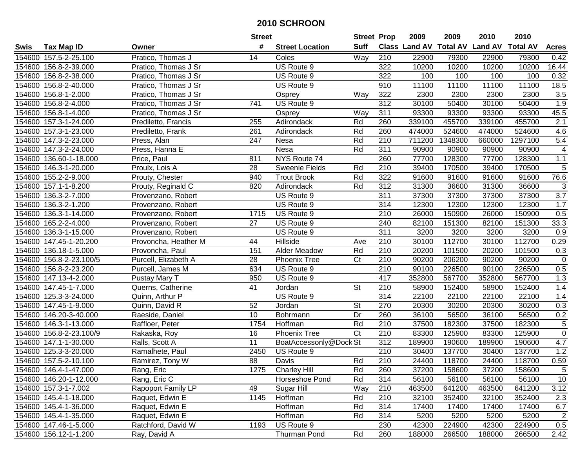|             |                         |                      | <b>Street</b>   |                        | <b>Street Prop</b> |                  | 2009   | 2009    | 2010                                    | 2010    |                          |
|-------------|-------------------------|----------------------|-----------------|------------------------|--------------------|------------------|--------|---------|-----------------------------------------|---------|--------------------------|
| <b>Swis</b> | <b>Tax Map ID</b>       | Owner                | #               | <b>Street Location</b> | <b>Suff</b>        |                  |        |         | Class Land AV Total AV Land AV Total AV |         | <b>Acres</b>             |
|             | 154600 157.5-2-25.100   | Pratico, Thomas J    | 14              | Coles                  | Way                | 210              | 22900  | 79300   | 22900                                   | 79300   | 0.42                     |
|             | 154600 156.8-2-39.000   | Pratico, Thomas J Sr |                 | US Route 9             |                    | 322              | 10200  | 10200   | 10200                                   | 10200   | 16.44                    |
|             | 154600 156.8-2-38.000   | Pratico, Thomas J Sr |                 | US Route 9             |                    | $\overline{322}$ | 100    | 100     | 100                                     | 100     | 0.32                     |
|             | 154600 156.8-2-40.000   | Pratico, Thomas J Sr |                 | US Route 9             |                    | 910              | 11100  | 11100   | 11100                                   | 11100   | 18.5                     |
|             | 154600 156.8-1-2.000    | Pratico, Thomas J Sr |                 | Osprey                 | $\overline{W}$ ay  | 322              | 2300   | 2300    | 2300                                    | 2300    | 3.5                      |
|             | 154600 156.8-2-4.000    | Pratico, Thomas J Sr | 741             | US Route 9             |                    | 312              | 30100  | 50400   | 30100                                   | 50400   | 1.9                      |
|             | 154600 156.8-1-4.000    | Pratico, Thomas J Sr |                 | Osprey                 | Way                | 311              | 93300  | 93300   | 93300                                   | 93300   | 45.5                     |
|             | 154600 157.3-1-24.000   | Prediletto, Francis  | 255             | Adirondack             | Rd                 | 260              | 339100 | 455700  | 339100                                  | 455700  | $\overline{2.1}$         |
|             | 154600 157.3-1-23.000   | Prediletto, Frank    | 261             | Adirondack             | Rd                 | 260              | 474000 | 524600  | 474000                                  | 524600  | 4.6                      |
|             | 154600 147.3-2-23.000   | Press, Alan          | 247             | Nesa                   | Rd                 | 210              | 711200 | 1348300 | 660000                                  | 1297100 | 5.4                      |
|             | 154600 147.3-2-24.000   | Press, Hanna E       |                 | Nesa                   | Rd                 | 311              | 90900  | 90900   | 90900                                   | 90900   | $\overline{\mathcal{A}}$ |
|             | 154600 136.60-1-18.000  | Price, Paul          | 811             | NYS Route 74           |                    | 260              | 77700  | 128300  | 77700                                   | 128300  | 1.1                      |
|             | 154600 146.3-1-20.000   | Proulx, Lois A       | 28              | Sweenie Fields         | Rd                 | 210              | 39400  | 170500  | 39400                                   | 170500  | 5                        |
|             | 154600 155.2-2-9.000    | Prouty, Chester      | 940             | <b>Trout Brook</b>     | Rd                 | 322              | 91600  | 91600   | 91600                                   | 91600   | 76.6                     |
| 154600      | 157.1-1-8.200           | Prouty, Reginald C   | 820             | Adirondack             | Rd                 | 312              | 31300  | 36600   | 31300                                   | 36600   | 3                        |
| 154600      | 136.3-2-7.000           | Provenzano, Robert   |                 | US Route 9             |                    | $\overline{311}$ | 37300  | 37300   | 37300                                   | 37300   | $\overline{3.7}$         |
|             | 154600 136.3-2-1.200    | Provenzano, Robert   |                 | US Route 9             |                    | 314              | 12300  | 12300   | 12300                                   | 12300   | 1.7                      |
|             | 154600 136.3-1-14.000   | Provenzano, Robert   | 1715            | US Route 9             |                    | 210              | 26000  | 150900  | 26000                                   | 150900  | 0.5                      |
|             | 154600 165.2-2-4.000    | Provenzano, Robert   | 27              | US Route 9             |                    | 240              | 82100  | 151300  | 82100                                   | 151300  | 33.3                     |
|             | 154600 136.3-1-15.000   | Provenzano, Robert   |                 | US Route 9             |                    | 311              | 3200   | 3200    | 3200                                    | 3200    | 0.9                      |
|             | 154600 147.45-1-20.200  | Provoncha, Heather M | 44              | Hillside               | Ave                | 210              | 30100  | 112700  | 30100                                   | 112700  | 0.29                     |
|             | 154600 136.18-1-5.000   | Provoncha, Paul      | 151             | Alder Meadow           | Rd                 | 210              | 20200  | 101500  | 20200                                   | 101500  | 0.3                      |
|             | 154600 156.8-2-23.100/5 | Purcell, Elizabeth A | 28              | <b>Phoenix Tree</b>    | C <sub>t</sub>     | 210              | 90200  | 206200  | 90200                                   | 90200   | $\mathbf 0$              |
|             | 154600 156.8-2-23.200   | Purcell, James M     | 634             | US Route 9             |                    | $\overline{210}$ | 90100  | 226500  | 90100                                   | 226500  | 0.5                      |
|             | 154600 147.13-4-2.000   | Pustay Mary T        | 950             | US Route 9             |                    | 417              | 352800 | 567700  | 352800                                  | 567700  | 1.3                      |
|             | 154600 147.45-1-7.000   | Querns, Catherine    | 41              | Jordan                 | <b>St</b>          | 210              | 58900  | 152400  | 58900                                   | 152400  | 1.4                      |
|             | 154600 125.3-3-24.000   | Quinn, Arthur P      |                 | US Route 9             |                    | 314              | 22100  | 22100   | 22100                                   | 22100   | 1.4                      |
|             | 154600 147.45-1-9.000   | Quinn, David R       | 52              | Jordan                 | St                 | 270              | 20300  | 30200   | 20300                                   | 30200   | 0.3                      |
|             | 154600 146.20-3-40.000  | Raeside, Daniel      | 10              | Bohrmann               | Dr                 | 260              | 36100  | 56500   | 36100                                   | 56500   | 0.2                      |
|             | 154600 146.3-1-13.000   | Raffloer, Peter      | 1754            | Hoffman                | Rd                 | 210              | 37500  | 182300  | 37500                                   | 182300  | $\overline{5}$           |
| 154600      | 156.8-2-23.100/9        | Rakaska, Roy         | 16              | <b>Phoenix Tree</b>    | Ct                 | 210              | 83300  | 125900  | 83300                                   | 125900  | $\pmb{0}$                |
|             | 154600 147.1-1-30.000   | Ralls, Scott A       | $\overline{11}$ | BoatAccessonly@Dock St |                    | 312              | 189900 | 190600  | 189900                                  | 190600  | 4.7                      |
|             | 154600 125.3-3-20.000   | Ramalhete, Paul      | 2450            | US Route 9             |                    | $\overline{210}$ | 30400  | 137700  | 30400                                   | 137700  | 1.2                      |
|             | 154600 157.5-2-10.100   | Ramirez, Tony W      | 88              | Davis                  | Rd                 | $\overline{210}$ | 24400  | 118700  | 24400                                   | 118700  | 0.59                     |
|             | 154600 146.4-1-47.000   | Rang, Eric           | 1275            | <b>Charley Hill</b>    | Rd                 | 260              | 37200  | 158600  | 37200                                   | 158600  | $\sqrt{5}$               |
|             | 154600 146.20-1-12.000  | Rang, Eric C         |                 | Horseshoe Pond         | Rd                 | 314              | 56100  | 56100   | 56100                                   | 56100   | 10                       |
|             | 154600 157.3-1-7.002    | Rapoport Family LP   | 49              | Sugar Hill             | Way                | 210              | 463500 | 641200  | 463500                                  | 641200  | 3.12                     |
|             | 154600 145.4-1-18.000   | Raquet, Edwin E      | 1145            | Hoffman                | Rd                 | 210              | 32100  | 352400  | 32100                                   | 352400  | 2.3                      |
|             | 154600 145.4-1-36.000   | Raquet, Edwin E      |                 | Hoffman                | Rd                 | 314              | 17400  | 17400   | 17400                                   | 17400   | 6.7                      |
|             | 154600 145.4-1-35.000   | Raquet, Edwin E      |                 | Hoffman                | Rd                 | 314              | 5200   | 5200    | 5200                                    | 5200    | $\overline{2}$           |
|             | 154600 147.46-1-5.000   | Ratchford, David W   | 1193            | US Route 9             |                    | 230              | 42300  | 224900  | 42300                                   | 224900  | 0.5                      |
|             | 154600 156.12-1-1.200   | Ray, David A         |                 | Thurman Pond           | Rd                 | 260              | 188000 | 266500  | 188000                                  | 266500  | 2.42                     |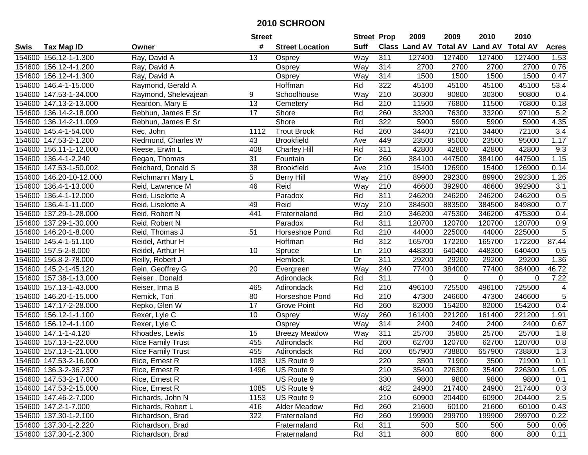|        |                         |                          | <b>Street</b>   |                        | <b>Street Prop</b> |                  | 2009          | 2009            | 2010           | 2010            |                  |
|--------|-------------------------|--------------------------|-----------------|------------------------|--------------------|------------------|---------------|-----------------|----------------|-----------------|------------------|
| Swis   | <b>Tax Map ID</b>       | Owner                    | #               | <b>Street Location</b> | <b>Suff</b>        |                  | Class Land AV | <b>Total AV</b> | <b>Land AV</b> | <b>Total AV</b> | <b>Acres</b>     |
|        | 154600 156.12-1-1.300   | Ray, David A             | 13              | Osprey                 | Way                | 311              | 127400        | 127400          | 127400         | 127400          | 1.53             |
|        | 154600 156.12-4-1.200   | Ray, David A             |                 | Osprey                 | Way                | 314              | 2700          | 2700            | 2700           | 2700            | 0.76             |
|        | 154600 156.12-4-1.300   | Ray, David A             |                 | Osprey                 | Way                | 314              | 1500          | 1500            | 1500           | 1500            | 0.47             |
|        | 154600 146.4-1-15.000   | Raymond, Gerald A        |                 | Hoffman                | Rd                 | 322              | 45100         | 45100           | 45100          | 45100           | 53.4             |
|        | 154600 147.53-1-34.000  | Raymond, Shelevajean     | 9               | Schoolhouse            | Way                | 210              | 30300         | 90800           | 30300          | 90800           | 0.4              |
|        | 154600 147.13-2-13.000  | Reardon, Mary E          | $\overline{13}$ | Cemetery               | Rd                 | 210              | 11500         | 76800           | 11500          | 76800           | 0.18             |
|        | 154600 136.14-2-18.000  | Rebhun, James E Sr       | 17              | Shore                  | Rd                 | 260              | 33200         | 76300           | 33200          | 97100           | 5.2              |
|        | 154600 136.14-2-11.009  | Rebhun, James E Sr       |                 | Shore                  | Rd                 | 322              | 5900          | 5900            | 5900           | 5900            | 4.35             |
|        | 154600 145.4-1-54.000   | Rec, John                | 1112            | <b>Trout Brook</b>     | Rd                 | 260              | 34400         | 72100           | 34400          | 72100           | $\overline{3.4}$ |
|        | 154600 147.53-2-1.200   | Redmond, Charles W       | 43              | <b>Brookfield</b>      | Ave                | 449              | 23500         | 95000           | 23500          | 95000           | 1.17             |
|        | 154600 156.11-1-12.000  | Reese, Erwin L           | 408             | <b>Charley Hill</b>    | Rd                 | 311              | 42800         | 42800           | 42800          | 42800           | 9.3              |
|        | 154600 136.4-1-2.240    | Regan, Thomas            | 31              | Fountain               | Dr                 | 260              | 384100        | 447500          | 384100         | 447500          | 1.15             |
|        | 154600 147.53-1-50.002  | Reichard, Donald S       | $\overline{38}$ | <b>Brookfield</b>      | Ave                | $\overline{210}$ | 15400         | 126900          | 15400          | 126900          | 0.14             |
|        | 154600 146.20-10-12.000 | Reichmann Mary L         | 5               | <b>Berry Hill</b>      | Way                | 210              | 89900         | 292300          | 89900          | 292300          | 1.26             |
|        | 154600 136.4-1-13.000   | Reid, Lawrence M         | 46              | Reid                   | Way                | 210              | 46600         | 392900          | 46600          | 392900          | 3.1              |
|        | 154600 136.4-1-12.000   | Reid, Liselotte A        |                 | Paradox                | Rd                 | 311              | 246200        | 246200          | 246200         | 246200          | 0.5              |
|        | 154600 136.4-1-11.000   | Reid, Liselotte A        | 49              | Reid                   | Way                | 210              | 384500        | 883500          | 384500         | 849800          | 0.7              |
|        | 154600 137.29-1-28.000  | Reid, Robert N           | 441             | Fraternaland           | Rd                 | 210              | 346200        | 475300          | 346200         | 475300          | 0.4              |
|        | 154600 137.29-1-30.000  | Reid, Robert N           |                 | Paradox                | Rd                 | 311              | 120700        | 120700          | 120700         | 120700          | 0.9              |
|        | 154600 146.20-1-8.000   | Reid, Thomas J           | 51              | Horseshoe Pond         | Rd                 | 210              | 44000         | 225000          | 44000          | 225000          | 5                |
|        | 154600 145.4-1-51.100   | Reidel, Arthur H         |                 | Hoffman                | Rd                 | 312              | 165700        | 172200          | 165700         | 172200          | 87.44            |
|        | 154600 157.5-2-8.000    | Reidel, Arthur H         | 10              | Spruce                 | Ln                 | 210              | 448300        | 640400          | 448300         | 640400          | 0.5              |
| 154600 | 156.8-2-78.000          | Reilly, Robert J         |                 | Hemlock                | Dr                 | 311              | 29200         | 29200           | 29200          | 29200           | 1.36             |
| 154600 | 145.2-1-45.120          | Rein, Geoffrey G         | 20              | Evergreen              | Way                | 240              | 77400         | 384000          | 77400          | 384000          | 46.72            |
|        | 154600 157.38-1-13.000  | Reiser, Donald           |                 | Adirondack             | Rd                 | 311              | 0             | $\mathbf 0$     | $\mathbf 0$    | $\Omega$        | 7.22             |
|        | 154600 157.13-1-43.000  | Reiser, Irma B           | 465             | Adirondack             | Rd                 | 210              | 496100        | 725500          | 496100         | 725500          | 4                |
|        | 154600 146.20-1-15.000  | Remick, Tori             | 80              | Horseshoe Pond         | Rd                 | 210              | 47300         | 246600          | 47300          | 246600          | 5                |
|        | 154600 147.17-2-28.000  | Repko, Glen W            | 17              | Grove Point            | Rd                 | 260              | 82000         | 154200          | 82000          | 154200          | 0.4              |
|        | 154600 156.12-1-1.100   | Rexer, Lyle C            | 10              | Osprey                 | Way                | 260              | 161400        | 221200          | 161400         | 221200          | 1.91             |
|        | 154600 156.12-4-1.100   | Rexer, Lyle C            |                 | Osprey                 | Way                | 314              | 2400          | 2400            | 2400           | 2400            | 0.67             |
|        | 154600 147.1-1-4.120    | Rhoades, Lewis           | 15              | <b>Breezy Meadow</b>   | Way                | $\overline{311}$ | 25700         | 35800           | 25700          | 25700           | $\overline{1.8}$ |
|        | 154600 157.13-1-22.000  | Rice Family Trust        | 455             | Adirondack             | Rd                 | 260              | 62700         | 120700          | 62700          | 120700          | 0.8              |
|        | 154600 157.13-1-21.000  | <b>Rice Family Trust</b> | 455             | Adirondack             | Rd                 | 260              | 657900        | 738800          | 657900         | 738800          | 1.3              |
|        | 154600 147.53-2-16.000  | Rice, Ernest R           | 1083            | US Route 9             |                    | 220              | 3500          | 71900           | 3500           | 71900           | 0.1              |
|        | 154600 136.3-2-36.237   | Rice, Ernest R           | 1496            | US Route 9             |                    | 210              | 35400         | 226300          | 35400          | 226300          | 1.05             |
|        | 154600 147.53-2-17.000  | Rice, Ernest R           |                 | US Route 9             |                    | 330              | 9800          | 9800            | 9800           | 9800            | 0.1              |
|        | 154600 147.53-2-15.000  | Rice, Ernest R           | 1085            | US Route 9             |                    | 482              | 24900         | 217400          | 24900          | 217400          | 0.3              |
|        | 154600 147.46-2-7.000   | Richards, John N         | 1153            | US Route 9             |                    | 210              | 60900         | 204400          | 60900          | 204400          | 2.5              |
|        | 154600 147.2-1-7.000    | Richards, Robert L       | 416             | Alder Meadow           | Rd                 | 260              | 21600         | 60100           | 21600          | 60100           | 0.43             |
|        | 154600 137.30-1-2.100   | Richardson, Brad         | 322             | Fraternaland           | Rd                 | 260              | 199900        | 299700          | 199900         | 299700          | 0.22             |
|        | 154600 137.30-1-2.220   | Richardson, Brad         |                 | Fraternaland           | Rd                 | 311              | 500           | 500             | 500            | 500             | 0.06             |
|        | 154600 137.30-1-2.300   | Richardson, Brad         |                 | Fraternaland           | Rd                 | 311              | 800           | 800             | 800            | 800             | 0.11             |
|        |                         |                          |                 |                        |                    |                  |               |                 |                |                 |                  |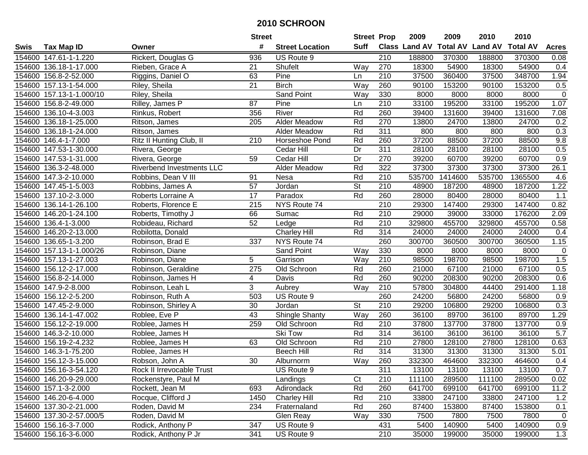|        |                          |                           | <b>Street</b>    |                        | <b>Street Prop</b>       |                  | 2009          | 2009            | 2010           | 2010            |              |
|--------|--------------------------|---------------------------|------------------|------------------------|--------------------------|------------------|---------------|-----------------|----------------|-----------------|--------------|
| Swis   | <b>Tax Map ID</b>        | Owner                     | #                | <b>Street Location</b> | <b>Suff</b>              |                  | Class Land AV | <b>Total AV</b> | <b>Land AV</b> | <b>Total AV</b> | <b>Acres</b> |
|        | 154600 147.61-1-1.220    | Rickert, Douglas G        | 936              | US Route 9             |                          | 210              | 188800        | 370300          | 188800         | 370300          | 0.08         |
|        | 154600 136.18-1-17.000   | Rieben, Grace A           | 21               | Shufelt                | Way                      | 270              | 18300         | 54900           | 18300          | 54900           | 0.4          |
|        | 154600 156.8-2-52.000    | Riggins, Daniel O         | 63               | Pine                   | Ln                       | 210              | 37500         | 360400          | 37500          | 348700          | 1.94         |
|        | 154600 157.13-1-54.000   | Riley, Sheila             | 21               | <b>Birch</b>           | Way                      | 260              | 90100         | 153200          | 90100          | 153200          | 0.5          |
|        | 154600 157.13-1-1.000/10 | Riley, Sheila             |                  | Sand Point             | Way                      | 330              | 8000          | 8000            | 8000           | 8000            | $\pmb{0}$    |
|        | 154600 156.8-2-49.000    | Rilley, James P           | 87               | Pine                   | Ln                       | $\overline{210}$ | 33100         | 195200          | 33100          | 195200          | 1.07         |
|        | 154600 136.10-4-3.003    | Rinkus, Robert            | 356              | River                  | Rd                       | 260              | 39400         | 131600          | 39400          | 131600          | 7.08         |
| 154600 | 136.18-1-25.000          | Ritson, James             | $\overline{205}$ | <b>Alder Meadow</b>    | Rd                       | 270              | 13800         | 24700           | 13800          | 24700           | 0.2          |
|        | 154600 136.18-1-24.000   | Ritson, James             |                  | Alder Meadow           | Rd                       | 311              | 800           | 800             | 800            | 800             | 0.3          |
|        | 154600 146.4-1-7.000     | Ritz II Hunting Club, II  | 210              | Horseshoe Pond         | Rd                       | 260              | 37200         | 88500           | 37200          | 88500           | 9.8          |
|        | 154600 147.53-1-30.000   | Rivera, George            |                  | Cedar Hill             | Dr                       | 311              | 28100         | 28100           | 28100          | 28100           | 0.5          |
|        | 154600 147.53-1-31.000   | Rivera, George            | 59               | Cedar Hill             | Dr                       | 270              | 39200         | 60700           | 39200          | 60700           | 0.9          |
|        | 154600 136.3-2-48.000    | Riverbend Investments LLC |                  | <b>Alder Meadow</b>    | Rd                       | 322              | 37300         | 37300           | 37300          | 37300           | 26.1         |
|        | 154600 147.3-2-10.000    | Robbins, Dean V III       | 91               | Nesa                   | Rd                       | 210              | 535700        | 1414600         | 535700         | 1365500         | 4.6          |
|        | 154600 147.45-1-5.003    | Robbins, James A          | 57               | Jordan                 | $\overline{\mathsf{St}}$ | 210              | 48900         | 187200          | 48900          | 187200          | 1.22         |
|        | 154600 137.10-2-3.000    | Roberts Lorraine A        | 17               | Paradox                | Rd                       | 260              | 28000         | 80400           | 28000          | 80400           | 1.1          |
| 154600 | 136.14-1-26.100          | Roberts, Florence E       | 215              | NYS Route 74           |                          | $\overline{210}$ | 29300         | 147400          | 29300          | 147400          | 0.82         |
|        | 154600 146.20-1-24.100   | Roberts, Timothy J        | 66               | Sumac                  | Rd                       | 210              | 29000         | 39000           | 33000          | 176200          | 2.09         |
|        | 154600 136.4-1-3.000     | Robideau, Richard         | 52               | Ledge                  | Rd                       | 210              | 329800        | 455700          | 329800         | 455700          | 0.58         |
|        | 154600 146.20-2-13.000   | Robilotta, Donald         |                  | <b>Charley Hill</b>    | Rd                       | 314              | 24000         | 24000           | 24000          | 24000           | 0.4          |
|        | 154600 136.65-1-3.200    | Robinson, Brad E          | 337              | NYS Route 74           |                          | 260              | 300700        | 360500          | 300700         | 360500          | 1.15         |
| 154600 | 157.13-1-1.000/26        | Robinson, Diane           |                  | Sand Point             | Way                      | 330              | 8000          | 8000            | 8000           | 8000            | $\pmb{0}$    |
| 154600 | 157.13-1-27.003          | Robinson, Diane           | 5                | Garrison               | Way                      | 210              | 98500         | 198700          | 98500          | 198700          | 1.5          |
| 154600 | 156.12-2-17.000          | Robinson, Geraldine       | 275              | Old Schroon            | Rd                       | 260              | 21000         | 67100           | 21000          | 67100           | 0.5          |
|        | 154600 156.8-2-14.000    | Robinson, James H         | $\overline{4}$   | Davis                  | Rd                       | 260              | 90200         | 208300          | 90200          | 208300          | 0.6          |
|        | 154600 147.9-2-8.000     | Robinson, Leah L          | 3                | Aubrey                 | Way                      | 210              | 57800         | 304800          | 44400          | 291400          | 1.18         |
|        | 154600 156.12-2-5.200    | Robinson, Ruth A          | 503              | US Route 9             |                          | 260              | 24200         | 56800           | 24200          | 56800           | 0.9          |
|        | 154600 147.45-2-9.000    | Robinson, Shirley A       | 30               | Jordan                 | St                       | 210              | 29200         | 106800          | 29200          | 106800          | 0.3          |
|        | 154600 136.14-1-47.002   | Roblee, Eve P             | $\overline{43}$  | Shingle Shanty         | Way                      | 260              | 36100         | 89700           | 36100          | 89700           | 1.29         |
|        | 154600 156.12-2-19.000   | Roblee, James H           | 259              | Old Schroon            | Rd                       | $\overline{210}$ | 37800         | 137700          | 37800          | 137700          | 0.9          |
|        | 154600 146.3-2-10.000    | Roblee, James H           |                  | <b>Ski Tow</b>         | Rd                       | 314              | 36100         | 36100           | 36100          | 36100           | 5.7          |
|        | 154600 156.19-2-4.232    | Roblee, James H           | 63               | Old Schroon            | Rd                       | 210              | 27800         | 128100          | 27800          | 128100          | 0.63         |
|        | 154600 146.3-1-75.200    | Roblee, James H           |                  | <b>Beech Hill</b>      | Rd                       | 314              | 31300         | 31300           | 31300          | 31300           | 5.01         |
|        | 154600 156.12-3-15.000   | Robson, John A            | $\overline{30}$  | Alburnorm              | $\overline{W}$ ay        | 260              | 332300        | 464600          | 332300         | 464600          | 0.4          |
|        | 154600 156.16-3-54.120   | Rock II Irrevocable Trust |                  | US Route 9             |                          | 311              | 13100         | 13100           | 13100          | 13100           | 0.7          |
|        | 154600 146.20-9-29.000   | Rockenstyre, Paul M       |                  | Landings               | Ct                       | 210              | 111100        | 289500          | 111100         | 289500          | 0.02         |
|        | 154600 157.1-3-2.000     | Rockett, Jean M           | 693              | Adirondack             | Rd                       | 260              | 641700        | 699100          | 641700         | 699100          | 11.2         |
|        | 154600 146.20-6-4.000    | Rocque, Clifford J        | 1450             | <b>Charley Hill</b>    | Rd                       | 210              | 33800         | 247100          | 33800          | 247100          | 1.2          |
|        | 154600 137.30-2-21.000   | Roden, David M            | 234              | Fraternaland           | Rd                       | 260              | 87400         | 153800          | 87400          | 153800          | 0.1          |
|        | 154600 137.30-2-57.000/5 | Roden, David M            |                  | Glen Reay              | Way                      | 330              | 7500          | 7800            | 7500           | 7800            | $\pmb{0}$    |
|        | 154600 156.16-3-7.000    | Rodick, Anthony P         | 347              | US Route 9             |                          | 431              | 5400          | 140900          | 5400           | 140900          | 0.9          |
|        | 154600 156.16-3-6.000    | Rodick, Anthony P Jr      | 341              | US Route 9             |                          | 210              | 35000         | 199000          | 35000          | 199000          | 1.3          |
|        |                          |                           |                  |                        |                          |                  |               |                 |                |                 |              |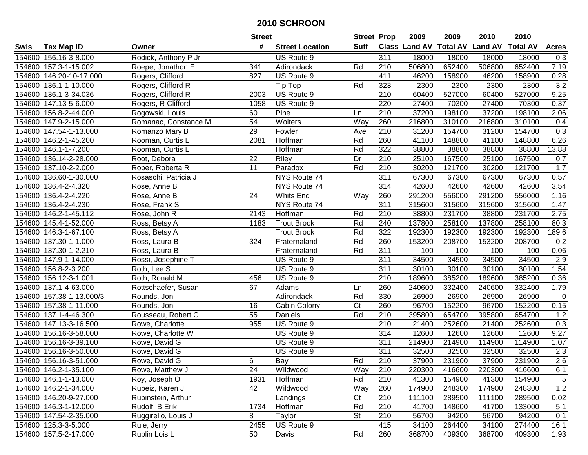|        |                          |                      | <b>Street</b>   |                             | <b>Street Prop</b> |                  | 2009                          | 2009   | 2010           | 2010            |                  |
|--------|--------------------------|----------------------|-----------------|-----------------------------|--------------------|------------------|-------------------------------|--------|----------------|-----------------|------------------|
| Swis   | <b>Tax Map ID</b>        | Owner                | #               | <b>Street Location</b>      | <b>Suff</b>        |                  | <b>Class Land AV Total AV</b> |        | <b>Land AV</b> | <b>Total AV</b> | <b>Acres</b>     |
|        | 154600 156.16-3-8.000    | Rodick, Anthony P Jr |                 | US Route 9                  |                    | 311              | 18000                         | 18000  | 18000          | 18000           | 0.3              |
|        | 154600 157.3-1-15.002    | Roepe, Jonathon E    | 341             | Adirondack                  | Rd                 | 210              | 506800                        | 652400 | 506800         | 652400          | 7.19             |
|        | 154600 146.20-10-17.000  | Rogers, Clifford     | 827             | US Route 9                  |                    | 411              | 46200                         | 158900 | 46200          | 158900          | 0.28             |
|        | 154600 136.1-1-10.000    | Rogers, Clifford R   |                 | $\overline{\text{Tip Top}}$ | Rd                 | 323              | 2300                          | 2300   | 2300           | 2300            | 3.2              |
|        | 154600 136.1-3-34.036    | Rogers, Clifford R   | 2003            | US Route 9                  |                    | 210              | 60400                         | 527000 | 60400          | 527000          | 9.25             |
|        | 154600 147.13-5-6.000    | Rogers, R Clifford   | 1058            | US Route 9                  |                    | 220              | 27400                         | 70300  | 27400          | 70300           | 0.37             |
|        | 154600 156.8-2-44.000    | Rogowski, Louis      | 60              | Pine                        | Ln                 | 210              | 37200                         | 198100 | 37200          | 198100          | 2.06             |
|        | 154600 147.9-2-15.000    | Romanac, Constance M | $\overline{54}$ | <b>Wolters</b>              | Way                | 260              | 216800                        | 310100 | 216800         | 310100          | 0.4              |
|        | 154600 147.54-1-13.000   | Romanzo Mary B       | 29              | Fowler                      | Ave                | $\overline{210}$ | 31200                         | 154700 | 31200          | 154700          | 0.3              |
|        | 154600 146.2-1-45.200    | Rooman, Curtis L     | 2081            | Hoffman                     | Rd                 | 260              | 41100                         | 148800 | 41100          | 148800          | 6.26             |
|        | 154600 146.1-1-7.200     | Rooman, Curtis L     |                 | Hoffman                     | Rd                 | 322              | 38800                         | 38800  | 38800          | 38800           | 13.88            |
|        | 154600 136.14-2-28.000   | Root, Debora         | 22              | Riley                       | Dr                 | 210              | 25100                         | 167500 | 25100          | 167500          | 0.7              |
|        | 154600 137.10-2-2.000    | Roper, Roberta R     | $\overline{11}$ | Paradox                     | Rd                 | 210              | 30200                         | 121700 | 30200          | 121700          | 1.7              |
|        | 154600 136.60-1-30.000   | Rosaschi, Patricia J |                 | NYS Route 74                |                    | 311              | 67300                         | 67300  | 67300          | 67300           | 0.57             |
|        | 154600 136.4-2-4.320     | Rose, Anne B         |                 | NYS Route 74                |                    | 314              | 42600                         | 42600  | 42600          | 42600           | 3.54             |
|        | 154600 136.4-2-4.220     | Rose, Anne B         | 24              | <b>Whits End</b>            | Way                | 260              | 291200                        | 556000 | 291200         | 556000          | 1.16             |
| 154600 | 136.4-2-4.230            | Rose, Frank S        |                 | NYS Route 74                |                    | 311              | 315600                        | 315600 | 315600         | 315600          | 1.47             |
| 154600 | 146.2-1-45.112           | Rose, John R         | 2143            | Hoffman                     | Rd                 | 210              | 38800                         | 231700 | 38800          | 231700          | 2.75             |
|        | 154600 145.4-1-52.000    | Ross, Betsy A        | 1183            | <b>Trout Brook</b>          | Rd                 | 240              | 137800                        | 258100 | 137800         | 258100          | 80.3             |
|        | 154600 146.3-1-67.100    | Ross, Betsy A        |                 | <b>Trout Brook</b>          | Rd                 | 322              | 192300                        | 192300 | 192300         | 192300          | 189.6            |
|        | 154600 137.30-1-1.000    | Ross, Laura B        | 324             | Fraternaland                | Rd                 | 260              | 153200                        | 208700 | 153200         | 208700          | 0.2              |
| 154600 | 137.30-1-2.210           | Ross, Laura B        |                 | Fraternaland                | Rd                 | 311              | 100                           | 100    | 100            | 100             | 0.06             |
|        | 154600 147.9-1-14.000    | Rossi, Josephine T   |                 | US Route 9                  |                    | 311              | 34500                         | 34500  | 34500          | 34500           | 2.9              |
| 154600 | 156.8-2-3.200            | Roth, Lee S          |                 | US Route 9                  |                    | 311              | 30100                         | 30100  | 30100          | 30100           | 1.54             |
|        | 154600 156.12-3-1.001    | Roth, Ronald M       | 456             | US Route 9                  |                    | 210              | 189600                        | 385200 | 189600         | 385200          | 0.36             |
|        | 154600 137.1-4-63.000    | Rottschaefer, Susan  | 67              | Adams                       | Ln                 | 260              | 240600                        | 332400 | 240600         | 332400          | 1.79             |
|        | 154600 157.38-1-13.000/3 | Rounds, Jon          |                 | Adirondack                  | Rd                 | 330              | 26900                         | 26900  | 26900          | 26900           | $\mathbf 0$      |
|        | 154600 157.38-1-11.000   | Rounds, Jon          | 16              | Cabin Colony                | C <sub>t</sub>     | 260              | 96700                         | 152200 | 96700          | 152200          | 0.15             |
|        | 154600 137.1-4-46.300    | Rousseau, Robert C   | 55              | Daniels                     | Rd                 | 210              | 395800                        | 654700 | 395800         | 654700          | 1.2              |
|        | 154600 147.13-3-16.500   | Rowe, Charlotte      | 955             | US Route 9                  |                    | $\overline{210}$ | 21400                         | 252600 | 21400          | 252600          | 0.3              |
|        | 154600 156.16-3-58.000   | Rowe, Charlotte W    |                 | US Route 9                  |                    | 314              | 12600                         | 12600  | 12600          | 12600           | 9.27             |
|        | 154600 156.16-3-39.100   | Rowe, David G        |                 | US Route 9                  |                    | 311              | 214900                        | 214900 | 114900         | 114900          | 1.07             |
|        | 154600 156.16-3-50.000   | Rowe, David G        |                 | US Route 9                  |                    | 311              | 32500                         | 32500  | 32500          | 32500           | $\overline{2.3}$ |
|        | 154600 156.16-3-51.000   | Rowe, David G        | 6               | Bay                         | Rd                 | $\overline{210}$ | 37900                         | 231900 | 37900          | 231900          | 2.6              |
|        | 154600 146.2-1-35.100    | Rowe, Matthew J      | 24              | Wildwood                    | Way                | 210              | 220300                        | 416600 | 220300         | 416600          | 6.1              |
|        | 154600 146.1-1-13.000    | Roy, Joseph O        | 1931            | Hoffman                     | Rd                 | 210              | 41300                         | 154900 | 41300          | 154900          | 5                |
|        | 154600 146.2-1-34.000    | Rubeiz, Karen J      | 42              | Wildwood                    | Way                | 260              | 174900                        | 248300 | 174900         | 248300          | 1.2              |
|        | 154600 146.20-9-27.000   | Rubinstein, Arthur   |                 | Landings                    | C <sub>t</sub>     | 210              | 111100                        | 289500 | 111100         | 289500          | 0.02             |
|        | 154600 146.3-1-12.000    | Rudolf, B Erik       | 1734            | Hoffman                     | Rd                 | 210              | 41700                         | 148600 | 41700          | 133000          | 5.1              |
|        | 154600 147.54-2-35.000   | Ruggirello, Louis J  | 8               | Taylor                      | <b>St</b>          | 210              | 56700                         | 94200  | 56700          | 94200           | 0.1              |
|        | 154600 125.3-3-5.000     | Rule, Jerry          | 2455            | US Route 9                  |                    | 415              | 34100                         | 264400 | 34100          | 274400          | 16.1             |
|        | 154600 157.5-2-17.000    | Ruplin Lois L        | 50              | Davis                       | Rd                 | 260              | 368700                        | 409300 | 368700         | 409300          | 1.93             |
|        |                          |                      |                 |                             |                    |                  |                               |        |                |                 |                  |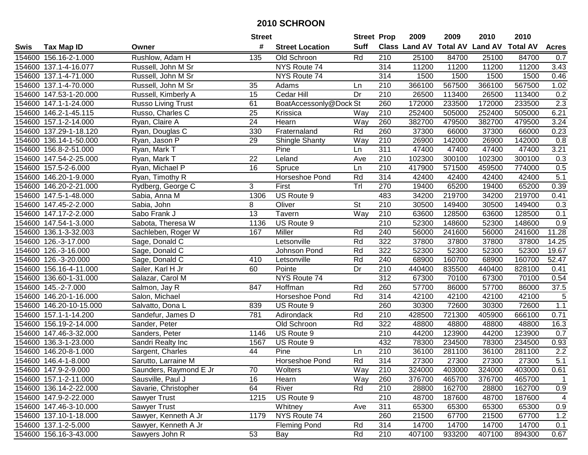|        |                         |                        | <b>Street</b> |                        | <b>Street Prop</b>       |                  | 2009                          | 2009   | 2010           | 2010            |                   |
|--------|-------------------------|------------------------|---------------|------------------------|--------------------------|------------------|-------------------------------|--------|----------------|-----------------|-------------------|
| Swis   | <b>Tax Map ID</b>       | Owner                  | #             | <b>Street Location</b> | <b>Suff</b>              |                  | <b>Class Land AV Total AV</b> |        | <b>Land AV</b> | <b>Total AV</b> | <b>Acres</b>      |
|        | 154600 156.16-2-1.000   | Rushlow, Adam H        | 135           | Old Schroon            | Rd                       | 210              | 25100                         | 84700  | 25100          | 84700           | 0.7               |
|        | 154600 137.1-4-16.077   | Russell, John M Sr     |               | NYS Route 74           |                          | 314              | 11200                         | 11200  | 11200          | 11200           | 3.43              |
|        | 154600 137.1-4-71.000   | Russell, John M Sr     |               | NYS Route 74           |                          | 314              | 1500                          | 1500   | 1500           | 1500            | 0.46              |
|        | 154600 137.1-4-70.000   | Russell, John M Sr     | 35            | Adams                  | Ln                       | 210              | 366100                        | 567500 | 366100         | 567500          | 1.02              |
|        | 154600 147.53-1-20.000  | Russell, Kimberly A    | 15            | Cedar Hill             | Dr                       | 210              | 26500                         | 113400 | 26500          | 113400          | 0.2               |
|        | 154600 147.1-1-24.000   | Russo Living Trust     | 61            | BoatAccessonly@Dock St |                          | 260              | 172000                        | 233500 | 172000         | 233500          | $\overline{2.3}$  |
|        | 154600 146.2-1-45.115   | Russo, Charles C       | 25            | Krissica               | Way                      | 210              | 252400                        | 505000 | 252400         | 505000          | 6.21              |
|        | 154600 157.1-2-14.000   | Ryan, Claire A         | 24            | Hearn                  | Way                      | 260              | 382700                        | 479500 | 382700         | 479500          | 3.24              |
|        | 154600 137.29-1-18.120  | Ryan, Douglas C        | 330           | Fraternaland           | Rd                       | 260              | 37300                         | 66000  | 37300          | 66000           | 0.23              |
|        | 154600 136.14-1-50.000  | Ryan, Jason P          | 29            | <b>Shingle Shanty</b>  | Way                      | 210              | 26900                         | 142000 | 26900          | 142000          | 0.8               |
|        | 154600 156.8-2-51.000   | Ryan, Mark T           |               | Pine                   | Ln                       | 311              | 47400                         | 47400  | 47400          | 47400           | 3.21              |
|        | 154600 147.54-2-25.000  | Ryan, Mark T           | 22            | Leland                 | Ave                      | 210              | 102300                        | 300100 | 102300         | 300100          | 0.3               |
|        | 154600 157.5-2-6.000    | Ryan, Michael P        | 16            | Spruce                 | Ln                       | 210              | 417900                        | 571500 | 459500         | 774000          | 0.5               |
|        | 154600 146.20-1-9.000   | Ryan, Timothy R        |               | Horseshoe Pond         | Rd                       | 314              | 42400                         | 42400  | 42400          | 42400           | 5.1               |
|        | 154600 146.20-2-21.000  | Rydberg, George C      | 3             | First                  | Trl                      | 270              | 19400                         | 65200  | 19400          | 65200           | 0.39              |
|        | 154600 147.5-1-48.000   | Sabia, Anna M          | 1306          | US Route 9             |                          | 483              | 34200                         | 219700 | 34200          | 219700          | 0.41              |
|        | 154600 147.45-2-2.000   | Sabia, John            | 8             | Oliver                 | $\overline{\mathsf{St}}$ | 210              | 30500                         | 149400 | 30500          | 149400          | 0.3               |
|        | 154600 147.17-2-2.000   | Sabo Frank J           | 13            | Tavern                 | Way                      | 210              | 63600                         | 128500 | 63600          | 128500          | 0.1               |
|        | 154600 147.54-1-3.000   | Sabota, Theresa W      | 1136          | US Route 9             |                          | 210              | 52300                         | 148600 | 52300          | 148600          | 0.9               |
|        | 154600 136.1-3-32.003   | Sachleben, Roger W     | 167           | Miller                 | Rd                       | 240              | 56000                         | 241600 | 56000          | 241600          | 11.28             |
|        | 154600 126.-3-17.000    | Sage, Donald C         |               | Letsonville            | Rd                       | 322              | 37800                         | 37800  | 37800          | 37800           | 14.25             |
|        | 154600 126.-3-16.000    | Sage, Donald C         |               | Johnson Pond           | Rd                       | 322              | 52300                         | 52300  | 52300          | 52300           | 19.67             |
| 154600 | 126.-3-20.000           | Sage, Donald C         | 410           | Letsonville            | Rd                       | 240              | 68900                         | 160700 | 68900          | 160700          | 52.47             |
| 154600 | 156.16-4-11.000         | Sailer, Karl H Jr      | 60            | Pointe                 | Dr                       | 210              | 440400                        | 835500 | 440400         | 828100          | 0.41              |
|        | 154600 136.60-1-31.000  | Salazar, Carol M       |               | NYS Route 74           |                          | 312              | 67300                         | 70100  | 67300          | 70100           | 0.54              |
|        | 154600 145.-2-7.000     | Salmon, Jay R          | 847           | Hoffman                | Rd                       | 260              | 57700                         | 86000  | 57700          | 86000           | $\overline{37.5}$ |
|        | 154600 146.20-1-16.000  | Salon, Michael         |               | Horseshoe Pond         | Rd                       | 314              | 42100                         | 42100  | 42100          | 42100           | 5                 |
|        | 154600 146.20-10-15.000 | Salvatto, Dona L       | 839           | US Route 9             |                          | 260              | 30300                         | 72600  | 30300          | 72600           | 1.1               |
|        | 154600 157.1-1-14.200   | Sandefur, James D      | 781           | Adirondack             | Rd                       | 210              | 428500                        | 721300 | 405900         | 666100          | 0.71              |
|        | 154600 156.19-2-14.000  | Sander, Peter          |               | Old Schroon            | Rd                       | 322              | 48800                         | 48800  | 48800          | 48800           | 16.3              |
|        | 154600 147.46-3-32.000  | Sanders, Peter         | 1146          | US Route 9             |                          | 210              | 44200                         | 123900 | 44200          | 123900          | 0.7               |
|        | 154600 136.3-1-23.000   | Sandri Realty Inc      | 1567          | US Route 9             |                          | 432              | 78300                         | 234500 | 78300          | 234500          | 0.93              |
|        | 154600 146.20-8-1.000   | Sargent, Charles       | 44            | Pine                   | Ln                       | $\overline{210}$ | 36100                         | 281100 | 36100          | 281100          | 2.2               |
|        | 154600 146.4-1-8.000    | Sarutto, Larraine M    |               | Horseshoe Pond         | Rd                       | 314              | 27300                         | 27300  | 27300          | 27300           | 5.1               |
|        | 154600 147.9-2-9.000    | Saunders, Raymond E Jr | 70            | Wolters                | Way                      | 210              | 324000                        | 403000 | 324000         | 403000          | 0.61              |
|        | 154600 157.1-2-11.000   | Sausville, Paul J      | 16            | Hearn                  | Way                      | 260              | 376700                        | 465700 | 376700         | 465700          | $\mathbf 1$       |
|        | 154600 136.14-2-22.000  | Savarie, Christopher   | 64            | River                  | Rd                       | 210              | 28800                         | 162700 | 28800          | 162700          | 0.9               |
|        | 154600 147.9-2-22.000   | Sawyer Trust           | 1215          | US Route 9             |                          | 210              | 48700                         | 187600 | 48700          | 187600          | 4                 |
|        | 154600 147.46-3-10.000  | Sawyer Trust           |               | Whitney                | Ave                      | 311              | 65300                         | 65300  | 65300          | 65300           | 0.9               |
|        | 154600 137.10-1-18.000  | Sawyer, Kenneth A Jr   | 1179          | NYS Route 74           |                          | 260              | 21500                         | 67700  | 21500          | 67700           | 1.2               |
|        | 154600 137.1-2-5.000    | Sawyer, Kenneth A Jr   |               | <b>Fleming Pond</b>    | Rd                       | 314              | 14700                         | 14700  | 14700          | 14700           | 0.1               |
|        | 154600 156.16-3-43.000  | Sawyers John R         | 53            | Bay                    | Rd                       | 210              | 407100                        | 933200 | 407100         | 894300          | 0.67              |
|        |                         |                        |               |                        |                          |                  |                               |        |                |                 |                   |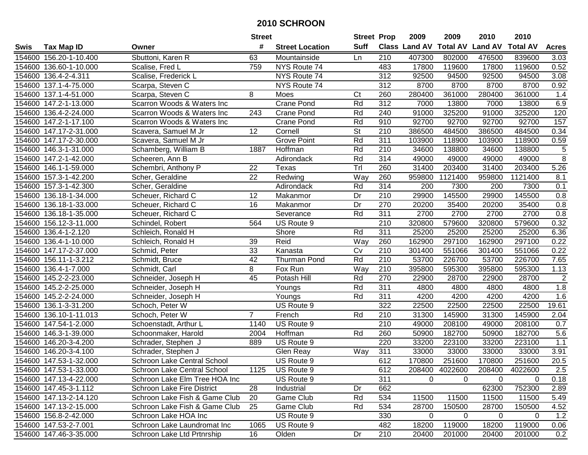|        |                        |                                   | <b>Street</b>  |                        | <b>Street Prop</b>       |                  | 2009                 | 2009            | 2010           | 2010            |                |
|--------|------------------------|-----------------------------------|----------------|------------------------|--------------------------|------------------|----------------------|-----------------|----------------|-----------------|----------------|
| Swis   | <b>Tax Map ID</b>      | Owner                             | #              | <b>Street Location</b> | <b>Suff</b>              |                  | <b>Class Land AV</b> | <b>Total AV</b> | <b>Land AV</b> | <b>Total AV</b> | <b>Acres</b>   |
|        | 154600 156.20-1-10.400 | Sbuttoni, Karen R                 | 63             | Mountainside           | Ln                       | 210              | 407300               | 802000          | 476500         | 839600          | 3.03           |
|        | 154600 136.60-1-10.000 | Scalise, Fred L                   | 759            | NYS Route 74           |                          | 483              | 17800                | 119600          | 17800          | 119600          | 0.52           |
|        | 154600 136.4-2-4.311   | Scalise, Frederick L              |                | NYS Route 74           |                          | 312              | 92500                | 94500           | 92500          | 94500           | 3.08           |
|        | 154600 137.1-4-75.000  | Scarpa, Steven C                  |                | NYS Route 74           |                          | 312              | 8700                 | 8700            | 8700           | 8700            | 0.92           |
|        | 154600 137.1-4-51.000  | Scarpa, Steven C                  | 8              | Moes                   | Ct                       | 260              | 280400               | 361000          | 280400         | 361000          | 1.4            |
|        | 154600 147.2-1-13.000  | Scarron Woods & Waters Inc        |                | <b>Crane Pond</b>      | Rd                       | 312              | 7000                 | 13800           | 7000           | 13800           | 6.9            |
|        | 154600 136.4-2-24.000  | Scarron Woods & Waters Inc        | 243            | Crane Pond             | Rd                       | 240              | 91000                | 325200          | 91000          | 325200          | 120            |
|        | 154600 147.2-1-17.100  | Scarron Woods & Waters Inc        |                | <b>Crane Pond</b>      | Rd                       | 910              | 92700                | 92700           | 92700          | 92700           | 157            |
|        | 154600 147.17-2-31.000 | Scavera, Samuel M Jr              | 12             | Cornell                | $\overline{\mathsf{St}}$ | $\overline{210}$ | 386500               | 484500          | 386500         | 484500          | 0.34           |
|        | 154600 147.17-2-30.000 | Scavera, Samuel M Jr              |                | <b>Grove Point</b>     | Rd                       | 311              | 103900               | 118900          | 103900         | 118900          | 0.59           |
|        | 154600 146.3-1-31.000  | Schamberg, William B              | 1887           | Hoffman                | Rd                       | 210              | 34600                | 138800          | 34600          | 138800          | 5              |
|        | 154600 147.2-1-42.000  | Scheeren, Ann B                   |                | Adirondack             | Rd                       | 314              | 49000                | 49000           | 49000          | 49000           | $\overline{8}$ |
|        | 154600 146.1-1-59.000  | Schembri, Anthony P               | 22             | Texas                  | $\overline{T}$ rl        | 260              | 31400                | 203400          | 31400          | 203400          | 5.26           |
|        | 154600 157.3-1-42.200  | Scher, Geraldine                  | 22             | Redwing                | Way                      | 260              | 959800               | 1121400         | 959800         | 1121400         | 8.1            |
|        | 154600 157.3-1-42.300  | Scher, Geraldine                  |                | Adirondack             | Rd                       | 314              | 200                  | 7300            | 200            | 7300            | 0.1            |
|        | 154600 136.18-1-34.000 | Scheuer, Richard C                | 12             | Makanmor               | Dr                       | 210              | 29900                | 145500          | 29900          | 145500          | 0.8            |
|        | 154600 136.18-1-33.000 | Scheuer, Richard C                | 16             | Makanmor               | Dr                       | 270              | 20200                | 35400           | 20200          | 35400           | 0.8            |
|        | 154600 136.18-1-35.000 | Scheuer, Richard C                |                | Severance              | Rd                       | 311              | 2700                 | 2700            | 2700           | 2700            | 0.8            |
|        | 154600 156.12-3-11.000 | Schindel, Robert                  | 564            | US Route 9             |                          | 210              | 320800               | 579600          | 320800         | 579600          | 0.32           |
|        | 154600 136.4-1-2.120   | Schleich, Ronald H                |                | Shore                  | Rd                       | 311              | 25200                | 25200           | 25200          | 25200           | 6.36           |
|        | 154600 136.4-1-10.000  | Schleich, Ronald H                | 39             | Reid                   | Way                      | 260              | 162900               | 297100          | 162900         | 297100          | 0.22           |
|        | 154600 147.17-2-37.000 | Schmid, Peter                     | 33             | Kanasta                | Cv                       | 210              | 301400               | 551066          | 301400         | 551066          | 0.22           |
| 154600 | 156.11-1-3.212         | Schmidt, Bruce                    | 42             | <b>Thurman Pond</b>    | Rd                       | 210              | 53700                | 226700          | 53700          | 226700          | 7.65           |
| 154600 | 136.4-1-7.000          | Schmidt, Carl                     | 8              | Fox Run                | Way                      | 210              | 395800               | 595300          | 395800         | 595300          | 1.13           |
|        | 154600 145.2-2-23.000  | Schneider, Joseph H               | 45             | Potash Hill            | Rd                       | 270              | 22900                | 28700           | 22900          | 28700           | $\overline{2}$ |
|        | 154600 145.2-2-25.000  | Schneider, Joseph H               |                | Youngs                 | Rd                       | 311              | 4800                 | 4800            | 4800           | 4800            | 1.8            |
|        | 154600 145.2-2-24.000  | Schneider, Joseph H               |                | Youngs                 | Rd                       | 311              | 4200                 | 4200            | 4200           | 4200            | 1.6            |
|        | 154600 136.1-3-31.200  | Schoch, Peter W                   |                | US Route 9             |                          | 322              | 22500                | 22500           | 22500          | 22500           | 19.61          |
|        | 154600 136.10-1-11.013 | Schoch, Peter W                   | $\overline{7}$ | French                 | Rd                       | 210              | 31300                | 145900          | 31300          | 145900          | 2.04           |
|        | 154600 147.54-1-2.000  | Schoenstadt, Arthur L             | 1140           | US Route 9             |                          | $\overline{210}$ | 49000                | 208100          | 49000          | 208100          | 0.7            |
|        | 154600 146.3-1-39.000  | Schoonmaker, Harold               | 2004           | Hoffman                | Rd                       | 260              | 50900                | 182700          | 50900          | 182700          | 5.6            |
|        | 154600 146.20-3-4.200  | Schrader, Stephen J               | 889            | US Route 9             |                          | 220              | 33200                | 223100          | 33200          | 223100          | 1.1            |
|        | 154600 146.20-3-4.100  | Schrader, Stephen J               |                | Glen Reay              | $\overline{Way}$         | 311              | 33000                | 33000           | 33000          | 33000           | 3.91           |
|        | 154600 147.53-1-32.000 | Schroon Lake Central School       |                | US Route 9             |                          | 612              | 170800               | 251600          | 170800         | 251600          | 20.5           |
|        | 154600 147.53-1-33.000 | Schroon Lake Central School       | 1125           | US Route 9             |                          | 612              |                      | 208400 4022600  | 208400         | 4022600         | 2.5            |
|        | 154600 147.13-4-22.000 | Schroon Lake Elm Tree HOA Inc     |                | US Route 9             |                          | 311              | 0                    | $\Omega$        | $\Omega$       | $\Omega$        | 0.18           |
|        | 154600 147.45-3-1.112  | <b>Schroon Lake Fire District</b> | 28             | Industrial             | Dr                       | 662              |                      |                 | 62300          | 752300          | 2.89           |
|        | 154600 147.13-2-14.120 | Schroon Lake Fish & Game Club     | 20             | Game Club              | Rd                       | 534              | 11500                | 11500           | 11500          | 11500           | 5.49           |
|        | 154600 147.13-2-15.000 | Schroon Lake Fish & Game Club     | 25             | Game Club              | Rd                       | 534              | 28700                | 150500          | 28700          | 150500          | 4.52           |
|        | 154600 156.8-2-42.000  | Schroon Lake HOA Inc              |                | US Route 9             |                          | 330              | $\mathbf 0$          | $\mathbf 0$     | 0              | 0               | 1.2            |
|        | 154600 147.53-2-7.001  | Schroon Lake Laundromat Inc       | 1065           | US Route 9             |                          | 482              | 18200                | 119000          | 18200          | 119000          | 0.06           |
|        | 154600 147.46-3-35.000 | Schroon Lake Ltd Prtnrship        | 16             | Olden                  | Dr                       | 210              | 20400                | 201000          | 20400          | 201000          | 0.2            |
|        |                        |                                   |                |                        |                          |                  |                      |                 |                |                 |                |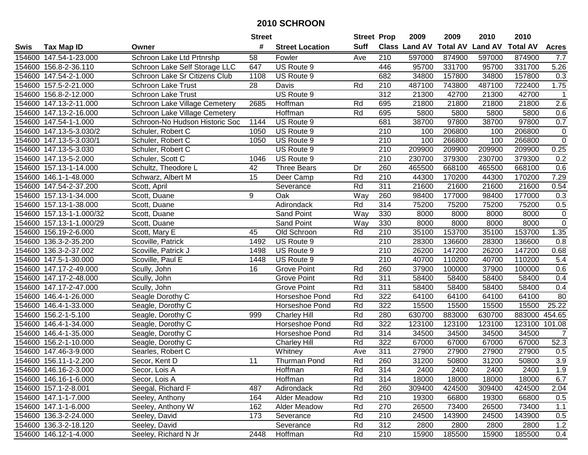|        |                          |                                | <b>Street</b> |                        | <b>Street Prop</b> |                  | 2009   | 2009   | 2010                           | 2010            |                  |
|--------|--------------------------|--------------------------------|---------------|------------------------|--------------------|------------------|--------|--------|--------------------------------|-----------------|------------------|
| Swis   | <b>Tax Map ID</b>        | Owner                          | #             | <b>Street Location</b> | <b>Suff</b>        |                  |        |        | Class Land AV Total AV Land AV | <b>Total AV</b> | <b>Acres</b>     |
|        | 154600 147.54-1-23.000   | Schroon Lake Ltd Prtnrshp      | 58            | Fowler                 | Ave                | 210              | 597000 | 874900 | 597000                         | 874900          | 7.7              |
|        | 154600 156.8-2-36.110    | Schroon Lake Self Storage LLC  | 647           | US Route 9             |                    | 446              | 95700  | 331700 | 95700                          | 331700          | 5.26             |
|        | 154600 147.54-2-1.000    | Schroon Lake Sr Citizens Club  | 1108          | US Route 9             |                    | 682              | 34800  | 157800 | 34800                          | 157800          | 0.3              |
|        | 154600 157.5-2-21.000    | Schroon Lake Trust             | 28            | Davis                  | Rd                 | 210              | 487100 | 743800 | 487100                         | 722400          | 1.75             |
|        | 154600 156.8-2-12.000    | <b>Schroon Lake Trust</b>      |               | US Route 9             |                    | 312              | 21300  | 42700  | 21300                          | 42700           | -1               |
|        | 154600 147.13-2-11.000   | Schroon Lake Village Cemetery  | 2685          | Hoffman                | Rd                 | 695              | 21800  | 21800  | 21800                          | 21800           | 2.6              |
|        | 154600 147.13-2-16.000   | Schroon Lake Village Cemetery  |               | Hoffman                | Rd                 | 695              | 5800   | 5800   | 5800                           | 5800            | 0.6              |
|        | 154600 147.54-1-1.000    | Schroon-No Hudson Historic Soc | 1144          | US Route 9             |                    | 681              | 38700  | 97800  | 38700                          | 97800           | 0.7              |
|        | 154600 147.13-5-3.030/2  | Schuler, Robert C              | 1050          | US Route 9             |                    | $\overline{210}$ | 100    | 206800 | 100                            | 206800          | $\boldsymbol{0}$ |
|        | 154600 147.13-5-3.030/1  | Schuler, Robert C              | 1050          | US Route 9             |                    | 210              | 100    | 266800 | 100                            | 266800          | $\pmb{0}$        |
|        | 154600 147.13-5-3.030    | Schuler, Robert C              |               | US Route 9             |                    | 210              | 209900 | 209900 | 209900                         | 209900          | 0.25             |
|        | 154600 147.13-5-2.000    | Schuler, Scott C               | 1046          | US Route 9             |                    | 210              | 230700 | 379300 | 230700                         | 379300          | 0.2              |
|        | 154600 157.13-1-14.000   | Schultz, Theodore L            | 42            | <b>Three Bears</b>     | Dr                 | 260              | 465500 | 668100 | 465500                         | 668100          | 0.6              |
|        | 154600 146.1-1-48.000    | Schwarz, Albert M              | 15            | Deer Camp              | Rd                 | 210              | 44300  | 170200 | 44300                          | 170200          | 7.29             |
| 154600 | 147.54-2-37.200          | Scott, April                   |               | Severance              | Rd                 | 311              | 21600  | 21600  | 21600                          | 21600           | 0.54             |
| 154600 | 157.13-1-34.000          | Scott, Duane                   | 9             | Oak                    | Way                | 260              | 98400  | 177000 | 98400                          | 177000          | 0.3              |
|        | 154600 157.13-1-38.000   | Scott, Duane                   |               | Adirondack             | Rd                 | 314              | 75200  | 75200  | 75200                          | 75200           | 0.5              |
|        | 154600 157.13-1-1.000/32 | Scott, Duane                   |               | <b>Sand Point</b>      | Way                | 330              | 8000   | 8000   | 8000                           | 8000            | $\pmb{0}$        |
|        | 154600 157.13-1-1.000/29 | Scott, Duane                   |               | <b>Sand Point</b>      | Way                | 330              | 8000   | 8000   | 8000                           | 8000            | $\pmb{0}$        |
|        | 154600 156.19-2-6.000    | Scott, Mary E                  | 45            | Old Schroon            | Rd                 | 210              | 35100  | 153700 | 35100                          | 153700          | 1.35             |
| 154600 | 136.3-2-35.200           | Scoville, Patrick              | 1492          | US Route 9             |                    | 210              | 28300  | 136600 | 28300                          | 136600          | 0.8              |
| 154600 | 136.3-2-37.002           | Scoville, Patrick J            | 1498          | US Route 9             |                    | 210              | 26200  | 147200 | 26200                          | 147200          | 0.68             |
|        | 154600 147.5-1-30.000    | Scoville, Paul E               | 1448          | US Route 9             |                    | 210              | 40700  | 110200 | 40700                          | 110200          | 5.4              |
|        | 154600 147.17-2-49.000   | Scully, John                   | 16            | <b>Grove Point</b>     | Rd                 | 260              | 37900  | 100000 | 37900                          | 100000          | 0.6              |
|        | 154600 147.17-2-48.000   | Scully, John                   |               | <b>Grove Point</b>     | Rd                 | 311              | 58400  | 58400  | 58400                          | 58400           | 0.4              |
|        | 154600 147.17-2-47.000   | Scully, John                   |               | <b>Grove Point</b>     | Rd                 | 311              | 58400  | 58400  | 58400                          | 58400           | 0.4              |
|        | 154600 146.4-1-26.000    | Seagle Dorothy C               |               | Horseshoe Pond         | Rd                 | 322              | 64100  | 64100  | 64100                          | 64100           | 80               |
|        | 154600 146.4-1-33.000    | Seagle, Dorothy C              |               | Horseshoe Pond         | Rd                 | 322              | 15500  | 15500  | 15500                          | 15500           | 25.22            |
| 154600 | 156.2-1-5.100            | Seagle, Dorothy C              | 999           | <b>Charley Hill</b>    | Rd                 | 280              | 630700 | 883000 | 630700                         | 883000          | 454.65           |
|        | 154600 146.4-1-34.000    | Seagle, Dorothy C              |               | Horseshoe Pond         | Rd                 | 322              | 123100 | 123100 | 123100                         | 123100          | 101.08           |
| 154600 | 146.4-1-35.000           | Seagle, Dorothy C              |               | Horseshoe Pond         | Rd                 | 314              | 34500  | 34500  | 34500                          | 34500           | $\overline{7}$   |
| 154600 | 156.2-1-10.000           | Seagle, Dorothy C              |               | <b>Charley Hill</b>    | Rd                 | 322              | 67000  | 67000  | 67000                          | 67000           | 52.3             |
|        | 154600 147.46-3-9.000    | Searles, Robert C              |               | Whitney                | Ave                | 311              | 27900  | 27900  | 27900                          | 27900           | 0.5              |
|        | 154600 156.11-1-2.200    | Secor, Kent D                  | 11            | Thurman Pond           | Rd                 | 260              | 31200  | 50800  | 31200                          | 50800           | 3.9              |
|        | 154600 146.16-2-3.000    | Secor, Lois A                  |               | Hoffman                | Rd                 | 314              | 2400   | 2400   | 2400                           | 2400            | 1.9              |
|        | 154600 146.16-1-6.000    | Secor, Lois A                  |               | Hoffman                | Rd                 | 314              | 18000  | 18000  | 18000                          | 18000           | 6.7              |
|        | 154600 157.1-2-8.001     | Seegal, Richard F              | 487           | Adirondack             | Rd                 | 260              | 309400 | 424500 | 309400                         | 424500          | 2.04             |
|        | 154600 147.1-1-7.000     | Seeley, Anthony                | 164           | Alder Meadow           | Rd                 | 210              | 19300  | 66800  | 19300                          | 66800           | 0.5              |
|        | 154600 147.1-1-6.000     | Seeley, Anthony W              | 162           | <b>Alder Meadow</b>    | Rd                 | 270              | 26500  | 73400  | 26500                          | 73400           | 1.1              |
|        | 154600 136.3-2-24.000    | Seeley, David                  | 173           | Severance              | Rd                 | 210              | 24500  | 143900 | 24500                          | 143900          | 0.5              |
|        | 154600 136.3-2-18.120    | Seeley, David                  |               | Severance              | Rd                 | 312              | 2800   | 2800   | 2800                           | 2800            | 1.2              |
|        | 154600 146.12-1-4.000    | Seeley, Richard N Jr           | 2448          | Hoffman                | Rd                 | 210              | 15900  | 185500 | 15900                          | 185500          | 0.4              |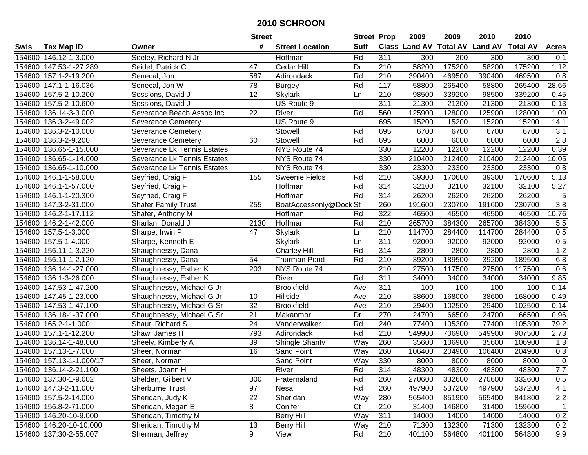|        |                          |                             | <b>Street</b>   |                        | <b>Street Prop</b> |                  | 2009   | 2009   | 2010                           | 2010            |                  |
|--------|--------------------------|-----------------------------|-----------------|------------------------|--------------------|------------------|--------|--------|--------------------------------|-----------------|------------------|
| Swis   | <b>Tax Map ID</b>        | Owner                       | #               | <b>Street Location</b> | <b>Suff</b>        |                  |        |        | Class Land AV Total AV Land AV | <b>Total AV</b> | <b>Acres</b>     |
|        | 154600 146.12-1-3.000    | Seeley, Richard N Jr        |                 | Hoffman                | Rd                 | 311              | 300    | 300    | 300                            | 300             | 0.1              |
|        | 154600 147.53-1-27.289   | Seidel, Patrick C           | 47              | Cedar Hill             | Dr                 | 210              | 58200  | 175200 | 58200                          | 175200          | 1.12             |
|        | 154600 157.1-2-19.200    | Senecal, Jon                | 587             | Adirondack             | Rd                 | 210              | 390400 | 469500 | 390400                         | 469500          | 0.8              |
|        | 154600 147.1-1-16.036    | Senecal, Jon W              | 78              | <b>Burgey</b>          | Rd                 | 117              | 58800  | 265400 | 58800                          | 265400          | 28.66            |
|        | 154600 157.5-2-10.200    | Sessions, David J           | 12              | <b>Skylark</b>         | Ln                 | 210              | 98500  | 339200 | 98500                          | 339200          | 0.45             |
|        | 154600 157.5-2-10.600    | Sessions, David J           |                 | US Route 9             |                    | $\overline{311}$ | 21300  | 21300  | 21300                          | 21300           | 0.13             |
| 154600 | 136.14-3-3.000           | Severance Beach Assoc Inc   | 22              | River                  | Rd                 | 560              | 125900 | 128000 | 125900                         | 128000          | 1.09             |
| 154600 | 136.3-2-49.002           | <b>Severance Cemetery</b>   |                 | US Route 9             |                    | 695              | 15200  | 15200  | 15200                          | 15200           | 14.1             |
| 154600 | 136.3-2-10.000           | <b>Severance Cemetery</b>   |                 | Stowell                | Rd                 | 695              | 6700   | 6700   | 6700                           | 6700            | $\overline{3.1}$ |
| 154600 | 136.3-2-9.200            | <b>Severance Cemetery</b>   | 60              | Stowell                | Rd                 | 695              | 6000   | 6000   | 6000                           | 6000            | 2.8              |
|        | 154600 136.65-1-15.000   | Severance Lk Tennis Estates |                 | NYS Route 74           |                    | 330              | 12200  | 12200  | 12200                          | 12200           | 0.39             |
|        | 154600 136.65-1-14.000   | Severance Lk Tennis Estates |                 | NYS Route 74           |                    | 330              | 210400 | 212400 | 210400                         | 212400          | 10.05            |
| 154600 | 136.65-1-10.000          | Severance Lk Tennis Estates |                 | NYS Route 74           |                    | 330              | 23300  | 23300  | 23300                          | 23300           | 0.8              |
| 154600 | 146.1-1-58.000           | Seyfried, Craig F           | 155             | <b>Sweenie Fields</b>  | Rd                 | 210              | 39300  | 170600 | 39300                          | 170600          | 5.13             |
| 154600 | 146.1-1-57.000           | Seyfried, Craig F           |                 | Hoffman                | Rd                 | 314              | 32100  | 32100  | 32100                          | 32100           | 5.27             |
|        | 154600 146.1-1-20.300    | Seyfried, Craig F           |                 | Hoffman                | Rd                 | 314              | 26200  | 26200  | 26200                          | 26200           | 5                |
|        | 154600 147.3-2-31.000    | <b>Shafer Family Trust</b>  | 255             | BoatAccessonly@Dock St |                    | 260              | 191600 | 230700 | 191600                         | 230700          | $\overline{3.8}$ |
| 154600 | 146.2-1-17.112           | Shafer, Anthony M           |                 | Hoffman                | Rd                 | 322              | 46500  | 46500  | 46500                          | 46500           | 10.76            |
|        | 154600 146.2-1-42.000    | Sharlan, Donald J           | 2130            | Hoffman                | Rd                 | 210              | 265700 | 384300 | 265700                         | 384300          | 5.5              |
|        | 154600 157.5-1-3.000     | Sharpe, Irwin P             | 47              | <b>Skylark</b>         | Ln                 | 210              | 114700 | 284400 | 114700                         | 284400          | 0.5              |
|        | 154600 157.5-1-4.000     | Sharpe, Kenneth E           |                 | <b>Skylark</b>         | Ln                 | 311              | 92000  | 92000  | 92000                          | 92000           | 0.5              |
| 154600 | 156.11-1-3.220           | Shaughnessy, Dana           |                 | <b>Charley Hill</b>    | Rd                 | 314              | 2800   | 2800   | 2800                           | 2800            | 1.2              |
| 154600 | 156.11-1-2.120           | Shaughnessy, Dana           | 54              | Thurman Pond           | Rd                 | 210              | 39200  | 189500 | 39200                          | 189500          | 6.8              |
| 154600 | 136.14-1-27.000          | Shaughnessy, Esther K       | 203             | NYS Route 74           |                    | 210              | 27500  | 117500 | 27500                          | 117500          | 0.6              |
| 154600 | 136.1-3-26.000           | Shaughnessy, Esther K       |                 | River                  | Rd                 | $\overline{311}$ | 34000  | 34000  | 34000                          | 34000           | 9.85             |
| 154600 | 147.53-1-47.200          | Shaughnessy, Michael G Jr   |                 | <b>Brookfield</b>      | Ave                | 311              | 100    | 100    | 100                            | 100             | 0.14             |
|        | 154600 147.45-1-23.000   | Shaughnessy, Michael G Jr   | 10              | Hillside               | Ave                | 210              | 38600  | 168000 | 38600                          | 168000          | 0.49             |
|        | 154600 147.53-1-47.100   | Shaughnessy, Michael G Sr   | 32              | <b>Brookfield</b>      | Ave                | 210              | 29400  | 102500 | 29400                          | 102500          | 0.14             |
|        | 154600 136.18-1-37.000   | Shaughnessy, Michael G Sr   | $\overline{21}$ | Makanmor               | Dr                 | 270              | 24700  | 66500  | 24700                          | 66500           | 0.96             |
|        | 154600 165.2-1-1.000     | Shaut, Richard S            | $\overline{24}$ | Vanderwalker           | Rd                 | 240              | 77400  | 105300 | 77400                          | 105300          | 79.2             |
|        | 154600 157.1-1-12.200    | Shaw, James H               | 793             | Adirondack             | Rd                 | $\overline{210}$ | 549900 | 706900 | 549900                         | 907500          | 2.73             |
|        | 154600 136.14-1-48.000   | Sheely, Kimberly A          | 39              | <b>Shingle Shanty</b>  | Way                | 260              | 35600  | 106900 | 35600                          | 106900          | 1.3              |
|        | 154600 157.13-1-7.000    | Sheer, Norman               | $\overline{16}$ | Sand Point             | Way                | 260              | 106400 | 204900 | 106400                         | 204900          | 0.3              |
|        | 154600 157.13-1-1.000/17 | Sheer, Norman               |                 | Sand Point             | Way                | 330              | 8000   | 8000   | 8000                           | 8000            | $\overline{0}$   |
|        | 154600 136.14-2-21.100   | Sheets, Joann H             |                 | River                  | Rd                 | 314              | 48300  | 48300  | 48300                          | 48300           | 7.7              |
|        | 154600 137.30-1-9.002    | Shelden, Gilbert V          | 300             | Fraternaland           | Rd                 | 260              | 270600 | 332600 | 270600                         | 332600          | 0.5              |
|        | 154600 147.3-2-11.000    | Sherburne Trust             | 97              | Nesa                   | Rd                 | 260              | 497900 | 537200 | 497900                         | 537200          | 4.1              |
|        | 154600 157.5-2-14.000    | Sheridan, Judy K            | 22              | Sheridan               | Way                | 280              | 565400 | 851900 | 565400                         | 841800          | 2.2              |
|        | 154600 156.8-2-71.000    | Sheridan, Megan E           | 8               | Conifer                | Ct                 | 210              | 31400  | 146800 | 31400                          | 159600          | $\mathbf{1}$     |
|        | 154600 146.20-10-9.000   | Sheridan, Timothy M         |                 | <b>Berry Hill</b>      | Way                | 311              | 14000  | 14000  | 14000                          | 14000           | 0.2              |
|        | 154600 146.20-10-10.000  | Sheridan, Timothy M         | 13              | <b>Berry Hill</b>      | Way                | 210              | 71300  | 132300 | 71300                          | 132300          | 0.2              |
|        | 154600 137.30-2-55.007   | Sherman, Jeffrey            | 9               | View                   | Rd                 | 210              | 401100 | 564800 | 401100                         | 564800          | 9.9              |
|        |                          |                             |                 |                        |                    |                  |        |        |                                |                 |                  |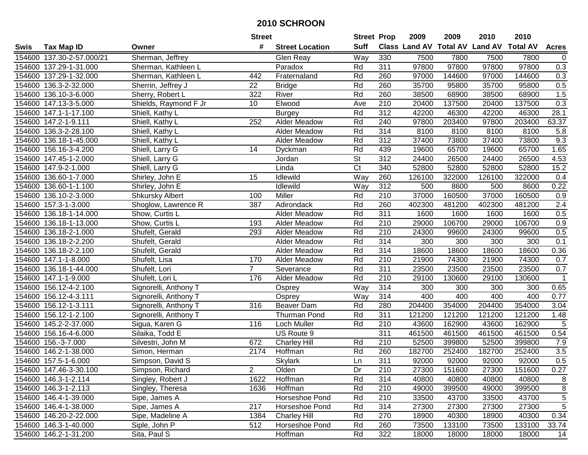|        |                           |                        | <b>Street</b>  |                        | <b>Street Prop</b>     |                  | 2009   | 2009   | 2010                           | 2010            |                  |
|--------|---------------------------|------------------------|----------------|------------------------|------------------------|------------------|--------|--------|--------------------------------|-----------------|------------------|
| Swis   | <b>Tax Map ID</b>         | Owner                  | #              | <b>Street Location</b> | <b>Suff</b>            |                  |        |        | Class Land AV Total AV Land AV | <b>Total AV</b> | <b>Acres</b>     |
|        | 154600 137.30-2-57.000/21 | Sherman, Jeffrey       |                | Glen Reay              | Way                    | 330              | 7500   | 7800   | 7500                           | 7800            | $\mathbf 0$      |
|        | 154600 137.29-1-31.000    | Sherman, Kathleen L    |                | Paradox                | Rd                     | 311              | 97800  | 97800  | 97800                          | 97800           | 0.3              |
|        | 154600 137.29-1-32.000    | Sherman, Kathleen L    | 442            | Fraternaland           | Rd                     | 260              | 97000  | 144600 | 97000                          | 144600          | 0.3              |
|        | 154600 136.3-2-32.000     | Sherrin, Jeffrey J     | 22             | <b>Bridge</b>          | Rd                     | 260              | 35700  | 95800  | 35700                          | 95800           | 0.5              |
|        | 154600 136.10-3-6.000     | Sherry, Robert L       | 322            | River                  | Rd                     | 260              | 38500  | 68900  | 38500                          | 68900           | 1.5              |
|        | 154600 147.13-3-5.000     | Shields, Raymond F Jr  | 10             | Elwood                 | Ave                    | $\overline{210}$ | 20400  | 137500 | 20400                          | 137500          | $\overline{0.3}$ |
|        | 154600 147.1-1-17.100     | Shiell, Kathy L        |                | <b>Burgey</b>          | Rd                     | 312              | 42200  | 46300  | 42200                          | 46300           | 28.1             |
|        | 154600 147.2-1-9.111      | Shiell, Kathy L        | 252            | <b>Alder Meadow</b>    | Rd                     | 240              | 97800  | 203400 | 97800                          | 203400          | 63.37            |
|        | 154600 136.3-2-28.100     | Shiell, Kathy L        |                | <b>Alder Meadow</b>    | Rd                     | 314              | 8100   | 8100   | 8100                           | 8100            | 5.8              |
|        | 154600 136.18-1-45.000    | Shiell, Kathy L        |                | Alder Meadow           | Rd                     | 312              | 37400  | 73800  | 37400                          | 73800           | 9.3              |
|        | 154600 156.16-3-4.200     | Shiell, Larry G        | 14             | Dyckman                | Rd                     | 439              | 19600  | 65700  | 19600                          | 65700           | 1.65             |
|        | 154600 147.45-1-2.000     | Shiell, Larry G        |                | Jordan                 | <b>St</b>              | 312              | 24400  | 26500  | 24400                          | 26500           | 4.53             |
|        | 154600 147.9-2-1.000      | Shiell, Larry G        |                | Linda                  | $\overline{\text{C}t}$ | 340              | 52800  | 52800  | 52800                          | 52800           | 15.2             |
| 154600 | 136.60-1-7.000            | Shirley, John E        | 15             | Idlewild               | Way                    | 260              | 126100 | 322000 | 126100                         | 322000          | 0.4              |
| 154600 | 136.60-1-1.100            | Shirley, John E        |                | Idlewild               | Way                    | 312              | 500    | 8600   | 500                            | 8600            | 0.22             |
|        | 154600 136.10-2-3.000     | <b>Shkursky Albert</b> | 100            | Miller                 | Rd                     | 210              | 37000  | 160500 | 37000                          | 160500          | 0.9              |
| 154600 | 157.3-1-3.000             | Shoglow, Lawrence R    | 387            | Adirondack             | Rd                     | 260              | 402300 | 481200 | 402300                         | 481200          | 2.4              |
| 154600 | 136.18-1-14.000           | Show, Curtis L         |                | <b>Alder Meadow</b>    | Rd                     | 311              | 1600   | 1600   | 1600                           | 1600            | 0.5              |
|        | 154600 136.18-1-13.000    | Show, Curtis L         | 193            | Alder Meadow           | Rd                     | 210              | 29000  | 106700 | 29000                          | 106700          | 0.9              |
|        | 154600 136.18-2-1.000     | Shufelt, Gerald        | 293            | <b>Alder Meadow</b>    | Rd                     | 210              | 24300  | 99600  | 24300                          | 99600           | 0.5              |
| 154600 | 136.18-2-2.200            | Shufelt, Gerald        |                | <b>Alder Meadow</b>    | Rd                     | 314              | 300    | 300    | 300                            | 300             | 0.1              |
| 154600 | 136.18-2-2.100            | Shufelt, Gerald        |                | <b>Alder Meadow</b>    | Rd                     | 314              | 18600  | 18600  | 18600                          | 18600           | 0.36             |
| 154600 | 147.1-1-8.000             | Shufelt, Lisa          | 170            | Alder Meadow           | Rd                     | 210              | 21900  | 74300  | 21900                          | 74300           | 0.7              |
| 154600 | 136.18-1-44.000           | Shufelt, Lori          | $\overline{7}$ | Severance              | Rd                     | 311              | 23500  | 23500  | 23500                          | 23500           | 0.7              |
|        | 154600 147.1-1-9.000      | Shufelt, Lori L        | 176            | Alder Meadow           | Rd                     | $\overline{210}$ | 29100  | 130600 | 29100                          | 130600          | $\overline{1}$   |
|        | 154600 156.12-4-2.100     | Signorelli, Anthony T  |                | Osprey                 | Way                    | 314              | 300    | 300    | 300                            | 300             | 0.65             |
|        | 154600 156.12-4-3.111     | Signorelli, Anthony T  |                | Osprey                 | Way                    | 314              | 400    | 400    | 400                            | 400             | 0.77             |
|        | 154600 156.12-1-3.111     | Signorelli, Anthony T  | 316            | Beaver Dam             | Rd                     | 280              | 204400 | 354000 | 204400                         | 354000          | 3.04             |
|        | 154600 156.12-1-2.100     | Signorelli, Anthony T  |                | <b>Thurman Pond</b>    | Rd                     | 311              | 121200 | 121200 | 121200                         | 121200          | 1.48             |
|        | 154600 145.2-2-37.000     | Sigua, Karen G         | 116            | Loch Muller            | Rd                     | $\overline{210}$ | 43600  | 162900 | 43600                          | 162900          | 5                |
|        | 154600 156.16-4-6.000     | Silaika, Todd E        |                | US Route 9             |                        | 311              | 461500 | 461500 | 461500                         | 461500          | 0.54             |
|        | 154600 156.-3-7.000       | Silvestri, John M      | 672            | <b>Charley Hill</b>    | Rd                     | 210              | 52500  | 399800 | 52500                          | 399800          | 7.9              |
|        | 154600 146.2-1-38.000     | Simon, Herman          | 2174           | Hoffman                | Rd                     | 260              | 182700 | 252400 | 182700                         | 252400          | 3.5              |
|        | 154600 157.5-1-6.000      | Simpson, David S       |                | <b>Skylark</b>         | Ln                     | 311              | 92000  | 92000  | 92000                          | 92000           | 0.5              |
|        | 154600 147.46-3-30.100    | Simpson, Richard       | 2              | Olden                  | Dr                     | 210              | 27300  | 151600 | 27300                          | 151600          | 0.27             |
|        | 154600 146.3-1-2.114      | Singley, Robert J      | 1622           | Hoffman                | Rd                     | 314              | 40800  | 40800  | 40800                          | 40800           | 8                |
|        | 154600 146.3-1-2.113      | Singley, Theresa       | 1636           | Hoffman                | Rd                     | 210              | 49000  | 399500 | 49000                          | 399500          | 8                |
|        | 154600 146.4-1-39.000     | Sipe, James A          |                | Horseshoe Pond         | Rd                     | 210              | 33500  | 43700  | 33500                          | 43700           | 5                |
|        | 154600 146.4-1-38.000     | Sipe, James A          | 217            | Horseshoe Pond         | Rd                     | 314              | 27300  | 27300  | 27300                          | 27300           | 5                |
|        | 154600 146.20-2-22.000    | Sipe, Madeline A       | 1384           | <b>Charley Hill</b>    | Rd                     | 270              | 18900  | 40300  | 18900                          | 40300           | 0.34             |
|        | 154600 146.3-1-40.000     | Siple, John P          | 512            | Horseshoe Pond         | Rd                     | 260              | 73500  | 133100 | 73500                          | 133100          | 33.74            |
|        | 154600 146.2-1-31.200     | Sita, Paul S           |                | Hoffman                | Rd                     | 322              | 18000  | 18000  | 18000                          | 18000           | 14               |
|        |                           |                        |                |                        |                        |                  |        |        |                                |                 |                  |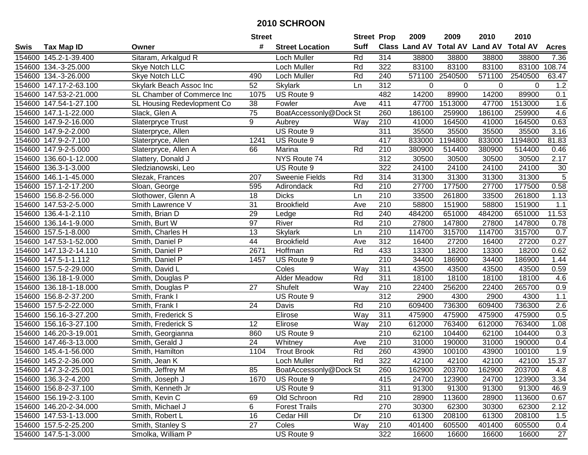|        |                        |                            | <b>Street</b>   |                        | <b>Street Prop</b> |                  | 2009                          | 2009           | 2010           | 2010            |              |
|--------|------------------------|----------------------------|-----------------|------------------------|--------------------|------------------|-------------------------------|----------------|----------------|-----------------|--------------|
| Swis   | <b>Tax Map ID</b>      | Owner                      | #               | <b>Street Location</b> | <b>Suff</b>        |                  | <b>Class Land AV Total AV</b> |                | <b>Land AV</b> | <b>Total AV</b> | <b>Acres</b> |
|        | 154600 145.2-1-39.400  | Sitaram, Arkalgud R        |                 | Loch Muller            | Rd                 | 314              | 38800                         | 38800          | 38800          | 38800           | 7.36         |
|        | 154600 134.-3-25.000   | Skye Notch LLC             |                 | Loch Muller            | Rd                 | 322              | 83100                         | 83100          | 83100          | 83100           | 108.74       |
|        | 154600 134.-3-26.000   | Skye Notch LLC             | 490             | Loch Muller            | Rd                 | 240              |                               | 571100 2540500 | 571100         | 2540500         | 63.47        |
|        | 154600 147.17-2-63.100 | Skylark Beach Assoc Inc    | 52              | <b>Skylark</b>         | Ln                 | 312              | $\Omega$                      | $\mathbf 0$    | 0              | $\Omega$        | 1.2          |
|        | 154600 147.53-2-21.000 | SL Chamber of Commerce Inc | 1075            | US Route 9             |                    | 482              | 14200                         | 89900          | 14200          | 89900           | 0.1          |
|        | 154600 147.54-1-27.100 | SL Housing Redevlopment Co | 38              | Fowler                 | Ave                | 411              | 47700                         | 1513000        | 47700          | 1513000         | 1.6          |
|        | 154600 147.1-1-22.000  | Slack, Glen A              | $\overline{75}$ | BoatAccessonly@Dock St |                    | 260              | 186100                        | 259900         | 186100         | 259900          | 4.6          |
|        | 154600 147.9-2-16.000  | <b>Slaterpryce Trust</b>   | $\overline{9}$  | Aubrey                 | Way                | 210              | 41000                         | 164500         | 41000          | 164500          | 0.63         |
|        | 154600 147.9-2-2.000   | Slaterpryce, Allen         |                 | US Route 9             |                    | 311              | 35500                         | 35500          | 35500          | 35500           | 3.16         |
|        | 154600 147.9-2-7.100   | Slaterpryce, Allen         | 1241            | US Route 9             |                    | 417              | 833000                        | 1194800        | 833000         | 1194800         | 81.83        |
|        | 154600 147.9-2-5.000   | Slaterpryce, Allen A       | 66              | Marina                 | Rd                 | 210              | 380900                        | 514400         | 380900         | 514400          | 0.46         |
|        | 154600 136.60-1-12.000 | Slattery, Donald J         |                 | NYS Route 74           |                    | 312              | 30500                         | 30500          | 30500          | 30500           | 2.17         |
|        | 154600 136.3-1-3.000   | Sledzianowski, Leo         |                 | US Route 9             |                    | 322              | 24100                         | 24100          | 24100          | 24100           | 30           |
|        | 154600 146.1-1-45.000  | Slezak, Frances            | 207             | Sweenie Fields         | Rd                 | 314              | 31300                         | 31300          | 31300          | 31300           | 5            |
|        | 154600 157.1-2-17.200  | Sloan, George              | 595             | Adirondack             | Rd                 | 210              | 27700                         | 177500         | 27700          | 177500          | 0.58         |
|        | 154600 156.8-2-56.000  | Slothower, Glenn A         | 18              | <b>Dicks</b>           | Ln                 | 210              | 33500                         | 261800         | 33500          | 261800          | 1.13         |
|        | 154600 147.53-2-5.000  | Smith Lawrence V           | $\overline{31}$ | <b>Brookfield</b>      | Ave                | 210              | 58800                         | 151900         | 58800          | 151900          | 1.1          |
| 154600 | 136.4-1-2.110          | Smith, Brian D             | 29              | Ledge                  | Rd                 | 240              | 484200                        | 651000         | 484200         | 651000          | 11.53        |
|        | 154600 136.14-1-9.000  | Smith, Burt W              | 97              | River                  | Rd                 | 210              | 27800                         | 147800         | 27800          | 147800          | 0.78         |
|        | 154600 157.5-1-8.000   | Smith, Charles H           | 13              | <b>Skylark</b>         | Ln                 | 210              | 114700                        | 315700         | 114700         | 315700          | 0.7          |
|        | 154600 147.53-1-52.000 | Smith, Daniel P            | 44              | <b>Brookfield</b>      | Ave                | 312              | 16400                         | 27200          | 16400          | 27200           | 0.27         |
|        | 154600 147.13-2-14.110 | Smith, Daniel P            | 2671            | Hoffman                | Rd                 | 433              | 13300                         | 18200          | 13300          | 18200           | 0.62         |
|        | 154600 147.5-1-1.112   | Smith, Daniel P            | 1457            | US Route 9             |                    | 210              | 34400                         | 186900         | 34400          | 186900          | 1.44         |
| 154600 | 157.5-2-29.000         | Smith, David L             |                 | Coles                  | Way                | 311              | 43500                         | 43500          | 43500          | 43500           | 0.59         |
| 154600 | 136.18-1-9.000         | Smith, Douglas P           |                 | Alder Meadow           | Rd                 | $\overline{311}$ | 18100                         | 18100          | 18100          | 18100           | 4.6          |
| 154600 | 136.18-1-18.000        | Smith, Douglas P           | 27              | Shufelt                | Way                | 210              | 22400                         | 256200         | 22400          | 265700          | 0.9          |
|        | 154600 156.8-2-37.200  | Smith, Frank I             |                 | US Route 9             |                    | $\overline{312}$ | 2900                          | 4300           | 2900           | 4300            | 1.1          |
|        | 154600 157.5-2-22.000  | Smith, Frank I             | 24              | Davis                  | Rd                 | 210              | 609400                        | 736300         | 609400         | 736300          | 2.6          |
|        | 154600 156.16-3-27.200 | Smith, Frederick S         |                 | Elirose                | Way                | 311              | 475900                        | 475900         | 475900         | 475900          | 0.5          |
|        | 154600 156.16-3-27.100 | Smith, Frederick S         | 12              | Elirose                | Way                | $\overline{210}$ | 612000                        | 763400         | 612000         | 763400          | 1.08         |
|        | 154600 146.20-3-19.001 | Smith, Georgianna          | 860             | US Route 9             |                    | $\overline{210}$ | 62100                         | 104400         | 62100          | 104400          | 0.3          |
|        | 154600 147.46-3-13.000 | Smith, Gerald J            | 24              | Whitney                | Ave                | 210              | 31000                         | 190000         | 31000          | 190000          | 0.4          |
|        | 154600 145.4-1-56.000  | Smith, Hamilton            | 1104            | <b>Trout Brook</b>     | Rd                 | 260              | 43900                         | 100100         | 43900          | 100100          | 1.9          |
|        | 154600 145.2-2-36.000  | Smith, Jean K              |                 | Loch Muller            | Rd                 | 322              | 42100                         | 42100          | 42100          | 42100           | 15.37        |
|        | 154600 147.3-2-25.001  | Smith, Jeffrey M           | 85              | BoatAccessonly@Dock St |                    | 260              | 162900                        | 203700         | 162900         | 203700          | 4.8          |
|        | 154600 136.3-2-4.200   | Smith, Joseph J            | 1670            | US Route 9             |                    | 415              | 24700                         | 123900         | 24700          | 123900          | 3.34         |
|        | 154600 156.8-2-37.100  | Smith, Kenneth Jr          |                 | US Route 9             |                    | 311              | 91300                         | 91300          | 91300          | 91300           | 46.9         |
|        | 154600 156.19-2-3.100  | Smith, Kevin C             | 69              | Old Schroon            | Rd                 | 210              | 28900                         | 113600         | 28900          | 113600          | 0.67         |
|        | 154600 146.20-2-34.000 | Smith, Michael J           | 6               | <b>Forest Trails</b>   |                    | 270              | 30300                         | 62300          | 30300          | 62300           | 2.12         |
|        | 154600 147.53-1-13.000 | Smith, Robert L            | 16              | Cedar Hill             | Dr                 | 210              | 61300                         | 208100         | 61300          | 208100          | 1.5          |
|        | 154600 157.5-2-25.200  | Smith, Stanley S           | 27              | Coles                  | Way                | 210              | 401400                        | 605500         | 401400         | 605500          | 0.4          |
|        | 154600 147.5-1-3.000   | Smolka, William P          |                 | US Route 9             |                    | 322              | 16600                         | 16600          | 16600          | 16600           | 27           |
|        |                        |                            |                 |                        |                    |                  |                               |                |                |                 |              |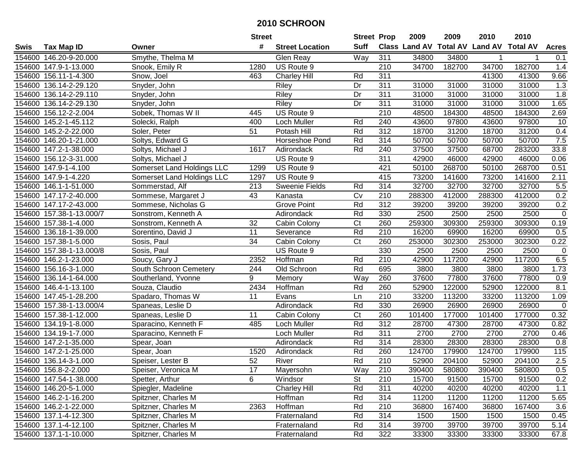|             |                          |                            | <b>Street</b>   |                        | <b>Street Prop</b> |                  | 2009   | 2009   | 2010                                    | 2010   |              |
|-------------|--------------------------|----------------------------|-----------------|------------------------|--------------------|------------------|--------|--------|-----------------------------------------|--------|--------------|
| <b>Swis</b> | <b>Tax Map ID</b>        | Owner                      | #               | <b>Street Location</b> | <b>Suff</b>        |                  |        |        | Class Land AV Total AV Land AV Total AV |        | <b>Acres</b> |
|             | 154600 146.20-9-20.000   | Smythe, Thelma M           |                 | Glen Reay              | Way                | 311              | 34800  | 34800  |                                         |        | 0.1          |
|             | 154600 147.9-1-13.000    | Snook, Emily R             | 1280            | US Route 9             |                    | 210              | 34700  | 182700 | 34700                                   | 182700 | 1.4          |
|             | 154600 156.11-1-4.300    | Snow, Joel                 | 463             | <b>Charley Hill</b>    | Rd                 | 311              |        |        | 41300                                   | 41300  | 9.66         |
| 154600      | 136.14-2-29.120          | Snyder, John               |                 | Riley                  | Dr                 | 311              | 31000  | 31000  | 31000                                   | 31000  | 1.3          |
| 154600      | 136.14-2-29.110          | Snyder, John               |                 | <b>Riley</b>           | Dr                 | 311              | 31000  | 31000  | 31000                                   | 31000  | 1.8          |
|             | 154600 136.14-2-29.130   | Snyder, John               |                 | <b>Riley</b>           | Dr                 | 311              | 31000  | 31000  | 31000                                   | 31000  | 1.65         |
|             | 154600 156.12-2-2.004    | Sobek, Thomas W II         | 445             | US Route 9             |                    | 210              | 48500  | 184300 | 48500                                   | 184300 | 2.69         |
|             | 154600 145.2-1-45.112    | Solecki, Ralph             | 400             | Loch Muller            | Rd                 | 240              | 43600  | 97800  | 43600                                   | 97800  | 10           |
|             | 154600 145.2-2-22.000    | Soler, Peter               | 51              | Potash Hill            | Rd                 | $\overline{312}$ | 18700  | 31200  | 18700                                   | 31200  | 0.4          |
|             | 154600 146.20-1-21.000   | Soltys, Edward G           |                 | Horseshoe Pond         | Rd                 | 314              | 50700  | 50700  | 50700                                   | 50700  | 7.5          |
|             | 154600 147.2-1-38.000    | Soltys, Michael J          | 1617            | Adirondack             | Rd                 | 240              | 37500  | 37500  | 68700                                   | 283200 | 33.8         |
|             | 154600 156.12-3-31.000   | Soltys, Michael J          |                 | US Route 9             |                    | 311              | 42900  | 46000  | 42900                                   | 46000  | 0.06         |
|             | 154600 147.9-1-4.100     | Somerset Land Holdings LLC | 1299            | US Route 9             |                    | 421              | 50100  | 268700 | 50100                                   | 268700 | 0.51         |
| 154600      | 147.9-1-4.220            | Somerset Land Holdings LLC | 1297            | US Route 9             |                    | 415              | 73200  | 141600 | 73200                                   | 141600 | 2.11         |
| 154600      | 146.1-1-51.000           | Sommerstad, Alf            | 213             | <b>Sweenie Fields</b>  | Rd                 | 314              | 32700  | 32700  | 32700                                   | 32700  | 5.5          |
|             | 154600 147.17-2-40.000   | Sommese, Margaret J        | 43              | Kanasta                | $\overline{C}$     | 210              | 288300 | 412000 | 288300                                  | 412000 | 0.2          |
|             | 154600 147.17-2-43.000   | Sommese, Nicholas G        |                 | <b>Grove Point</b>     | Rd                 | 312              | 39200  | 39200  | 39200                                   | 39200  | 0.2          |
|             | 154600 157.38-1-13.000/7 | Sonstrom, Kenneth A        |                 | Adirondack             | Rd                 | 330              | 2500   | 2500   | 2500                                    | 2500   | $\mathbf 0$  |
|             | 154600 157.38-1-4.000    | Sonstrom, Kenneth A        | 32              | Cabin Colony           | C <sub>t</sub>     | 260              | 259300 | 309300 | 259300                                  | 309300 | 0.19         |
|             | 154600 136.18-1-39.000   | Sorentino, David J         | $\overline{11}$ | Severance              | Rd                 | $\overline{210}$ | 16200  | 69900  | 16200                                   | 69900  | 0.5          |
| 154600      | 157.38-1-5.000           | Sosis, Paul                | 34              | Cabin Colony           | C <sub>t</sub>     | 260              | 253000 | 302300 | 253000                                  | 302300 | 0.22         |
| 154600      | 157.38-1-13.000/8        | Sosis, Paul                |                 | US Route 9             |                    | 330              | 2500   | 2500   | 2500                                    | 2500   | 0            |
|             | 154600 146.2-1-23.000    | Soucy, Gary J              | 2352            | Hoffman                | Rd                 | 210              | 42900  | 117200 | 42900                                   | 117200 | 6.5          |
|             | 154600 156.16-3-1.000    | South Schroon Cemetery     | 244             | Old Schroon            | Rd                 | 695              | 3800   | 3800   | 3800                                    | 3800   | 1.73         |
| 154600      | 136.14-1-64.000          | Southerland, Yvonne        | 9               | Memory                 | Way                | 260              | 37600  | 77800  | 37600                                   | 77800  | 0.9          |
|             | 154600 146.4-1-13.100    | Souza, Claudio             | 2434            | Hoffman                | Rd                 | 260              | 52900  | 122000 | 52900                                   | 122000 | 8.1          |
|             | 154600 147.45-1-28.200   | Spadaro, Thomas W          | 11              | Evans                  | Ln                 | 210              | 33200  | 113200 | 33200                                   | 113200 | 1.09         |
|             | 154600 157.38-1-13.000/4 | Spaneas, Leslie D          |                 | Adirondack             | Rd                 | 330              | 26900  | 26900  | 26900                                   | 26900  | $\mathbf 0$  |
|             | 154600 157.38-1-12.000   | Spaneas, Leslie D          | 11              | Cabin Colony           | Ct                 | 260              | 101400 | 177000 | 101400                                  | 177000 | 0.32         |
|             | 154600 134.19-1-8.000    | Sparacino, Kenneth F       | 485             | Loch Muller            | Rd                 | $\overline{312}$ | 28700  | 47300  | 28700                                   | 47300  | 0.82         |
| 154600      | 134.19-1-7.000           | Sparacino, Kenneth F       |                 | Loch Muller            | Rd                 | 311              | 2700   | 2700   | 2700                                    | 2700   | 0.46         |
|             | 154600 147.2-1-35.000    | Spear, Joan                |                 | Adirondack             | Rd                 | 314              | 28300  | 28300  | 28300                                   | 28300  | 0.8          |
|             | 154600 147.2-1-25.000    | Spear, Joan                | 1520            | Adirondack             | Rd                 | 260              | 124700 | 179900 | 124700                                  | 179900 | 115          |
|             | 154600 136.14-3-1.000    | Speiser, Lester B          | 52              | River                  | Rd                 | $\overline{210}$ | 52900  | 204100 | 52900                                   | 204100 | 2.5          |
|             | 154600 156.8-2-2.000     | Speiser, Veronica M        | 17              | Mayersohn              | Way                | 210              | 390400 | 580800 | 390400                                  | 580800 | 0.5          |
|             | 154600 147.54-1-38.000   | Spetter, Arthur            | 6               | Windsor                | <b>St</b>          | 210              | 15700  | 91500  | 15700                                   | 91500  | 0.2          |
|             | 154600 146.20-5-1.000    | Spiegler, Madeline         |                 | <b>Charley Hill</b>    | Rd                 | 311              | 40200  | 40200  | 40200                                   | 40200  | 1.1          |
|             | 154600 146.2-1-16.200    | Spitzner, Charles M        |                 | Hoffman                | Rd                 | 314              | 11200  | 11200  | 11200                                   | 11200  | 5.65         |
|             | 154600 146.2-1-22.000    | Spitzner, Charles M        | 2363            | Hoffman                | Rd                 | 210              | 36800  | 167400 | 36800                                   | 167400 | 3.6          |
|             | 154600 137.1-4-12.300    | Spitzner, Charles M        |                 | Fraternaland           | Rd                 | 314              | 1500   | 1500   | 1500                                    | 1500   | 0.45         |
|             | 154600 137.1-4-12.100    | Spitzner, Charles M        |                 | Fraternaland           | Rd                 | 314              | 39700  | 39700  | 39700                                   | 39700  | 5.14         |
|             | 154600 137.1-1-10.000    | Spitzner, Charles M        |                 | Fraternaland           | Rd                 | 322              | 33300  | 33300  | 33300                                   | 33300  | 67.8         |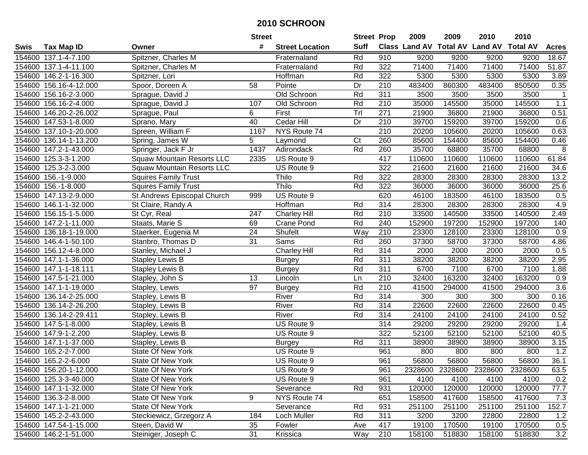|        |                        |                                   | <b>Street</b> |                        | <b>Street Prop</b> |                  | 2009   | 2009   | 2010                           | 2010            |              |
|--------|------------------------|-----------------------------------|---------------|------------------------|--------------------|------------------|--------|--------|--------------------------------|-----------------|--------------|
| Swis   | <b>Tax Map ID</b>      | Owner                             | #             | <b>Street Location</b> | <b>Suff</b>        |                  |        |        | Class Land AV Total AV Land AV | <b>Total AV</b> | <b>Acres</b> |
|        | 154600 137.1-4-7.100   | Spitzner, Charles M               |               | Fraternaland           | Rd                 | 910              | 9200   | 9200   | 9200                           | 9200            | 18.67        |
|        | 154600 137.1-4-11.100  | Spitzner, Charles M               |               | Fraternaland           | Rd                 | 322              | 71400  | 71400  | 71400                          | 71400           | 51.87        |
|        | 154600 146.2-1-16.300  | Spitzner, Lori                    |               | Hoffman                | Rd                 | 322              | 5300   | 5300   | 5300                           | 5300            | 3.89         |
|        | 154600 156.16-4-12.000 | Spoor, Doreen A                   | 58            | Pointe                 | Dr                 | $\overline{210}$ | 483400 | 860300 | 483400                         | 850500          | 0.35         |
|        | 154600 156.16-2-3.000  | Sprague, David J                  |               | Old Schroon            | Rd                 | $\overline{311}$ | 3500   | 3500   | 3500                           | 3500            | $\mathbf{1}$ |
|        | 154600 156.16-2-4.000  | Sprague, David J                  | 107           | Old Schroon            | Rd                 | 210              | 35000  | 145500 | 35000                          | 145500          | 1.1          |
|        | 154600 146.20-2-26.002 | Sprague, Paul                     | 6             | First                  | Tr                 | 271              | 21900  | 36800  | 21900                          | 36800           | 0.51         |
|        | 154600 147.53-1-8.000  | Sprano, Mary                      | 40            | Cedar Hill             | Dr                 | 210              | 39700  | 159200 | 39700                          | 159200          | 0.6          |
|        | 154600 137.10-1-20.000 | Spreen, William F                 | 1167          | NYS Route 74           |                    | $\overline{210}$ | 20200  | 105600 | 20200                          | 105600          | 0.63         |
|        | 154600 136.14-1-13.200 | Spring, James W                   | 5             | Laymond                | C <sub>t</sub>     | 260              | 85600  | 154400 | 85600                          | 154400          | 0.46         |
|        | 154600 147.2-1-43.000  | Springer, Jack F Jr               | 1437          | Adirondack             | Rd                 | 260              | 35700  | 68800  | 35700                          | 68800           | 8            |
|        | 154600 125.3-3-1.200   | <b>Squaw Mountain Resorts LLC</b> | 2335          | US Route 9             |                    | 417              | 110600 | 110600 | 110600                         | 110600          | 61.84        |
|        | 154600 125.3-2-3.000   | <b>Squaw Mountain Resorts LLC</b> |               | US Route 9             |                    | 322              | 21600  | 21600  | 21600                          | 21600           | 34.6         |
|        | 154600 156.-1-9.000    | <b>Squires Family Trust</b>       |               | Thilo                  | Rd                 | 322              | 28300  | 28300  | 28300                          | 28300           | 13.2         |
|        | 154600 156.-1-8.000    | <b>Squires Family Trust</b>       |               | Thilo                  | Rd                 | 322              | 36000  | 36000  | 36000                          | 36000           | 25.6         |
|        | 154600 147.13-2-9.000  | St Andrews Episcopal Church       | 999           | US Route 9             |                    | 620              | 46100  | 183500 | 46100                          | 183500          | 0.5          |
|        | 154600 146.1-1-32.000  | St Claire, Randy A                |               | Hoffman                | Rd                 | 314              | 28300  | 28300  | 28300                          | 28300           | 4.9          |
|        | 154600 156.15-1-5.000  | St Cyr, Real                      | 247           | Charley Hill           | Rd                 | 210              | 33500  | 140500 | 33500                          | 140500          | 2.49         |
|        | 154600 147.2-1-11.000  | Staats, Marie S                   | 69            | Crane Pond             | Rd                 | 240              | 152900 | 197200 | 152900                         | 197200          | 140          |
|        | 154600 136.18-1-19.000 | Staerker, Eugenia M               | 24            | Shufelt                | Way                | 210              | 23300  | 128100 | 23300                          | 128100          | 0.9          |
|        | 154600 146.4-1-50.100  | Stanbro, Thomas D                 | 31            | Sams                   | Rd                 | 260              | 37300  | 58700  | 37300                          | 58700           | 4.86         |
| 154600 | 156.12-4-8.000         | Stanley, Michael J                |               | <b>Charley Hill</b>    | Rd                 | 314              | 2000   | 2000   | 2000                           | 2000            | 0.5          |
| 154600 | 147.1-1-36.000         | <b>Stapley Lewis B</b>            |               | <b>Burgey</b>          | Rd                 | 311              | 38200  | 38200  | 38200                          | 38200           | 2.95         |
| 154600 | 147.1-1-18.111         | <b>Stapley Lewis B</b>            |               | <b>Burgey</b>          | Rd                 | 311              | 6700   | 7100   | 6700                           | 7100            | 1.88         |
|        | 154600 147.5-1-21.000  | Stapley, John S                   | 13            | Lincoln                | Ln                 | $\overline{210}$ | 32400  | 163200 | 32400                          | 163200          | 0.9          |
|        | 154600 147.1-1-19.000  | Stapley, Lewis                    | 97            | <b>Burgey</b>          | Rd                 | 210              | 41500  | 294000 | 41500                          | 294000          | 3.6          |
|        | 154600 136.14-2-25.000 | Stapley, Lewis B                  |               | River                  | Rd                 | 314              | 300    | 300    | 300                            | 300             | 0.16         |
|        | 154600 136.14-2-26.200 | Stapley, Lewis B                  |               | River                  | Rd                 | 314              | 22600  | 22600  | 22600                          | 22600           | 0.45         |
|        | 154600 136.14-2-29.411 | Stapley, Lewis B                  |               | River                  | Rd                 | $\overline{314}$ | 24100  | 24100  | 24100                          | 24100           | 0.52         |
|        | 154600 147.5-1-8.000   | Stapley, Lewis B                  |               | US Route 9             |                    | 314              | 29200  | 29200  | 29200                          | 29200           | 1.4          |
|        | 154600 147.9-1-2.200   | Stapley, Lewis B                  |               | US Route 9             |                    | 322              | 52100  | 52100  | 52100                          | 52100           | 40.5         |
|        | 154600 147.1-1-37.000  | Stapley, Lewis B                  |               | <b>Burgey</b>          | Rd                 | 311              | 38900  | 38900  | 38900                          | 38900           | 3.15         |
|        | 154600 165.2-2-7.000   | <b>State Of New York</b>          |               | US Route 9             |                    | 961              | 800    | 800    | 800                            | 800             | 1.2          |
|        | 154600 165.2-2-6.000   | <b>State Of New York</b>          |               | US Route 9             |                    | 961              | 56800  | 56800  | 56800                          | 56800           | 36.1         |
|        | 154600 156.20-1-12.000 | State Of New York                 |               | US Route 9             |                    | 961              |        |        | 2328600 2328600 2328600        | 2328600         | 63.5         |
|        | 154600 125.3-3-40.000  | State Of New York                 |               | US Route 9             |                    | 961              | 4100   | 4100   | 4100                           | 4100            | 0.2          |
|        | 154600 147.1-1-32.000  | <b>State Of New York</b>          |               | Severance              | Rd                 | 931              | 120000 | 120000 | 120000                         | 120000          | 77.7         |
|        | 154600 136.3-2-8.000   | State Of New York                 | 9             | NYS Route 74           |                    | 651              | 158500 | 417600 | 158500                         | 417600          | 7.3          |
|        | 154600 147.1-1-21.000  | State Of New York                 |               | Severance              | Rd                 | 931              | 251100 | 251100 | 251100                         | 251100          | 152.7        |
|        | 154600 145.2-2-43.000  | Steckiewicz, Grzegorz A           | 184           | Loch Muller            | Rd                 | 311              | 3200   | 3200   | 22800                          | 22800           | 1.2          |
|        | 154600 147.54-1-15.000 | Steen, David W                    | 35            | Fowler                 | Ave                | 417              | 19100  | 170500 | 19100                          | 170500          | 0.5          |
|        | 154600 146.2-1-51.000  | Steiniger, Joseph C               | 31            | Krissica               | Way                | 210              | 158100 | 518830 | 158100                         | 518830          | 3.2          |
|        |                        |                                   |               |                        |                    |                  |        |        |                                |                 |              |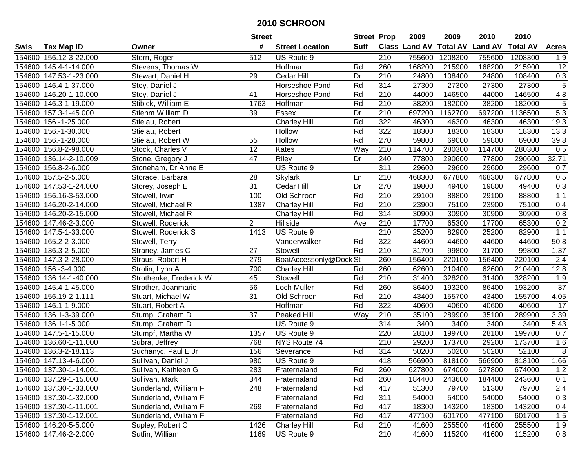|        |                               |                         | <b>Street</b>  |                        | <b>Street Prop</b> |     | 2009                          | 2009    | 2010           | 2010            |                |
|--------|-------------------------------|-------------------------|----------------|------------------------|--------------------|-----|-------------------------------|---------|----------------|-----------------|----------------|
| Swis   | <b>Tax Map ID</b>             | Owner                   | #              | <b>Street Location</b> | <b>Suff</b>        |     | <b>Class Land AV Total AV</b> |         | <b>Land AV</b> | <b>Total AV</b> | <b>Acres</b>   |
|        | 154600 156.12-3-22.000        | Stern, Roger            | 512            | US Route 9             |                    | 210 | 755600                        | 1208300 | 755600         | 1208300         | 1.9            |
|        | 154600 145.4-1-14.000         | Stevens, Thomas W       |                | Hoffman                | Rd                 | 260 | 168200                        | 215900  | 168200         | 215900          | 12             |
|        | 154600 147.53-1-23.000        | Stewart, Daniel H       | 29             | Cedar Hill             | Dr                 | 210 | 24800                         | 108400  | 24800          | 108400          | 0.3            |
|        | 154600 146.4-1-37.000         | Stey, Daniel J          |                | Horseshoe Pond         | Rd                 | 314 | 27300                         | 27300   | 27300          | 27300           | $\overline{5}$ |
|        | 154600 146.20-1-10.000        | Stey, Daniel J          | 41             | Horseshoe Pond         | Rd                 | 210 | 44000                         | 146500  | 44000          | 146500          | 4.8            |
|        | 154600 146.3-1-19.000         | Stibick, William E      | 1763           | Hoffman                | Rd                 | 210 | 38200                         | 182000  | 38200          | 182000          | $\overline{5}$ |
|        | 154600 157.3-1-45.000         | Stiehm William D        | 39             | <b>Essex</b>           | Dr                 | 210 | 697200                        | 1162700 | 697200         | 1136500         | 5.3            |
|        | 154600 156.-1-25.000          | Stielau, Robert         |                | <b>Charley Hill</b>    | Rd                 | 322 | 46300                         | 46300   | 46300          | 46300           | 19.3           |
|        | 154600 156.-1-30.000          | Stielau, Robert         |                | Hollow                 | Rd                 | 322 | 18300                         | 18300   | 18300          | 18300           | 13.3           |
|        | 154600 156.-1-28.000          | Stielau, Robert W       | 55             | Hollow                 | Rd                 | 270 | 59800                         | 69000   | 59800          | 69000           | 39.8           |
|        | 154600 156.8-2-98.000         | Stock, Charles V        | 12             | Kates                  | Way                | 210 | 114700                        | 280300  | 114700         | 280300          | 0.5            |
|        | 154600 136.14-2-10.009        | Stone, Gregory J        | 47             | <b>Riley</b>           | Dr                 | 240 | 77800                         | 290600  | 77800          | 290600          | 32.71          |
|        | 154600 156.8-2-6.000          | Stoneham, Dr Anne E     |                | US Route 9             |                    | 311 | 29600                         | 29600   | 29600          | 29600           | 0.7            |
|        | 154600 157.5-2-5.000          | Storace, Barbara        | 28             | <b>Skylark</b>         | Ln                 | 210 | 468300                        | 677800  | 468300         | 677800          | 0.5            |
|        | 154600 147.53-1-24.000        | Storey, Joseph E        | 31             | Cedar Hill             | Dr                 | 270 | 19800                         | 49400   | 19800          | 49400           | 0.3            |
|        | 154600 156.16-3-53.000        | Stowell, Irwin          | 100            | Old Schroon            | Rd                 | 210 | 29100                         | 88800   | 29100          | 88800           | $1.1$          |
|        | 154600 146.20-2-14.000        | Stowell, Michael R      | 1387           | <b>Charley Hill</b>    | Rd                 | 210 | 23900                         | 75100   | 23900          | 75100           | 0.4            |
|        | 154600 146.20-2-15.000        | Stowell, Michael R      |                | <b>Charley Hill</b>    | Rd                 | 314 | 30900                         | 30900   | 30900          | 30900           | 0.8            |
|        | 154600 147.46-2-3.000         | Stowell, Roderick       | $\overline{2}$ | Hillside               | Ave                | 210 | 17700                         | 65300   | 17700          | 65300           | 0.2            |
|        | 154600 147.5-1-33.000         | Stowell, Roderick S     | 1413           | US Route 9             |                    | 210 | 25200                         | 82900   | 25200          | 82900           | 1.1            |
|        | 154600 165.2-2-3.000          | Stowell, Terry          |                | Vanderwalker           | Rd                 | 322 | 44600                         | 44600   | 44600          | 44600           | 50.8           |
|        | 154600 136.3-2-5.000          | Straney, James C        | 27             | Stowell                | Rd                 | 210 | 31700                         | 99800   | 31700          | 99800           | 1.37           |
| 154600 | 147.3-2-28.000                | Straus, Robert H        | 279            | BoatAccessonly@Dock St |                    | 260 | 156400                        | 220100  | 156400         | 220100          | 2.4            |
| 154600 | $\overline{156.} - 3 - 4.000$ | Strolin, Lynn A         | 700            | <b>Charley Hill</b>    | Rd                 | 260 | 62600                         | 210400  | 62600          | 210400          | 12.8           |
|        | 154600 136.14-1-40.000        | Strothenke, Frederick W | 45             | Stowell                | Rd                 | 210 | 31400                         | 328200  | 31400          | 328200          | 1.9            |
|        | 154600 145.4-1-45.000         | Strother, Joanmarie     | 56             | Loch Muller            | Rd                 | 260 | 86400                         | 193200  | 86400          | 193200          | 37             |
|        | 154600 156.19-2-1.111         | Stuart, Michael W       | 31             | Old Schroon            | Rd                 | 210 | 43400                         | 155700  | 43400          | 155700          | 4.05           |
|        | 154600 146.1-1-9.000          | Stuart, Robert A        |                | Hoffman                | Rd                 | 322 | 40600                         | 40600   | 40600          | 40600           | 17             |
|        | 154600 136.1-3-39.000         | Stump, Graham D         | 37             | Peaked Hill            | Way                | 210 | 35100                         | 289900  | 35100          | 289900          | 3.39           |
|        | 154600 136.1-1-5.000          | Stump, Graham D         |                | US Route 9             |                    | 314 | 3400                          | 3400    | 3400           | 3400            | 5.43           |
|        | 154600 147.5-1-15.000         | Stumpf, Martha W        | 1357           | US Route 9             |                    | 220 | 28100                         | 199700  | 28100          | 199700          | 0.7            |
|        | 154600 136.60-1-11.000        | Subra, Jeffrey          | 768            | NYS Route 74           |                    | 210 | 29200                         | 173700  | 29200          | 173700          | 1.6            |
|        | 154600 136.3-2-18.113         | Suchanyc, Paul E Jr     | 156            | Severance              | Rd                 | 314 | 50200                         | 50200   | 50200          | 52100           | ത്             |
|        | 154600 147.13-4-6.000         | Sullivan, Daniel J      | 980            | US Route 9             |                    | 418 | 566900                        | 818100  | 566900         | 818100          | 1.66           |
|        | 154600 137.30-1-14.001        | Sullivan, Kathleen G    | 283            | Fraternaland           | Rd                 | 260 | 627800                        | 674000  | 627800         | 674000          | 1.2            |
|        | 154600 137.29-1-15.000        | Sullivan, Mark          | 344            | Fraternaland           | Rd                 | 260 | 184400                        | 243600  | 184400         | 243600          | 0.1            |
|        | 154600 137.30-1-33.000        | Sunderland, William F   | 248            | Fraternaland           | Rd                 | 417 | 51300                         | 79700   | 51300          | 79700           | 2.4            |
|        | 154600 137.30-1-32.000        | Sunderland, William F   |                | Fraternaland           | Rd                 | 311 | 54000                         | 54000   | 54000          | 54000           | 0.3            |
|        | 154600 137.30-1-11.001        | Sunderland, William F   | 269            | Fraternaland           | Rd                 | 417 | 18300                         | 143200  | 18300          | 143200          | 0.4            |
|        | 154600 137.30-1-12.001        | Sunderland, William F   |                | Fraternaland           | Rd                 | 417 | 477100                        | 601700  | 477100         | 601700          | 1.5            |
|        | 154600 146.20-5-5.000         | Supley, Robert C        | 1426           | <b>Charley Hill</b>    | Rd                 | 210 | 41600                         | 255500  | 41600          | 255500          | 1.9            |
|        | 154600 147.46-2-2.000         | Sutfin, William         | 1169           | US Route 9             |                    | 210 | 41600                         | 115200  | 41600          | 115200          | 0.8            |
|        |                               |                         |                |                        |                    |     |                               |         |                |                 |                |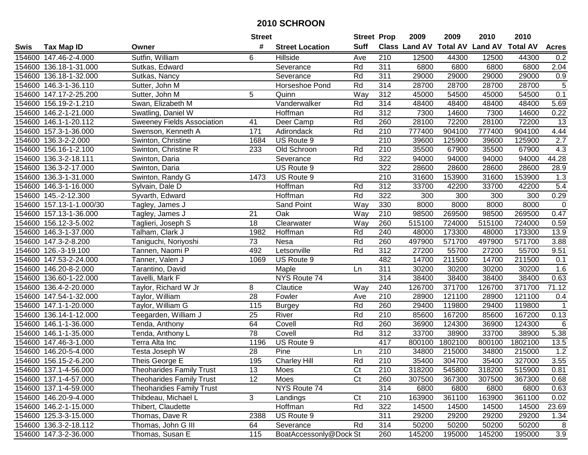|        |                          |                                   | <b>Street</b>   |                        | <b>Street Prop</b> |                  | 2009   | 2009    | 2010                           | 2010            |                |
|--------|--------------------------|-----------------------------------|-----------------|------------------------|--------------------|------------------|--------|---------|--------------------------------|-----------------|----------------|
| Swis   | <b>Tax Map ID</b>        | Owner                             | #               | <b>Street Location</b> | <b>Suff</b>        |                  |        |         | Class Land AV Total AV Land AV | <b>Total AV</b> | <b>Acres</b>   |
|        | 154600 147.46-2-4.000    | Sutfin, William                   | 6               | Hillside               | Ave                | 210              | 12500  | 44300   | 12500                          | 44300           | 0.2            |
|        | 154600 136.18-1-31.000   | Sutkas, Edward                    |                 | Severance              | Rd                 | 311              | 6800   | 6800    | 6800                           | 6800            | 2.04           |
|        | 154600 136.18-1-32.000   | Sutkas, Nancy                     |                 | Severance              | Rd                 | 311              | 29000  | 29000   | 29000                          | 29000           | 0.9            |
|        | 154600 146.3-1-36.110    | Sutter, John M                    |                 | Horseshoe Pond         | Rd                 | 314              | 28700  | 28700   | 28700                          | 28700           | $\overline{5}$ |
|        | 154600 147.17-2-25.200   | Sutter, John M                    | 5               | Quinn                  | Way                | $\overline{312}$ | 45000  | 54500   | 45000                          | 54500           | 0.1            |
|        | 154600 156.19-2-1.210    | Swan, Elizabeth M                 |                 | Vanderwalker           | Rd                 | 314              | 48400  | 48400   | 48400                          | 48400           | 5.69           |
|        | 154600 146.2-1-21.000    | Swatling, Daniel W                |                 | Hoffman                | Rd                 | 312              | 7300   | 14600   | 7300                           | 14600           | 0.22           |
| 154600 | 146.1-1-20.112           | <b>Sweeney Fields Association</b> | 41              | Deer Camp              | Rd                 | 260              | 28100  | 72200   | 28100                          | 72200           | 13             |
|        | 154600 157.3-1-36.000    | Swenson, Kenneth A                | 171             | Adirondack             | Rd                 | $\overline{210}$ | 777400 | 904100  | 777400                         | 904100          | 4.44           |
|        | 154600 136.3-2-2.000     | Swinton, Christine                | 1684            | US Route 9             |                    | 210              | 39600  | 125900  | 39600                          | 125900          | 2.7            |
|        | 154600 156.16-1-2.100    | Swinton, Christine R              | 233             | Old Schroon            | Rd                 | 210              | 35500  | 67900   | 35500                          | 67900           | 4.3            |
|        | 154600 136.3-2-18.111    | Swinton, Daria                    |                 | Severance              | Rd                 | 322              | 94000  | 94000   | 94000                          | 94000           | 44.28          |
|        | 154600 136.3-2-17.000    | Swinton, Daria                    |                 | US Route 9             |                    | 322              | 28600  | 28600   | 28600                          | 28600           | 28.9           |
|        | 154600 136.3-1-31.000    | Swinton, Randy G                  | 1473            | US Route 9             |                    | 210              | 31600  | 153900  | 31600                          | 153900          | 1.3            |
|        | 154600 146.3-1-16.000    | Sylvain, Dale D                   |                 | Hoffman                | Rd                 | 312              | 33700  | 42200   | 33700                          | 42200           | 5.4            |
|        | 154600 145.-2-12.300     | Syvarth, Edward                   |                 | Hoffman                | Rd                 | 322              | 300    | 300     | 300                            | 300             | 0.29           |
|        | 154600 157.13-1-1.000/30 | Tagley, James J                   |                 | Sand Point             | Way                | 330              | 8000   | 8000    | 8000                           | 8000            | $\mathbf 0$    |
|        | 154600 157.13-1-36.000   | Tagley, James J                   | 21              | Oak                    | Way                | 210              | 98500  | 269500  | 98500                          | 269500          | 0.47           |
|        | 154600 156.12-3-5.002    | Taglieri, Joseph S                | 18              | Clearwater             | Way                | 260              | 515100 | 724000  | 515100                         | 724000          | 0.59           |
|        | 154600 146.3-1-37.000    | Talham, Clark J                   | 1982            | Hoffman                | Rd                 | 240              | 48000  | 173300  | 48000                          | 173300          | 13.9           |
|        | 154600 147.3-2-8.200     | Taniguchi, Noriyoshi              | 73              | Nesa                   | Rd                 | 260              | 497900 | 571700  | 497900                         | 571700          | 3.88           |
|        | 154600 126.-3-19.100     | Tannen, Naomi P                   | 492             | Letsonville            | Rd                 | 312              | 27200  | 55700   | 27200                          | 55700           | 9.51           |
| 154600 | 147.53-2-24.000          | Tanner, Valen J                   | 1069            | US Route 9             |                    | 482              | 14700  | 211500  | 14700                          | 211500          | 0.1            |
| 154600 | 146.20-8-2.000           | Tarantino, David                  |                 | Maple                  | Ln                 | 311              | 30200  | 30200   | 30200                          | 30200           | 1.6            |
|        | 154600 136.60-1-22.000   | Tavelli, Mark F                   |                 | NYS Route 74           |                    | 314              | 38400  | 38400   | 38400                          | 38400           | 0.63           |
|        | 154600 136.4-2-20.000    | Taylor, Richard W Jr              | 8               | Clautice               | Way                | 240              | 126700 | 371700  | 126700                         | 371700          | 71.12          |
|        | 154600 147.54-1-32.000   | Taylor, William                   | 28              | Fowler                 | Ave                | 210              | 28900  | 121100  | 28900                          | 121100          | 0.4            |
|        | 154600 147.1-1-20.000    | Taylor, William G                 | 115             | <b>Burgey</b>          | Rd                 | 260              | 29400  | 119800  | 29400                          | 119800          |                |
|        | 154600 136.14-1-12.000   | Teegarden, William J              | 25              | River                  | Rd                 | $\overline{210}$ | 85600  | 167200  | 85600                          | 167200          | 0.13           |
|        | 154600 146.1-1-36.000    | Tenda, Anthony                    | 64              | Covell                 | Rd                 | 260              | 36900  | 124300  | 36900                          | 124300          | 6              |
|        | 154600 146.1-1-35.000    | Tenda, Anthony L                  | 78              | Covell                 | Rd                 | 312              | 33700  | 38900   | 33700                          | 38900           | 5.38           |
|        | 154600 147.46-3-1.000    | Terra Alta Inc                    | 1196            | US Route 9             |                    | 417              | 800100 | 1802100 | 800100                         | 1802100         | 13.5           |
|        | 154600 146.20-5-4.000    | Testa Joseph W                    | $\overline{28}$ | Pine                   | Ln                 | 210              | 34800  | 215000  | 34800                          | 215000          | 1.2            |
|        | 154600 156.15-2-6.200    | Theis George E                    | 195             | <b>Charley Hill</b>    | Rd                 | 210              | 35400  | 304700  | 35400                          | 327000          | 3.55           |
|        | 154600 137.1-4-56.000    | Theoharides Family Trust          | 13              | Moes                   | Ct                 | 210              | 318200 | 545800  | 318200                         | 515900          | 0.81           |
|        | 154600 137.1-4-57.000    | <b>Theoharides Family Trust</b>   | 12              | Moes                   | Ct                 | 260              | 307500 | 367300  | 307500                         | 367300          | 0.68           |
|        | 154600 137.1-4-59.000    | <b>Theoharidies Family Trust</b>  |                 | NYS Route 74           |                    | 314              | 6800   | 6800    | 6800                           | 6800            | 0.63           |
|        | 154600 146.20-9-4.000    | Thibdeau, Michael L               | 3               | Landings               | Ct                 | 210              | 163900 | 361100  | 163900                         | 361100          | 0.02           |
|        | 154600 146.2-1-15.000    | Thibert, Claudette                |                 | Hoffman                | Rd                 | 322              | 14500  | 14500   | 14500                          | 14500           | 23.69          |
|        | 154600 125.3-3-15.000    | Thomas, Dave R                    | 2388            | US Route 9             |                    | 311              | 29200  | 29200   | 29200                          | 29200           | 1.34           |
|        | 154600 136.3-2-18.112    | Thomas, John G III                | 64              | Severance              | Rd                 | 314              | 50200  | 50200   | 50200                          | 50200           | 8              |
|        | 154600 147.3-2-36.000    | Thomas, Susan E                   | 115             | BoatAccessonly@Dock St |                    | 260              | 145200 | 195000  | 145200                         | 195000          | 3.9            |
|        |                          |                                   |                 |                        |                    |                  |        |         |                                |                 |                |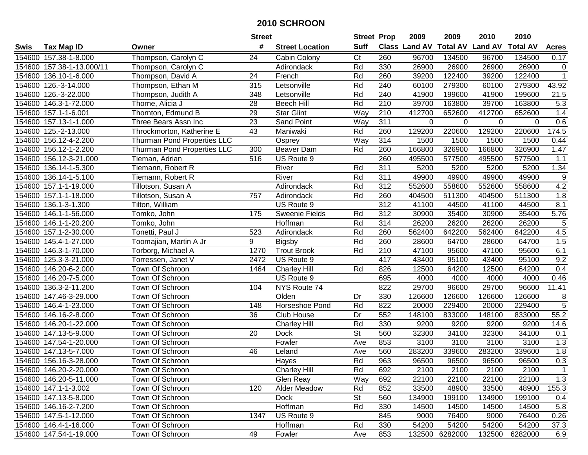|        |                           |                             | <b>Street</b>   |                        | <b>Street Prop</b>       |                  | 2009                 | 2009            | 2010           | 2010            |                  |
|--------|---------------------------|-----------------------------|-----------------|------------------------|--------------------------|------------------|----------------------|-----------------|----------------|-----------------|------------------|
| Swis   | <b>Tax Map ID</b>         | Owner                       | #               | <b>Street Location</b> | <b>Suff</b>              |                  | <b>Class Land AV</b> | <b>Total AV</b> | <b>Land AV</b> | <b>Total AV</b> | <b>Acres</b>     |
|        | 154600 157.38-1-8.000     | Thompson, Carolyn C         | 24              | Cabin Colony           | C <sub>t</sub>           | 260              | 96700                | 134500          | 96700          | 134500          | 0.17             |
|        | 154600 157.38-1-13.000/11 | Thompson, Carolyn C         |                 | Adirondack             | Rd                       | 330              | 26900                | 26900           | 26900          | 26900           | $\mathbf 0$      |
|        | 154600 136.10-1-6.000     | Thompson, David A           | 24              | French                 | Rd                       | 260              | 39200                | 122400          | 39200          | 122400          | $\mathbf{1}$     |
|        | 154600 126.-3-14.000      | Thompson, Ethan M           | 315             | Letsonville            | Rd                       | 240              | 60100                | 279300          | 60100          | 279300          | 43.92            |
|        | 154600 126.-3-22.000      | Thompson, Judith A          | 348             | Letsonville            | Rd                       | 240              | 41900                | 199600          | 41900          | 199600          | 21.5             |
|        | 154600 146.3-1-72.000     | Thorne, Alicia J            | 28              | <b>Beech Hill</b>      | Rd                       | $\overline{210}$ | 39700                | 163800          | 39700          | 163800          | $\overline{5.3}$ |
|        | 154600 157.1-1-6.001      | Thornton, Edmund B          | 29              | <b>Star Glint</b>      | Way                      | 210              | 412700               | 652600          | 412700         | 652600          | 1.4              |
|        | 154600 157.13-1-1.000     | Three Bears Assn Inc        | 23              | <b>Sand Point</b>      | Way                      | 311              | 0                    | $\mathbf 0$     | $\Omega$       | $\Omega$        | 0.6              |
|        | 154600 125.-2-13.000      | Throckmorton, Katherine E   | 43              | Maniwaki               | Rd                       | 260              | 129200               | 220600          | 129200         | 220600          | 174.5            |
|        | 154600 156.12-4-2.200     | Thurman Pond Properties LLC |                 | Osprey                 | Way                      | 314              | 1500                 | 1500            | 1500           | 1500            | 0.44             |
|        | 154600 156.12-1-2.200     | Thurman Pond Properties LLC | 300             | <b>Beaver Dam</b>      | Rd                       | 260              | 166800               | 326900          | 166800         | 326900          | 1.47             |
|        | 154600 156.12-3-21.000    | Tieman, Adrian              | 516             | US Route 9             |                          | 260              | 495500               | 577500          | 495500         | 577500          | 1.1              |
|        | 154600 136.14-1-5.300     | Tiemann, Robert R           |                 | River                  | Rd                       | 311              | 5200                 | 5200            | 5200           | 5200            | 1.34             |
|        | 154600 136.14-1-5.100     | Tiemann, Robert R           |                 | River                  | Rd                       | 311              | 49900                | 49900           | 49900          | 49900           | 9                |
|        | 154600 157.1-1-19.000     | Tillotson, Susan A          |                 | Adirondack             | Rd                       | 312              | 552600               | 558600          | 552600         | 558600          | 4.2              |
|        | 154600 157.1-1-18.000     | Tillotson, Susan A          | 757             | Adirondack             | Rd                       | 260              | 404500               | 511300          | 404500         | 511300          | 1.8              |
|        | 154600 136.1-3-1.300      | Tilton, William             |                 | US Route 9             |                          | $\overline{312}$ | 41100                | 44500           | 41100          | 44500           | 8.1              |
| 154600 | 146.1-1-56.000            | Tomko, John                 | 175             | <b>Sweenie Fields</b>  | Rd                       | 312              | 30900                | 35400           | 30900          | 35400           | 5.76             |
|        | 154600 146.1-1-20.200     | Tomko, John                 |                 | Hoffman                | Rd                       | 314              | 26200                | 26200           | 26200          | 26200           | 5                |
|        | 154600 157.1-2-30.000     | Tonetti, Paul J             | 523             | Adirondack             | Rd                       | 260              | 562400               | 642200          | 562400         | 642200          | 4.5              |
|        | 154600 145.4-1-27.000     | Toomajian, Martin A Jr      | 9               | <b>Bigsby</b>          | Rd                       | 260              | 28600                | 64700           | 28600          | 64700           | 1.5              |
|        | 154600 146.3-1-70.000     | Torborg, Michael A          | 1270            | <b>Trout Brook</b>     | Rd                       | 210              | 47100                | 95600           | 47100          | 95600           | 6.1              |
| 154600 | 125.3-3-21.000            | Torressen, Janet V          | 2472            | US Route 9             |                          | 417              | 43400                | 95100           | 43400          | 95100           | 9.2              |
| 154600 | 146.20-6-2.000            | Town Of Schroon             | 1464            | <b>Charley Hill</b>    | Rd                       | 826              | 12500                | 64200           | 12500          | 64200           | 0.4              |
| 154600 | 146.20-7-5.000            | Town Of Schroon             |                 | US Route 9             |                          | 695              | 4000                 | 4000            | 4000           | 4000            | 0.46             |
|        | 154600 136.3-2-11.200     | Town Of Schroon             | 104             | NYS Route 74           |                          | 822              | 29700                | 96600           | 29700          | 96600           | 11.41            |
|        | 154600 147.46-3-29.000    | Town Of Schroon             |                 | Olden                  | Dr                       | 330              | 126600               | 126600          | 126600         | 126600          | 8                |
|        | 154600 146.4-1-23.000     | Town Of Schroon             | 148             | Horseshoe Pond         | Rd                       | 822              | 20000                | 229400          | 20000          | 229400          | $\overline{5}$   |
|        | 154600 146.16-2-8.000     | Town Of Schroon             | 36              | Club House             | Dr                       | 552              | 148100               | 833000          | 148100         | 833000          | 55.2             |
|        | 154600 146.20-1-22.000    | Town Of Schroon             |                 | <b>Charley Hill</b>    | Rd                       | 330              | 9200                 | 9200            | 9200           | 9200            | 14.6             |
|        | 154600 147.13-5-9.000     | Town Of Schroon             | $\overline{20}$ | <b>Dock</b>            | $\overline{\mathsf{St}}$ | 560              | 32300                | 34100           | 32300          | 34100           | 0.1              |
|        | 154600 147.54-1-20.000    | Town Of Schroon             |                 | Fowler                 | Ave                      | 853              | 3100                 | 3100            | 3100           | 3100            | 1.3              |
|        | 154600 147.13-5-7.000     | Town Of Schroon             | 46              | Leland                 | Ave                      | 560              | 283200               | 339600          | 283200         | 339600          | 1.8              |
|        | 154600 156.16-3-28.000    | Town Of Schroon             |                 | Hayes                  | Rd                       | $\overline{963}$ | 96500                | 96500           | 96500          | 96500           | 0.3              |
|        | 154600 146.20-2-20.000    | Town Of Schroon             |                 | <b>Charley Hill</b>    | Rd                       | 692              | 2100                 | 2100            | 2100           | 2100            |                  |
|        | 154600 146.20-5-11.000    | Town Of Schroon             |                 | Glen Reay              | Way                      | 692              | 22100                | 22100           | 22100          | 22100           | 1.3              |
|        | 154600 147.1-1-3.002      | Town Of Schroon             | 120             | Alder Meadow           | Rd                       | 852              | 33500                | 48900           | 33500          | 48900           | 155.3            |
|        | 154600 147.13-5-8.000     | Town Of Schroon             |                 | <b>Dock</b>            | <b>St</b>                | 560              | 134900               | 199100          | 134900         | 199100          | 0.4              |
|        | 154600 146.16-2-7.200     | Town Of Schroon             |                 | Hoffman                | Rd                       | 330              | 14500                | 14500           | 14500          | 14500           | 5.8              |
|        | 154600 147.5-1-12.000     | Town Of Schroon             | 1347            | US Route 9             |                          | 845              | 9000                 | 76400           | 9000           | 76400           | 0.26             |
|        | 154600 146.4-1-16.000     | Town Of Schroon             |                 | Hoffman                | Rd                       | 330              | 54200                | 54200           | 54200          | 54200           | 37.3             |
|        | 154600 147.54-1-19.000    | Town Of Schroon             | 49              | Fowler                 | Ave                      | 853              | 132500               | 6282000         | 132500         | 6282000         | 6.9              |
|        |                           |                             |                 |                        |                          |                  |                      |                 |                |                 |                  |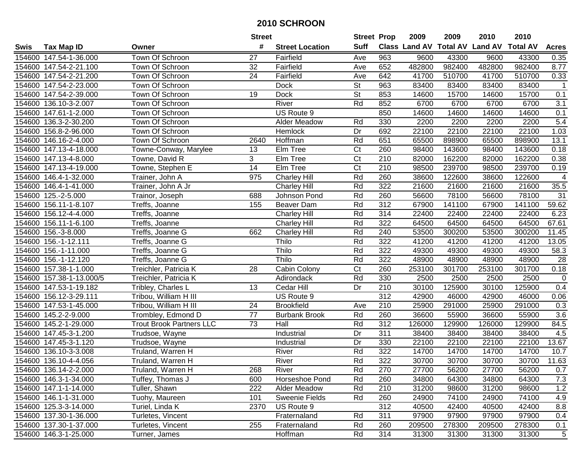|        |                          |                                 | <b>Street</b>   |                        | <b>Street Prop</b>     |                  | 2009                          | 2009   | 2010           | 2010            |                  |
|--------|--------------------------|---------------------------------|-----------------|------------------------|------------------------|------------------|-------------------------------|--------|----------------|-----------------|------------------|
| Swis   | <b>Tax Map ID</b>        | Owner                           | #               | <b>Street Location</b> | <b>Suff</b>            |                  | <b>Class Land AV Total AV</b> |        | <b>Land AV</b> | <b>Total AV</b> | <b>Acres</b>     |
|        | 154600 147.54-1-36.000   | Town Of Schroon                 | 27              | Fairfield              | Ave                    | 963              | 9600                          | 43300  | 9600           | 43300           | 0.35             |
|        | 154600 147.54-2-21.100   | Town Of Schroon                 | 32              | Fairfield              | Ave                    | 652              | 482800                        | 982400 | 482800         | 982400          | 8.77             |
|        | 154600 147.54-2-21.200   | Town Of Schroon                 | 24              | Fairfield              | Ave                    | 642              | 41700                         | 510700 | 41700          | 510700          | 0.33             |
|        | 154600 147.54-2-23.000   | Town Of Schroon                 |                 | <b>Dock</b>            | St                     | 963              | 83400                         | 83400  | 83400          | 83400           | $\mathbf{1}$     |
|        | 154600 147.54-2-39.000   | Town Of Schroon                 | 19              | <b>Dock</b>            | <b>St</b>              | 853              | 14600                         | 15700  | 14600          | 15700           | 0.1              |
|        | 154600 136.10-3-2.007    | Town Of Schroon                 |                 | River                  | Rd                     | 852              | 6700                          | 6700   | 6700           | 6700            | $\overline{3.1}$ |
|        | 154600 147.61-1-2.000    | Town Of Schroon                 |                 | US Route 9             |                        | 850              | 14600                         | 14600  | 14600          | 14600           | 0.1              |
| 154600 | 136.3-2-30.200           | Town Of Schroon                 |                 | Alder Meadow           | Rd                     | 330              | 2200                          | 2200   | 2200           | 2200            | 5.4              |
|        | 154600 156.8-2-96.000    | <b>Town Of Schroon</b>          |                 | Hemlock                | Dr                     | 692              | 22100                         | 22100  | 22100          | 22100           | 1.03             |
|        | 154600 146.16-2-4.000    | Town Of Schroon                 | 2640            | Hoffman                | Rd                     | 651              | 65500                         | 898900 | 65500          | 898900          | 13.1             |
|        | 154600 147.13-4-18.000   | Towne-Conway, Marylee           | 13              | Elm Tree               | $\overline{\text{C}t}$ | 260              | 98400                         | 143600 | 98400          | 143600          | 0.18             |
|        | 154600 147.13-4-8.000    | Towne, David R                  | 3               | Elm Tree               | Ct                     | 210              | 82000                         | 162200 | 82000          | 162200          | 0.38             |
|        | 154600 147.13-4-19.000   | Towne, Stephen E                | $\overline{14}$ | Elm Tree               | $\overline{\text{C}t}$ | $\overline{210}$ | 98500                         | 239700 | 98500          | 239700          | 0.19             |
|        | 154600 146.4-1-32.000    | Trainer, John A                 | 975             | <b>Charley Hill</b>    | Rd                     | 260              | 38600                         | 122600 | 38600          | 122600          | 4                |
|        | 154600 146.4-1-41.000    | Trainer, John A Jr              |                 | <b>Charley Hill</b>    | Rd                     | 322              | 21600                         | 21600  | 21600          | 21600           | 35.5             |
|        | 154600 125.-2-5.000      | Trainor, Joseph                 | 688             | Johnson Pond           | Rd                     | 260              | 56600                         | 78100  | 56600          | 78100           | 31               |
| 154600 | 156.11-1-8.107           | Treffs, Joanne                  | 155             | Beaver Dam             | Rd                     | $\overline{312}$ | 67900                         | 141100 | 67900          | 141100          | 59.62            |
| 154600 | 156.12-4-4.000           | Treffs, Joanne                  |                 | <b>Charley Hill</b>    | Rd                     | 314              | 22400                         | 22400  | 22400          | 22400           | 6.23             |
|        | 154600 156.11-1-6.100    | Treffs, Joanne                  |                 | Charley Hill           | Rd                     | 322              | 64500                         | 64500  | 64500          | 64500           | 67.61            |
|        | 154600 156.-3-8.000      | Treffs, Joanne G                | 662             | <b>Charley Hill</b>    | Rd                     | 240              | 53500                         | 300200 | 53500          | 300200          | 11.45            |
|        | 154600 156.-1-12.111     | Treffs, Joanne G                |                 | Thilo                  | Rd                     | 322              | 41200                         | 41200  | 41200          | 41200           | 13.05            |
|        | 154600 156.-1-11.000     | Treffs, Joanne G                |                 | Thilo                  | Rd                     | 322              | 49300                         | 49300  | 49300          | 49300           | 58.3             |
| 154600 | 156.-1-12.120            | Treffs, Joanne G                |                 | Thilo                  | Rd                     | 322              | 48900                         | 48900  | 48900          | 48900           | 28               |
| 154600 | 157.38-1-1.000           | Treichler, Patricia K           | 28              | Cabin Colony           | C <sub>t</sub>         | 260              | 253100                        | 301700 | 253100         | 301700          | 0.18             |
|        | 154600 157.38-1-13.000/5 | Treichler, Patricia K           |                 | Adirondack             | Rd                     | 330              | 2500                          | 2500   | 2500           | 2500            | $\mathbf 0$      |
|        | 154600 147.53-1-19.182   | Tribley, Charles L              | 13              | Cedar Hill             | Dr                     | 210              | 30100                         | 125900 | 30100          | 125900          | 0.4              |
|        | 154600 156.12-3-29.111   | Tribou, William H III           |                 | US Route 9             |                        | $\overline{312}$ | 42900                         | 46000  | 42900          | 46000           | 0.06             |
|        | 154600 147.53-1-45.000   | Tribou, William H III           | 24              | <b>Brookfield</b>      | Ave                    | 210              | 25900                         | 291000 | 25900          | 291000          | 0.3              |
|        | 154600 145.2-2-9.000     | Trombley, Edmond D              | $\overline{77}$ | <b>Burbank Brook</b>   | Rd                     | 260              | 36600                         | 55900  | 36600          | 55900           | 3.6              |
|        | 154600 145.2-1-29.000    | <b>Trout Brook Partners LLC</b> | $\overline{73}$ | Hall                   | Rd                     | $\overline{312}$ | 126000                        | 129900 | 126000         | 129900          | 84.5             |
|        | 154600 147.45-3-1.200    | Trudsoe, Wayne                  |                 | Industrial             | $\overline{Dr}$        | 311              | 38400                         | 38400  | 38400          | 38400           | 4.5              |
|        | 154600 147.45-3-1.120    | Trudsoe, Wayne                  |                 | Industrial             | Dr                     | 330              | 22100                         | 22100  | 22100          | 22100           | 13.67            |
|        | 154600 136.10-3-3.008    | Truland, Warren H               |                 | River                  | Rd                     | 322              | 14700                         | 14700  | 14700          | 14700           | 10.7             |
|        | 154600 136.10-4-4.056    | Truland, Warren H               |                 | River                  | Rd                     | 322              | 30700                         | 30700  | 30700          | 30700           | 11.63            |
|        | 154600 136.14-2-2.000    | Truland, Warren H               | 268             | River                  | Rd                     | 270              | 27700                         | 56200  | 27700          | 56200           | 0.7              |
|        | 154600 146.3-1-34.000    | Tuffey, Thomas J                | 600             | Horseshoe Pond         | Rd                     | 260              | 34800                         | 64300  | 34800          | 64300           | $7.3$            |
|        | 154600 147.1-1-14.000    | Tuller, Shawn                   | 222             | <b>Alder Meadow</b>    | Rd                     | 210              | 31200                         | 98600  | 31200          | 98600           | 1.2              |
|        | 154600 146.1-1-31.000    | Tuohy, Maureen                  | 101             | Sweenie Fields         | Rd                     | 260              | 24900                         | 74100  | 24900          | 74100           | 4.9              |
|        | 154600 125.3-3-14.000    | Turiel, Linda K                 | 2370            | US Route 9             |                        | 312              | 40500                         | 42400  | 40500          | 42400           | 8.8              |
|        | 154600 137.30-1-36.000   | Turletes, Vincent               |                 | Fraternaland           | Rd                     | 311              | 97900                         | 97900  | 97900          | 97900           | 0.4              |
|        | 154600 137.30-1-37.000   | Turletes, Vincent               | 255             | Fraternaland           | Rd                     | 260              | 209500                        | 278300 | 209500         | 278300          | 0.1              |
|        | 154600 146.3-1-25.000    | Turner, James                   |                 | Hoffman                | Rd                     | 314              | 31300                         | 31300  | 31300          | 31300           | 5                |
|        |                          |                                 |                 |                        |                        |                  |                               |        |                |                 |                  |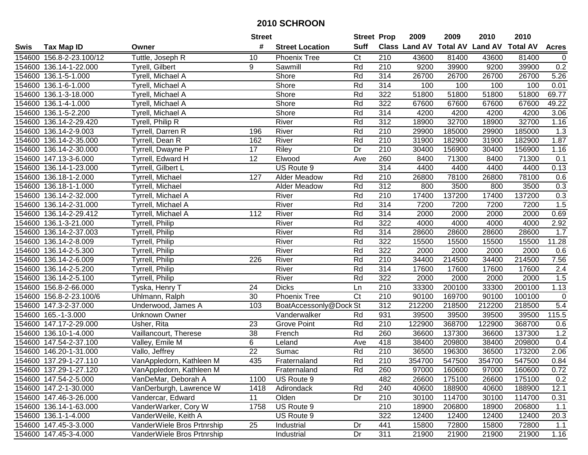|      |                          |                            | <b>Street</b>   |                        | <b>Street Prop</b>     |                  | 2009   | 2009   | 2010                                    | 2010   |                |
|------|--------------------------|----------------------------|-----------------|------------------------|------------------------|------------------|--------|--------|-----------------------------------------|--------|----------------|
| Swis | <b>Tax Map ID</b>        | Owner                      | #               | <b>Street Location</b> | <b>Suff</b>            |                  |        |        | Class Land AV Total AV Land AV Total AV |        | <b>Acres</b>   |
|      | 154600 156.8-2-23.100/12 | Tuttle, Joseph R           | 10              | <b>Phoenix Tree</b>    | $\overline{\text{C}t}$ | 210              | 43600  | 81400  | 43600                                   | 81400  | $\overline{0}$ |
|      | 154600 136.14-1-22.000   | Tyrell, Gilbert            | 9               | Sawmill                | Rd                     | 210              | 9200   | 39900  | 9200                                    | 39900  | 0.2            |
|      | 154600 136.1-5-1.000     | Tyrell, Michael A          |                 | Shore                  | Rd                     | 314              | 26700  | 26700  | 26700                                   | 26700  | 5.26           |
|      | 154600 136.1-6-1.000     | Tyrell, Michael A          |                 | Shore                  | Rd                     | 314              | 100    | 100    | 100                                     | 100    | 0.01           |
|      | 154600 136.1-3-18.000    | Tyrell, Michael A          |                 | Shore                  | Rd                     | 322              | 51800  | 51800  | 51800                                   | 51800  | 69.77          |
|      | 154600 136.1-4-1.000     | Tyrell, Michael A          |                 | Shore                  | Rd                     | 322              | 67600  | 67600  | 67600                                   | 67600  | 49.22          |
|      | 154600 136.1-5-2.200     | Tyrell, Michael A          |                 | <b>Shore</b>           | Rd                     | 314              | 4200   | 4200   | 4200                                    | 4200   | 3.06           |
|      | 154600 136.14-2-29.420   | Tyrell, Philip R           |                 | River                  | Rd                     | $\overline{312}$ | 18900  | 32700  | 18900                                   | 32700  | 1.16           |
|      | 154600 136.14-2-9.003    | Tyrrell, Darren R          | 196             | River                  | Rd                     | $\overline{210}$ | 29900  | 185000 | 29900                                   | 185000 | 1.3            |
|      | 154600 136.14-2-35.000   | Tyrrell, Dean R            | 162             | River                  | Rd                     | 210              | 31900  | 182900 | 31900                                   | 182900 | 1.87           |
|      | 154600 136.14-2-30.000   | Tyrrell, Dwayne P          | 17              | Riley                  | Dr                     | 210              | 30400  | 156900 | 30400                                   | 156900 | 1.16           |
|      | 154600 147.13-3-6.000    | Tyrrell, Edward H          | 12              | Elwood                 | Ave                    | 260              | 8400   | 71300  | 8400                                    | 71300  | 0.1            |
|      | 154600 136.14-1-23.000   | Tyrrell, Gilbert L         |                 | US Route 9             |                        | 314              | 4400   | 4400   | 4400                                    | 4400   | 0.13           |
|      | 154600 136.18-1-2.000    | Tyrrell, Michael           | 127             | Alder Meadow           | Rd                     | 210              | 26800  | 78100  | 26800                                   | 78100  | 0.6            |
|      | 154600 136.18-1-1.000    | Tyrrell, Michael           |                 | <b>Alder Meadow</b>    | Rd                     | 312              | 800    | 3500   | 800                                     | 3500   | 0.3            |
|      | 154600 136.14-2-32.000   | Tyrrell, Michael A         |                 | River                  | Rd                     | 210              | 17400  | 137200 | 17400                                   | 137200 | 0.3            |
|      | 154600 136.14-2-31.000   | Tyrrell, Michael A         |                 | River                  | Rd                     | 314              | 7200   | 7200   | 7200                                    | 7200   | 1.5            |
|      | 154600 136.14-2-29.412   | Tyrrell, Michael A         | 112             | River                  | Rd                     | 314              | 2000   | 2000   | 2000                                    | 2000   | 0.69           |
|      | 154600 136.1-3-21.000    | Tyrrell, Philip            |                 | River                  | Rd                     | 322              | 4000   | 4000   | 4000                                    | 4000   | 2.92           |
|      | 154600 136.14-2-37.003   | Tyrrell, Philip            |                 | River                  | Rd                     | $\overline{314}$ | 28600  | 28600  | 28600                                   | 28600  | 1.7            |
|      | 154600 136.14-2-8.009    | Tyrrell, Philip            |                 | River                  | Rd                     | 322              | 15500  | 15500  | 15500                                   | 15500  | 11.28          |
|      | 154600 136.14-2-5.300    | Tyrrell, Philip            |                 | River                  | Rd                     | 322              | 2000   | 2000   | 2000                                    | 2000   | 0.6            |
|      | 154600 136.14-2-6.009    | Tyrrell, Philip            | 226             | River                  | Rd                     | 210              | 34400  | 214500 | 34400                                   | 214500 | 7.56           |
|      | 154600 136.14-2-5.200    | Tyrrell, Philip            |                 | River                  | Rd                     | 314              | 17600  | 17600  | 17600                                   | 17600  | 2.4            |
|      | 154600 136.14-2-5.100    | Tyrrell, Philip            |                 | River                  | Rd                     | 322              | 2000   | 2000   | 2000                                    | 2000   | 1.5            |
|      | 154600 156.8-2-66.000    | Tyska, Henry T             | 24              | <b>Dicks</b>           | Ln                     | 210              | 33300  | 200100 | 33300                                   | 200100 | 1.13           |
|      | 154600 156.8-2-23.100/6  | Uhlmann, Ralph             | 30              | <b>Phoenix Tree</b>    | Ct                     | 210              | 90100  | 169700 | 90100                                   | 100100 | $\mathbf 0$    |
|      | 154600 147.3-2-37.000    | Underwood, James A         | 103             | BoatAccessonly@Dock St |                        | 312              | 212200 | 218500 | 212200                                  | 218500 | 5.4            |
|      | 154600 165.-1-3.000      | <b>Unknown Owner</b>       |                 | Vanderwalker           | Rd                     | 931              | 39500  | 39500  | 39500                                   | 39500  | 115.5          |
|      | 154600 147.17-2-29.000   | Usher, Rita                | 23              | <b>Grove Point</b>     | Rd                     | $\overline{210}$ | 122900 | 368700 | 122900                                  | 368700 | 0.6            |
|      | 154600 136.10-1-4.000    | Vaillancourt, Therese      | 38              | French                 | Rd                     | 260              | 36600  | 137300 | 36600                                   | 137300 | 1.2            |
|      | 154600 147.54-2-37.100   | Valley, Emile M            | 6               | Leland                 | Ave                    | 418              | 38400  | 209800 | 38400                                   | 209800 | 0.4            |
|      | 154600 146.20-1-31.000   | Vallo, Jeffrey             | $\overline{22}$ | Sumac                  | Rd                     | 210              | 36500  | 196300 | 36500                                   | 173200 | 2.06           |
|      | 154600 137.29-1-27.110   | VanAppledorn, Kathleen M   | 435             | Fraternaland           | Rd                     | $\overline{210}$ | 354700 | 547500 | 354700                                  | 547500 | 0.84           |
|      | 154600 137.29-1-27.120   | VanAppledorn, Kathleen M   |                 | Fraternaland           | Rd                     | 260              | 97000  | 160600 | 97000                                   | 160600 | 0.72           |
|      | 154600 147.54-2-5.000    | VanDeMar, Deborah A        | 1100            | US Route 9             |                        | 482              | 26600  | 175100 | 26600                                   | 175100 | 0.2            |
|      | 154600 147.2-1-30.000    | VanDerburgh, Lawrence W    | 1418            | Adirondack             | Rd                     | 240              | 40600  | 188900 | 40600                                   | 188900 | 12.1           |
|      | 154600 147.46-3-26.000   | Vandercar, Edward          | 11              | Olden                  | Dr                     | 210              | 30100  | 114700 | 30100                                   | 114700 | 0.31           |
|      | 154600 136.14-1-63.000   | VanderWarker, Cory W       | 1758            | US Route 9             |                        | 210              | 18900  | 206800 | 18900                                   | 206800 | 1.1            |
|      | 154600 136.1-1-4.000     | VanderWeile, Keith A       |                 | US Route 9             |                        | 322              | 12400  | 12400  | 12400                                   | 12400  | 20.3           |
|      | 154600 147.45-3-3.000    | VanderWiele Bros Prtnrship | 25              | Industrial             | Dr                     | 441              | 15800  | 72800  | 15800                                   | 72800  | 1.1            |
|      | 154600 147.45-3-4.000    | VanderWiele Bros Prtnrship |                 | Industrial             | Dr                     | 311              | 21900  | 21900  | 21900                                   | 21900  | 1.16           |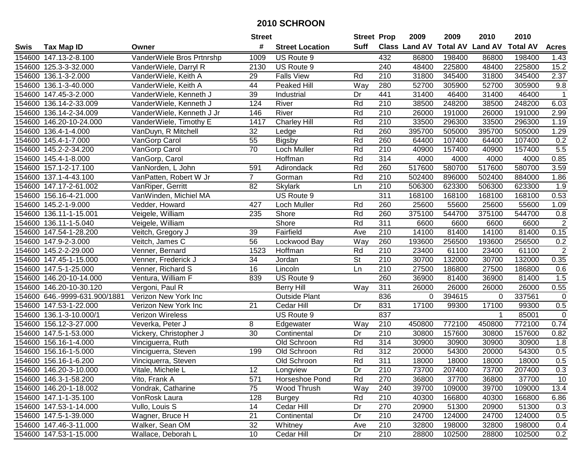|      |                               |                           | <b>Street</b>     |                        | <b>Street Prop</b> |                  | 2009          | 2009            | 2010           | 2010            |                |
|------|-------------------------------|---------------------------|-------------------|------------------------|--------------------|------------------|---------------|-----------------|----------------|-----------------|----------------|
| Swis | <b>Tax Map ID</b>             | Owner                     | #                 | <b>Street Location</b> | Suff               |                  | Class Land AV | <b>Total AV</b> | <b>Land AV</b> | <b>Total AV</b> | <b>Acres</b>   |
|      | 154600 147.13-2-8.100         | VanderWiele Bros Prtnrshp | 1009              | US Route 9             |                    | 432              | 86800         | 198400          | 86800          | 198400          | 1.43           |
|      | 154600 125.3-3-32.000         | VanderWiele, Darryl R     | 2130              | US Route 9             |                    | 240              | 48400         | 225800          | 48400          | 225800          | 15.2           |
|      | 154600 136.1-3-2.000          | VanderWiele, Keith A      | 29                | <b>Falls View</b>      | Rd                 | 210              | 31800         | 345400          | 31800          | 345400          | 2.37           |
|      | 154600 136.1-3-40.000         | VanderWiele, Keith A      | 44                | Peaked Hill            | Way                | 280              | 52700         | 305900          | 52700          | 305900          | 9.8            |
|      | 154600 147.45-3-2.000         | VanderWiele, Kenneth J    | 39                | Industrial             | Dr                 | 441              | 31400         | 46400           | 31400          | 46400           | $\mathbf{1}$   |
|      | 154600 136.14-2-33.009        | VanderWiele, Kenneth J    | 124               | River                  | Rd                 | 210              | 38500         | 248200          | 38500          | 248200          | 6.03           |
|      | 154600 136.14-2-34.009        | VanderWiele, Kenneth J Jr | 146               | River                  | Rd                 | 210              | 26000         | 191000          | 26000          | 191000          | 2.99           |
|      | 154600 146.20-10-24.000       | VanderWiele, Timothy E    | 1417              | <b>Charley Hill</b>    | Rd                 | $\overline{210}$ | 33500         | 296300          | 33500          | 296300          | 1.19           |
|      | 154600 136.4-1-4.000          | VanDuyn, R Mitchell       | 32                | Ledge                  | Rd                 | 260              | 395700        | 505000          | 395700         | 505000          | 1.29           |
|      | 154600 145.4-1-7.000          | VanGorp Carol             | 55                | Bigsby                 | Rd                 | 260              | 64400         | 107400          | 64400          | 107400          | 0.2            |
|      | 154600 145.2-2-34.200         | VanGorp Carol             | 70                | Loch Muller            | Rd                 | 210              | 40900         | 157400          | 40900          | 157400          | 5.5            |
|      | 154600 145.4-1-8.000          | VanGorp, Carol            |                   | Hoffman                | Rd                 | 314              | 4000          | 4000            | 4000           | 4000            | 0.85           |
|      | 154600 157.1-2-17.100         | VanNorden, L John         | 591               | Adirondack             | Rd                 | 260              | 517600        | 580700          | 517600         | 580700          | 3.59           |
|      | 154600 137.1-4-43.100         | VanPatten, Robert W Jr    | $\overline{7}$    | Gorman                 | Rd                 | 210              | 502400        | 896000          | 502400         | 884000          | 1.86           |
|      | 154600 147.17-2-61.002        | VanRiper, Gerritt         | 82                | <b>Skylark</b>         | Ln                 | 210              | 506300        | 623300          | 506300         | 623300          | 1.9            |
|      | 154600 156.16-4-21.000        | VanWinden, Michiel MA     |                   | US Route 9             |                    | 311              | 168100        | 168100          | 168100         | 168100          | 0.53           |
|      | 154600 145.2-1-9.000          | Vedder, Howard            | 427               | Loch Muller            | Rd                 | 260              | 25600         | 55600           | 25600          | 55600           | 1.09           |
|      | 154600 136.11-1-15.001        | Veigele, William          | 235               | Shore                  | Rd                 | 260              | 375100        | 544700          | 375100         | 544700          | 0.8            |
|      | 154600 136.11-1-5.040         | Veigele, William          |                   | Shore                  | Rd                 | 311              | 6600          | 6600            | 6600           | 6600            | $\overline{2}$ |
|      | 154600 147.54-1-28.200        | Veitch, Gregory J         | 39                | Fairfield              | Ave                | 210              | 14100         | 81400           | 14100          | 81400           | 0.15           |
|      | 154600 147.9-2-3.000          | Veitch, James C           | 56                | Lockwood Bay           | Way                | 260              | 193600        | 256500          | 193600         | 256500          | 0.2            |
|      | 154600 145.2-2-29.000         | Venner, Bernard           | 1523              | Hoffman                | Rd                 | 210              | 23400         | 61100           | 23400          | 61100           | $\overline{2}$ |
|      | 154600 147.45-1-15.000        | Venner, Frederick J       | 34                | Jordan                 | St                 | 210              | 30700         | 132000          | 30700          | 132000          | 0.35           |
|      | 154600 147.5-1-25.000         | Venner, Richard S         | 16                | Lincoln                | Ln                 | 210              | 27500         | 186800          | 27500          | 186800          | 0.6            |
|      | 154600 146.20-10-14.000       | Ventura, William F        | 839               | US Route 9             |                    | 260              | 36900         | 81400           | 36900          | 81400           | 1.5            |
|      | 154600 146.20-10-30.120       | Vergoni, Paul R           |                   | <b>Berry Hill</b>      | $\overline{W}$ ay  | 311              | 26000         | 26000           | 26000          | 26000           | 0.55           |
|      | 154600 646.-9999-631.900/1881 | Verizon New York Inc      |                   | <b>Outside Plant</b>   |                    | 836              | 0             | 394615          | $\Omega$       | 337561          | 0              |
|      | 154600 147.53-1-22.000        | Verizon New York Inc      | 21                | Cedar Hill             | Dr                 | 831              | 17100         | 99300           | 17100          | 99300           | 0.5            |
|      | 154600 136.1-3-10.000/1       | Verizon Wireless          |                   | US Route 9             |                    | 837              |               |                 |                | 85001           | $\mathbf 0$    |
|      | 154600 156.12-3-27.000        | Veverka, Peter J          | 8                 | Edgewater              | Way                | 210              | 450800        | 772100          | 450800         | 772100          | 0.74           |
|      | 154600 147.5-1-53.000         | Vickery, Christopher J    | $\overline{30}$   | Continental            | Dr                 | $\overline{210}$ | 30800         | 157600          | 30800          | 157600          | 0.82           |
|      | 154600 156.16-1-4.000         | Vinciguerra, Ruth         |                   | Old Schroon            | Rd                 | 314              | 30900         | 30900           | 30900          | 30900           | 1.8            |
|      | 154600 156.16-1-5.000         | Vinciguerra, Steven       | 199               | Old Schroon            | Rd                 | $\overline{312}$ | 20000         | 54300           | 20000          | 54300           | 0.5            |
|      | 154600 156.16-1-6.200         | Vinciquerra, Steven       |                   | Old Schroon            | Rd                 | 311              | 18000         | 18000           | 18000          | 18000           | 0.5            |
|      | 154600 146.20-3-10.000        | Vitale, Michele L         | $12 \overline{ }$ | Longview               | Dr                 | 210              | 73700         | 207400          | 73700          | 207400          | 0.3            |
|      | 154600 146.3-1-58.200         | Vito, Frank A             | 571               | Horseshoe Pond         | Rd                 | 270              | 36800         | 37700           | 36800          | 37700           | 10             |
|      | 154600 146.20-1-18.002        | Vondrak, Catharine        | 75                | Wood Thrush            | Way                | 240              | 39700         | 109000          | 39700          | 109000          | 13.4           |
|      | 154600 147.1-1-35.100         | VonRosk Laura             | 128               | <b>Burgey</b>          | Rd                 | 210              | 40300         | 166800          | 40300          | 166800          | 6.86           |
|      | 154600 147.53-1-14.000        | Vullo, Louis S            | 14                | Cedar Hill             | Dr                 | 270              | 20900         | 51300           | 20900          | 51300           | 0.3            |
|      | 154600 147.5-1-39.000         | Wagner, Bruce H           | 21                | Continental            | Dr                 | 210              | 24700         | 124000          | 24700          | 124000          | 0.5            |
|      | 154600 147.46-3-11.000        | Walker, Sean OM           | 32                | Whitney                | Ave                | 210              | 32800         | 198000          | 32800          | 198000          | 0.4            |
|      | 154600 147.53-1-15.000        | Wallace, Deborah L        | 10                | Cedar Hill             | Dr                 | 210              | 28800         | 102500          | 28800          | 102500          | 0.2            |
|      |                               |                           |                   |                        |                    |                  |               |                 |                |                 |                |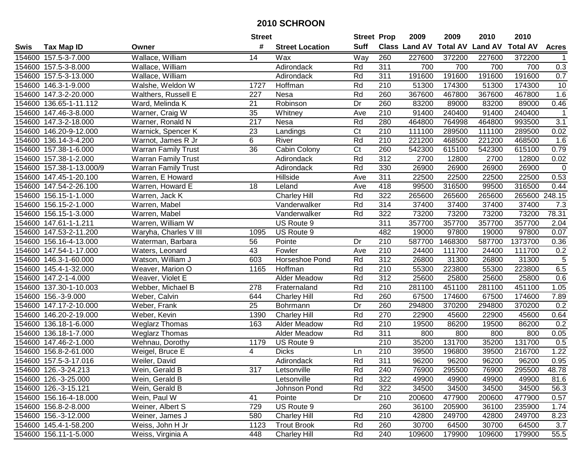|      |                          |                            | <b>Street</b>    |                        | <b>Street Prop</b>     |                  | 2009   | 2009    | 2010                           | 2010            |                  |
|------|--------------------------|----------------------------|------------------|------------------------|------------------------|------------------|--------|---------|--------------------------------|-----------------|------------------|
| Swis | <b>Tax Map ID</b>        | Owner                      | #                | <b>Street Location</b> | <b>Suff</b>            |                  |        |         | Class Land AV Total AV Land AV | <b>Total AV</b> | <b>Acres</b>     |
|      | 154600 157.5-3-7.000     | Wallace, William           | 14               | Wax                    | Way                    | 260              | 227600 | 372200  | 227600                         | 372200          |                  |
|      | 154600 157.5-3-8.000     | Wallace, William           |                  | Adirondack             | Rd                     | 311              | 700    | 700     | 700                            | 700             | 0.3              |
|      | 154600 157.5-3-13.000    | Wallace, William           |                  | Adirondack             | Rd                     | 311              | 191600 | 191600  | 191600                         | 191600          | 0.7              |
|      | 154600 146.3-1-9.000     | Walshe, Weldon W           | 1727             | Hoffman                | Rd                     | 210              | 51300  | 174300  | 51300                          | 174300          | 10               |
|      | 154600 147.3-2-20.000    | Walthers, Russell E        | 227              | Nesa                   | Rd                     | 260              | 367600 | 467800  | 367600                         | 467800          | 1.6              |
|      | 154600 136.65-1-11.112   | Ward, Melinda K            | 21               | Robinson               | Dr                     | 260              | 83200  | 89000   | 83200                          | 89000           | 0.46             |
|      | 154600 147.46-3-8.000    | Warner, Craig W            | 35               | Whitney                | Ave                    | 210              | 91400  | 240400  | 91400                          | 240400          | $\mathbf 1$      |
|      | 154600 147.3-2-18.000    | Warner, Ronald N           | $\overline{217}$ | Nesa                   | Rd                     | 280              | 464800 | 764998  | 464800                         | 993500          | $\overline{3.1}$ |
|      | 154600 146.20-9-12.000   | Warnick, Spencer K         | $\overline{23}$  | Landings               | $\overline{\text{C}t}$ | $\overline{210}$ | 111100 | 289500  | 111100                         | 289500          | 0.02             |
|      | 154600 136.14-3-4.200    | Warnot, James R Jr         | 6                | River                  | Rd                     | 210              | 221200 | 468500  | 221200                         | 468500          | 1.6              |
|      | 154600 157.38-1-6.000    | <b>Warran Family Trust</b> | 36               | Cabin Colony           | Ct                     | 260              | 542300 | 615100  | 542300                         | 615100          | 0.79             |
|      | 154600 157.38-1-2.000    | <b>Warran Family Trust</b> |                  | Adirondack             | Rd                     | 312              | 2700   | 12800   | 2700                           | 12800           | 0.02             |
|      | 154600 157.38-1-13.000/9 | <b>Warran Family Trust</b> |                  | Adirondack             | Rd                     | 330              | 26900  | 26900   | 26900                          | 26900           | $\mathbf 0$      |
|      | 154600 147.45-1-20.100   | Warren, E Howard           |                  | Hillside               | Ave                    | 311              | 22500  | 22500   | 22500                          | 22500           | 0.53             |
|      | 154600 147.54-2-26.100   | Warren, Howard E           | 18               | Leland                 | Ave                    | 418              | 99500  | 316500  | 99500                          | 316500          | 0.44             |
|      | 154600 156.15-1-1.000    | Warren, Jack K             |                  | <b>Charley Hill</b>    | Rd                     | 322              | 265600 | 265600  | 265600                         | 265600          | 248.15           |
|      | 154600 156.15-2-1.000    | Warren, Mabel              |                  | Vanderwalker           | Rd                     | 314              | 37400  | 37400   | 37400                          | 37400           | 7.3              |
|      | 154600 156.15-1-3.000    | Warren, Mabel              |                  | Vanderwalker           | Rd                     | 322              | 73200  | 73200   | 73200                          | 73200           | 78.31            |
|      | 154600 147.61-1-1.211    | Warren, William W          |                  | US Route 9             |                        | 311              | 357700 | 357700  | 357700                         | 357700          | 2.04             |
|      | 154600 147.53-2-11.200   | Waryha, Charles V III      | 1095             | US Route 9             |                        | 482              | 19000  | 97800   | 19000                          | 97800           | 0.07             |
|      | 154600 156.16-4-13.000   | Waterman, Barbara          | 56               | Pointe                 | Dr                     | 210              | 587700 | 1468300 | 587700                         | 1373700         | 0.36             |
|      | 154600 147.54-1-17.000   | Waters, Leonard            | 43               | Fowler                 | Ave                    | 210              | 24400  | 111700  | 24400                          | 111700          | 0.2              |
|      | 154600 146.3-1-60.000    | Watson, William J          | 603              | Horseshoe Pond         | Rd                     | 312              | 26800  | 31300   | 26800                          | 31300           | 5                |
|      | 154600 145.4-1-32.000    | Weaver, Marion O           | 1165             | Hoffman                | Rd                     | $\overline{210}$ | 55300  | 223800  | 55300                          | 223800          | 6.5              |
|      | 154600 147.2-1-4.000     | Weaver, Violet E           |                  | Alder Meadow           | Rd                     | 312              | 25600  | 25800   | 25600                          | 25800           | 0.6              |
|      | 154600 137.30-1-10.003   | Webber, Michael B          | 278              | Fraternaland           | Rd                     | 210              | 281100 | 451100  | 281100                         | 451100          | 1.05             |
|      | 154600 156.-3-9.000      | Weber, Calvin              | 644              | <b>Charley Hill</b>    | Rd                     | 260              | 67500  | 174600  | 67500                          | 174600          | 7.89             |
|      | 154600 147.17-2-10.000   | Weber, Frank               | 25               | Bohrmann               | Dr                     | 260              | 294800 | 370200  | 294800                         | 370200          | 0.2              |
|      | 154600 146.20-2-19.000   | Weber, Kevin               | 1390             | <b>Charley Hill</b>    | Rd                     | 270              | 22900  | 45600   | 22900                          | 45600           | 0.64             |
|      | 154600 136.18-1-6.000    | <b>Weglarz Thomas</b>      | 163              | Alder Meadow           | Rd                     | $\overline{210}$ | 19500  | 86200   | 19500                          | 86200           | 0.2              |
|      | 154600 136.18-1-7.000    | <b>Weglarz Thomas</b>      |                  | Alder Meadow           | Rd                     | 311              | 800    | 800     | 800                            | 800             | 0.05             |
|      | 154600 147.46-2-1.000    | Wehnau, Dorothy            | 1179             | US Route 9             |                        | $\overline{210}$ | 35200  | 131700  | 35200                          | 131700          | $\overline{0.5}$ |
|      | 154600 156.8-2-61.000    | Weigel, Bruce E            | 4                | <b>Dicks</b>           | Ln                     | 210              | 39500  | 196800  | 39500                          | 216700          | 1.22             |
|      | 154600 157.5-3-17.016    | Weiler, David              |                  | Adirondack             | Rd                     | 311              | 96200  | 96200   | 96200                          | 96200           | 0.95             |
|      | 154600 126.-3-24.213     | Wein, Gerald B             | 317              | Letsonville            | Rd                     | 240              | 76900  | 295500  | 76900                          | 295500          | 48.78            |
|      | 154600 126.-3-25.000     | Wein, Gerald B             |                  | Letsonville            | Rd                     | 322              | 49900  | 49900   | 49900                          | 49900           | 81.6             |
|      | 154600 126.-3-15.121     | Wein, Gerald B             |                  | Johnson Pond           | Rd                     | 322              | 34500  | 34500   | 34500                          | 34500           | 56.3             |
|      | 154600 156.16-4-18.000   | Wein, Paul W               | 41               | Pointe                 | Dr                     | 210              | 200600 | 477900  | 200600                         | 477900          | 0.57             |
|      | 154600 156.8-2-8.000     | Weiner, Albert S           | 729              | US Route 9             |                        | 260              | 36100  | 205900  | 36100                          | 235900          | 1.74             |
|      | 154600 156.-3-12.000     | Weiner, James J            | 580              | <b>Charley Hill</b>    | Rd                     | 210              | 42800  | 249700  | 42800                          | 249700          | 8.23             |
|      | 154600 145.4-1-58.200    | Weiss, John H Jr           | 1123             | <b>Trout Brook</b>     | Rd                     | 260              | 30700  | 64500   | 30700                          | 64500           | 3.7              |
|      | 154600 156.11-1-5.000    | Weiss, Virginia A          | 448              | <b>Charley Hill</b>    | Rd                     | 240              | 109600 | 179900  | 109600                         | 179900          | 55.5             |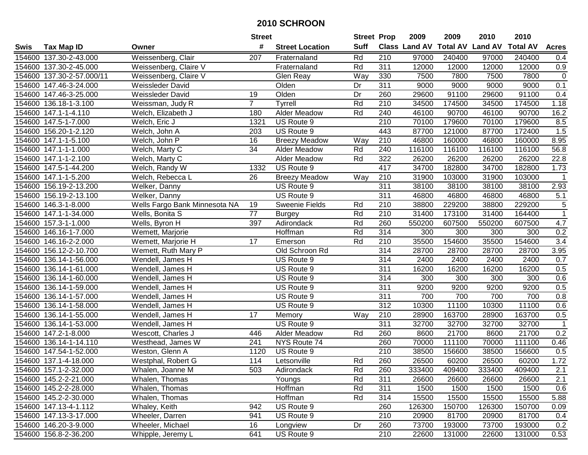|        |                           |                               | <b>Street</b>  |                        | <b>Street Prop</b> |                  | 2009                          | 2009   | 2010           | 2010            |                |
|--------|---------------------------|-------------------------------|----------------|------------------------|--------------------|------------------|-------------------------------|--------|----------------|-----------------|----------------|
| Swis   | <b>Tax Map ID</b>         | Owner                         | #              | <b>Street Location</b> | <b>Suff</b>        |                  | <b>Class Land AV Total AV</b> |        | <b>Land AV</b> | <b>Total AV</b> | <b>Acres</b>   |
|        | 154600 137.30-2-43.000    | Weissenberg, Clair            | 207            | Fraternaland           | Rd                 | 210              | 97000                         | 240400 | 97000          | 240400          | 0.4            |
|        | 154600 137.30-2-45.000    | Weissenberg, Claire V         |                | Fraternaland           | Rd                 | 311              | 12000                         | 12000  | 12000          | 12000           | 0.9            |
|        | 154600 137.30-2-57.000/11 | Weissenberg, Claire V         |                | Glen Reay              | Way                | 330              | 7500                          | 7800   | 7500           | 7800            | $\pmb{0}$      |
|        | 154600 147.46-3-24.000    | Weissleder David              |                | Olden                  | Dr                 | 311              | 9000                          | 9000   | 9000           | 9000            | 0.1            |
|        | 154600 147.46-3-25.000    | Weissleder David              | 19             | Olden                  | Dr                 | 260              | 29600                         | 91100  | 29600          | 91100           | 0.4            |
|        | 154600 136.18-1-3.100     | Weissman, Judy R              | $\overline{7}$ | Tyrrell                | Rd                 | $\overline{210}$ | 34500                         | 174500 | 34500          | 174500          | 1.18           |
|        | 154600 147.1-1-4.110      | Welch, Elizabeth J            | 180            | Alder Meadow           | Rd                 | 240              | 46100                         | 90700  | 46100          | 90700           | 16.2           |
|        | 154600 147.5-1-7.000      | Welch, Eric J                 | 1321           | US Route 9             |                    | 210              | 70100                         | 179600 | 70100          | 179600          | 8.5            |
|        | 154600 156.20-1-2.120     | Welch, John A                 | 203            | US Route 9             |                    | 443              | 87700                         | 121000 | 87700          | 172400          | 1.5            |
|        | 154600 147.1-1-5.100      | Welch, John P                 | 16             | <b>Breezy Meadow</b>   | Way                | 210              | 46800                         | 160000 | 46800          | 160000          | 8.95           |
|        | 154600 147.1-1-1.000      | Welch, Marty C                | 34             | Alder Meadow           | Rd                 | 240              | 116100                        | 116100 | 116100         | 116100          | 56.8           |
|        | 154600 147.1-1-2.100      | Welch, Marty C                |                | Alder Meadow           | Rd                 | 322              | 26200                         | 26200  | 26200          | 26200           | 22.8           |
|        | 154600 147.5-1-44.200     | Welch, Randy W                | 1332           | US Route 9             |                    | 417              | 34700                         | 182800 | 34700          | 182800          | 1.73           |
|        | 154600 147.1-1-5.200      | Welch, Rebecca L              | 26             | <b>Breezy Meadow</b>   | Way                | 210              | 31900                         | 103000 | 31900          | 103000          | $\mathbf 1$    |
|        | 154600 156.19-2-13.200    | Welker, Danny                 |                | US Route 9             |                    | 311              | 38100                         | 38100  | 38100          | 38100           | 2.93           |
|        | 154600 156.19-2-13.100    | Welker, Danny                 |                | US Route 9             |                    | 311              | 46800                         | 46800  | 46800          | 46800           | 5.1            |
|        | 154600 146.3-1-8.000      | Wells Fargo Bank Minnesota NA | 19             | Sweenie Fields         | Rd                 | 210              | 38800                         | 229200 | 38800          | 229200          | 5              |
|        | 154600 147.1-1-34.000     | Wells, Bonita S               | 77             | <b>Burgey</b>          | Rd                 | 210              | 31400                         | 173100 | 31400          | 164400          | $\mathbf{1}$   |
|        | 154600 157.3-1-1.000      | Wells, Byron H                | 397            | Adirondack             | Rd                 | 260              | 550200                        | 607500 | 550200         | 607500          | 4.7            |
|        | 154600 146.16-1-7.000     | Wemett, Marjorie              |                | Hoffman                | Rd                 | 314              | 300                           | 300    | 300            | 300             | 0.2            |
|        | 154600 146.16-2-2.000     | Wemett, Marjorie H            | 17             | Emerson                | Rd                 | 210              | 35500                         | 154600 | 35500          | 154600          | 3.4            |
|        | 154600 156.12-2-10.700    | Wemett, Ruth Mary P           |                | Old Schroon Rd         |                    | 314              | 28700                         | 28700  | 28700          | 28700           | 3.95           |
| 154600 | 136.14-1-56.000           | Wendell, James H              |                | US Route 9             |                    | 314              | 2400                          | 2400   | 2400           | 2400            | 0.7            |
| 154600 | 136.14-1-61.000           | Wendell, James H              |                | US Route 9             |                    | 311              | 16200                         | 16200  | 16200          | 16200           | 0.5            |
| 154600 | 136.14-1-60.000           | Wendell, James H              |                | US Route 9             |                    | 314              | 300                           | 300    | 300            | 300             | 0.6            |
|        | 154600 136.14-1-59.000    | Wendell, James H              |                | US Route 9             |                    | 311              | 9200                          | 9200   | 9200           | 9200            | 0.5            |
|        | 154600 136.14-1-57.000    | Wendell, James H              |                | US Route 9             |                    | 311              | 700                           | 700    | 700            | 700             | 0.8            |
|        | 154600 136.14-1-58.000    | Wendell, James H              |                | US Route 9             |                    | 312              | 10300                         | 11100  | 10300          | 11100           | 0.6            |
|        | 154600 136.14-1-55.000    | Wendell, James H              | 17             | Memory                 | Way                | 210              | 28900                         | 163700 | 28900          | 163700          | 0.5            |
|        | 154600 136.14-1-53.000    | Wendell, James H              |                | US Route 9             |                    | 311              | 32700                         | 32700  | 32700          | 32700           | $\overline{1}$ |
|        | 154600 147.2-1-8.000      | Wescott, Charles J            | 446            | <b>Alder Meadow</b>    | Rd                 | 260              | 8600                          | 21700  | 8600           | 21700           | 0.2            |
|        | 154600 136.14-1-14.110    | Westhead, James W             | 241            | NYS Route 74           |                    | 260              | 70000                         | 111100 | 70000          | 111100          | 0.46           |
|        | 154600 147.54-1-52.000    | Weston, Glenn A               | 1120           | US Route 9             |                    | $\overline{210}$ | 38500                         | 156600 | 38500          | 156600          | 0.5            |
|        | 154600 137.1-4-18.000     | Westphal, Robert G            | 114            | Letsonville            | Rd                 | 260              | 26500                         | 60200  | 26500          | 60200           | 1.72           |
|        | 154600 157.1-2-32.000     | Whalen, Joanne M              | 503            | Adirondack             | Rd                 | 260              | 333400                        | 409400 | 333400         | 409400          | 2.1            |
|        | 154600 145.2-2-21.000     | Whalen, Thomas                |                | Youngs                 | Rd                 | 311              | 26600                         | 26600  | 26600          | 26600           | 2.1            |
|        | 154600 145.2-2-28.000     | Whalen, Thomas                |                | Hoffman                | Rd                 | 311              | 1500                          | 1500   | 1500           | 1500            | 0.6            |
|        | 154600 145.2-2-30.000     | Whalen, Thomas                |                | Hoffman                | Rd                 | 314              | 15500                         | 15500  | 15500          | 15500           | 5.88           |
|        | 154600 147.13-4-1.112     | Whaley, Keith                 | 942            | US Route 9             |                    | 260              | 126300                        | 150700 | 126300         | 150700          | 0.09           |
|        | 154600 147.13-3-17.000    | Wheeler, Darren               | 941            | US Route 9             |                    | 210              | 20900                         | 81700  | 20900          | 81700           | 0.4            |
|        | 154600 146.20-3-9.000     | Wheeler, Michael              | 16             | Longview               | Dr                 | 260              | 73700                         | 193000 | 73700          | 193000          | 0.2            |
|        | 154600 156.8-2-36.200     | Whipple, Jeremy L             | 641            | US Route 9             |                    | 210              | 22600                         | 131000 | 22600          | 131000          | 0.53           |
|        |                           |                               |                |                        |                    |                  |                               |        |                |                 |                |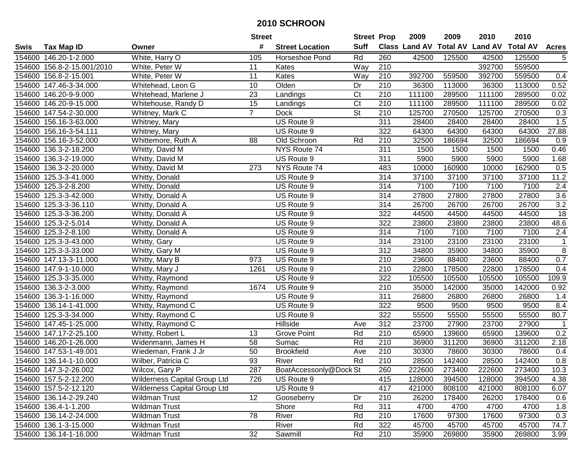|      |                            |                              | <b>Street</b>   |                        |                          | <b>Street Prop</b> | 2009   | 2009   | 2010                                    | 2010   |                  |
|------|----------------------------|------------------------------|-----------------|------------------------|--------------------------|--------------------|--------|--------|-----------------------------------------|--------|------------------|
| Swis | <b>Tax Map ID</b>          | Owner                        | #               | <b>Street Location</b> | <b>Suff</b>              |                    |        |        | Class Land AV Total AV Land AV Total AV |        | <b>Acres</b>     |
|      | 154600 146.20-1-2.000      | White, Harry O               | 105             | Horseshoe Pond         | Rd                       | 260                | 42500  | 125500 | 42500                                   | 125500 | 5                |
|      | 154600 156.8-2-15.001/2010 | White, Peter W               | 11              | Kates                  | Way                      | 210                |        |        | 392700                                  | 559500 |                  |
|      | 154600 156.8-2-15.001      | White, Peter W               | 11              | Kates                  | Way                      | 210                | 392700 | 559500 | 392700                                  | 559500 | 0.4              |
|      | 154600 147.46-3-34.000     | Whitehead, Leon G            | 10              | Olden                  | Dr                       | 210                | 36300  | 113000 | 36300                                   | 113000 | 0.52             |
|      | 154600 146.20-9-9.000      | Whitehead, Marlene J         | 23              | Landings               | $\overline{\text{C}t}$   | $\overline{210}$   | 111100 | 289500 | 111100                                  | 289500 | 0.02             |
|      | 154600 146.20-9-15.000     | Whitehouse, Randy D          | $\overline{15}$ | Landings               | $\overline{\text{C}t}$   | 210                | 111100 | 289500 | 111100                                  | 289500 | 0.02             |
|      | 154600 147.54-2-30.000     | Whitney, Mark C              | $\overline{7}$  | <b>Dock</b>            | $\overline{\mathsf{St}}$ | 210                | 125700 | 270500 | 125700                                  | 270500 | $\overline{0.3}$ |
|      | 154600 156.16-3-63.000     | Whitney, Mary                |                 | US Route 9             |                          | 311                | 28400  | 28400  | 28400                                   | 28400  | 1.5              |
|      | 154600 156.16-3-54.111     | Whitney, Mary                |                 | US Route 9             |                          | 322                | 64300  | 64300  | 64300                                   | 64300  | 27.88            |
|      | 154600 156.16-3-52.000     | Whittemore, Ruth A           | 88              | Old Schroon            | Rd                       | 210                | 32500  | 186694 | 32500                                   | 186694 | 0.9              |
|      | 154600 136.3-2-18.200      | Whitty, David M              |                 | NYS Route 74           |                          | 311                | 1500   | 1500   | 1500                                    | 1500   | 0.46             |
|      | 154600 136.3-2-19.000      | Whitty, David M              |                 | US Route 9             |                          | 311                | 5900   | 5900   | 5900                                    | 5900   | 1.68             |
|      | 154600 136.3-2-20.000      | Whitty, David M              | 273             | NYS Route 74           |                          | 483                | 10000  | 160900 | 10000                                   | 162900 | 0.5              |
|      | 154600 125.3-3-41.000      | Whitty, Donald               |                 | US Route 9             |                          | 314                | 37100  | 37100  | 37100                                   | 37100  | 11.2             |
|      | 154600 125.3-2-8.200       | Whitty, Donald               |                 | US Route 9             |                          | 314                | 7100   | 7100   | 7100                                    | 7100   | 2.4              |
|      | 154600 125.3-3-42.000      | Whitty, Donald A             |                 | US Route 9             |                          | 314                | 27800  | 27800  | 27800                                   | 27800  | 3.6              |
|      | 154600 125.3-3-36.110      | Whitty, Donald A             |                 | US Route 9             |                          | 314                | 26700  | 26700  | 26700                                   | 26700  | 3.2              |
|      | 154600 125.3-3-36.200      | Whitty, Donald A             |                 | US Route 9             |                          | 322                | 44500  | 44500  | 44500                                   | 44500  | 18               |
|      | 154600 125.3-2-5.014       | Whitty, Donald A             |                 | US Route 9             |                          | 322                | 23800  | 23800  | 23800                                   | 23800  | 48.6             |
|      | 154600 125.3-2-8.100       | Whitty, Donald A             |                 | US Route 9             |                          | 314                | 7100   | 7100   | 7100                                    | 7100   | 2.4              |
|      | 154600 125.3-3-43.000      | Whitty, Gary                 |                 | US Route 9             |                          | 314                | 23100  | 23100  | 23100                                   | 23100  | $\mathbf{1}$     |
|      | 154600 125.3-3-33.000      | Whitty, Gary M               |                 | US Route 9             |                          | 312                | 34800  | 35900  | 34800                                   | 35900  | $\overline{8}$   |
|      | 154600 147.13-3-11.000     | Whitty, Mary B               | 973             | US Route 9             |                          | 210                | 23600  | 88400  | 23600                                   | 88400  | 0.7              |
|      | 154600 147.9-1-10.000      | Whitty, Mary J               | 1261            | US Route 9             |                          | 210                | 22800  | 178500 | 22800                                   | 178500 | 0.4              |
|      | 154600 125.3-3-35.000      | Whitty, Raymond              |                 | US Route 9             |                          | 322                | 105500 | 105500 | 105500                                  | 105500 | 109.9            |
|      | 154600 136.3-2-3.000       | Whitty, Raymond              | 1674            | US Route 9             |                          | 210                | 35000  | 142000 | 35000                                   | 142000 | 0.92             |
|      | 154600 136.3-1-16.000      | Whitty, Raymond              |                 | US Route 9             |                          | 311                | 26800  | 26800  | 26800                                   | 26800  | 1.4              |
|      | 154600 136.14-1-41.000     | Whitty, Raymond C            |                 | US Route 9             |                          | 322                | 9500   | 9500   | 9500                                    | 9500   | 8.4              |
|      | 154600 125.3-3-34.000      | Whitty, Raymond C            |                 | US Route 9             |                          | 322                | 55500  | 55500  | 55500                                   | 55500  | 80.7             |
|      | 154600 147.45-1-25.000     | Whitty, Raymond C            |                 | <b>Hillside</b>        | Ave                      | 312                | 23700  | 27900  | 23700                                   | 27900  | $\mathbf{1}$     |
|      | 154600 147.17-2-25.100     | Whitty, Robert L             | 13              | Grove Point            | Rd                       | 210                | 65900  | 139600 | 65900                                   | 139600 | 0.2              |
|      | 154600 146.20-1-26.000     | Widenmann, James H           | 58              | Sumac                  | Rd                       | $\overline{210}$   | 36900  | 311200 | 36900                                   | 311200 | 2.18             |
|      | 154600 147.53-1-49.001     | Wiedeman, Frank J Jr         | 50              | <b>Brookfield</b>      | Ave                      | $\overline{210}$   | 30300  | 78600  | 30300                                   | 78600  | 0.4              |
|      | 154600 136.14-1-10.000     | Wilber, Patricia C           | 93              | River                  | Rd                       | $\overline{210}$   | 28500  | 142400 | 28500                                   | 142400 | $\overline{0.8}$ |
|      | 154600 147.3-2-26.002      | Wilcox, Gary P               | 287             | BoatAccessonly@Dock St |                          | 260                | 222600 | 273400 | 222600                                  | 273400 | 10.3             |
|      | 154600 157.5-2-12.200      | Wilderness Capital Group Ltd | 726             | US Route 9             |                          | 415                | 128000 | 394500 | 128000                                  | 394500 | 4.38             |
|      | 154600 157.5-2-12.120      | Wilderness Capital Group Ltd |                 | US Route 9             |                          | 417                | 421000 | 808100 | 421000                                  | 808100 | 6.07             |
|      | 154600 136.14-2-29.240     | <b>Wildman Trust</b>         | 12              | Gooseberry             | Dr                       | 210                | 26200  | 178400 | 26200                                   | 178400 | 0.6              |
|      | 154600 136.4-1-1.200       | <b>Wildman Trust</b>         |                 | Shore                  | Rd                       | 311                | 4700   | 4700   | 4700                                    | 4700   | 1.8              |
|      | 154600 136.14-2-24.000     | <b>Wildman Trust</b>         | 78              | River                  | Rd                       | 210                | 17600  | 97300  | 17600                                   | 97300  | 0.3              |
|      | 154600 136.1-3-15.000      | Wildman Trust                |                 | River                  | Rd                       | 322                | 45700  | 45700  | 45700                                   | 45700  | 74.7             |
|      | 154600 136.14-1-16.000     | Wildman Trust                | 32              | Sawmill                | Rd                       | 210                | 35900  | 269800 | 35900                                   | 269800 | 3.99             |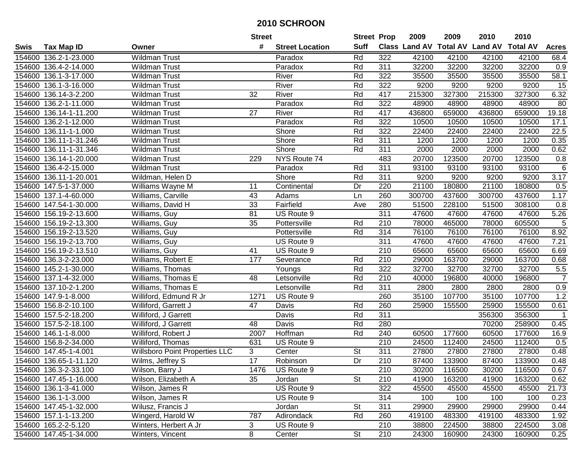| <b>Suff</b><br>Class Land AV Total AV Land AV Total AV<br>#<br><b>Tax Map ID</b><br><b>Acres</b><br><b>Street Location</b><br>Owner<br>154600 136.2-1-23.000<br><b>Wildman Trust</b><br>Rd<br>322<br>42100<br>42100<br>42100<br>42100<br>Paradox<br>68.4<br>154600 136.4-2-14.000<br>Wildman Trust<br>Paradox<br>Rd<br>311<br>32200<br>32200<br>32200<br>32200<br>0.9<br>River<br>Rd<br>322<br>35500<br>35500<br>35500<br>58.1<br>154600 136.1-3-17.000<br><b>Wildman Trust</b><br>35500<br>Rd<br>322<br>154600 136.1-3-16.000<br><b>Wildman Trust</b><br>River<br>9200<br>9200<br>9200<br>9200<br>15<br>Rd<br>417<br>215300<br>327300<br>215300<br>327300<br>6.32<br>136.14-3-2.200<br><b>Wildman Trust</b><br>32<br>River<br>154600<br>Rd<br>154600 136.2-1-11.000<br>Paradox<br>322<br>48900<br>48900<br>48900<br>48900<br>80<br>Wildman Trust<br>417<br>$\overline{27}$<br>Rd<br>659000<br>19.18<br>154600 136.14-1-11.200<br><b>Wildman Trust</b><br>River<br>436800<br>436800<br>659000<br>Rd<br>322<br>154600 136.2-1-12.000<br>Paradox<br>10500<br>10500<br>10500<br>10500<br>17.1<br><b>Wildman Trust</b><br>Shore<br>Rd<br>322<br>154600<br>136.11-1-1.000<br><b>Wildman Trust</b><br>22400<br>22400<br>22400<br>22400<br>22.5<br>Shore<br>311<br>154600<br>136.11-1-31.246<br><b>Wildman Trust</b><br>Rd<br>1200<br>1200<br>1200<br>1200<br>0.35<br>Shore<br>154600<br>136.11-1-31.346<br><b>Wildman Trust</b><br>Rd<br>311<br>2000<br>2000<br>2000<br>2000<br>0.62<br>229<br>NYS Route 74<br>483<br>20700<br>20700<br>123500<br>$0.8\,$<br>154600<br>136.14-1-20.000<br><b>Wildman Trust</b><br>123500<br>136.4-2-15.000<br>311<br>$\,6\,$<br>154600<br><b>Wildman Trust</b><br>Paradox<br>Rd<br>93100<br>93100<br>93100<br>93100<br>Shore<br>Rd<br>311<br>9200<br>9200<br>3.17<br>154600<br>136.11-1-20.001<br>Wildman, Helen D<br>9200<br>9200<br>154600<br>147.5-1-37.000<br>Williams Wayne M<br>11<br>Dr<br>220<br>21100<br>180800<br>21100<br>180800<br>0.5<br>Continental<br>260<br>Williams, Carville<br>43<br>300700<br>437600<br>300700<br>437600<br>1.17<br>154600<br>137.1-4-60.000<br>Adams<br>Ln<br>Fairfield<br>33<br>280<br>51500<br>228100<br>154600 147.54-1-30.000<br>Williams, David H<br>51500<br>308100<br>0.8<br>Ave<br>81<br>311<br>47600<br>$\overline{5.26}$<br>154600 156.19-2-13.600<br>Williams, Guy<br>US Route 9<br>47600<br>47600<br>47600<br>$\sqrt{5}$<br>35<br>465000<br>605500<br>154600 156.19-2-13.300<br>Williams, Guy<br>Pottersville<br>Rd<br>210<br>78000<br>78000<br>$\overline{314}$<br>154600 156.19-2-13.520<br>Rd<br>76100<br>76100<br>76100<br>76100<br>8.92<br>Williams, Guy<br>Pottersville<br>311<br>47600<br>47600<br>154600 156.19-2-13.700<br>Williams, Guy<br>US Route 9<br>47600<br>47600<br>7.21<br>210<br>65600<br>154600 156.19-2-13.510<br>Williams, Guy<br>41<br>US Route 9<br>65600<br>65600<br>65600<br>6.69<br>154600 136.3-2-23.000<br>Williams, Robert E<br>Severance<br>Rd<br>210<br>29000<br>163700<br>29000<br>163700<br>177<br>0.68<br>Rd<br>322<br>32700<br>32700<br>$5.5\,$<br>154600<br>145.2-1-30.000<br>Williams, Thomas<br>Youngs<br>32700<br>32700<br>$\overline{7}$<br>48<br>Rd<br>210<br>154600 137.1-4-32.000<br>Williams, Thomas E<br>Letsonville<br>40000<br>196800<br>40000<br>196800<br>311<br>0.9<br>154600 137.10-2-1.200<br>Williams, Thomas E<br>Rd<br>2800<br>2800<br>2800<br>2800<br>Letsonville<br>1.2<br>154600 147.9-1-8.000<br>US Route 9<br>260<br>35100<br>107700<br>35100<br>107700<br>Williford, Edmund R Jr<br>1271<br>154600 156.8-2-10.100<br>Rd<br>260<br>25900<br>155500<br>0.61<br>Williford, Garrett J<br>47<br>Davis<br>25900<br>155500<br>154600 157.5-2-18.200<br>311<br>Williford, J Garrett<br>Davis<br>Rd<br>356300<br>356300<br>$\mathbf{1}$<br>154600 157.5-2-18.100<br>48<br>Davis<br>Rd<br>280<br>70200<br>258900<br>0.45<br>Williford, J Garrett<br>Hoffman<br>Rd<br>177600<br>177600<br>16.9<br>154600 146.1-1-8.000<br>Williford, Robert J<br>2007<br>240<br>60500<br>60500<br>210<br>US Route 9<br>112400<br>24500<br>112400<br>0.5<br>154600 156.8-2-34.000<br>Williford, Thomas<br>631<br>24500<br>311<br>154600 147.45-1-4.001<br><b>Willsboro Point Properties LLC</b><br>3<br>Center<br><b>St</b><br>27800<br>27800<br>27800<br>27800<br>0.48<br>17<br>Dr<br>$\overline{210}$<br>87400<br>154600 136.65-1-11.120<br>Wilms, Jeffrey S<br>Robinson<br>133900<br>87400<br>133900<br>0.48<br>Wilson, Barry J<br>US Route 9<br>210<br>116500<br>0.67<br>154600 136.3-2-33.100<br>1476<br>30200<br>30200<br>116500<br>35<br><b>St</b><br>41900<br>163200<br>163200<br>154600 147.45-1-16.000<br>Wilson, Elizabeth A<br>Jordan<br>210<br>41900<br>0.62<br>322<br>45500<br>154600 136.1-3-41.000<br>US Route 9<br>45500<br>45500<br>21.73<br>Wilson, James R<br>45500<br>314<br>100<br>154600 136.1-1-3.000<br>Wilson, James R<br>US Route 9<br>100<br>100<br>100<br>0.23<br><b>St</b><br>311<br>29900<br>29900<br>154600 147.45-1-32.000<br>Wilusz, Francis J<br>29900<br>29900<br>0.44<br>Jordan<br>154600 157.1-1-13.200<br>Wingerd, Harold W<br>787<br>Adirondack<br>Rd<br>260<br>419100<br>483300<br>419100<br>483300<br>1.92<br>3<br>210<br>38800<br>154600 165.2-2-5.120<br>Winters, Herbert A Jr<br>US Route 9<br>224500<br>38800<br>224500<br>3.08<br>154600 147.45-1-34.000 |      |                  | <b>Street</b> |        | <b>Street Prop</b> |     | 2009  | 2009   | 2010  | 2010   |      |
|----------------------------------------------------------------------------------------------------------------------------------------------------------------------------------------------------------------------------------------------------------------------------------------------------------------------------------------------------------------------------------------------------------------------------------------------------------------------------------------------------------------------------------------------------------------------------------------------------------------------------------------------------------------------------------------------------------------------------------------------------------------------------------------------------------------------------------------------------------------------------------------------------------------------------------------------------------------------------------------------------------------------------------------------------------------------------------------------------------------------------------------------------------------------------------------------------------------------------------------------------------------------------------------------------------------------------------------------------------------------------------------------------------------------------------------------------------------------------------------------------------------------------------------------------------------------------------------------------------------------------------------------------------------------------------------------------------------------------------------------------------------------------------------------------------------------------------------------------------------------------------------------------------------------------------------------------------------------------------------------------------------------------------------------------------------------------------------------------------------------------------------------------------------------------------------------------------------------------------------------------------------------------------------------------------------------------------------------------------------------------------------------------------------------------------------------------------------------------------------------------------------------------------------------------------------------------------------------------------------------------------------------------------------------------------------------------------------------------------------------------------------------------------------------------------------------------------------------------------------------------------------------------------------------------------------------------------------------------------------------------------------------------------------------------------------------------------------------------------------------------------------------------------------------------------------------------------------------------------------------------------------------------------------------------------------------------------------------------------------------------------------------------------------------------------------------------------------------------------------------------------------------------------------------------------------------------------------------------------------------------------------------------------------------------------------------------------------------------------------------------------------------------------------------------------------------------------------------------------------------------------------------------------------------------------------------------------------------------------------------------------------------------------------------------------------------------------------------------------------------------------------------------------------------------------------------------------------------------------------------------------------------------------------------------------------------------------------------------------------------------------------------------------------------------------------------------------------------------------------------------------------------------------------------------------------------------------------------------------------------------------------------------------------------------------------------------------------------------------------------------------------------------------------------------------------------------------------------------------------------------------------------------------------------------------------------------------------------------------------------------------------------------------------------------------------------------------------------------------------------------------------------------------------------------------------------------------------------------------------------------------------------------------------------------------------------|------|------------------|---------------|--------|--------------------|-----|-------|--------|-------|--------|------|
|                                                                                                                                                                                                                                                                                                                                                                                                                                                                                                                                                                                                                                                                                                                                                                                                                                                                                                                                                                                                                                                                                                                                                                                                                                                                                                                                                                                                                                                                                                                                                                                                                                                                                                                                                                                                                                                                                                                                                                                                                                                                                                                                                                                                                                                                                                                                                                                                                                                                                                                                                                                                                                                                                                                                                                                                                                                                                                                                                                                                                                                                                                                                                                                                                                                                                                                                                                                                                                                                                                                                                                                                                                                                                                                                                                                                                                                                                                                                                                                                                                                                                                                                                                                                                                                                                                                                                                                                                                                                                                                                                                                                                                                                                                                                                                                                                                                                                                                                                                                                                                                                                                                                                                                                                                                                                                                      | Swis |                  |               |        |                    |     |       |        |       |        |      |
|                                                                                                                                                                                                                                                                                                                                                                                                                                                                                                                                                                                                                                                                                                                                                                                                                                                                                                                                                                                                                                                                                                                                                                                                                                                                                                                                                                                                                                                                                                                                                                                                                                                                                                                                                                                                                                                                                                                                                                                                                                                                                                                                                                                                                                                                                                                                                                                                                                                                                                                                                                                                                                                                                                                                                                                                                                                                                                                                                                                                                                                                                                                                                                                                                                                                                                                                                                                                                                                                                                                                                                                                                                                                                                                                                                                                                                                                                                                                                                                                                                                                                                                                                                                                                                                                                                                                                                                                                                                                                                                                                                                                                                                                                                                                                                                                                                                                                                                                                                                                                                                                                                                                                                                                                                                                                                                      |      |                  |               |        |                    |     |       |        |       |        |      |
|                                                                                                                                                                                                                                                                                                                                                                                                                                                                                                                                                                                                                                                                                                                                                                                                                                                                                                                                                                                                                                                                                                                                                                                                                                                                                                                                                                                                                                                                                                                                                                                                                                                                                                                                                                                                                                                                                                                                                                                                                                                                                                                                                                                                                                                                                                                                                                                                                                                                                                                                                                                                                                                                                                                                                                                                                                                                                                                                                                                                                                                                                                                                                                                                                                                                                                                                                                                                                                                                                                                                                                                                                                                                                                                                                                                                                                                                                                                                                                                                                                                                                                                                                                                                                                                                                                                                                                                                                                                                                                                                                                                                                                                                                                                                                                                                                                                                                                                                                                                                                                                                                                                                                                                                                                                                                                                      |      |                  |               |        |                    |     |       |        |       |        |      |
|                                                                                                                                                                                                                                                                                                                                                                                                                                                                                                                                                                                                                                                                                                                                                                                                                                                                                                                                                                                                                                                                                                                                                                                                                                                                                                                                                                                                                                                                                                                                                                                                                                                                                                                                                                                                                                                                                                                                                                                                                                                                                                                                                                                                                                                                                                                                                                                                                                                                                                                                                                                                                                                                                                                                                                                                                                                                                                                                                                                                                                                                                                                                                                                                                                                                                                                                                                                                                                                                                                                                                                                                                                                                                                                                                                                                                                                                                                                                                                                                                                                                                                                                                                                                                                                                                                                                                                                                                                                                                                                                                                                                                                                                                                                                                                                                                                                                                                                                                                                                                                                                                                                                                                                                                                                                                                                      |      |                  |               |        |                    |     |       |        |       |        |      |
|                                                                                                                                                                                                                                                                                                                                                                                                                                                                                                                                                                                                                                                                                                                                                                                                                                                                                                                                                                                                                                                                                                                                                                                                                                                                                                                                                                                                                                                                                                                                                                                                                                                                                                                                                                                                                                                                                                                                                                                                                                                                                                                                                                                                                                                                                                                                                                                                                                                                                                                                                                                                                                                                                                                                                                                                                                                                                                                                                                                                                                                                                                                                                                                                                                                                                                                                                                                                                                                                                                                                                                                                                                                                                                                                                                                                                                                                                                                                                                                                                                                                                                                                                                                                                                                                                                                                                                                                                                                                                                                                                                                                                                                                                                                                                                                                                                                                                                                                                                                                                                                                                                                                                                                                                                                                                                                      |      |                  |               |        |                    |     |       |        |       |        |      |
|                                                                                                                                                                                                                                                                                                                                                                                                                                                                                                                                                                                                                                                                                                                                                                                                                                                                                                                                                                                                                                                                                                                                                                                                                                                                                                                                                                                                                                                                                                                                                                                                                                                                                                                                                                                                                                                                                                                                                                                                                                                                                                                                                                                                                                                                                                                                                                                                                                                                                                                                                                                                                                                                                                                                                                                                                                                                                                                                                                                                                                                                                                                                                                                                                                                                                                                                                                                                                                                                                                                                                                                                                                                                                                                                                                                                                                                                                                                                                                                                                                                                                                                                                                                                                                                                                                                                                                                                                                                                                                                                                                                                                                                                                                                                                                                                                                                                                                                                                                                                                                                                                                                                                                                                                                                                                                                      |      |                  |               |        |                    |     |       |        |       |        |      |
|                                                                                                                                                                                                                                                                                                                                                                                                                                                                                                                                                                                                                                                                                                                                                                                                                                                                                                                                                                                                                                                                                                                                                                                                                                                                                                                                                                                                                                                                                                                                                                                                                                                                                                                                                                                                                                                                                                                                                                                                                                                                                                                                                                                                                                                                                                                                                                                                                                                                                                                                                                                                                                                                                                                                                                                                                                                                                                                                                                                                                                                                                                                                                                                                                                                                                                                                                                                                                                                                                                                                                                                                                                                                                                                                                                                                                                                                                                                                                                                                                                                                                                                                                                                                                                                                                                                                                                                                                                                                                                                                                                                                                                                                                                                                                                                                                                                                                                                                                                                                                                                                                                                                                                                                                                                                                                                      |      |                  |               |        |                    |     |       |        |       |        |      |
|                                                                                                                                                                                                                                                                                                                                                                                                                                                                                                                                                                                                                                                                                                                                                                                                                                                                                                                                                                                                                                                                                                                                                                                                                                                                                                                                                                                                                                                                                                                                                                                                                                                                                                                                                                                                                                                                                                                                                                                                                                                                                                                                                                                                                                                                                                                                                                                                                                                                                                                                                                                                                                                                                                                                                                                                                                                                                                                                                                                                                                                                                                                                                                                                                                                                                                                                                                                                                                                                                                                                                                                                                                                                                                                                                                                                                                                                                                                                                                                                                                                                                                                                                                                                                                                                                                                                                                                                                                                                                                                                                                                                                                                                                                                                                                                                                                                                                                                                                                                                                                                                                                                                                                                                                                                                                                                      |      |                  |               |        |                    |     |       |        |       |        |      |
|                                                                                                                                                                                                                                                                                                                                                                                                                                                                                                                                                                                                                                                                                                                                                                                                                                                                                                                                                                                                                                                                                                                                                                                                                                                                                                                                                                                                                                                                                                                                                                                                                                                                                                                                                                                                                                                                                                                                                                                                                                                                                                                                                                                                                                                                                                                                                                                                                                                                                                                                                                                                                                                                                                                                                                                                                                                                                                                                                                                                                                                                                                                                                                                                                                                                                                                                                                                                                                                                                                                                                                                                                                                                                                                                                                                                                                                                                                                                                                                                                                                                                                                                                                                                                                                                                                                                                                                                                                                                                                                                                                                                                                                                                                                                                                                                                                                                                                                                                                                                                                                                                                                                                                                                                                                                                                                      |      |                  |               |        |                    |     |       |        |       |        |      |
|                                                                                                                                                                                                                                                                                                                                                                                                                                                                                                                                                                                                                                                                                                                                                                                                                                                                                                                                                                                                                                                                                                                                                                                                                                                                                                                                                                                                                                                                                                                                                                                                                                                                                                                                                                                                                                                                                                                                                                                                                                                                                                                                                                                                                                                                                                                                                                                                                                                                                                                                                                                                                                                                                                                                                                                                                                                                                                                                                                                                                                                                                                                                                                                                                                                                                                                                                                                                                                                                                                                                                                                                                                                                                                                                                                                                                                                                                                                                                                                                                                                                                                                                                                                                                                                                                                                                                                                                                                                                                                                                                                                                                                                                                                                                                                                                                                                                                                                                                                                                                                                                                                                                                                                                                                                                                                                      |      |                  |               |        |                    |     |       |        |       |        |      |
|                                                                                                                                                                                                                                                                                                                                                                                                                                                                                                                                                                                                                                                                                                                                                                                                                                                                                                                                                                                                                                                                                                                                                                                                                                                                                                                                                                                                                                                                                                                                                                                                                                                                                                                                                                                                                                                                                                                                                                                                                                                                                                                                                                                                                                                                                                                                                                                                                                                                                                                                                                                                                                                                                                                                                                                                                                                                                                                                                                                                                                                                                                                                                                                                                                                                                                                                                                                                                                                                                                                                                                                                                                                                                                                                                                                                                                                                                                                                                                                                                                                                                                                                                                                                                                                                                                                                                                                                                                                                                                                                                                                                                                                                                                                                                                                                                                                                                                                                                                                                                                                                                                                                                                                                                                                                                                                      |      |                  |               |        |                    |     |       |        |       |        |      |
|                                                                                                                                                                                                                                                                                                                                                                                                                                                                                                                                                                                                                                                                                                                                                                                                                                                                                                                                                                                                                                                                                                                                                                                                                                                                                                                                                                                                                                                                                                                                                                                                                                                                                                                                                                                                                                                                                                                                                                                                                                                                                                                                                                                                                                                                                                                                                                                                                                                                                                                                                                                                                                                                                                                                                                                                                                                                                                                                                                                                                                                                                                                                                                                                                                                                                                                                                                                                                                                                                                                                                                                                                                                                                                                                                                                                                                                                                                                                                                                                                                                                                                                                                                                                                                                                                                                                                                                                                                                                                                                                                                                                                                                                                                                                                                                                                                                                                                                                                                                                                                                                                                                                                                                                                                                                                                                      |      |                  |               |        |                    |     |       |        |       |        |      |
|                                                                                                                                                                                                                                                                                                                                                                                                                                                                                                                                                                                                                                                                                                                                                                                                                                                                                                                                                                                                                                                                                                                                                                                                                                                                                                                                                                                                                                                                                                                                                                                                                                                                                                                                                                                                                                                                                                                                                                                                                                                                                                                                                                                                                                                                                                                                                                                                                                                                                                                                                                                                                                                                                                                                                                                                                                                                                                                                                                                                                                                                                                                                                                                                                                                                                                                                                                                                                                                                                                                                                                                                                                                                                                                                                                                                                                                                                                                                                                                                                                                                                                                                                                                                                                                                                                                                                                                                                                                                                                                                                                                                                                                                                                                                                                                                                                                                                                                                                                                                                                                                                                                                                                                                                                                                                                                      |      |                  |               |        |                    |     |       |        |       |        |      |
|                                                                                                                                                                                                                                                                                                                                                                                                                                                                                                                                                                                                                                                                                                                                                                                                                                                                                                                                                                                                                                                                                                                                                                                                                                                                                                                                                                                                                                                                                                                                                                                                                                                                                                                                                                                                                                                                                                                                                                                                                                                                                                                                                                                                                                                                                                                                                                                                                                                                                                                                                                                                                                                                                                                                                                                                                                                                                                                                                                                                                                                                                                                                                                                                                                                                                                                                                                                                                                                                                                                                                                                                                                                                                                                                                                                                                                                                                                                                                                                                                                                                                                                                                                                                                                                                                                                                                                                                                                                                                                                                                                                                                                                                                                                                                                                                                                                                                                                                                                                                                                                                                                                                                                                                                                                                                                                      |      |                  |               |        |                    |     |       |        |       |        |      |
|                                                                                                                                                                                                                                                                                                                                                                                                                                                                                                                                                                                                                                                                                                                                                                                                                                                                                                                                                                                                                                                                                                                                                                                                                                                                                                                                                                                                                                                                                                                                                                                                                                                                                                                                                                                                                                                                                                                                                                                                                                                                                                                                                                                                                                                                                                                                                                                                                                                                                                                                                                                                                                                                                                                                                                                                                                                                                                                                                                                                                                                                                                                                                                                                                                                                                                                                                                                                                                                                                                                                                                                                                                                                                                                                                                                                                                                                                                                                                                                                                                                                                                                                                                                                                                                                                                                                                                                                                                                                                                                                                                                                                                                                                                                                                                                                                                                                                                                                                                                                                                                                                                                                                                                                                                                                                                                      |      |                  |               |        |                    |     |       |        |       |        |      |
|                                                                                                                                                                                                                                                                                                                                                                                                                                                                                                                                                                                                                                                                                                                                                                                                                                                                                                                                                                                                                                                                                                                                                                                                                                                                                                                                                                                                                                                                                                                                                                                                                                                                                                                                                                                                                                                                                                                                                                                                                                                                                                                                                                                                                                                                                                                                                                                                                                                                                                                                                                                                                                                                                                                                                                                                                                                                                                                                                                                                                                                                                                                                                                                                                                                                                                                                                                                                                                                                                                                                                                                                                                                                                                                                                                                                                                                                                                                                                                                                                                                                                                                                                                                                                                                                                                                                                                                                                                                                                                                                                                                                                                                                                                                                                                                                                                                                                                                                                                                                                                                                                                                                                                                                                                                                                                                      |      |                  |               |        |                    |     |       |        |       |        |      |
|                                                                                                                                                                                                                                                                                                                                                                                                                                                                                                                                                                                                                                                                                                                                                                                                                                                                                                                                                                                                                                                                                                                                                                                                                                                                                                                                                                                                                                                                                                                                                                                                                                                                                                                                                                                                                                                                                                                                                                                                                                                                                                                                                                                                                                                                                                                                                                                                                                                                                                                                                                                                                                                                                                                                                                                                                                                                                                                                                                                                                                                                                                                                                                                                                                                                                                                                                                                                                                                                                                                                                                                                                                                                                                                                                                                                                                                                                                                                                                                                                                                                                                                                                                                                                                                                                                                                                                                                                                                                                                                                                                                                                                                                                                                                                                                                                                                                                                                                                                                                                                                                                                                                                                                                                                                                                                                      |      |                  |               |        |                    |     |       |        |       |        |      |
|                                                                                                                                                                                                                                                                                                                                                                                                                                                                                                                                                                                                                                                                                                                                                                                                                                                                                                                                                                                                                                                                                                                                                                                                                                                                                                                                                                                                                                                                                                                                                                                                                                                                                                                                                                                                                                                                                                                                                                                                                                                                                                                                                                                                                                                                                                                                                                                                                                                                                                                                                                                                                                                                                                                                                                                                                                                                                                                                                                                                                                                                                                                                                                                                                                                                                                                                                                                                                                                                                                                                                                                                                                                                                                                                                                                                                                                                                                                                                                                                                                                                                                                                                                                                                                                                                                                                                                                                                                                                                                                                                                                                                                                                                                                                                                                                                                                                                                                                                                                                                                                                                                                                                                                                                                                                                                                      |      |                  |               |        |                    |     |       |        |       |        |      |
|                                                                                                                                                                                                                                                                                                                                                                                                                                                                                                                                                                                                                                                                                                                                                                                                                                                                                                                                                                                                                                                                                                                                                                                                                                                                                                                                                                                                                                                                                                                                                                                                                                                                                                                                                                                                                                                                                                                                                                                                                                                                                                                                                                                                                                                                                                                                                                                                                                                                                                                                                                                                                                                                                                                                                                                                                                                                                                                                                                                                                                                                                                                                                                                                                                                                                                                                                                                                                                                                                                                                                                                                                                                                                                                                                                                                                                                                                                                                                                                                                                                                                                                                                                                                                                                                                                                                                                                                                                                                                                                                                                                                                                                                                                                                                                                                                                                                                                                                                                                                                                                                                                                                                                                                                                                                                                                      |      |                  |               |        |                    |     |       |        |       |        |      |
|                                                                                                                                                                                                                                                                                                                                                                                                                                                                                                                                                                                                                                                                                                                                                                                                                                                                                                                                                                                                                                                                                                                                                                                                                                                                                                                                                                                                                                                                                                                                                                                                                                                                                                                                                                                                                                                                                                                                                                                                                                                                                                                                                                                                                                                                                                                                                                                                                                                                                                                                                                                                                                                                                                                                                                                                                                                                                                                                                                                                                                                                                                                                                                                                                                                                                                                                                                                                                                                                                                                                                                                                                                                                                                                                                                                                                                                                                                                                                                                                                                                                                                                                                                                                                                                                                                                                                                                                                                                                                                                                                                                                                                                                                                                                                                                                                                                                                                                                                                                                                                                                                                                                                                                                                                                                                                                      |      |                  |               |        |                    |     |       |        |       |        |      |
|                                                                                                                                                                                                                                                                                                                                                                                                                                                                                                                                                                                                                                                                                                                                                                                                                                                                                                                                                                                                                                                                                                                                                                                                                                                                                                                                                                                                                                                                                                                                                                                                                                                                                                                                                                                                                                                                                                                                                                                                                                                                                                                                                                                                                                                                                                                                                                                                                                                                                                                                                                                                                                                                                                                                                                                                                                                                                                                                                                                                                                                                                                                                                                                                                                                                                                                                                                                                                                                                                                                                                                                                                                                                                                                                                                                                                                                                                                                                                                                                                                                                                                                                                                                                                                                                                                                                                                                                                                                                                                                                                                                                                                                                                                                                                                                                                                                                                                                                                                                                                                                                                                                                                                                                                                                                                                                      |      |                  |               |        |                    |     |       |        |       |        |      |
|                                                                                                                                                                                                                                                                                                                                                                                                                                                                                                                                                                                                                                                                                                                                                                                                                                                                                                                                                                                                                                                                                                                                                                                                                                                                                                                                                                                                                                                                                                                                                                                                                                                                                                                                                                                                                                                                                                                                                                                                                                                                                                                                                                                                                                                                                                                                                                                                                                                                                                                                                                                                                                                                                                                                                                                                                                                                                                                                                                                                                                                                                                                                                                                                                                                                                                                                                                                                                                                                                                                                                                                                                                                                                                                                                                                                                                                                                                                                                                                                                                                                                                                                                                                                                                                                                                                                                                                                                                                                                                                                                                                                                                                                                                                                                                                                                                                                                                                                                                                                                                                                                                                                                                                                                                                                                                                      |      |                  |               |        |                    |     |       |        |       |        |      |
|                                                                                                                                                                                                                                                                                                                                                                                                                                                                                                                                                                                                                                                                                                                                                                                                                                                                                                                                                                                                                                                                                                                                                                                                                                                                                                                                                                                                                                                                                                                                                                                                                                                                                                                                                                                                                                                                                                                                                                                                                                                                                                                                                                                                                                                                                                                                                                                                                                                                                                                                                                                                                                                                                                                                                                                                                                                                                                                                                                                                                                                                                                                                                                                                                                                                                                                                                                                                                                                                                                                                                                                                                                                                                                                                                                                                                                                                                                                                                                                                                                                                                                                                                                                                                                                                                                                                                                                                                                                                                                                                                                                                                                                                                                                                                                                                                                                                                                                                                                                                                                                                                                                                                                                                                                                                                                                      |      |                  |               |        |                    |     |       |        |       |        |      |
|                                                                                                                                                                                                                                                                                                                                                                                                                                                                                                                                                                                                                                                                                                                                                                                                                                                                                                                                                                                                                                                                                                                                                                                                                                                                                                                                                                                                                                                                                                                                                                                                                                                                                                                                                                                                                                                                                                                                                                                                                                                                                                                                                                                                                                                                                                                                                                                                                                                                                                                                                                                                                                                                                                                                                                                                                                                                                                                                                                                                                                                                                                                                                                                                                                                                                                                                                                                                                                                                                                                                                                                                                                                                                                                                                                                                                                                                                                                                                                                                                                                                                                                                                                                                                                                                                                                                                                                                                                                                                                                                                                                                                                                                                                                                                                                                                                                                                                                                                                                                                                                                                                                                                                                                                                                                                                                      |      |                  |               |        |                    |     |       |        |       |        |      |
|                                                                                                                                                                                                                                                                                                                                                                                                                                                                                                                                                                                                                                                                                                                                                                                                                                                                                                                                                                                                                                                                                                                                                                                                                                                                                                                                                                                                                                                                                                                                                                                                                                                                                                                                                                                                                                                                                                                                                                                                                                                                                                                                                                                                                                                                                                                                                                                                                                                                                                                                                                                                                                                                                                                                                                                                                                                                                                                                                                                                                                                                                                                                                                                                                                                                                                                                                                                                                                                                                                                                                                                                                                                                                                                                                                                                                                                                                                                                                                                                                                                                                                                                                                                                                                                                                                                                                                                                                                                                                                                                                                                                                                                                                                                                                                                                                                                                                                                                                                                                                                                                                                                                                                                                                                                                                                                      |      |                  |               |        |                    |     |       |        |       |        |      |
|                                                                                                                                                                                                                                                                                                                                                                                                                                                                                                                                                                                                                                                                                                                                                                                                                                                                                                                                                                                                                                                                                                                                                                                                                                                                                                                                                                                                                                                                                                                                                                                                                                                                                                                                                                                                                                                                                                                                                                                                                                                                                                                                                                                                                                                                                                                                                                                                                                                                                                                                                                                                                                                                                                                                                                                                                                                                                                                                                                                                                                                                                                                                                                                                                                                                                                                                                                                                                                                                                                                                                                                                                                                                                                                                                                                                                                                                                                                                                                                                                                                                                                                                                                                                                                                                                                                                                                                                                                                                                                                                                                                                                                                                                                                                                                                                                                                                                                                                                                                                                                                                                                                                                                                                                                                                                                                      |      |                  |               |        |                    |     |       |        |       |        |      |
|                                                                                                                                                                                                                                                                                                                                                                                                                                                                                                                                                                                                                                                                                                                                                                                                                                                                                                                                                                                                                                                                                                                                                                                                                                                                                                                                                                                                                                                                                                                                                                                                                                                                                                                                                                                                                                                                                                                                                                                                                                                                                                                                                                                                                                                                                                                                                                                                                                                                                                                                                                                                                                                                                                                                                                                                                                                                                                                                                                                                                                                                                                                                                                                                                                                                                                                                                                                                                                                                                                                                                                                                                                                                                                                                                                                                                                                                                                                                                                                                                                                                                                                                                                                                                                                                                                                                                                                                                                                                                                                                                                                                                                                                                                                                                                                                                                                                                                                                                                                                                                                                                                                                                                                                                                                                                                                      |      |                  |               |        |                    |     |       |        |       |        |      |
|                                                                                                                                                                                                                                                                                                                                                                                                                                                                                                                                                                                                                                                                                                                                                                                                                                                                                                                                                                                                                                                                                                                                                                                                                                                                                                                                                                                                                                                                                                                                                                                                                                                                                                                                                                                                                                                                                                                                                                                                                                                                                                                                                                                                                                                                                                                                                                                                                                                                                                                                                                                                                                                                                                                                                                                                                                                                                                                                                                                                                                                                                                                                                                                                                                                                                                                                                                                                                                                                                                                                                                                                                                                                                                                                                                                                                                                                                                                                                                                                                                                                                                                                                                                                                                                                                                                                                                                                                                                                                                                                                                                                                                                                                                                                                                                                                                                                                                                                                                                                                                                                                                                                                                                                                                                                                                                      |      |                  |               |        |                    |     |       |        |       |        |      |
|                                                                                                                                                                                                                                                                                                                                                                                                                                                                                                                                                                                                                                                                                                                                                                                                                                                                                                                                                                                                                                                                                                                                                                                                                                                                                                                                                                                                                                                                                                                                                                                                                                                                                                                                                                                                                                                                                                                                                                                                                                                                                                                                                                                                                                                                                                                                                                                                                                                                                                                                                                                                                                                                                                                                                                                                                                                                                                                                                                                                                                                                                                                                                                                                                                                                                                                                                                                                                                                                                                                                                                                                                                                                                                                                                                                                                                                                                                                                                                                                                                                                                                                                                                                                                                                                                                                                                                                                                                                                                                                                                                                                                                                                                                                                                                                                                                                                                                                                                                                                                                                                                                                                                                                                                                                                                                                      |      |                  |               |        |                    |     |       |        |       |        |      |
|                                                                                                                                                                                                                                                                                                                                                                                                                                                                                                                                                                                                                                                                                                                                                                                                                                                                                                                                                                                                                                                                                                                                                                                                                                                                                                                                                                                                                                                                                                                                                                                                                                                                                                                                                                                                                                                                                                                                                                                                                                                                                                                                                                                                                                                                                                                                                                                                                                                                                                                                                                                                                                                                                                                                                                                                                                                                                                                                                                                                                                                                                                                                                                                                                                                                                                                                                                                                                                                                                                                                                                                                                                                                                                                                                                                                                                                                                                                                                                                                                                                                                                                                                                                                                                                                                                                                                                                                                                                                                                                                                                                                                                                                                                                                                                                                                                                                                                                                                                                                                                                                                                                                                                                                                                                                                                                      |      |                  |               |        |                    |     |       |        |       |        |      |
|                                                                                                                                                                                                                                                                                                                                                                                                                                                                                                                                                                                                                                                                                                                                                                                                                                                                                                                                                                                                                                                                                                                                                                                                                                                                                                                                                                                                                                                                                                                                                                                                                                                                                                                                                                                                                                                                                                                                                                                                                                                                                                                                                                                                                                                                                                                                                                                                                                                                                                                                                                                                                                                                                                                                                                                                                                                                                                                                                                                                                                                                                                                                                                                                                                                                                                                                                                                                                                                                                                                                                                                                                                                                                                                                                                                                                                                                                                                                                                                                                                                                                                                                                                                                                                                                                                                                                                                                                                                                                                                                                                                                                                                                                                                                                                                                                                                                                                                                                                                                                                                                                                                                                                                                                                                                                                                      |      |                  |               |        |                    |     |       |        |       |        |      |
|                                                                                                                                                                                                                                                                                                                                                                                                                                                                                                                                                                                                                                                                                                                                                                                                                                                                                                                                                                                                                                                                                                                                                                                                                                                                                                                                                                                                                                                                                                                                                                                                                                                                                                                                                                                                                                                                                                                                                                                                                                                                                                                                                                                                                                                                                                                                                                                                                                                                                                                                                                                                                                                                                                                                                                                                                                                                                                                                                                                                                                                                                                                                                                                                                                                                                                                                                                                                                                                                                                                                                                                                                                                                                                                                                                                                                                                                                                                                                                                                                                                                                                                                                                                                                                                                                                                                                                                                                                                                                                                                                                                                                                                                                                                                                                                                                                                                                                                                                                                                                                                                                                                                                                                                                                                                                                                      |      |                  |               |        |                    |     |       |        |       |        |      |
|                                                                                                                                                                                                                                                                                                                                                                                                                                                                                                                                                                                                                                                                                                                                                                                                                                                                                                                                                                                                                                                                                                                                                                                                                                                                                                                                                                                                                                                                                                                                                                                                                                                                                                                                                                                                                                                                                                                                                                                                                                                                                                                                                                                                                                                                                                                                                                                                                                                                                                                                                                                                                                                                                                                                                                                                                                                                                                                                                                                                                                                                                                                                                                                                                                                                                                                                                                                                                                                                                                                                                                                                                                                                                                                                                                                                                                                                                                                                                                                                                                                                                                                                                                                                                                                                                                                                                                                                                                                                                                                                                                                                                                                                                                                                                                                                                                                                                                                                                                                                                                                                                                                                                                                                                                                                                                                      |      |                  |               |        |                    |     |       |        |       |        |      |
|                                                                                                                                                                                                                                                                                                                                                                                                                                                                                                                                                                                                                                                                                                                                                                                                                                                                                                                                                                                                                                                                                                                                                                                                                                                                                                                                                                                                                                                                                                                                                                                                                                                                                                                                                                                                                                                                                                                                                                                                                                                                                                                                                                                                                                                                                                                                                                                                                                                                                                                                                                                                                                                                                                                                                                                                                                                                                                                                                                                                                                                                                                                                                                                                                                                                                                                                                                                                                                                                                                                                                                                                                                                                                                                                                                                                                                                                                                                                                                                                                                                                                                                                                                                                                                                                                                                                                                                                                                                                                                                                                                                                                                                                                                                                                                                                                                                                                                                                                                                                                                                                                                                                                                                                                                                                                                                      |      |                  |               |        |                    |     |       |        |       |        |      |
|                                                                                                                                                                                                                                                                                                                                                                                                                                                                                                                                                                                                                                                                                                                                                                                                                                                                                                                                                                                                                                                                                                                                                                                                                                                                                                                                                                                                                                                                                                                                                                                                                                                                                                                                                                                                                                                                                                                                                                                                                                                                                                                                                                                                                                                                                                                                                                                                                                                                                                                                                                                                                                                                                                                                                                                                                                                                                                                                                                                                                                                                                                                                                                                                                                                                                                                                                                                                                                                                                                                                                                                                                                                                                                                                                                                                                                                                                                                                                                                                                                                                                                                                                                                                                                                                                                                                                                                                                                                                                                                                                                                                                                                                                                                                                                                                                                                                                                                                                                                                                                                                                                                                                                                                                                                                                                                      |      |                  |               |        |                    |     |       |        |       |        |      |
|                                                                                                                                                                                                                                                                                                                                                                                                                                                                                                                                                                                                                                                                                                                                                                                                                                                                                                                                                                                                                                                                                                                                                                                                                                                                                                                                                                                                                                                                                                                                                                                                                                                                                                                                                                                                                                                                                                                                                                                                                                                                                                                                                                                                                                                                                                                                                                                                                                                                                                                                                                                                                                                                                                                                                                                                                                                                                                                                                                                                                                                                                                                                                                                                                                                                                                                                                                                                                                                                                                                                                                                                                                                                                                                                                                                                                                                                                                                                                                                                                                                                                                                                                                                                                                                                                                                                                                                                                                                                                                                                                                                                                                                                                                                                                                                                                                                                                                                                                                                                                                                                                                                                                                                                                                                                                                                      |      |                  |               |        |                    |     |       |        |       |        |      |
|                                                                                                                                                                                                                                                                                                                                                                                                                                                                                                                                                                                                                                                                                                                                                                                                                                                                                                                                                                                                                                                                                                                                                                                                                                                                                                                                                                                                                                                                                                                                                                                                                                                                                                                                                                                                                                                                                                                                                                                                                                                                                                                                                                                                                                                                                                                                                                                                                                                                                                                                                                                                                                                                                                                                                                                                                                                                                                                                                                                                                                                                                                                                                                                                                                                                                                                                                                                                                                                                                                                                                                                                                                                                                                                                                                                                                                                                                                                                                                                                                                                                                                                                                                                                                                                                                                                                                                                                                                                                                                                                                                                                                                                                                                                                                                                                                                                                                                                                                                                                                                                                                                                                                                                                                                                                                                                      |      |                  |               |        |                    |     |       |        |       |        |      |
|                                                                                                                                                                                                                                                                                                                                                                                                                                                                                                                                                                                                                                                                                                                                                                                                                                                                                                                                                                                                                                                                                                                                                                                                                                                                                                                                                                                                                                                                                                                                                                                                                                                                                                                                                                                                                                                                                                                                                                                                                                                                                                                                                                                                                                                                                                                                                                                                                                                                                                                                                                                                                                                                                                                                                                                                                                                                                                                                                                                                                                                                                                                                                                                                                                                                                                                                                                                                                                                                                                                                                                                                                                                                                                                                                                                                                                                                                                                                                                                                                                                                                                                                                                                                                                                                                                                                                                                                                                                                                                                                                                                                                                                                                                                                                                                                                                                                                                                                                                                                                                                                                                                                                                                                                                                                                                                      |      |                  |               |        |                    |     |       |        |       |        |      |
|                                                                                                                                                                                                                                                                                                                                                                                                                                                                                                                                                                                                                                                                                                                                                                                                                                                                                                                                                                                                                                                                                                                                                                                                                                                                                                                                                                                                                                                                                                                                                                                                                                                                                                                                                                                                                                                                                                                                                                                                                                                                                                                                                                                                                                                                                                                                                                                                                                                                                                                                                                                                                                                                                                                                                                                                                                                                                                                                                                                                                                                                                                                                                                                                                                                                                                                                                                                                                                                                                                                                                                                                                                                                                                                                                                                                                                                                                                                                                                                                                                                                                                                                                                                                                                                                                                                                                                                                                                                                                                                                                                                                                                                                                                                                                                                                                                                                                                                                                                                                                                                                                                                                                                                                                                                                                                                      |      |                  |               |        |                    |     |       |        |       |        |      |
|                                                                                                                                                                                                                                                                                                                                                                                                                                                                                                                                                                                                                                                                                                                                                                                                                                                                                                                                                                                                                                                                                                                                                                                                                                                                                                                                                                                                                                                                                                                                                                                                                                                                                                                                                                                                                                                                                                                                                                                                                                                                                                                                                                                                                                                                                                                                                                                                                                                                                                                                                                                                                                                                                                                                                                                                                                                                                                                                                                                                                                                                                                                                                                                                                                                                                                                                                                                                                                                                                                                                                                                                                                                                                                                                                                                                                                                                                                                                                                                                                                                                                                                                                                                                                                                                                                                                                                                                                                                                                                                                                                                                                                                                                                                                                                                                                                                                                                                                                                                                                                                                                                                                                                                                                                                                                                                      |      |                  |               |        |                    |     |       |        |       |        |      |
|                                                                                                                                                                                                                                                                                                                                                                                                                                                                                                                                                                                                                                                                                                                                                                                                                                                                                                                                                                                                                                                                                                                                                                                                                                                                                                                                                                                                                                                                                                                                                                                                                                                                                                                                                                                                                                                                                                                                                                                                                                                                                                                                                                                                                                                                                                                                                                                                                                                                                                                                                                                                                                                                                                                                                                                                                                                                                                                                                                                                                                                                                                                                                                                                                                                                                                                                                                                                                                                                                                                                                                                                                                                                                                                                                                                                                                                                                                                                                                                                                                                                                                                                                                                                                                                                                                                                                                                                                                                                                                                                                                                                                                                                                                                                                                                                                                                                                                                                                                                                                                                                                                                                                                                                                                                                                                                      |      |                  |               |        |                    |     |       |        |       |        |      |
|                                                                                                                                                                                                                                                                                                                                                                                                                                                                                                                                                                                                                                                                                                                                                                                                                                                                                                                                                                                                                                                                                                                                                                                                                                                                                                                                                                                                                                                                                                                                                                                                                                                                                                                                                                                                                                                                                                                                                                                                                                                                                                                                                                                                                                                                                                                                                                                                                                                                                                                                                                                                                                                                                                                                                                                                                                                                                                                                                                                                                                                                                                                                                                                                                                                                                                                                                                                                                                                                                                                                                                                                                                                                                                                                                                                                                                                                                                                                                                                                                                                                                                                                                                                                                                                                                                                                                                                                                                                                                                                                                                                                                                                                                                                                                                                                                                                                                                                                                                                                                                                                                                                                                                                                                                                                                                                      |      |                  |               |        |                    |     |       |        |       |        |      |
|                                                                                                                                                                                                                                                                                                                                                                                                                                                                                                                                                                                                                                                                                                                                                                                                                                                                                                                                                                                                                                                                                                                                                                                                                                                                                                                                                                                                                                                                                                                                                                                                                                                                                                                                                                                                                                                                                                                                                                                                                                                                                                                                                                                                                                                                                                                                                                                                                                                                                                                                                                                                                                                                                                                                                                                                                                                                                                                                                                                                                                                                                                                                                                                                                                                                                                                                                                                                                                                                                                                                                                                                                                                                                                                                                                                                                                                                                                                                                                                                                                                                                                                                                                                                                                                                                                                                                                                                                                                                                                                                                                                                                                                                                                                                                                                                                                                                                                                                                                                                                                                                                                                                                                                                                                                                                                                      |      | Winters, Vincent | 8             | Center | <b>St</b>          | 210 | 24300 | 160900 | 24300 | 160900 | 0.25 |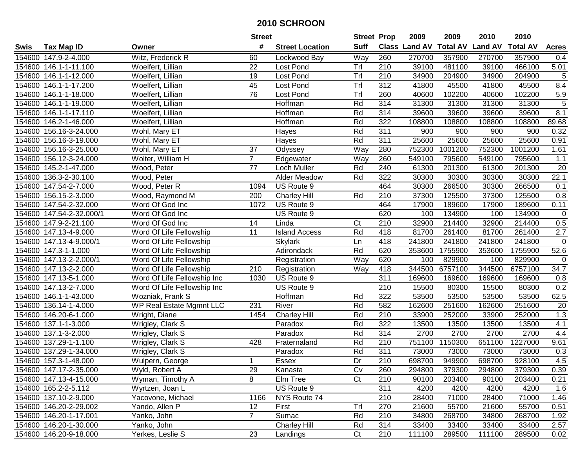|             |                          |                             | <b>Street</b>   |                        | <b>Street Prop</b> |                  | 2009   | 2009    | 2010                           | 2010            |                |
|-------------|--------------------------|-----------------------------|-----------------|------------------------|--------------------|------------------|--------|---------|--------------------------------|-----------------|----------------|
| <b>Swis</b> | <b>Tax Map ID</b>        | Owner                       | #               | <b>Street Location</b> | <b>Suff</b>        |                  |        |         | Class Land AV Total AV Land AV | <b>Total AV</b> | <b>Acres</b>   |
|             | 154600 147.9-2-4.000     | Witz, Frederick R           | 60              | Lockwood Bay           | Way                | 260              | 270700 | 357900  | 270700                         | 357900          | 0.4            |
|             | 154600 146.1-1-11.100    | Woelfert, Lillian           | 22              | Lost Pond              | Trl                | 210              | 39100  | 481100  | 39100                          | 466100          | 5.01           |
|             | 154600 146.1-1-12.000    | Woelfert, Lillian           | 19              | <b>Lost Pond</b>       | Tr                 | 210              | 34900  | 204900  | 34900                          | 204900          | 5              |
|             | 154600 146.1-1-17.200    | Woelfert, Lillian           | 45              | Lost Pond              | Trl                | 312              | 41800  | 45500   | 41800                          | 45500           | 8.4            |
|             | 154600 146.1-1-18.000    | Woelfert, Lillian           | 76              | Lost Pond              | Tr                 | 260              | 40600  | 102200  | 40600                          | 102200          | 5.9            |
|             | 154600 146.1-1-19.000    | Woelfert, Lillian           |                 | Hoffman                | Rd                 | 314              | 31300  | 31300   | 31300                          | 31300           | $\overline{5}$ |
|             | 154600 146.1-1-17.110    | Woelfert, Lillian           |                 | Hoffman                | Rd                 | 314              | 39600  | 39600   | 39600                          | 39600           | 8.1            |
|             | 154600 146.2-1-46.000    | Woelfert, Lillian           |                 | Hoffman                | Rd                 | 322              | 108800 | 108800  | 108800                         | 108800          | 89.68          |
|             | 154600 156.16-3-24.000   | Wohl, Mary ET               |                 | Hayes                  | Rd                 | $\overline{311}$ | 900    | 900     | 900                            | 900             | 0.32           |
|             | 154600 156.16-3-19.000   | Wohl, Mary ET               |                 | Hayes                  | Rd                 | 311              | 25600  | 25600   | 25600                          | 25600           | 0.91           |
|             | 154600 156.16-3-25.000   | Wohl, Mary ET               | 37              | Odyssey                | Way                | 280              | 752300 | 1001200 | 752300                         | 1001200         | 1.61           |
|             | 154600 156.12-3-24.000   | Wolter, William H           | $\overline{7}$  | Edgewater              | Way                | 260              | 549100 | 795600  | 549100                         | 795600          | 1.1            |
|             | 154600 145.2-1-47.000    | Wood, Peter                 | 77              | Loch Muller            | Rd                 | 240              | 61300  | 201300  | 61300                          | 201300          | 20             |
| 154600      | 136.3-2-30.100           | Wood, Peter                 |                 | <b>Alder Meadow</b>    | Rd                 | 322              | 30300  | 30300   | 30300                          | 30300           | 22.1           |
| 154600      | 147.54-2-7.000           | Wood, Peter R               | 1094            | US Route 9             |                    | 464              | 30300  | 266500  | 30300                          | 266500          | 0.1            |
| 154600      | 156.15-2-3.000           | Wood, Raymond M             | 200             | <b>Charley Hill</b>    | Rd                 | 210              | 37300  | 125500  | 37300                          | 125500          | 0.8            |
|             | 154600 147.54-2-32.000   | Word Of God Inc             | 1072            | US Route 9             |                    | 464              | 17900  | 189600  | 17900                          | 189600          | 0.11           |
|             | 154600 147.54-2-32.000/1 | Word Of God Inc             |                 | US Route 9             |                    | 620              | 100    | 134900  | 100                            | 134900          | $\mathbf 0$    |
|             | 154600 147.9-2-21.100    | Word Of God Inc             | 14              | Linda                  | C <sub>t</sub>     | 210              | 32900  | 214400  | 32900                          | 214400          | 0.5            |
|             | 154600 147.13-4-9.000    | Word Of Life Fellowship     | $\overline{11}$ | <b>Island Access</b>   | Rd                 | 418              | 81700  | 261400  | 81700                          | 261400          | 2.7            |
|             | 154600 147.13-4-9.000/1  | Word Of Life Fellowship     |                 | <b>Skylark</b>         | Ln                 | 418              | 241800 | 241800  | 241800                         | 241800          | $\mathbf 0$    |
|             | 154600 147.3-1-1.000     | Word Of Life Fellowship     |                 | Adirondack             | Rd                 | 620              | 353600 | 1755900 | 353600                         | 1755900         | 52.6           |
|             | 154600 147.13-2-2.000/1  | Word Of Life Fellowship     |                 | Registration           | Way                | 620              | 100    | 829900  | 100                            | 829900          | $\pmb{0}$      |
|             | 154600 147.13-2-2.000    | Word Of Life Fellowship     | 210             | Registration           | Way                | 418              | 344500 | 6757100 | 344500                         | 6757100         | 34.7           |
|             | 154600 147.13-5-1.000    | Word Of Life Fellowship Inc | 1030            | US Route 9             |                    | 311              | 169600 | 169600  | 169600                         | 169600          | 0.8            |
|             | 154600 147.13-2-7.000    | Word Of Life Fellowship Inc |                 | US Route 9             |                    | 210              | 15500  | 80300   | 15500                          | 80300           | 0.2            |
|             | 154600 146.1-1-43.000    | Wozniak, Frank S            |                 | Hoffman                | Rd                 | 322              | 53500  | 53500   | 53500                          | 53500           | 62.5           |
|             | 154600 136.14-1-4.000    | WP Real Estate Mgmnt LLC    | 231             | River                  | Rd                 | 582              | 162600 | 251600  | 162600                         | 251600          | 20             |
|             | 154600 146.20-6-1.000    | Wright, Diane               | 1454            | <b>Charley Hill</b>    | Rd                 | 210              | 33900  | 252000  | 33900                          | 252000          | 1.3            |
|             | 154600 137.1-1-3.000     | Wrigley, Clark S            |                 | Paradox                | Rd                 | 322              | 13500  | 13500   | 13500                          | 13500           | 4.1            |
| 154600      | 137.1-3-2.000            | Wrigley, Clark S            |                 | Paradox                | Rd                 | 314              | 2700   | 2700    | 2700                           | 2700            | 4.4            |
|             | 154600 137.29-1-1.100    | Wrigley, Clark S            | 428             | Fraternaland           | Rd                 | $\overline{210}$ | 751100 | 1150300 | 651100                         | 1227000         | 9.61           |
|             | 154600 137.29-1-34.000   | Wrigley, Clark S            |                 | Paradox                | Rd                 | 311              | 73000  | 73000   | 73000                          | 73000           | 0.3            |
|             | 154600 157.3-1-48.000    | Wulpern, George             | 1               | <b>Essex</b>           | $\overline{Dr}$    | $\overline{210}$ | 698700 | 949900  | 698700                         | 928100          | 4.5            |
|             | 154600 147.17-2-35.000   | Wyld, Robert A              | 29              | Kanasta                | Cv                 | 260              | 294800 | 379300  | 294800                         | 379300          | 0.39           |
|             | 154600 147.13-4-15.000   | Wyman, Timothy A            | 8               | Elm Tree               | Ct                 | 210              | 90100  | 203400  | 90100                          | 203400          | 0.21           |
|             | 154600 165.2-2-5.112     | Wyrtzen, Joan L             |                 | US Route 9             |                    | 311              | 4200   | 4200    | 4200                           | 4200            | 1.6            |
|             | 154600 137.10-2-9.000    | Yacovone, Michael           | 1166            | NYS Route 74           |                    | 210              | 28400  | 71000   | 28400                          | 71000           | 1.46           |
|             | 154600 146.20-2-29.002   | Yando, Allen P              | 12              | First                  | Trl                | 270              | 21600  | 55700   | 21600                          | 55700           | 0.51           |
|             | 154600 146.20-1-17.001   | Yanko, John                 | $\overline{7}$  | Sumac                  | Rd                 | 210              | 34800  | 268700  | 34800                          | 268700          | 1.92           |
|             | 154600 146.20-1-30.000   | Yanko, John                 |                 | <b>Charley Hill</b>    | Rd                 | 314              | 33400  | 33400   | 33400                          | 33400           | 2.57           |
|             | 154600 146.20-9-18.000   | Yerkes, Leslie S            | 23              | Landings               | C <sub>t</sub>     | 210              | 111100 | 289500  | 111100                         | 289500          | 0.02           |